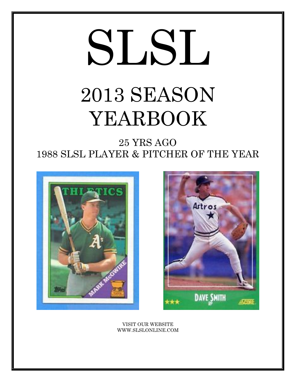# SLSL 2013 SEASON YEARBOOK

25 YRS AGO 1988 SLSL PLAYER & PITCHER OF THE YEAR





VISIT OUR WEBSITE WWW.SLSLONLINE.COM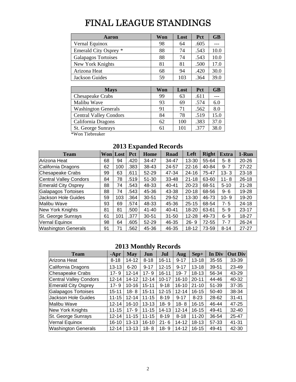# FINAL LEAGUE STANDINGS

| Aaron                 | Won | Lost | Pct  | <b>GB</b> |
|-----------------------|-----|------|------|-----------|
| Vernal Equinox        | 98  | 64   | .605 |           |
| Emerald City Osprey * | 88  | 74   | .543 | 10.0      |
| Galapagos Tortoises   | 88  | 74   | .543 | 10.0      |
| New York Knights      | 81  | 81   | .500 | 17.0      |
| Arizona Heat          | 68  | 94   | .420 | 30.0      |
| Jackson Guides        | 59  | 103  | .364 | 39.0      |

| <b>Mays</b>                   | Won | Lost | <b>Pct</b> | <b>GB</b> |
|-------------------------------|-----|------|------------|-----------|
| <b>Chesapeake Crabs</b>       | 99  | 63   | .611       |           |
| Malibu Wave                   | 93  | 69   | .574       | 6.0       |
| <b>Washington Generals</b>    | 91  | 71   | .562       | 8.0       |
| <b>Central Valley Condors</b> | 84  | 78   | .519       | 15.0      |
| California Dragons            | 62  | 100  | .383       | 37.0      |
| St. George Sunrays            | 61  | 101  | .377       | 38.0      |

\*Won Tiebreaker

| <b>Team</b>                   |    | <b>Won</b> Lost | <b>Pct</b> | <b>Home</b> | <b>Road</b> | Left      | <b>Right</b> | Extra    | 1-Run     |
|-------------------------------|----|-----------------|------------|-------------|-------------|-----------|--------------|----------|-----------|
| Arizona Heat                  | 68 | 94              | .420       | 34-47       | 34-47       | 13-30     | 55-64        | $5 - 8$  | $20 - 26$ |
| California Dragons            | 62 | 100             | .383       | 38-43       | 24-57       | $22 - 16$ | 40-84        | $9 - 7$  | $27 - 22$ |
| <b>Chesapeake Crabs</b>       | 99 | 63              | .611       | 52-29       | 47-34       | $24 - 16$ | 75-47        | $13 - 3$ | $23 - 18$ |
| <b>Central Valley Condors</b> | 84 | 78              | .519       | $51 - 30$   | 33-48       | $21 - 18$ | 63-60        | $11 - 8$ | $26 - 18$ |
| <b>Emerald City Osprey</b>    | 88 | 74              | .543       | 48-33       | $40 - 41$   | $20 - 23$ | 68-51        | $5 - 10$ | $21 - 28$ |
| Galapagos Tortoises           | 88 | 74              | .543       | 45-36       | 43-38       | $20 - 18$ | 68-56        | $9 - 6$  | 19-28     |
| <b>Jackson Hole Guides</b>    | 59 | 103             | .364       | $30 - 51$   | 29-52       | 13-30     | 46-73        | $10 - 9$ | $19 - 20$ |
| Malibu Wave                   | 93 | 69              | .574       | 48-33       | 45-36       | $25 - 15$ | 68-54        | $7 - 5$  | 24-18     |
| <b>New York Knights</b>       | 81 | 81              | .500       | $41 - 40$   | 40-41       | 18-20     | 63-61        | $5 - 9$  | 23-17     |
| St. George Sunrays            | 61 | 101             | .377       | $30 - 51$   | $31 - 50$   | 12-28     | 49-73        | $6 - 9$  | 18-27     |
| Vernal Equinox                | 98 | 64              | .605       | $52 - 29$   | 46-35       | $26 - 9$  | 72-55        | $7 - 7$  | 26-24     |
| Washington Generals           | 91 | 71              | .562       | 45-36       | 46-35       | $18 - 12$ | 73-59        | $8 - 14$ | $27 - 27$ |

# **2013 Expanded Records**

# **2013 Monthly Records**

| <b>Team</b>                   | $-Apr$    | <b>May</b> | Jun       | Jul       | Aug       | $Sep+$    | In Div    | <b>Out Div</b> |
|-------------------------------|-----------|------------|-----------|-----------|-----------|-----------|-----------|----------------|
| Arizona Heat                  | $8 - 18$  | 14-12      | $8 - 18$  | $16 - 11$ | $9 - 17$  | $13 - 18$ | 35-55     | 33-39          |
| California Dragons            | 13-13     | $6 - 20$   | $9 - 17$  | $12 - 15$ | $9 - 17$  | $13 - 18$ | 39-51     | 23-49          |
| <b>Chesapeake Crabs</b>       | $17 - 9$  | $12 - 14$  | $17 - 9$  | $16 - 11$ | $19 - 7$  | 18-13     | 56-34     | 43-29          |
| <b>Central Valley Condors</b> | $12 - 14$ | 14-12      | $12 - 14$ | $10 - 17$ | $16 - 10$ | $20 - 11$ | 44-46     | 40-32          |
| <b>Emerald City Osprey</b>    | 17-9      | $10 - 16$  | $15 - 11$ | $9 - 18$  | $16 - 10$ | $21 - 10$ | 51-39     | 37-35          |
| Galapagos Tortoises           | $15 - 11$ | $18 - 8$   | $15 - 11$ | $12 - 15$ | $12 - 14$ | $16 - 15$ | $50 - 40$ | 38-34          |
| Jackson Hole Guides           | $11 - 15$ | $12 - 14$  | $11 - 15$ | $8 - 19$  | $9 - 17$  | $8 - 23$  | 28-62     | $31 - 41$      |
| Malibu Wave                   | $12 - 14$ | $16 - 10$  | $13 - 13$ | $18 - 9$  | $18 - 8$  | 16-15     | 46-44     | 47-25          |
| New York Knights              | $11 - 15$ | $17 - 9$   | $11 - 15$ | $14 - 13$ | $12 - 14$ | $16 - 15$ | 49-41     | $32 - 40$      |
| St. George Sunrays            | $12 - 14$ | $11 - 15$  | $11 - 15$ | $8 - 19$  | $8 - 18$  | $11 - 20$ | 36-54     | 25-47          |
| Vernal Equinox                | 16-10     | $13 - 13$  | $16 - 10$ | $21 - 6$  | $14 - 12$ | $18 - 13$ | 57-33     | 41-31          |
| <b>Washington Generals</b>    | $12 - 14$ | $13 - 13$  | $18 - 8$  | $18 - 9$  | 14-12     | 16-15     | 49-41     | 42-30          |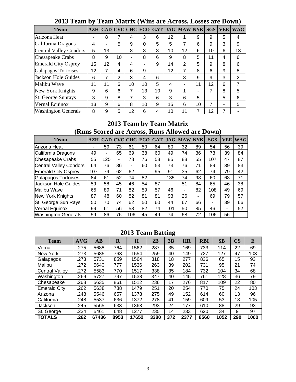| <b>Team</b>                |    |    |                |    |          |    |    | AZH   CAD   CVC   CHC   ECO   GAT   JAG   MAW   NYK |    | <b>SGS</b>     | <b>VEE</b> | <b>WAG</b> |
|----------------------------|----|----|----------------|----|----------|----|----|-----------------------------------------------------|----|----------------|------------|------------|
| Arizona Heat               |    | 8  |                | 4  | 3        | 6  | 12 | 1                                                   | 9  | 9              | 5          | 4          |
| California Dragons         | 4  | ۰  | 5              | 9  | $\Omega$ | 5  | 5  |                                                     | 6  | 9              | 3          | 9          |
| Central Valley Condors     | 5  | 13 | ۰              | 8  | 8        | 8  | 10 | 12                                                  | 6  | 10             | 6          | 13         |
| <b>Chesapeake Crabs</b>    | 8  | 9  | 10             | -  | 8        | 6  | 9  | 8                                                   | 5  | 11             | 4          | 6          |
| <b>Emerald City Osprey</b> | 15 | 12 | 4              | 4  | -        | 9  | 14 | 2                                                   | 5  | 9              | 8          | 6          |
| Galapagos Tortoises        | 12 | 7  | 4              | 6  | 9        | ۰  | 12 | 7                                                   | 8  | 6              | 9          | 8          |
| Jackson Hole Guides        | 6  | 7  | $\overline{2}$ | 3  | 4        | 6  |    | 8                                                   | 9  | 9              | 3          | 2          |
| Malibu Wave                | 11 | 11 | 6              | 10 | 10       | 5  | 4  |                                                     | 11 | 12             | 6          |            |
| New York Knights           | 9  | 6  | 6              | 7  | 13       | 10 | 9  | 1                                                   | -  | 7              | 8          | 5          |
| <b>St. George Sunrays</b>  | 3  | 9  | 8              | 7  | 3        | 6  | 3  | 6                                                   | 5  | $\blacksquare$ | 5          | 6          |
| Vernal Equinox             | 13 | 9  | 6              | 8  | 10       | 9  | 15 | 6                                                   | 10 | 7              | -          | 5          |
| <b>Washington Generals</b> | 8  | 9  | 5              | 12 | 6        | 4  | 10 | 11                                                  | 7  | 12             |            |            |

**2013 Team by Team Matrix (Wins are Across, Losses are Down)** 

# **2013 Team by Team Matrix (Runs Scored are Across, Runs Allowed are Down)**

| <b>Team</b>                | AZH | <b>CAD</b> CVC |    | <b>CHC</b> | <b>ECO</b> | <b>GAT</b> | JAG | <b>MAWINYK</b> |    | <b>SGS</b> | VEE | $\mathbf{W} \mathbf{A} \mathbf{G}$ |
|----------------------------|-----|----------------|----|------------|------------|------------|-----|----------------|----|------------|-----|------------------------------------|
| Arizona Heat               |     | 59             | 73 | 61         | 50         | 64         | 80  | 32             | 89 | 54         | 56  | 39                                 |
| California Dragons         | 49  | -              | 65 | 69         | 38         | 60         | 49  | 74             | 36 | 73         | 39  | 84                                 |
| Chesapeake Crabs           | 55  | 125            | ۰  | 78         | 76         | 58         | 85  | 88             | 55 | 107        | 47  | 87                                 |
| Central Valley Condors     | 64  | 76             | 86 | -          | 60         | 53         | 73  | 76             | 71 | 89         | 39  | 83                                 |
| <b>Emerald City Osprey</b> | 107 | 79             | 62 | 62         | ٠          | 95         | 91  | 35             | 62 | 74         | 79  | 42                                 |
| Galapagos Tortoises        | 84  | 61             | 52 | 74         | 82         | -          | 135 | 74             | 98 | 60         | 68  | 71                                 |
| Jackson Hole Guides        | 59  | 58             | 45 | 46         | 54         | 87         | ۰   | 51             | 84 | 65         | 46  | 38                                 |
| Malibu Wave                | 65  | 89             | 71 | 82         | 59         | 57         | 46  | -              | 82 | 108        | 49  | 69                                 |
| New York Knights           | 87  | 48             | 60 | 82         | 81         | 81         | 93  | 26             | -  | 69         | 79  | 57                                 |
| St. George Sun Rays        | 50  | 70             | 74 | 62         | 50         | 60         | 44  | 67             | 66 | ۰          | 39  | 66                                 |
| Vernal Equinox             | 99  | 61             | 56 | 58         | 82         | 74         | 101 | 50             | 85 | 46         | -   | 52                                 |
| <b>Washington Generals</b> | 59  | 86             | 76 | 106        | 45         | 49         | 74  | 68             | 72 | 106        | 56  |                                    |

# **2013 Team Batting**

| <b>Team</b>           | <b>AVG</b> | $\mathbf{A}\mathbf{B}$ | $\bf R$ | H     | 2B   | 3B  | <b>HR</b> | <b>RBI</b> | SB   | $\overline{\text{CS}}$ | E    |
|-----------------------|------------|------------------------|---------|-------|------|-----|-----------|------------|------|------------------------|------|
| Vernal                | .275       | 5688                   | 764     | 1562  | 287  | 35  | 169       | 733        | 114  | 22                     | 69   |
| New York              | .273       | 5685                   | 763     | 1554  | 259  | 40  | 149       | 727        | 127  | 47                     | 103  |
| Galapagos             | .273       | 5731                   | 859     | 1564  | 318  | 18  | 277       | 836        | 65   | 15                     | 93   |
| Malibu                | .272       | 5640                   | 777     | 1536  | 263  | 39  | 202       | 731        | 95   | 21                     | 74   |
| <b>Central Valley</b> | .272       | 5583                   | 770     | 1517  | 338  | 35  | 184       | 732        | 104  | 34                     | 68   |
| Washington            | .269       | 5727                   | 797     | 1538  | 347  | 40  | 145       | 761        | 128  | 36                     | 79   |
| Chesapeake            | .268       | 5635                   | 861     | 1512  | 236  | 17  | 276       | 817        | 109  | 22                     | 80   |
| <b>Emerald City</b>   | .262       | 5638                   | 788     | 1479  | 251  | 20  | 254       | 770        | 75   | 24                     | 103  |
| Arizona               | .248       | 5546                   | 657     | 1378  | 275  | 49  | 152       | 614        | 60   | 13                     | 96   |
| California            | .248       | 5537                   | 636     | 1372  | 278  | 41  | 159       | 609        | 53   | 18                     | 105  |
| Jackson               | .245       | 5565                   | 633     | 1363  | 293  | 24  | 177       | 610        | 88   | 29                     | 93   |
| St. George            | .234       | 5461                   | 648     | 1277  | 235  | 14  | 233       | 620        | 34   | 9                      | 97   |
| <b>TOTALS</b>         | .262       | 67436                  | 8953    | 17652 | 3380 | 372 | 2377      | 8560       | 1052 | 290                    | 1060 |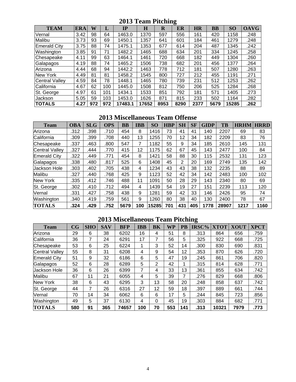# **2013 Team Pitching**

| <b>TEAM</b>           | <b>ERA</b> | W   | ┚   | IP      | H     | R    | o<br>ER | <b>HR</b> | <b>BB</b> | <b>SO</b> | <b>OAVG</b> |
|-----------------------|------------|-----|-----|---------|-------|------|---------|-----------|-----------|-----------|-------------|
| Vernal                | 3.42       | 98  | 64  | 1463.0  | 1370  | 597  | 556     | 161       | 420       | 1158      | .248        |
| Malibu                | 3.73       | 93  | 69  | 1450.1  | 1357  | 641  | 601     | 184       | 461       | 1279      | .248        |
| <b>Emerald City</b>   | 3.75       | 88  | 74  | 1475.1  | 1353  | 677  | 614     | 204       | 487       | 1345      | .242        |
| Washington            | 3.85       | 91  | 71  | 1482.2  | 1465  | 688  | 634     | 201       | 334       | 1245      | .258        |
| Chesapeake            | 4.11       | 99  | 63  | 1464.1  | 1461  | 720  | 668     | 182       | 449       | 1304      | .260        |
| Galapagos             | 4.19       | 88  | 74  | 1465.2  | 1506  | 738  | 682     | 201       | 456       | 1377      | .264        |
| Arizona               | 4.44       | 68  | 94  | 1442.2  | 1463  | 778  | 712     | 181       | 507       | 1280      | .263        |
| New York              | 4.49       | 81  | 81  | 1458.2  | 1545  | 800  | 727     | 212       | 455       | 1191      | .271        |
| <b>Central Valley</b> | 4.59       | 84  | 78  | 1448.1  | 1465  | 780  | 739     | 231       | 512       | 1253      | .262        |
| California            | 4.67       | 62  | 100 | 1445.0  | 1508  | 812  | 750     | 206       | 525       | 1284      | .268        |
| St. George            | 4.97       | 61  | 101 | 1434.1  | 1533  | 851  | 792     | 181       | 571       | 1405      | .273        |
| Jackson               | 5.05       | 59  | 103 | 1453.0  | 1626  | 871  | 815     | 233       | 502       | 1164      | .282        |
| <b>TOTALS</b>         | 4.27       | 972 | 972 | 17483.1 | 17652 | 8953 | 8290    | 2377      | 5679      | 15285     | .262        |

# **2013 Miscellaneous Team Offense**

| <b>Team</b>         | <b>OBA</b> | <b>SLG</b> | <b>OPS</b> | <b>BB</b> | <b>IBB</b> | SO <sub>1</sub> | <b>HBP</b> | <b>SH</b> | <b>SF</b> | <b>GIDP</b> | TB    | <b>HRHM</b> | <b>HRRD</b> |
|---------------------|------------|------------|------------|-----------|------------|-----------------|------------|-----------|-----------|-------------|-------|-------------|-------------|
| Arizona             | .312       | .398       | .710       | 454       | 8          | 1416            | 73         | 41        | 41        | 140         | 2207  | 69          | 83          |
| California          | .309       | .399       | .708       | 440       | 13         | 1255            | 70         | 12        | 34        | 182         | 2209  | 83          | 76          |
| Chesapeake          | .337       | .463       | .800       | 547       | 7          | 1182            | 55         | 9         | 34        | 185         | 2610  | 145         | 131         |
| Central Valley      | .327       | .444       | .770       | 415       | 12         | 1175            | 62         | 67        | 45        | 143         | 2477  | 100         | 84          |
| <b>Emerald City</b> | .322       | .449       | .771       | 454       | 8          | 1421            | 58         | 88        | 30        | 115         | 2532  | 131         | 123         |
| Galapagos           | .338       | .480       | .817       | 525       | 6          | 1408            | 45         | 2         | 20        | 169         | 2749  | 135         | 142         |
| Uackson Hole        | .303       | .402       | .705       | 438       | 4          | 1234            | 43         | 43        | 38        | 132         | 2235  | 88          | 89          |
| Malibu              | .327       | .440       | .768       | 425       | 9          | 1123            | 52         | 42        | 34        | 142         | 2483  | 100         | 102         |
| <b>New York</b>     | .335       | .412       | .746       | 488       | 11         | 1091            | 50         | 28        | 29        | 143         | 2340  | 80          | 69          |
| St. George          | .302       | .410       | .712       | 494       | 4          | 1439            | 54         | 19        | 27        | 151         | 2239  | 113         | 120         |
| Vernal              | .331       | .427       | .758       | 438       | 9          | 1281            | 59         | 42        | 33        | 146         | 2426  | 95          | 74          |
| Washington          | .340       | .419       | .759       | 561       | 9          | 1260            | 80         | 38        | 40        | 130         | 2400  | 78          | 67          |
| <b>TOTALS</b>       | .324       | .429       | .752       | 5679      | 100        | 15285           | 701        | 431       | 405       | 1778        | 28907 | 1217        | 1160        |

# **2013 Miscellaneous Team Pitching**

| <b>Team</b>           | $\overline{\mathbf{C}\mathbf{G}}$ | <b>SHO</b> | <b>SAV</b> | <b>BFP</b> | <b>IBB</b> | <b>BK</b> | WP  | $\overline{\mathbf{PB}}$ | <b>IRSC%</b> | <b>XTOT</b> | <b>XOUT</b> | <b>XPCT</b> |
|-----------------------|-----------------------------------|------------|------------|------------|------------|-----------|-----|--------------------------|--------------|-------------|-------------|-------------|
| Arizona               | 29                                | 6          | 38         | 6202       | 16         | 4         | 51  | 8                        | .313         | 864         | 656         | .759        |
| California            | 36                                | 7          | 24         | 6291       | 17         | 7         | 56  | 5                        | .325         | 922         | 668         | .725        |
| Chesapeake            | 53                                | 6          | 25         | 6224       | 1          | 3         | 52  | 14                       | .300         | 830         | 690         | .831        |
| <b>Central Valley</b> | 55                                | 8          | 31         | 6208       | 4          | 9         | 54  | 12                       | .353         | 870         | 626         | .720        |
| <b>Emerald City</b>   | 51                                | 9          | 32         | 6186       | 6          | 5         | 47  | 19                       | .245         | 861         | 706         | .820        |
| Galapagos             | 52                                | 6          | 28         | 6289       | 5          | 2         | 42  |                          | .315         | 814         | 628         | .771        |
| Jackson Hole          | 36                                | 6          | 26         | 6399       | 7          | 4         | 33  | 13                       | .361         | 855         | 634         | .742        |
| Malibu                | 67                                | 11         | 21         | 6055       | 4          | 5         | 39  | 7                        | .276         | 829         | 668         | .806        |
| New York              | 38                                | 6          | 43         | 6295       | 3          | 13        | 58  | 20                       | .248         | 858         | 637         | .742        |
| St. George            | 44                                | 7          | 26         | 6316       | 27         | 12        | 59  | 18                       | .397         | 889         | 661         | .744        |
| Vernal                | 70                                | 14         | 34         | 6062       | 6          | 6         | 17  | 5                        | .244         | 845         | 723         | .856        |
| Washington            | 49                                | 5          | 37         | 6130       | 4          | 0         | 45  | 19                       | .303         | 884         | 682         | .771        |
| <b>TOTALS</b>         | 580                               | 91         | 365        | 74657      | 100        | 70        | 553 | 141                      | .313         | 10321       | 7979        | .773        |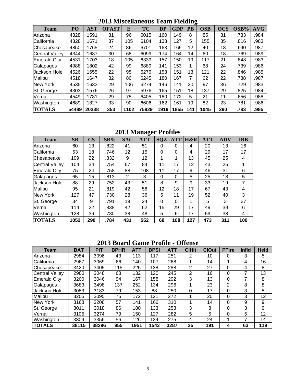| <b>Team</b>           | P <sub>O</sub> | <b>AST</b> | <b>OFAST</b> | E    | <b>TC</b> | <b>DP</b> | <b>GDP</b> | <b>PB</b> | <b>OSB</b> | <b>OCS</b> | OSB% | <b>AVG</b> |
|-----------------------|----------------|------------|--------------|------|-----------|-----------|------------|-----------|------------|------------|------|------------|
| Arizona               | 4328           | 1591       | 31           | 96   | 6015      | 160       | 149        | 8         | 85         | 31         | .733 | .984       |
| California            | 4328           | 1671       | 37           | 105  | 6104      | 138       | 127        | 5         | 155        | 35         | .816 | .983       |
| Chesapeake            | 4850           | 1765       | 24           | 86   | 6701      | 163       | 169        | 12        | 40         | 18         | .690 | .987       |
| <b>Central Valley</b> | 4344           | 1687       | 30           | 68   | 6099      | 174       | 164        | 14        | 60         | 18         | .769 | .989       |
| <b>Emerald City</b>   | 4531           | 1703       | 18           | 105  | 6339      | 157       | 150        | 19        | 117        | 21         | .848 | .983       |
| Galapagos             | 4988           | 1802       | 42           | 99   | 6889      | 141       | 153        |           | 68         | 24         | .739 | .986       |
| Jackson Hole          | 4526           | 1655       | 22           | 95   | 6276      | 153       | 151        | 13        | 121        | 22         | .846 | .985       |
| Malibu                | 4518           | 1647       | 32           | 80   | 6245      | 180       | 167        | 7         | 62         | 22         | .738 | .987       |
| New York              | 4535           | 1633       | 29           | 106  | 6274      | 146       | 141        | 20        | 97         | 36         | .729 | .983       |
| St. George            | 4303           | 1576       | 26           | 97   | 5976      | 165       | 151        | 18        | 137        | 29         | .825 | .984       |
| Vernal                | 4549           | 1781       | 29           | 75   | 6405      | 180       | 172        | 5         | 21         | 11         | .656 | .988       |
| Washington            | 4689           | 1827       | 33           | 90   | 6606      | 162       | 161        | 19        | 82         | 23         | .781 | .986       |
| <b>TOTALS</b>         | 54489          | 20338      | 353          | 1102 | 75929     | 1919      | 1855       | 141       | 1045       | 290        | .783 | .985       |

**2013 Miscellaneous Team Fielding** 

# **2013 Manager Profiles**

| <b>Team</b>           | SB   | $\overline{\text{CS}}$ | SB%  | <b>SAC</b> | $\tilde{\phantom{a}}$<br><b>ATT</b> | <b>SQZ</b> | <b>ATT</b> | H&R | <b>ATT</b> | <b>ADV</b> | <b>IBB</b> |
|-----------------------|------|------------------------|------|------------|-------------------------------------|------------|------------|-----|------------|------------|------------|
| Arizona               | 60   | 13                     | .822 | 41         | 51                                  | 0          | 0          | 4   | 20         | 13         | 16         |
| California            | 53   | 18                     | .746 | 12         | 15                                  | 0          | $\Omega$   | 4   | 29         | 17         | 17         |
| Chesapeake            | 109  | 22                     | .832 | 9          | 12                                  | 1          | 1          | 13  | 45         | 25         | 4          |
| <b>Central Valley</b> | 104  | 34                     | .754 | 67         | 84                                  | 11         | 17         | 12  | 43         | 25         |            |
| Emerald City          | 75   | 24                     | .758 | 88         | 108                                 | 11         | 17         | 9   | 46         | 31         | 6          |
| Galapagos             | 65   | 15                     | .813 | 2          | 3                                   | 0          | $\Omega$   | 5   | 25         | 18         | 5          |
| <b>Jackson Hole</b>   | 88   | 29                     | .752 | 43         | 51                                  | 8          | 9          | 9   | 33         | 19         | 7          |
| Malibu                | 95   | 21                     | .819 | 42         | 58                                  | 12         | 18         | 17  | 67         | 43         | 4          |
| <b>New York</b>       | 127  | 47                     | .730 | 28         | 36                                  | 5          | 11         | 19  | 52         | 40         | 3          |
| St. George            | 34   | 9                      | .791 | 19         | 24                                  | 0          | $\Omega$   | 1   | 5          | 3          | 27         |
| Vernal                | 114  | 22                     | .838 | 42         | 62                                  | 15         | 29         | 17  | 49         | 39         | 6          |
| Washington            | 128  | 36                     | .780 | 38         | 48                                  | 5          | 6          | 17  | 59         | 38         | 4          |
| <b>TOTALS</b>         | 1052 | 290                    | .784 | 431        | 552                                 | 68         | 108        | 127 | 473        | 311        | 100        |

# **2013 Board Game Profile - Offense**

| <b>Team</b>         | <b>BAT</b> | <b>PIT</b> | <b>BPHR</b> | <b>ATT</b> | <b>BPSI</b> | <b>ATT</b> | <b>CIHit</b>   | <b>ClOut</b> | <b>PTire</b> | Infld | <b>Held</b> |
|---------------------|------------|------------|-------------|------------|-------------|------------|----------------|--------------|--------------|-------|-------------|
| Arizona             | 2984       | 3096       | 43          | 113        | 117         | 251        | 2              | 10           | 0            | 3     | 5           |
| California          | 2967       | 3069       | 66          | 140        | 107         | 268        |                | 14           |              | 4     | 16          |
| Chesapeake          | 3420       | 3405       | 115         | 225        | 138         | 288        | 2              | 27           | 0            | 4     | 8           |
| Central Valley      | 2980       | 3048       | 68          | 132        | 120         | 245        | $\overline{2}$ | 16           | 0            |       | 13          |
| <b>Emerald City</b> | 3200       | 3046       | 94          | 167        | 158         | 292        | 3              | 13           | 0            |       | 8           |
| Galapagos           | 3683       | 3498       | 137         | 252        | 134         | 296        |                | 23           | 2            | 8     | 8           |
| Jackson Hole        | 3083       | 3183       | 79          | 153        | 88          | 250        | 0              | 17           | 0            | 3     | 5           |
| Malibu              | 3205       | 3095       | 75          | 172        | 121         | 272        |                | 20           | 0            | 3     | 12          |
| New York            | 3168       | 3208       | 57          | 141        | 166         | 310        |                | 14           | 0            | 9     | 9           |
| St. George          | 3011       | 3018       | 86          | 180        | 133         | 258        | 3              | 8            | 0            | 3     | 9           |
| Vernal              | 3105       | 3274       | 79          | 150        | 127         | 282        | 5              | 5            | 0            | 5     | 12          |
| Washington          | 3309       | 3356       | 56          | 126        | 134         | 275        | 4              | 24           |              |       | 14          |
| <b>TOTALS</b>       | 38115      | 38296      | 955         | 1951       | 1543        | 3287       | 25             | 191          | 4            | 63    | 119         |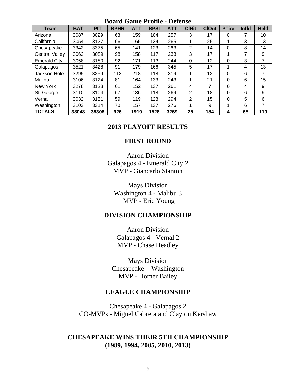# **Board Game Profile - Defense**

| <b>Team</b>           | <b>BAT</b> | PIT   | <b>BPHR</b> | <b>ATT</b> | <b>BPSI</b> | <b>ATT</b> | <b>CIHit</b> | <b>ClOut</b> | <b>PTire</b> | Infld | <b>Held</b> |
|-----------------------|------------|-------|-------------|------------|-------------|------------|--------------|--------------|--------------|-------|-------------|
| Arizona               | 3087       | 3029  | 63          | 159        | 104         | 257        | 3            | 17           | 0            | 7     | 10          |
| California            | 3054       | 3127  | 66          | 165        | 134         | 265        |              | 25           |              | 3     | 13          |
| Chesapeake            | 3342       | 3375  | 65          | 141        | 123         | 263        | 2            | 14           | $\mathbf{0}$ | 8     | 14          |
| <b>Central Valley</b> | 3062       | 3089  | 98          | 158        | 117         | 233        | 3            | 17           |              | 7     | 9           |
| <b>Emerald City</b>   | 3058       | 3180  | 92          | 171        | 113         | 244        | 0            | 12           | 0            | 3     | 7           |
| Galapagos             | 3521       | 3428  | 91          | 179        | 166         | 345        | 5            | 17           |              | 4     | 13          |
| Jackson Hole          | 3295       | 3259  | 113         | 218        | 118         | 319        |              | 12           | 0            | 6     | 7           |
| Malibu                | 3106       | 3124  | 81          | 164        | 133         | 243        |              | 21           | 0            | 6     | 15          |
| New York              | 3278       | 3128  | 61          | 152        | 137         | 261        | 4            | 7            | 0            | 4     | 9           |
| St. George            | 3110       | 3104  | 67          | 136        | 118         | 269        | 2            | 18           | $\Omega$     | 6     | 9           |
| Vernal                | 3032       | 3151  | 59          | 119        | 128         | 294        | 2            | 15           | 0            | 5     | 6           |
| Washington            | 3103       | 3314  | 70          | 157        | 137         | 276        | ◢            | 9            |              | 6     | 7           |
| <b>TOTALS</b>         | 38048      | 38308 | 926         | 1919       | 1528        | 3269       | 25           | 184          | 4            | 65    | 119         |

# **2013 PLAYOFF RESULTS**

# **FIRST ROUND**

Aaron Division Galapagos 4 - Emerald City 2 MVP - Giancarlo Stanton

Mays Division Washington 4 - Malibu 3 MVP - Eric Young

# **DIVISION CHAMPIONSHIP**

Aaron Division Galapagos 4 - Vernal 2 MVP - Chase Headley

Mays Division Chesapeake - Washington MVP - Homer Bailey

# **LEAGUE CHAMPIONSHIP**

Chesapeake 4 - Galapagos 2 CO-MVPs - Miguel Cabrera and Clayton Kershaw

# **CHESAPEAKE WINS THEIR 5TH CHAMPIONSHIP (1989, 1994, 2005, 2010, 2013)**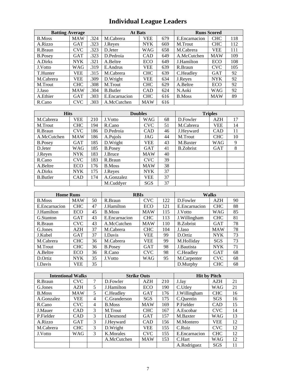# **Individual League Leaders**

| <b>Batting Average</b> |            |      | <b>At Bats</b>   | <b>Runs Scored</b> |     |               |            |     |
|------------------------|------------|------|------------------|--------------------|-----|---------------|------------|-----|
| <b>B.Moss</b>          | <b>MAW</b> | .324 | M.Cabrera        | <b>VEE</b>         | 679 | E.Encarnacion | <b>CHC</b> | 118 |
| A.Rizzo                | <b>GAT</b> | .323 | J.Reyes          | <b>NYK</b>         | 669 | M.Trout       | <b>CHC</b> | 112 |
| R.Braun                | <b>CVC</b> | .323 | D.Jeter          | WAG                | 658 | M.Cabrera     | <b>VEE</b> | 111 |
| <b>B.Posey</b>         | <b>GAT</b> | .323 | D.Pedroia        | <b>CAD</b>         | 649 | A.McCutchen   | <b>MAW</b> | 109 |
| A.Dirks                | <b>NYK</b> | .321 | A.Beltre         | ECO                | 649 | J.Hamilton    | ECO        | 108 |
| J.Votto                | <b>WAG</b> | .319 | E.Andrus         | <b>VEE</b>         | 639 | R.Braun       | <b>CVC</b> | 105 |
| T.Hunter               | <b>VEE</b> | .315 | M.Cabrera        | <b>CHC</b>         | 639 | C.Headley     | <b>GAT</b> | 92  |
| M.Cabrera              | VEE        | .309 | D.Wright         | <b>VEE</b>         | 634 | J.Reyes       | <b>NYK</b> | 92  |
| M.Trout                | <b>CHC</b> | .308 | M.Trout          | <b>CHC</b>         | 629 | A.Beltre      | ECO        | 92  |
| J.Jaso                 | <b>MAW</b> | .304 | <b>B.</b> Butler | <b>CAD</b>         | 624 | N.Aoki        | WAG        | 92  |
| A.Ethier               | <b>GAT</b> | .303 | E.Encarnacion    | <b>CHC</b>         | 616 | <b>B.Moss</b> | <b>MAW</b> | 89  |
| R.Cano                 | <b>CVC</b> | .303 | A.McCutchen      | <b>MAW</b>         | 616 |               |            |     |

| <b>Hits</b>      |            |     | <b>Doubles</b> |            |    | <b>Triples</b>   |            |    |  |
|------------------|------------|-----|----------------|------------|----|------------------|------------|----|--|
| M.Cabrera        | VEE        | 210 | J.Votto        | <b>WAG</b> | 68 | D.Fowler         | <b>AZH</b> | 17 |  |
| M.Trout          | <b>CHC</b> | 194 | R.Cano         | <b>CVC</b> | 51 | M.Cabrera        | VEE        | 14 |  |
| R.Braun          | <b>CVC</b> | 186 | D.Pedroia      | <b>CAD</b> | 46 | J.Heyward        | <b>CAD</b> | 11 |  |
| A.McCutchen      | <b>MAW</b> | 186 | A.Pujols       | JAG        | 44 | M.Trout          | <b>CHC</b> | 10 |  |
| <b>B.Posey</b>   | GAT        | 185 | D.Wright       | <b>VEE</b> | 43 | M.Baxter         | <b>WAG</b> | 9  |  |
| D.Jeter          | WAG        | 185 | <b>B.Posey</b> | <b>GAT</b> | 41 | <b>B.Zobrist</b> | <b>GAT</b> | 8  |  |
| J.Reyes          | NYK.       | 183 | J.Bruce        | <b>MAW</b> | 40 |                  |            |    |  |
| R.Cano           | <b>CVC</b> | 183 | R.Braun        | <b>CVC</b> | 39 |                  |            |    |  |
| A.Beltre         | <b>ECO</b> | 176 | <b>B.Moss</b>  | <b>MAW</b> | 38 |                  |            |    |  |
| A.Dirks          | NYK.       | 175 | J.Reyes        | <b>NYK</b> | 37 |                  |            |    |  |
| <b>B.</b> Butler | <b>CAD</b> | 174 | A.Gonzalez     | <b>VEE</b> | 37 |                  |            |    |  |
|                  |            |     | M.Cuddyer      | <b>SGS</b> | 37 |                  |            |    |  |

| <b>Home Runs</b> |            |    | <b>RBIs</b>    |            |     | <b>Walks</b>     |            |    |
|------------------|------------|----|----------------|------------|-----|------------------|------------|----|
| <b>B.Moss</b>    | <b>MAW</b> | 50 | R.Braun        | <b>CVC</b> | 122 | D.Fowler         | AZH        | 90 |
| E.Encarnacion    | <b>CHC</b> | 47 | J.Hamilton     | ECO        | 121 | E.Encarnacion    | <b>CHC</b> | 88 |
| J.Hamilton       | <b>ECO</b> | 45 | <b>B.Moss</b>  | <b>MAW</b> | 115 | J.Votto          | WAG        | 85 |
| G.Stanton        | <b>GAT</b> | 43 | E.Encarnacion  | <b>CHC</b> | 113 | J. Willingham    | <b>CHC</b> | 81 |
| R.Braun          | <b>CVC</b> | 43 | A.McCutchen    | <b>MAW</b> | 110 | <b>B.Zobrist</b> | <b>GAT</b> | 78 |
| G.Jones          | AZH        | 37 | M.Cabrera      | <b>CHC</b> | 104 | J.Jaso           | <b>MAW</b> | 78 |
| J.Kubel          | <b>GAT</b> | 37 | <b>I.Davis</b> | <b>VEE</b> | 99  | D.Ortiz          | <b>NYK</b> | 73 |
| M.Cabrera        | <b>CHC</b> | 36 | M.Cabrera      | VEE        | 99  | M.Holliday       | <b>SGS</b> | 73 |
| M.Trout          | <b>CHC</b> | 36 | <b>B.Posey</b> | <b>GAT</b> | 98  | J.Bautista       | <b>NYK</b> | 71 |
| A.Beltre         | ECO        | 36 | R.Cano         | <b>CVC</b> | 98  | C.Headley        | <b>GAT</b> | 68 |
| D.Ortiz          | <b>NYK</b> | 35 | J.Votto        | <b>WAG</b> | 95  | M.Carpenter      | <b>CVC</b> | 68 |
| I.Davis          | VEE        | 35 |                |            |     | D.Murphy         | <b>CHC</b> | 68 |

| <b>Intentional Walks</b> |            |                | <b>Strike Outs</b> |            |     | <b>Hit by Pitch</b> |            |    |  |
|--------------------------|------------|----------------|--------------------|------------|-----|---------------------|------------|----|--|
| R.Braun                  | <b>CVC</b> | 7              | D.Fowler           | <b>AZH</b> | 210 | J.Jay               | <b>AZH</b> | 21 |  |
| G.Jones                  | AZH        | 5              | J.Hamilton         | ECO        | 190 | C.Utley             | WAG        | 21 |  |
| <b>B.Moss</b>            | <b>MAW</b> | 5              | C.Headley          | <b>GAT</b> | 176 | J.Willingham        | <b>CHC</b> | 16 |  |
| A.Gonzalez               | <b>VEE</b> | $\overline{4}$ | C.Granderson       | SGS        | 175 | C.Quentin           | SGS        | 16 |  |
| R.Cano                   | <b>CVC</b> | $\overline{4}$ | <b>B.Moss</b>      | <b>MAW</b> | 169 | P.Fielder           | <b>CAD</b> | 15 |  |
| J.Mauer                  | CAD        | 3              | M.Trout            | <b>CHC</b> | 167 | A.Escobar           | <b>CVC</b> | 14 |  |
| P.Fielder                | CAD        | 3              | I.Desmond          | <b>GAT</b> | 157 | M.Baxter            | WAG        | 13 |  |
| A.Rizzo                  | <b>GAT</b> | 3              | J.Heyward          | <b>CAD</b> | 156 | M.Montero           | VEE        | 12 |  |
| M.Cabrera                | <b>CHC</b> | $\mathcal{F}$  | D.Wright           | <b>VEE</b> | 155 | C.Ruiz              | <b>CVC</b> | 12 |  |
| J.Votto                  | WAG        | $\mathcal{F}$  | K.Morales          | <b>CVC</b> | 155 | E.Encarnacion       | <b>CHC</b> | 12 |  |
|                          |            |                | A.McCutchen        | <b>MAW</b> | 153 | C.Hart              | WAG        | 12 |  |
|                          |            |                |                    |            |     | A.Rodriguez         | SGS        | 11 |  |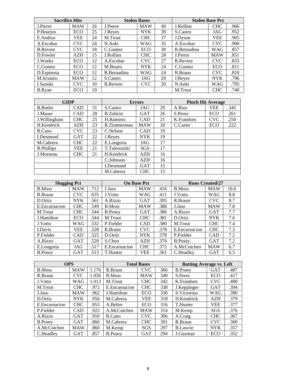| <b>Sacrifice Hits</b> |            |    |                 | <b>Stolen Bases</b> |    | <b>Stolen Base Pct</b> |            |      |  |
|-----------------------|------------|----|-----------------|---------------------|----|------------------------|------------|------|--|
| J.Pierre              | <b>MAW</b> | 26 | J.Pierre        | <b>MAW</b>          | 40 | J.Rollins              | <b>CHC</b> | .966 |  |
| P.Bourjos             | ECO        | 25 | J.Reyes         | <b>NYK</b>          | 39 | S.Castro               | JAG        | .952 |  |
| E.Andrus              | VEE        | 24 | M.Trout         | <b>CHC</b>          | 37 | J.Dyson                | VEE        | .905 |  |
| A.Escobar             | <b>CVC</b> | 24 | N.Aoki          | <b>WAG</b>          | 35 | A.Escobar              | <b>CVC</b> | .900 |  |
| <b>B.Revere</b>       | CVC        | 18 | C.Gomez         | ECO                 | 30 | R.Bernadina            | <b>WAG</b> | .857 |  |
| D.Fowler              | AZH        | 15 | J.Rollins       | <b>CHC</b>          | 28 | J.Pierre               | <b>MAW</b> | .851 |  |
| J.Weeks               | ECO        | 12 | A.Escobar       | <b>CVC</b>          | 27 | <b>B.Revere</b>        | <b>CVC</b> | .833 |  |
| C.Gomez               | ECO        | 12 | M.Bourn         | <b>NYK</b>          | 24 | C.Gomez                | <b>ECO</b> | .811 |  |
| D.Espinosa            | ECO        | 12 | R.Bernadina     | <b>WAG</b>          | 24 | R.Braun                | <b>CVC</b> | .810 |  |
| M.Scutaro             | <b>MAW</b> | 12 | S.Castro        | JAG                 | 20 | J.Reyes                | <b>NYK</b> | .796 |  |
| I.Suzuki              | <b>CVC</b> | 10 | <b>B.Revere</b> | <b>CVC</b>          | 20 | N.Aoki                 | <b>WAG</b> | .795 |  |
| <b>B.Rvan</b>         | ECO        | 10 |                 |                     |    | M.Trout                | <b>CHC</b> | .740 |  |

| <b>GIDP</b>       |            |    |                  | <b>Errors</b> |    | <b>Pinch Hit Average</b> |            |      |  |
|-------------------|------------|----|------------------|---------------|----|--------------------------|------------|------|--|
| <b>B.</b> Butler  | CAD        | 31 | S.Castro         | JAG           | 29 | A.Rios                   | VEE        | .345 |  |
| J.Mauer           | <b>CAD</b> | 28 | <b>B.Zobrist</b> | <b>GAT</b>    | 26 | S.Perez                  | ECO        | .261 |  |
| J.Willingham      | <b>CHC</b> | 25 | H.Ramirez        | <b>CAD</b>    | 21 | K.Frandsen               | <b>CVC</b> | .250 |  |
| H.Kendrick        | AZH        | 23 | R.Zimmerman      | <b>MAW</b>    | 20 | C.Carter                 | ECO        | .222 |  |
| R.Cano            | CVC.       | 23 | C.Nelson         | <b>CAD</b>    | 19 |                          |            |      |  |
| I.Desmond         | <b>GAT</b> | 22 | J.Reyes          | <b>NYK</b>    | 19 |                          |            |      |  |
| M.Cabrera         | <b>CHC</b> | 22 | E.Longoria       | JAG           | 17 |                          |            |      |  |
| <b>B.Phillips</b> | VEE        | 21 | T.Tulowitzki     | SGS           | 17 |                          |            |      |  |
| J.Morneau         | <b>CHC</b> | 21 | H.Kendrick       | <b>AZH</b>    | 16 |                          |            |      |  |
|                   |            |    | C.Johnson        | AZH           | 16 |                          |            |      |  |
|                   |            |    | I.Desmond        | GAT           | 15 |                          |            |      |  |
|                   |            |    | M.Cabrera        | <b>CHC</b>    | 15 |                          |            |      |  |

| <b>Slugging Pct</b> |            |      |                | <b>On Base Pct</b> |      | <b>Runs Created/27</b> |            |      |  |
|---------------------|------------|------|----------------|--------------------|------|------------------------|------------|------|--|
| <b>B.Moss</b>       | <b>MAW</b> | .712 | J.Jaso         | <b>MAW</b>         | .416 | <b>B.Moss</b>          | <b>MAW</b> | 10.6 |  |
| R.Braun             | <b>CVC</b> | .635 | J.Votto        | WAG                | .411 | J.Votto                | <b>WAG</b> | 8.8  |  |
| D.Ortiz             | <b>NYK</b> | .561 | A.Rizzo        | <b>GAT</b>         | .395 | R.Braun                | <b>CVC</b> | 8.7  |  |
| E.Encarnacion       | <b>CHC</b> | .549 | <b>B.Moss</b>  | <b>MAW</b>         | .388 | J.Jaso                 | <b>MAW</b> | 7.8  |  |
| M.Trout             | <b>CHC</b> | .544 | <b>B.Posev</b> | <b>GAT</b>         | .386 | A.Rizzo                | <b>GAT</b> | 7.7  |  |
| J.Hamilton          | ECO        | .544 | M.Trout        | <b>CHC</b>         | .381 | D.Ortiz                | <b>NYK</b> | 7.6  |  |
| J.Votto             | WAG        | .532 | P.Fielder      | <b>CAD</b>         | .380 | M.Trout                | <b>CHC</b> | 7.4  |  |
| <b>I.Davis</b>      | VEE        | .528 | R.Braun        | <b>CVC</b>         | .378 | E. Encarnacion         | <b>CHC</b> | 7.3  |  |
| P.Fielder           | <b>CAD</b> | .525 | D.Ortiz        | <b>NYK</b>         | .378 | P.Fielder              | <b>CAD</b> | 7.2  |  |
| A.Rizzo             | <b>GAT</b> | .520 | S.Choo         | AZH                | .376 | <b>B.Posev</b>         | <b>GAT</b> | 7.2  |  |
| E.Longoria          | JAG        | .517 | E. Encarnacion | <b>CHC</b>         | .372 | A.McCutchen            | <b>MAW</b> | 6.7  |  |
| <b>B.Posev</b>      | GAT        | .513 | T.Hunter       | VEE                | .361 | C.Headley              | <b>GAT</b> | 6.5  |  |

| <b>OPS</b>     |            |       |                | <b>Total Bases</b> |     | <b>Batting Average vs. Left</b> |            |      |  |
|----------------|------------|-------|----------------|--------------------|-----|---------------------------------|------------|------|--|
| <b>B.Moss</b>  | <b>MAW</b> | 1.176 | R.Braun        | <b>CVC</b>         | 366 | <b>B.Posey</b>                  | <b>GAT</b> | .487 |  |
| R.Braun        | <b>CVC</b> | .058  | <b>B.Moss</b>  | <b>MAW</b>         | 349 | S.Perez                         | ECO        | .417 |  |
| J.Votto        | WAG        | 1.013 | M.Trout        | <b>CHC</b>         | 342 | K. Frandsen                     | <b>CVC</b> | .400 |  |
| M.Trout        | <b>CHC</b> | .972  | E.Encarnacion  | <b>CHC</b>         | 338 | J.Keppinger                     | <b>GAT</b> | .394 |  |
| J.Jaso         | <b>MAW</b> | .962  | J.Hamilton     | ECO                | 330 | S. Victorino                    | <b>WAG</b> | .390 |  |
| D.Ortiz        | <b>NYK</b> | .956  | M.Cabrera      | VEE                | 318 | H.Kendrick                      | <b>AZH</b> | .379 |  |
| E.Encarnacion  | <b>CHC</b> | .953  | A.Beltre       | ECO                | 316 | T.Hunter                        | <b>VEE</b> | .377 |  |
| P.Fielder      | CAD        | .922  | A.McCutchen    | <b>MAW</b>         | 314 | M.Kemp                          | SGS        | .376 |  |
| A.Rizzo        | <b>GAT</b> | .910  | R.Cano         | <b>CVC</b>         | 306 | A.Craig                         | <b>CHC</b> | .367 |  |
| <b>B.Posey</b> | <b>GAT</b> | .866  | M.Cabrera      | <b>CHC</b>         | 301 | R.Braun                         | <b>CVC</b> | .360 |  |
| A.McCutchen    | <b>MAW</b> | .860  | M.Kemp         | SGS                | 297 | <b>B.Lawrie</b>                 | <b>NYK</b> | .357 |  |
| C.Headley      | <b>GAT</b> | .857  | <b>B.Posev</b> | <b>GAT</b>         | 294 | J.Guzman                        | ECO        | .352 |  |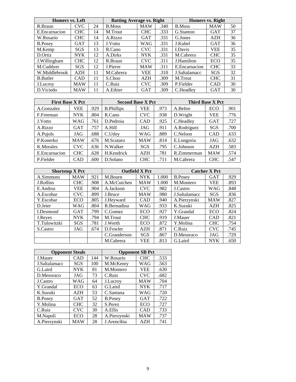| Homers vs. Left  |            |    | <b>Batting Average vs. Right</b> |            |      | <b>Homers vs. Right</b> |            |    |  |
|------------------|------------|----|----------------------------------|------------|------|-------------------------|------------|----|--|
| R.Braun          | <b>CVC</b> | 24 | <b>B.Moss</b>                    | <b>MAW</b> | .340 | B.Moss                  | <b>MAW</b> | 50 |  |
| E. Encarnacion   | <b>CHC</b> | 14 | M.Trout                          | <b>CHC</b> | .333 | G.Stanton               | <b>GAT</b> | 37 |  |
| W.Rosario        | <b>CHC</b> | 14 | A.Rizzo                          | <b>GAT</b> | .331 | G.Jones                 | <b>AZH</b> | 36 |  |
| <b>B.Posey</b>   | <b>GAT</b> | 13 | J. Votto                         | WAG        | .331 | J.Kubel                 | <b>GAT</b> | 36 |  |
| M.Kemp           | SGS        | 13 | R.Cano                           | <b>CVC</b> | .331 | I.Davis                 | <b>VEE</b> | 35 |  |
| D.Ortiz          | <b>NYK</b> | 12 | A.Dirks                          | <b>NYK</b> | .331 | M.Cabrera               | <b>CHC</b> | 35 |  |
| J.Willingham     | <b>CHC</b> | 12 | R.Braun                          | <b>CVC</b> | .311 | J.Hamilton              | ECO        | 35 |  |
| M.Cuddyer        | <b>SGS</b> | 12 | J.Pierre                         | <b>MAW</b> | .311 | E.Encarnacion           | <b>CHC</b> | 33 |  |
| W.Middlebrook    | AZH        | 11 | M.Cabrera                        | <b>VEE</b> | .310 | J.Saltalamacc           | SGS        | 32 |  |
| <b>B.</b> Butler | <b>CAD</b> | 11 | S.Choo                           | <b>AZH</b> | .309 | M.Trout                 | <b>CHC</b> | 31 |  |
| J.Lucroy         | <b>MAW</b> | 11 | C.Ruiz                           | <b>CVC</b> | .309 | P.Fielder               | CAD        | 30 |  |
| D.Viciedo        | <b>MAW</b> | 11 | A.Ethier                         | <b>GAT</b> | .309 | C.Headley               | <b>GAT</b> | 30 |  |

| <b>First Base X Pct</b> |            |      | <b>Second Base X Pct</b> |            |      | <b>Third Base X Pct</b> |            |      |  |
|-------------------------|------------|------|--------------------------|------------|------|-------------------------|------------|------|--|
| A.Gonzalez              | VEE        | .929 | <b>B.Phillips</b>        | VEE        | .973 | A.Beltre                | ECO        | .901 |  |
| F.Freeman               | <b>NYK</b> | .804 | R.Cano                   | <b>CVC</b> | .938 | D.Wright                | VEE        | .776 |  |
| J.Votto                 | WAG        | .761 | D.Pedroia                | CAD        | .925 | C.Headley               | <b>GAT</b> | .727 |  |
| A.Rizzo                 | <b>GAT</b> | .757 | A.Hill                   | JAG        | .911 | A.Rodriguez             | SGS        | .700 |  |
| A.Pujols                | JAG        | .688 | C.Utley                  | WAG        | .889 | C.Nelson                | <b>CAD</b> | .633 |  |
| P.Konerko               | <b>MAW</b> | .676 | M.Scutaro                | <b>MAW</b> | .814 | E.Longoria              | JAG        | .632 |  |
| K.Morales               | <b>CVC</b> | .636 | N.Walker                 | SGS        | .795 | C.Johnson               | AZH        | .583 |  |
| E.Encarnacion           | <b>CHC</b> | .628 | H.Kendrick               | <b>AZH</b> | .781 | R.Zimmerman             | <b>MAW</b> | .574 |  |
| P.Fielder               | <b>CAD</b> | .600 | D.Solano                 | <b>CHC</b> | .711 | M.Cabrera               | <b>CHC</b> | .547 |  |

| <b>Shortstop X Pct</b> |            |      |              | <b>Outfield X Pct</b> |       |                | <b>Catcher X Pct</b> |      |
|------------------------|------------|------|--------------|-----------------------|-------|----------------|----------------------|------|
| A.Simmons              | <b>MAW</b> | .921 | M.Bourn      | <b>NYK</b>            | 1.000 | <b>B.Posey</b> | <b>GAT</b>           | .929 |
| J.Rollins              | <b>CHC</b> | .908 | A.McCutchen  | <b>MAW</b>            | 1.000 | M.Montero      | <b>VEE</b>           | .893 |
| E.Andrus               | <b>VEE</b> | .904 | A.Jackson    | <b>CVC</b>            | .982  | J.Castro       | WAG                  | .848 |
| A.Escobar              | <b>CVC</b> | .899 | J.Bruce      | <b>MAW</b>            | .980  | J.Saltalamacc  | SGS                  | .836 |
| Y.Escobar              | ECO        | .805 | J.Heyward    | <b>CAD</b>            | .940  | A.Pierzynski   | <b>MAW</b>           | .827 |
| D.Jeter                | WAG        | .804 | R.Bernadina  | WAG                   | .933  | K.Suzuki       | AZH                  | .825 |
| I.Desmond              | <b>GAT</b> | .799 | C.Gomez      | ECO                   | .927  | Y.Grandal      | ECO                  | .824 |
| J.Reyes                | <b>NYK</b> | .794 | M.Trout      | <b>CHC</b>            | .919  | J.Mauer        | <b>CAD</b>           | .821 |
| T.Tulowitzki           | <b>SGS</b> | .781 | J.Werth      | ECO                   | .872  | Y.Molina       | <b>CHC</b>           | .754 |
| S.Castro               | JAG        | .674 | D.Fowler     | AZH                   | .871  | C.Ruiz         | <b>CVC</b>           | .745 |
|                        |            |      | C.Granderson | SGS                   | .867  | D.Mesoraco     | JAG                  | .729 |
|                        |            |      | M.Cabrera    | <b>VEE</b>            | .813  | G.Laird        | <b>NYK</b>           | .650 |

| <b>Opponent Steals</b> |            |     |                | <b>Opponent SB Pct</b> |      |
|------------------------|------------|-----|----------------|------------------------|------|
| J.Mauer                | CAD        | 144 | W.Rosario      | <b>CHC</b>             | .533 |
| J.Saltalamacc          | SGS        | 100 | M.McKenry      | WAG                    | .563 |
| G.Laird                | NYK.       | 81  | M.Montero      | <b>VEE</b>             | .630 |
| D.Mesoraco             | JAG        | 73  | C.Ruiz         | <b>CVC</b>             | .682 |
| J.Castro               | WAG        | 64  | J.Lucroy       | MAW                    | .704 |
| Y.Grandal              | ECO        | 63  | G.Laird        | <b>NYK</b>             | .717 |
| K.Suzuki               | <b>AZH</b> | 53  | C.Santana      | WAG                    | .720 |
| <b>B.Posey</b>         | <b>GAT</b> | 52  | <b>B.Posey</b> | <b>GAT</b>             | .722 |
| Y.Molina               | <b>CHC</b> | 32  | S.Perez        | ECO                    | .727 |
| C.Ruiz                 | <b>CVC</b> | 30  | A.Ellis        | <b>CAD</b>             | .733 |
| M.Napoli               | ECO        | 28  | A.Pierzynski   | <b>MAW</b>             | .737 |
| A.Pierzynski           | <b>MAW</b> | 28  | J. Arencibia   | AZH                    | .741 |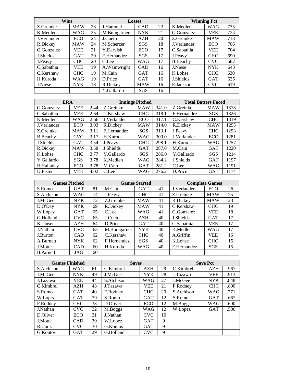| Wins        |            |    |               | <b>Losses</b> |    |                 | <b>Winning Pct</b> |      |
|-------------|------------|----|---------------|---------------|----|-----------------|--------------------|------|
| Z.Greinke   | <b>MAW</b> | 28 | J.Hammel      | <b>CAD</b>    | 23 | K.Medlen        | <b>WAG</b>         | .735 |
| K.Medlen    | WAG        | 25 | M.Bumgarner   | <b>NYK</b>    | 21 | G.Gonzalez      | <b>VEE</b>         | .724 |
| J.Verlander | ECO        | 24 | J.Cueto       | <b>AZH</b>    | 20 | Z.Greinke       | <b>MAW</b>         | .718 |
| R.Dickey    | <b>MAW</b> | 24 | M.Scherzer    | <b>SGS</b>    | 18 | J.Verlander     | ECO                | .706 |
| G.Gonzalez  | <b>VEE</b> | 21 | Y.Darvish     | ECO           | 17 | C.Sabathia      | <b>VEE</b>         | .704 |
| J.Shields   | <b>GAT</b> | 20 | F.Hernandez   | <b>SGS</b>    | 17 | J.Peavy         | <b>CHC</b>         | .690 |
| J.Peavy     | CHC        | 20 | C.Lee         | WAG           | 17 | <b>B.Beachy</b> | <b>CVC</b>         | .682 |
| C.Sabathia  | <b>VEE</b> | 19 | A. Wainwright | CAD           | 16 | J.Niese         | <b>NYK</b>         | .643 |
| C.Kershaw   | <b>CHC</b> | 19 | M.Cain        | <b>GAT</b>    | 16 | K.Lohse         | <b>CHC</b>         | .630 |
| H.Kuroda    | WAG        | 19 | D.Price       | <b>GAT</b>    | 16 | J.Shields       | <b>GAT</b>         | .625 |
| J.Niese     | <b>NYK</b> | 18 | R.Dickey      | <b>MAW</b>    | 16 | E.Jackson       | <b>CVC</b>         | .619 |
|             |            |    | Y.Gallardo    | <b>SGS</b>    | 16 |                 |                    |      |

| <b>ERA</b>       |            |      |             | <b>Innings Pitched</b> |       | <b>Total Batters Faced</b> |            |      |
|------------------|------------|------|-------------|------------------------|-------|----------------------------|------------|------|
| G.Gonzalez       | <b>VEE</b> | 2.44 | Z.Greinke   | <b>MAW</b>             | 341.0 | Z.Greinke                  | <b>MAW</b> | 1378 |
| C.Sabathia       | VEE        | 2.64 | C.Kershaw   | <b>CHC</b>             | 318.1 | F.Hernandez                | SGS        | 1326 |
| K.Medlen         | WAG        | 2.66 | J.Verlander | ECO                    | 317.1 | C.Kershaw                  | <b>CHC</b> | 1319 |
| J.Verlander      | ECO        | 3.03 | R.Dickey    | <b>MAW</b>             | 314.0 | R.Dickey                   | <b>MAW</b> | 1295 |
| Z.Greinke        | <b>MAW</b> | 3.11 | F.Hernandez | SGS                    | 313.1 | J.Peavy                    | <b>CHC</b> | 1293 |
| <b>B.</b> Beachy | <b>CVC</b> | 3.17 | H.Kuroda    | WAG                    | 300.0 | J.Verlander                | ECO        | 1281 |
| J.Shields        | <b>GAT</b> | 3.54 | J.Peavy     | <b>CHC</b>             | 298.1 | H.Kuroda                   | <b>WAG</b> | 1257 |
| R.Dickey         | <b>MAW</b> | 3.58 | J.Shields   | <b>GAT</b>             | 287.0 | M.Cain                     | <b>GAT</b> | 1220 |
| K.Lohse          | <b>CHC</b> | 3.77 | Y.Gallardo  | <b>SGS</b>             | 286.0 | Y.Gallardo                 | SGS        | 1214 |
| Y.Gallardo       | SGS        | 3.78 | K.Medlen    | WAG                    | 284.2 | J.Shields                  | GAT        | 1197 |
| R.Halladav       | ECO        | 3.78 | M.Cain      | <b>GAT</b>             | 281.2 | C.Lee                      | <b>WAG</b> | 1191 |
| D.Fister         | VEE        | 4.02 | C.Lee       | WAG                    | 276.2 | D.Price                    | <b>GAT</b> | 1174 |

| <b>Games Pitched</b> |            |    |             | <b>Games Started</b> |    |             | <b>Complete Games</b> |    |
|----------------------|------------|----|-------------|----------------------|----|-------------|-----------------------|----|
| S.Romo               | <b>GAT</b> | 81 | M.Cain      | <b>GAT</b>           | 41 | J.Verlander | ECO                   | 26 |
| S.Atchison           | WAG        | 74 | J.Peavy     | <b>CHC</b>           | 41 | Z.Greinke   | <b>MAW</b>            | 25 |
| J.McGee              | <b>NYK</b> | 72 | Z.Greinke   | <b>MAW</b>           | 41 | R.Dickey    | <b>MAW</b>            | 23 |
| D.O'Day              | <b>NYK</b> | 69 | R.Dickey    | <b>MAW</b>           | 41 | C.Kershaw   | <b>CHC</b>            | 19 |
| W.Lopez              | <b>GAT</b> | 65 | C.Lee       | WAG                  | 41 | G.Gonzalez  | <b>VEE</b>            | 18 |
| G.Holland            | <b>CVC</b> | 65 | J.Cueto     | <b>AZH</b>           | 40 | J.Shields   | <b>GAT</b>            | 17 |
| K.Jansen             | <b>AZH</b> | 64 | D.Price     | <b>GAT</b>           | 40 | C.Sabathia  | <b>VEE</b>            | 17 |
| J.Nathan             | <b>CVC</b> | 63 | M.Bumgarner | <b>NYK</b>           | 40 | K.Medlen    | WAG                   | 17 |
| J.Burton             | CAD        | 62 | C.Kershaw   | <b>CHC</b>           | 40 | A.Griffin   | <b>VEE</b>            | 16 |
| A.Burnett            | <b>NYK</b> | 62 | F.Hernandez | <b>SGS</b>           | 40 | K.Lohse     | <b>CHC</b>            | 15 |
| J.Motte              | <b>CAD</b> | 60 | H.Kuroda    | WAG                  | 40 | F.Hernandez | <b>SGS</b>            | 15 |
| <b>B.Parnell</b>     | JAG        | 60 |             |                      |    |             |                       |    |

| <b>Games Finished</b> |            |    | <b>Saves</b> |            |    |            | <b>Save Pct</b> |      |
|-----------------------|------------|----|--------------|------------|----|------------|-----------------|------|
| S.Atchison            | WAG        | 61 | C.Kimbrel    | <b>AZH</b> | 29 | C.Kimbrel  | AZH             | .967 |
| J.McGee               | <b>NYK</b> | 49 | J.McGee      | <b>NYK</b> | 28 | J.Tazawa   | VEE             | .913 |
| J.Tazawa              | VEE        | 44 | S.Atchison   | <b>WAG</b> | 27 | J.McGee    | <b>NYK</b>      | .848 |
| C.Kimbrel             | <b>AZH</b> | 43 | J.Tazawa     | VEE        | 21 | F.Rodney   | <b>CHC</b>      | .800 |
| S.Romo                | <b>GAT</b> | 40 | F.Rodney     | <b>CHC</b> | 20 | S.Atchison | <b>WAG</b>      | .771 |
| W.Lopez               | <b>GAT</b> | 39 | S.Romo       | <b>GAT</b> | 12 | S.Romo     | <b>GAT</b>      | .667 |
| F.Rodney              | <b>CHC</b> | 33 | D.Oliver     | ECO        | 12 | M.Boggs    | WAG             | .600 |
| J.Nathan              | <b>CVC</b> | 32 | M.Boggs      | WAG        | 12 | W.Lopez    | <b>GAT</b>      | .500 |
| D.Oliver              | <b>ECO</b> | 31 | J.Nathan     | <b>CVC</b> | 10 |            |                 |      |
| J.Motte               | CAD        | 30 | W.Lopez      | <b>GAT</b> | 9  |            |                 |      |
| R.Cook                | CVC        | 30 | G.Kontos     | <b>GAT</b> | 9  |            |                 |      |
| G.Kontos              | <b>GAT</b> | 29 | G.Holland    | <b>CVC</b> | 9  |            |                 |      |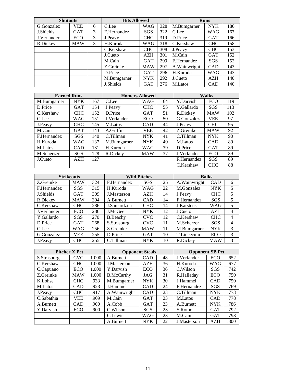| <b>Shutouts</b> |            |   | <b>Hits Allowed</b> |            |     |               | <b>Runs</b> |     |
|-----------------|------------|---|---------------------|------------|-----|---------------|-------------|-----|
| G.Gonzalez      | VEE        | 6 | C.Lee               | WAG        | 328 | M.Bumgarner   | <b>NYK</b>  | 180 |
| J.Shields       | GAT        | 3 | F.Hernandez         | <b>SGS</b> | 322 | C.Lee         | <b>WAG</b>  | 167 |
| J.Verlander     | ECO        | 3 | J.Peavy             | <b>CHC</b> | 319 | D.Price       | GAT         | 166 |
| R.Dickey        | <b>MAW</b> | 3 | H.Kuroda            | WAG        | 318 | C.Kershaw     | <b>CHC</b>  | 158 |
|                 |            |   | C.Kershaw           | <b>CHC</b> | 308 | J.Peavy       | <b>CHC</b>  | 153 |
|                 |            |   | J.Cueto             | AZH        | 301 | M.Cain        | <b>GAT</b>  | 152 |
|                 |            |   | M.Cain              | <b>GAT</b> | 299 | F.Hernandez   | SGS         | 152 |
|                 |            |   | Z.Greinke           | <b>MAW</b> | 297 | A. Wainwright | <b>CAD</b>  | 143 |
|                 |            |   | D.Price             | <b>GAT</b> | 296 | H.Kuroda      | <b>WAG</b>  | 143 |
|                 |            |   | M.Bumgarner         | <b>NYK</b> | 292 | J.Cueto       | AZH         | 140 |
|                 |            |   | J.Shields           | <b>GAT</b> | 276 | M.Latos       | <b>CAD</b>  | 140 |

| <b>Earned Runs</b> |            |     | <b>Homers Allowed</b> |            |    |             | <b>Walks</b> |     |
|--------------------|------------|-----|-----------------------|------------|----|-------------|--------------|-----|
| M.Bumgarner        | <b>NYK</b> | 167 | C.Lee                 | WAG        | 64 | Y.Darvish   | ECO          | 119 |
| D.Price            | <b>GAT</b> | 154 | J.Peavy               | <b>CHC</b> | 55 | Y.Gallardo  | <b>SGS</b>   | 113 |
| C.Kershaw          | <b>CHC</b> | 152 | D.Price               | <b>GAT</b> | 51 | R.Dickey    | <b>MAW</b>   | 102 |
| C.Lee              | WAG        | 151 | J.Verlander           | ECO        | 50 | G.Gonzalez  | VEE          | 97  |
| J.Peavy            | <b>CHC</b> | 145 | M.Latos               | <b>CAD</b> | 44 | J.Peavy     | <b>CHC</b>   | 95  |
| M.Cain             | GAT        | 143 | A.Griffin             | <b>VEE</b> | 42 | Z.Greinke   | <b>MAW</b>   | 92  |
| F.Hernandez        | <b>SGS</b> | 140 | C.Tillman             | <b>NYK</b> | 41 | C.Tillman   | <b>NYK</b>   | 90  |
| H.Kuroda           | WAG        | 137 | M.Bumgarner           | <b>NYK</b> | 40 | M.Latos     | CAD          | 89  |
| M.Latos            | CAD        | 131 | H.Kuroda              | WAG        | 39 | D.Price     | <b>GAT</b>   | 89  |
| M.Scherzer         | SGS        | 128 | R.Dickey              | <b>MAW</b> | 37 | J.Verlander | ECO          | 89  |
| J.Cueto            | AZH        | 127 |                       |            |    | F.Hernandez | <b>SGS</b>   | 89  |
|                    |            |     |                       |            |    | C.Kershaw   | <b>CHC</b>   | 88  |

|             | <b>Strikeouts</b> |     |                 | <b>Wild Pitches</b> |    | <b>Balks</b>      |            |   |
|-------------|-------------------|-----|-----------------|---------------------|----|-------------------|------------|---|
| Z.Greinke   | <b>MAW</b>        | 324 | F.Hernandez     | SGS                 | 25 | A. Wainwright     | <b>CAD</b> | 6 |
| F.Hernandez | <b>SGS</b>        | 315 | H.Kuroda        | WAG                 | 22 | M.Gonzalez        | NYK.       | 5 |
| J.Shields   | <b>GAT</b>        | 309 | J.Masterson     | <b>AZH</b>          | 14 | J.Peavy           | <b>CHC</b> | 5 |
| R.Dickey    | <b>MAW</b>        | 304 | A.Burnett       | <b>CAD</b>          | 14 | F.Hernandez       | <b>SGS</b> | 5 |
| C.Kershaw   | <b>CHC</b>        | 286 | J.Samardzija    | <b>CHC</b>          | 14 | <b>J.Karstens</b> | <b>WAG</b> | 5 |
| J.Verlander | ECO               | 286 | J.McGee         | <b>NYK</b>          | 12 | J.Cueto           | AZH        | 4 |
| Y.Gallardo  | <b>SGS</b>        | 270 | <b>B.Beachy</b> | CVC.                | 12 | C.Kershaw         | <b>CHC</b> | 4 |
| D.Price     | <b>GAT</b>        | 268 | S.Strasburg     | CVC.                | 11 | M.Scherzer        | SGS        | 4 |
| C.Lee       | WAG               | 256 | Z.Greinke       | <b>MAW</b>          | 11 | M.Bumgarner       | <b>NYK</b> | 3 |
| G.Gonzalez  | VEE               | 255 | D.Price         | <b>GAT</b>          | 10 | T.Lincecum        | ECO        | 3 |
| J.Peavy     | <b>CHC</b>        | 255 | C.Tillman       | <b>NYK</b>          | 10 | R.Dickey          | <b>MAW</b> | 3 |

|             | <b>Pitcher X Pct</b> |       |                   | <b>Opponent Steals</b> |    | <b>Opponent SB Pct</b> |            |      |
|-------------|----------------------|-------|-------------------|------------------------|----|------------------------|------------|------|
| S.Strasburg | <b>CVC</b>           | 1.000 | A.Burnett         | <b>CAD</b>             | 48 | J.Verlander            | ECO        | .652 |
| C.Kershaw   | <b>CHC</b>           | 1.000 | J.Masterson       | AZH                    | 36 | H.Kuroda               | WAG        | .677 |
| C.Capuano   | ECO                  | 1.000 | Y.Darvish         | ECO                    | 36 | C.Wilson               | SGS        | .742 |
| Z.Greinke   | <b>MAW</b>           | 1.000 | <b>B.McCarthy</b> | JAG                    | 31 | R.Halladay             | ECO        | .750 |
| K.Lohse     | <b>CHC</b>           | .933  | M.Bumgarner       | <b>NYK</b>             | 30 | J.Hammel               | CAD        | .750 |
| M.Latos     | CAD                  | .923  | J.Hammel          | <b>CAD</b>             | 24 | F.Hernandez            | <b>SGS</b> | .769 |
| J.Peavy     | CHC                  | .917  | A. Wainwright     | CAD                    | 23 | C.Tillman              | <b>NYK</b> | .773 |
| C.Sabathia  | VEE                  | .909  | M.Cain            | <b>GAT</b>             | 23 | M.Latos                | <b>CAD</b> | .778 |
| A.Burnett   | CAD                  | .900  | A.Cobb            | <b>GAT</b>             | 23 | A.Burnett              | <b>NYK</b> | .786 |
| Y.Darvish   | ECO                  | .900  | C.Wilson          | <b>SGS</b>             | 23 | S.Romo                 | <b>GAT</b> | .792 |
|             |                      |       | C.Lewis           | WAG                    | 23 | M.Cain                 | <b>GAT</b> | .793 |
|             |                      |       | A.Burnett         | <b>NYK</b>             | 22 | J.Masterson            | AZH        | .800 |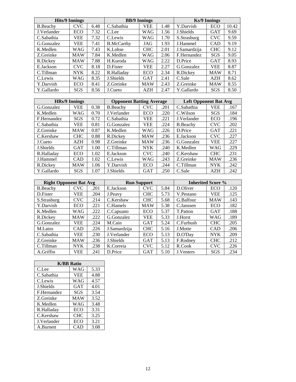|                  | <b>Hits/9 Innings</b> |      |                   | <b>BB/9 Innings</b> |      |              | Ks/9 Innings |       |
|------------------|-----------------------|------|-------------------|---------------------|------|--------------|--------------|-------|
| <b>B.</b> Beachy | CVC                   | 6.48 | C.Sabathia        | VEE                 | 1.48 | Y.Darvish    | ECO          | 10.42 |
| J.Verlander      | ECO                   | 7.32 | C.Lee             | WAG                 | 1.56 | J.Shields    | <b>GAT</b>   | 9.69  |
| C.Sabathia       | <b>VEE</b>            | 7.32 | C.Lewis           | WAG                 | 1.70 | S.Strasburg  | <b>CVC</b>   | 9.59  |
| G.Gonzalez       | <b>VEE</b>            | 7.41 | <b>B.McCarthy</b> | JAG                 | 1.93 | J.Hammel     | <b>CAD</b>   | 9.19  |
| K.Medlen         | WAG                   | 7.43 | K.Lohse           | <b>CHC</b>          | 2.01 | J.Samardzija | <b>CHC</b>   | 9.12  |
| Z.Greinke        | <b>MAW</b>            | 7.84 | K.Medlen          | WAG                 | 2.06 | F.Hernandez  | SGS          | 9.05  |
| R.Dickey         | <b>MAW</b>            | 7.88 | H.Kuroda          | WAG                 | 2.22 | D.Price      | <b>GAT</b>   | 8.93  |
| E.Jackson        | <b>CVC</b>            | 8.18 | D.Fister          | VEE                 | 2.27 | G.Gonzalez   | <b>VEE</b>   | 8.87  |
| C.Tillman        | <b>NYK</b>            | 8.22 | R.Halladay        | ECO                 | 2.34 | R.Dickey     | <b>MAW</b>   | 8.71  |
| C.Lewis          | <b>WAG</b>            | 8.35 | J.Shields         | <b>GAT</b>          | 2.41 | C.Sale       | AZH          | 8.62  |
| Y.Darvish        | ECO                   | 8.41 | Z.Greinke         | <b>MAW</b>          | 2.43 | Z.Greinke    | <b>MAW</b>   | 8.55  |
| Y.Gallardo       | SGS                   | 8.56 | J.Cueto           | AZH                 | 2.47 | Y.Gallardo   | SGS          | 8.50  |

|             | <b>HRs/9 Innings</b> |      | <b>Opponent Batting Average</b> |            |      | <b>Left Opponent Bat Avg</b> |            |      |
|-------------|----------------------|------|---------------------------------|------------|------|------------------------------|------------|------|
| G.Gonzalez  | <b>VEE</b>           | 0.38 | <b>B.Beachy</b>                 | CVC        | .201 | C.Sabathia                   | VEE        | .167 |
| K.Medlen    | WAG                  | 0.70 | J.Verlander                     | ECO        | .220 | C.Wilson                     | SGS        | .184 |
| F.Hernandez | <b>SGS</b>           | 0.72 | C.Sabathia                      | VEE        | .221 | J.Verlander                  | ECO        | .196 |
| C.Sabathia  | <b>VEE</b>           | 0.81 | G.Gonzalez                      | <b>VEE</b> | .224 | <b>B.Beachy</b>              | <b>CVC</b> | .202 |
| Z.Greinke   | <b>MAW</b>           | 0.87 | K.Medlen                        | WAG        | .226 | D.Price                      | <b>GAT</b> | .221 |
| C.Kershaw   | <b>CHC</b>           | 0.88 | R.Dickey                        | <b>MAW</b> | .236 | E.Jackson                    | <b>CVC</b> | .227 |
| J.Cueto     | AZH                  | 0.98 | Z.Greinke                       | <b>MAW</b> | .236 | G.Gonzalez                   | <b>VEE</b> | .227 |
| J.Shields   | <b>GAT</b>           | 1.00 | C.Tillman                       | <b>NYK</b> | .240 | K.Medlen                     | <b>WAG</b> | .229 |
| R.Halladay  | ECO                  | 1.02 | E.Jackson                       | <b>CVC</b> | .240 | C.Kershaw                    | <b>CHC</b> | .231 |
| J.Hammel    | <b>CAD</b>           | 1.02 | C.Lewis                         | WAG        | .243 | Z.Greinke                    | <b>MAW</b> | .236 |
| R.Dickey    | <b>MAW</b>           | 1.06 | Y.Darvish                       | ECO        | .244 | C.Tillman                    | <b>NYK</b> | .242 |
| Y.Gallardo  | SGS                  | 1.07 | <b>J.Shields</b>                | <b>GAT</b> | .250 | C.Sale                       | <b>AZH</b> | .242 |

| <b>Right Opponent Bat Avg</b> |            |      |              | <b>Run Support</b> |      | <b>Inherited Score %</b> |            |      |
|-------------------------------|------------|------|--------------|--------------------|------|--------------------------|------------|------|
| B.Beachy                      | CVC.       | .201 | E.Jackson    | <b>CVC</b><br>5.84 |      | D.Oliver                 | ECO        | .120 |
| D.Fister                      | VEE        | .204 | J.Peavy      | <b>CHC</b>         | 5.73 | V.Pestano                | <b>VEE</b> | .125 |
| S.Strasburg                   | <b>CVC</b> | .214 | C.Kershaw    | <b>CHC</b>         | 5.68 | G.Balfour                | <b>MAW</b> | .143 |
| Y.Darvish                     | ECO        | .221 | C.Hamels     | <b>MAW</b>         | 5.38 | C.Janssen                | ECO        | .182 |
| K.Medlen                      | WAG        | .222 | C.Capuano    | ECO                | 5.37 | T.Patton                 | GAT        | .188 |
| R.Dickey                      | <b>MAW</b> | .222 | G.Gonzalez   | <b>VEE</b>         | 5.33 | J.Horst                  | <b>WAG</b> | .189 |
| G.Gonzalez                    | VEE        | .224 | M.Cain       | <b>GAT</b>         | 5.24 | C.Furbush                | <b>CHC</b> | .205 |
| M.Latos                       | CAD        | .226 | J.Samardzija | <b>CHC</b>         | 5.16 | J.Motte                  | CAD        | .206 |
| C.Sabathia                    | <b>VEE</b> | .230 | J.Verlander  | ECO                | 5.13 | D.O'Day                  | <b>NYK</b> | .209 |
| Z.Greinke                     | <b>MAW</b> | .236 | J.Shields    | <b>GAT</b>         | 5.13 | F.Rodney                 | <b>CHC</b> | .212 |
| C.Tillman                     | <b>NYK</b> | .238 | K.Correia    | <b>CVC</b>         | 5.12 | R.Cook                   | <b>CVC</b> | .226 |
| A.Griffin                     | <b>VEE</b> | .241 | D.Price      | <b>GAT</b>         | 5.10 | J.Venters                | SGS        | .234 |

| <b>K/BB</b> Ratio |            |      |  |  |  |  |  |
|-------------------|------------|------|--|--|--|--|--|
| C.Lee             | WAG        | 5.33 |  |  |  |  |  |
| C.Sabathia        | <b>VEE</b> | 4.88 |  |  |  |  |  |
| C.Lewis           | <b>WAG</b> | 4.57 |  |  |  |  |  |
| J.Shields         | <b>GAT</b> | 4.01 |  |  |  |  |  |
| F.Hernandez       | SGS        | 3.54 |  |  |  |  |  |
| Z.Greinke         | <b>MAW</b> | 3.52 |  |  |  |  |  |
| K.Medlen          | <b>WAG</b> | 3.48 |  |  |  |  |  |
| R.Halladay        | <b>ECO</b> | 3.31 |  |  |  |  |  |
| C.Kershaw         | <b>CHC</b> | 3.25 |  |  |  |  |  |
| J.Verlander       | <b>ECO</b> | 3.21 |  |  |  |  |  |
| A.Burnett         | <b>CAD</b> | 3.08 |  |  |  |  |  |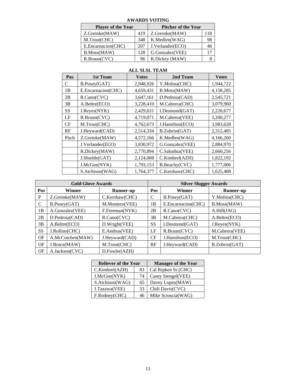| <b>Player of the Year</b> | <b>Pitcher of the Year</b> |                  |     |
|---------------------------|----------------------------|------------------|-----|
| Z.Greinke(MAW)            | 419                        | Z.Greinke(MAW)   | 118 |
| M.Trout(CHC)              | 348                        | K.Medlen(WAG)    | 98  |
| E.Encarnacion(CHC)        | 207                        | J.Verlander(ECO) | 46  |
| B.Moss(MAW)               | 128                        | G.Gonzalez(VEE)  |     |
| R.Braun(CVC)              | 96                         | R.Dickey (MAW)   |     |

# **AWARDS VOTING**

| Pos   | 1st Team           | <b>Votes</b> | 2nd Team        | <b>Votes</b> |
|-------|--------------------|--------------|-----------------|--------------|
| C     | B.Posey(GAT)       | 2,948,926    | Y.Molina(CHC)   | 1,944,722    |
| 1B    | E.Encarnacion(CHC) | 4,659,431    | B.Moss(MAW)     | 4,158,285    |
| 2B    | R.Cano(CVC)        | 3,647,161    | D.Pedroia(CAD)  | 2,545,721    |
| 3B    | A.Beltre(ECO)      | 3,228,410    | M.Cabrera(CHC)  | 3,079,960    |
| SS    | J.Reyes(NYK)       | 2,429,631    | I.Desmond(GAT)  | 2,220,677    |
| LF    | R.Braun(CVC)       | 4,719,071    | M.Cabrera(VEE)  | 3,200,277    |
| CF    | M.Trout(CHC)       | 4,762,673    | J.Hamilton(ECO) | 3,983,628    |
| RF    | J.Heyward(CAD)     | 2,514,334    | B.Zobrist(GAT)  | 2,312,485    |
| Pitch | Z.Greinke(MAW)     | 4,572,166    | K.Medlen(WAG)   | 4,166,260    |
|       | J.Verlander(ECO)   | 3,830,972    | G.Gonzalez(VEE) | 2,884,970    |
|       | R.Dickey(MAW)      | 2,770,894    | C.Sabathia(VEE) | 2,660,256    |
|       | J.Shields(GAT)     | 2,124,008    | C.Kimbrel(AZH)  | 1,822,192    |
|       | J.McGee(NYK)       | 1,793,153    | B.Beachy(CVC)   | 1,777,006    |
|       | S.Atchison(WAG)    | 1,764,377    | C.Kershaw(CHC)  | 1,625,408    |

# **ALL SLSL TEAM**

|           | <b>Gold Glove Awards</b> |                  | <b>Silver Slugger Awards</b> |                    |                |  |  |
|-----------|--------------------------|------------------|------------------------------|--------------------|----------------|--|--|
| Pos       | Winner                   | <b>Runner-up</b> | Pos                          | Winner             | Runner-up      |  |  |
| P         | Z.Greinke(MAW)           | C.Kershaw(CHC)   | C                            | B.Posey(GAT)       | Y.Molina(CHC)  |  |  |
| C         | B.Posey(GAT)             | M.Montero(VEE)   | 1В                           | E.Encarnacion(CHC) | B.Moss(MAW)    |  |  |
| 1B        | A.Gonzalez(VEE)          | F.Freeman(NYK)   | 2B                           | R.Cano(CVC)        | A.Hill(JAG)    |  |  |
| 2B        | D.Pedroia(CAD)           | R.Cano(CVC)      | 3B                           | M.Cabrera(CHC)     | A.Beltre(ECO)  |  |  |
| 3B        | A.Beltre(ECO)            | D.Wright(VEE)    | <b>SS</b>                    | I.Desmond(GAT)     | J.Reyes(NYK)   |  |  |
| <b>SS</b> | J.Rollins(CHC)           | E.Andrus(VEE)    | LF                           | R.Braun(CVC)       | M.Cabrera(VEE) |  |  |
| OF        | A.McCutchen(MAW)         | J.Heyward(CAD)   | <b>CF</b>                    | J.Hamilton(ECO)    | M.Trout(CHC)   |  |  |
| OF        | J.Bruce(MAW)             | M.Trout(CHC)     | RF                           | J.Heyward(CAD)     | B.Zobrist(GAT) |  |  |
| OF        | A.Jackson(CVC)           | D.Fowler(AZH)    |                              |                    |                |  |  |

| <b>Reliever of the Year</b> |    | <b>Manager of the Year</b> |
|-----------------------------|----|----------------------------|
| C.Kimbrel(AZH)              | 83 | Cal Ripken Sr.(CHC)        |
| J.McGee(NYK)                | 74 | Casey Stengel (VEE)        |
| S.Atchison(WAG)             | 65 | Davey Lopes(MAW)           |
| J.Tazawa(VEE)               | 53 | Chili Davis(CVC)           |
| F.Rodney(CHC)               | 46 | Mike Scioscia(WAG)         |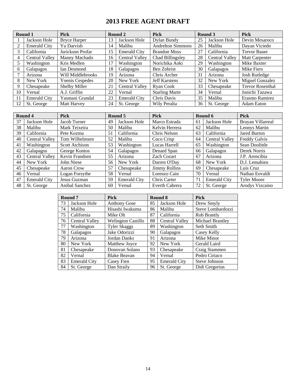# **2013 FREE AGENT DRAFT**

|    | Round 1             | <b>Pick</b>            |    | Round 2               | <b>Pick</b>              |    | Round 3               | <b>Pick</b>             |
|----|---------------------|------------------------|----|-----------------------|--------------------------|----|-----------------------|-------------------------|
|    | Jackson Hole        | <b>Bryce Harper</b>    | 13 | Jackson Hole          | Dylan Bundy              | 25 | Jackson Hole          | Devin Mesaroco          |
| 2  | <b>Emerald City</b> | Yu Darvish             | 14 | Malibu                | <b>Andrelton Simmons</b> | 26 | Malibu                | Dayan Viciedo           |
| 3  | California          | Jurickson Profar       | 15 | <b>Emerald City</b>   | <b>Brandon Moss</b>      | 27 | California            | <b>Trevor Bauer</b>     |
| 4  | Central Valley      | Manny Machado          | 16 | <b>Central Valley</b> | Chad Billingsley         | 28 | <b>Central Valley</b> | Matt Carpenter          |
| 5  | Washington          | Kris Medlen            | 17 | Washington            | Norichika Aoki           | 29 | Washington            | Mike Baxter             |
| 6  | Galapagos           | Ian Desmond            | 18 | Galapagos             | Ben Zobrist              | 30 | Galapagos             | Mike Fiers              |
|    | Arizona             | Will Middlebrooks      | 19 | Arizona               | Chris Archer             | 31 | Arizona               | Josh Rutledge           |
| 8  | New York            | <b>Yoenis Cespedes</b> | 20 | New York              | <b>Jeff Karstens</b>     | 32 | New York              | Miguel Gonzalez         |
| 9  | Chesapeake          | <b>Shelby Miller</b>   | 21 | Central Valley        | Ryan Cook                | 33 | Chesapeake            | <b>Trevor Rosenthal</b> |
| 10 | Vernal              | A.J. Griffin           | 22 | Vernal                | <b>Starling Marte</b>    | 34 | Vernal                | Junichi Tazawa          |
|    | <b>Emerald City</b> | Yasmani Grandal        | 23 | <b>Emerald City</b>   | Chris Davis              | 35 | Malibu                | Erasmo Ramirez          |
| 12 | St. George          | <b>Matt Harvey</b>     | 24 | St. George            | Wily Peralta             | 36 | St. George            | <b>Adam Eaton</b>       |

| Round 4 |                     | <b>Pick</b>    |    | Round 5             | <b>Pick</b>          |    | Round 6               | <b>Pick</b>          |
|---------|---------------------|----------------|----|---------------------|----------------------|----|-----------------------|----------------------|
| 37      | Jackson Hole        | Jacob Turner   | 49 | Jackson Hole        | Marco Estrada        | 61 | Jackson Hole          | Brayan Villarreal    |
| 38      | Malibu              | Mark Teixeira  | 50 | Malibu              | Kelvin Herrera       | 62 | Malibu                | Leonys Martin        |
| 39      | California          | Pete Kozma     | 51 | California          | Chris Nelson         | 63 | California            | <b>Jared Burton</b>  |
| 40      | Central Valley      | Tom Wilhelmsen | 52 | Malibu              | Coco Crisp           | 64 | <b>Central Valley</b> | <b>Freddy Galvis</b> |
| 41      | Washington          | Scott Atchison | 53 | Washington          | 65<br>Lucas Harrell  |    | Washington            | Sean Doolittle       |
| 42      | Galapagos           | George Kontos  | 54 | Galapagos           | Denard Span          | 66 | Galapagos             | Derek Norris         |
| 43      | Central Valley      | Kevin Frandsen | 55 | Arizona             | <b>Zach Cozart</b>   | 67 | Arizona               | J.P. Arencibia       |
| 44      | New York            | John Niese     | 56 | New York            | Darren O'Day         | 68 | New York              | D.J. Lemahieu        |
| 45      | Chesapeake          | Aaron Crow     | 57 | Chesapeake          | <b>Jimmy Rollins</b> | 69 | Chesapeake            | Luis Cruz            |
| 46      | Vernal              | Logan Forsythe | 58 | Vernal              | Lorenzo Cain         | 70 | Vernal                | Nathan Eovaldi       |
| 47      | <b>Emerald City</b> | Jesus Guzman   | 59 | <b>Emerald City</b> | Chris Carter         | 71 | <b>Emerald City</b>   | <b>Tyler Moore</b>   |
| 48      | St. George          | Anibal Sanchez | 60 | Vernal              | Everth Cabrera       | 72 | St. George            | Arodys Vizcaino      |

|    | Round <sub>7</sub>  | <b>Pick</b>               |    | Round 8               | <b>Pick</b>       |
|----|---------------------|---------------------------|----|-----------------------|-------------------|
| 73 | Jackson Hole        | <b>Anthony Gose</b>       | 85 | Jackson Hole          | Drew Smyly        |
| 74 | Malibu              | Hisashi Iwakuma           | 86 | Malibu                | Steve Lombardozzi |
| 75 | California          | Mike Olt                  | 87 | California            | Rob Brantly       |
| 76 | Central Valley      | <b>Welington Castillo</b> | 88 | <b>Central Valley</b> | Michael Brantley  |
| 77 | Washington          | <b>Tyler Skaggs</b>       | 89 | Washington            | Seth Smith        |
| 78 | Galapagos           | Jake Odorizzi             | 90 | Galapagos             | Casey Kelly       |
| 79 | Arizona             | Jordan Danks              | 91 | Arizona               | Mike Minor        |
| 80 | New York            | Matthew Joyce             | 92 | New York              | Gerald Laird      |
| 81 | Chesapeake          | Donovan Solano            | 93 | Chesapeake            | Craig Stammen     |
| 82 | Vernal              | <b>Blake Beavan</b>       | 94 | Vernal                | Pedro Ciriaco     |
| 83 | <b>Emerald City</b> | Casey Fien                | 95 | <b>Emerald City</b>   | Steve Johnson     |
| 84 | St. George          | Dan Straily               | 96 | St. George            | Didi Gregorius    |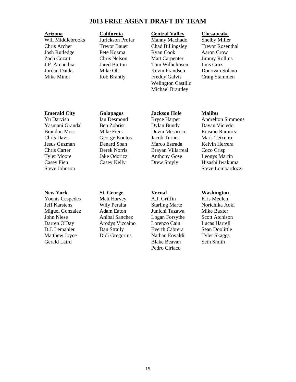# **2013 FREE AGENT DRAFT BY TEAM**

## **Arizona California Central Valley Chesapeake**

Will Middlebrooks Jurickson Profar Manny Machado Shelby Miller Chris Archer Trevor Bauer Chad Billingsley Trevor Rosenthal Josh Rutledge Pete Kozma Ryan Cook Aaron Crow Zach Cozart Chris Nelson Matt Carpenter Jimmy Rollins J.P. Arencibia Jared Burton Tom Wilhelmsen Luis Cruz Mike Olt **Kevin Frandsen** Donovan Solano Mike Minor Rob Brantly Freddy Galvis Craig Stammen Welington Castillo Michael Brantley

# **Emerald City Galapagos Jackson Hole Malibu**

Jeff Karstens Wily Peralta Starling Marte Norichika Aoki Miguel Gonzalez Adam Eaton Junichi Tazawa Mike Baxter John Niese Anibal Sanchez Logan Forsythe Scott Atchison Darren O'Day Arodys Vizcaino Lorenzo Cain Lucas Harrell D.J. Lemahieu Dan Straily Everth Cabrera Sean Doolittle Matthew Joyce Didi Gregorius Nathan Eovaldi Tyler Skaggs Gerald Laird Blake Beavan Seth Smith

# Yu Darvish Ian Desmond Bryce Harper Andrelton Simmons

Yasmani Grandal Ben Zobrist Dylan Bundy Dayan Viciedo Brandon Moss Mike Fiers Devin Mesaroco Erasmo Ramirez Chris Davis George Kontos Jacob Turner Mark Teixeira Jesus Guzman Denard Span Marco Estrada Kelvin Herrera Chris Carter Derek Norris Brayan Villarreal Coco Crisp Tyler Moore Jake Odorizzi Anthony Gose Leonys Martin

Casey Fien Casey Kelly Drew Smyly Hisashi Iwakuma Steve Johnson Steve Lombardozzi

**New York 5t. George Vernal Washington**<br>
Yoenis Cespedes Matt Harvey A.J. Griffin Kris Medlen Yoenis Cespedes Matt Harvey A.J. Griffin

Pedro Ciriaco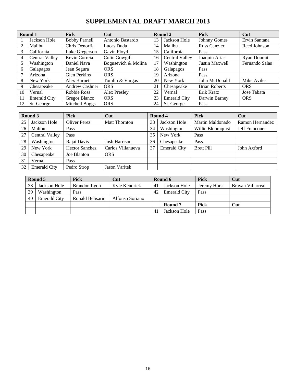# **SUPPLEMENTAL DRAFT MARCH 2013**

| Round 1        |                     | <b>Pick</b>           | Cut                 |    | Round 2               | <b>Pick</b>          | Cut            |
|----------------|---------------------|-----------------------|---------------------|----|-----------------------|----------------------|----------------|
|                | Jackson Hole        | <b>Bobby Parnell</b>  | Antonio Bastardo    | 13 | Jackson Hole          | Johnny Gomes         | Ervin Santana  |
| $\overline{c}$ | Malibu              | Chris Denorfia        | Lucas Duda          | 14 | Malibu                | <b>Russ Canzler</b>  | Reed Johnson   |
| 3              | California          | Luke Gregerson        | Gavin Floyd         | 15 | California            | Pass                 |                |
| 4              | Central Valley      | Kevin Correia         | Colin Gowgill       | 16 | <b>Central Valley</b> | Joaquin Arias        | Ryan Doumit    |
| 5              | Washington          | Daniel Nava           | Bogusevich & Molina | 17 | Washington            | Justin Maxwell       | Fernando Salas |
| 6              | Galapagos           | Jean Segura           | <b>ORS</b>          | 18 | Galapagos             | Pass                 |                |
|                | Arizona             | Glen Perkins          | <b>ORS</b>          | 19 | Arizona               | Pass                 |                |
| 8              | New York            | Alex Burnett          | Tomlin & Vargas     | 20 | New York              | John McDonald        | Mike Aviles    |
| 9              | Chesapeake          | <b>Andrew Cashner</b> | <b>ORS</b>          | 21 | Chesapeake            | <b>Brian Roberts</b> | <b>ORS</b>     |
| 10             | Vernal              | Robbie Ross           | <b>Alex Presley</b> | 22 | Vernal                | Erik Kratz           | Jose Tabata    |
| 11             | <b>Emerald City</b> | Gregor Blanco         | <b>ORS</b>          | 23 | <b>Emerald City</b>   | Darwin Barney        | <b>ORS</b>     |
| 12             | St. George          | Mitchell Boggs        | <b>ORS</b>          | 24 | St. George            | Pass                 |                |

| Round 3 |                       | <b>Pick</b>           | Cut                  |    | Round 4             | <b>Pick</b>       | Cut             |
|---------|-----------------------|-----------------------|----------------------|----|---------------------|-------------------|-----------------|
| 25      | Jackson Hole          | Oliver Perez          | <b>Matt Thornton</b> | 33 | Jackson Hole        | Martin Maldonado  | Ramon Hernandez |
| 26      | Malibu                | Pass                  |                      | 34 | Washington          | Willie Bloomquist | Jeff Francouer  |
| 27      | <b>Central Valley</b> | Pass                  |                      | 35 | New York            | Pass              |                 |
| 28      | Washington            | Rajai Davis           | <b>Josh Harrison</b> | 36 | Chesapeake          | Pass              |                 |
| 29      | New York              | <b>Hector Sanchez</b> | Carlos Villanueva    | 37 | <b>Emerald City</b> | <b>Brett Pill</b> | John Axford     |
| 30      | Chesapeake            | Joe Blanton           | <b>ORS</b>           |    |                     |                   |                 |
| 31      | Vernal                | Pass                  |                      |    |                     |                   |                 |
| 32      | <b>Emerald City</b>   | Pedro Strop           | <b>Jason Varitek</b> |    |                     |                   |                 |

| Round 5 |                     | Pick             | Cut             |                | Round 6             | <b>Pick</b>  | <b>Cut</b>        |
|---------|---------------------|------------------|-----------------|----------------|---------------------|--------------|-------------------|
| 38      | Jackson Hole        | Brandon Lyon     | Kyle Kendrick   | -41            | Jackson Hole        | Jeremy Horst | Brayan Villarreal |
| 39      | Washington          | Pass             |                 | 42             | <b>Emerald City</b> | Pass         |                   |
| 40      | <b>Emerald City</b> | Ronald Belisario | Alfonso Soriano |                |                     |              |                   |
|         |                     |                  |                 |                | Round 7             | Pick         | Cut               |
|         |                     |                  |                 | $\overline{4}$ | Jackson Hole        | Pass         |                   |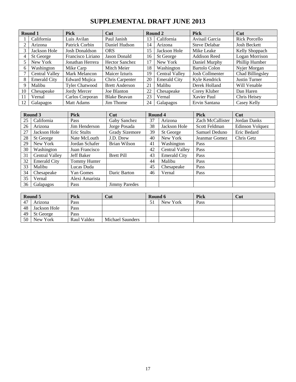# **SUPPLEMENTAL DRAFT JUNE 2013**

|    | Round 1               | <b>Pick</b>           | Cut                   |    | Round 2               | <b>Pick</b>          | Cut                  |
|----|-----------------------|-----------------------|-----------------------|----|-----------------------|----------------------|----------------------|
|    | California            | Luis Avilan           | Paul Janish           | 13 | California            | Avisail Garcia       | Rick Porcello        |
|    | Arizona               | Patrick Corbin        | Daniel Hudson         | 14 | Arizona               | <b>Steve Delabar</b> | <b>Josh Beckett</b>  |
| 3  | Jackson Hole          | Josh Donaldson        | <b>ORS</b>            | 15 | Jackson Hole          | Mike Leake           | Kelly Shoppach       |
| 4  | St George             | Francisco Liriano     | Jason Donald          | 16 | St George             | Addison Reed         | Logan Morrison       |
| 5  | New York              | Jonathan Herrera      | <b>Hector Sanchez</b> | 17 | New York              | Daniel Murphy        | Phillip Humber       |
| 6  | Washington            | Mike Carp             | Mitch Meier           | 18 | Washington            | <b>Bartolo Colon</b> | Nyjer Morgan         |
|    | <b>Central Valley</b> | Mark Melancon         | Maicer Izturis        | 19 | <b>Central Valley</b> | Josh Collmenter      | Chad Billingsley     |
| 8  | <b>Emerald City</b>   | Edward Mujica         | Chris Carpenter       | 20 | <b>Emerald City</b>   | Kyle Kendrick        | <b>Justin Turner</b> |
| 9  | Malibu                | <b>Tyler Chatwood</b> | <b>Brett Anderson</b> | 21 | Malibu                | Derek Holland        | Will Venable         |
| 10 | Chesapeake            | Jordy Mercer          | Joe Blanton           | 22 | Chesapeake            | Corey Kluber         | Dan Haren            |
|    | Vernal                | Carlos Corporan       | <b>Blake Beavan</b>   | 23 | Vernal                | Xavier Paul          | Chris Heisey         |
| 12 | Galapagos             | <b>Matt Adams</b>     | Jim Thome             | 24 | Galapagos             | Ervin Santana        | Casey Kelly          |

|    | Round 3               | <b>Pick</b>       | Cut                   | Round 4 |                     | <b>Pick</b>      | Cut             |
|----|-----------------------|-------------------|-----------------------|---------|---------------------|------------------|-----------------|
| 25 | California            | Pass              | Gaby Sanchez          | 37      | Arizona             | Zach McCallister | Jordan Danks    |
| 26 | Arizona               | Jim Henderson     | Jorge Posada          | 38      | Jackson Hole        | Scott Feldman    | Edinson Volquez |
| 27 | Jackson Hole          | Eric Stults       | <b>Grady Sizemore</b> | 39      | St George           | Samuel Deduno    | Eric Bedard     |
| 28 | St George             | Nate McLouth      | J.D. Drew             | 40      | New York            | Jeanmar Gomez    | Chris Getz      |
| 29 | New York              | Jordan Schafer    | Brian Wilson          | 41      | Washington          | Pass             |                 |
| 30 | Washington            | Juan Francisco    |                       | 42      | Central Valley      | Pass             |                 |
| 31 | <b>Central Valley</b> | <b>Jeff Baker</b> | <b>Brett Pill</b>     | 43      | <b>Emerald City</b> | Pass             |                 |
| 32 | <b>Emerald City</b>   | Tommy Hunter      |                       | 44      | Malibu              | Pass             |                 |
| 33 | Malibu                | Lucas Duda        |                       | 45      | Chesapeake          | Pass             |                 |
| 34 | Chesapeake            | Yan Gomes         | Daric Barton          | 46      | Vernal              | Pass             |                 |
| 35 | Vernal                | Alexi Amarista    |                       |         |                     |                  |                 |
| 36 | Galapagos             | Pass              | <b>Jimmy Paredes</b>  |         |                     |                  |                 |

|     | Round 5      | Pick        | Cut                     | Round 6 |          | Pick | Cut |
|-----|--------------|-------------|-------------------------|---------|----------|------|-----|
| 47  | Arizona      | Pass        |                         |         | New York | Pass |     |
| -48 | Jackson Hole | Pass        |                         |         |          |      |     |
| 49  | St George    | Pass        |                         |         |          |      |     |
| 50  | New York     | Raul Valdez | <b>Michael Saunders</b> |         |          |      |     |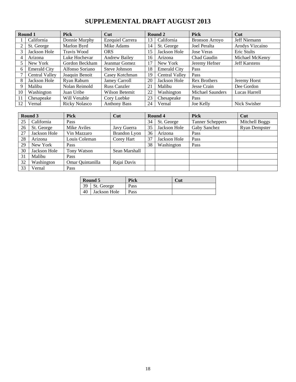# **SUPPLEMENTAL DRAFT AUGUST 2013**

|    | Round 1               | <b>Pick</b>          | Cut                     |    | Round 2               | <b>Pick</b>             | Cut                  |
|----|-----------------------|----------------------|-------------------------|----|-----------------------|-------------------------|----------------------|
|    | California            | Donnie Murphy        | <b>Ezequiel Carrera</b> | 13 | California            | <b>Bronson Arroyo</b>   | Jeff Niemann         |
|    | St. George            | Marlon Byrd          | Mike Adams              | 14 | St. George            | Joel Peralta            | Arodys Vizcaino      |
|    | Jackson Hole          | Travis Wood          | <b>ORS</b>              | 15 | Jackson Hole          | <b>Jose Veras</b>       | Eric Stults          |
| 4  | Arizona               | Luke Hochevar        | <b>Andrew Bailey</b>    | 16 | Arizona               | Chad Gaudin             | Michael McKenry      |
|    | New York              | Gordon Beckham       | Jeanmar Gomez           | 17 | New York              | Jeremy Hefner           | <b>Jeff Karstens</b> |
| 6  | <b>Emerald City</b>   | Alfonso Soriano      | Steve Johnson           | 18 | <b>Emerald City</b>   | Pass                    |                      |
|    | <b>Central Valley</b> | Joaquin Benoit       | Casey Kotchman          | 19 | <b>Central Valley</b> | Pass                    |                      |
| 8  | Jackson Hole          | Ryan Raburn          | Jamey Carroll           | 20 | Jackson Hole          | <b>Rex Brothers</b>     | Jeremy Horst         |
|    | Malibu                | Nolan Reimold        | <b>Russ Canzler</b>     | 21 | Malibu                | Jesse Crain             | Dee Gordon           |
| 10 | Washington            | Juan Uribe           | Wilson Betemit          | 22 | Washington            | <b>Michael Saunders</b> | Lucas Harrell        |
| 11 | Chesapeake            | Will Venable         | Cory Luebke             | 23 | Chesapeake            | <b>Pass</b>             |                      |
| 12 | Vernal                | <b>Ricky Nolasco</b> | <b>Anthony Bass</b>     | 24 | Vernal                | Joe Kelly               | Nick Swisher         |

|    | Round 3      | <b>Pick</b>      | Cut           |    | Round 4      | <b>Pick</b>             | Cut                  |
|----|--------------|------------------|---------------|----|--------------|-------------------------|----------------------|
| 25 | California   | Pass             |               | 34 | St. George   | <b>Tanner Scheppers</b> | Mitchell Boggs       |
| 26 | St. George   | Mike Aviles      | Javy Guerra   | 35 | Jackson Hole | Gaby Sanchez            | <b>Ryan Dempster</b> |
| 27 | Jackson Hole | Vin Mazzaro      | Brandon Lyon  | 36 | Arizona      | Pass                    |                      |
| 28 | Arizona      | Louis Coleman    | Corey Hart    | 37 | Jackson Hole | Pass                    |                      |
| 29 | New York     | Pass             |               | 38 | Washington   | Pass                    |                      |
| 30 | Jackson Hole | Tony Watson      | Sean Marshall |    |              |                         |                      |
| 31 | Malibu       | Pass             |               |    |              |                         |                      |
| 32 | Washington   | Omar Quintanilla | Rajai Davis   |    |              |                         |                      |
| 33 | Vernal       | Pass             |               |    |              |                         |                      |

|    | Round 5      | Pick | Cut |
|----|--------------|------|-----|
| 39 | St. George   | Pass |     |
|    | Jackson Hole | Pass |     |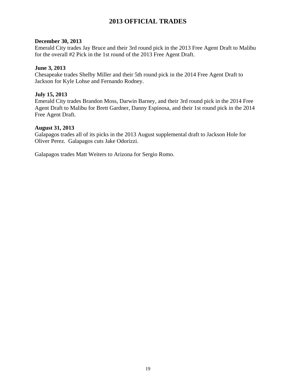# **2013 OFFICIAL TRADES**

# **December 30, 2013**

Emerald City trades Jay Bruce and their 3rd round pick in the 2013 Free Agent Draft to Malibu for the overall #2 Pick in the 1st round of the 2013 Free Agent Draft.

# **June 3, 2013**

Chesapeake trades Shelby Miller and their 5th round pick in the 2014 Free Agent Draft to Jackson for Kyle Lohse and Fernando Rodney.

# **July 15, 2013**

Emerald City trades Brandon Moss, Darwin Barney, and their 3rd round pick in the 2014 Free Agent Draft to Malibu for Brett Gardner, Danny Espinosa, and their 1st round pick in the 2014 Free Agent Draft.

# **August 31, 2013**

Galapagos trades all of its picks in the 2013 August supplemental draft to Jackson Hole for Oliver Perez. Galapagos cuts Jake Odorizzi.

Galapagos trades Matt Weiters to Arizona for Sergio Romo.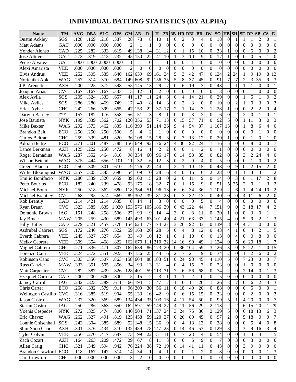# **INDIVIDUAL BATTING STATISTICS (BY ALPHA)**

| <b>Name</b>               | TM         | <b>AVG</b> | <b>OBA</b> | <b>SLG</b> | <b>OPS</b> | <b>GM</b>      | $\mathbf{A}\mathbf{B}$ | $\bf{R}$                         | $\bf{H}$              | 2B               |                          | $3B$ HR             | <b>RBI</b>                     | <b>BB</b>                        | IW                                 | SO <sub>1</sub>           |                   | <b>HB</b> SH            | $SF$ DP                 |                                    | <b>SB</b>                          | $\mathbf{CS}$           | E                           |
|---------------------------|------------|------------|------------|------------|------------|----------------|------------------------|----------------------------------|-----------------------|------------------|--------------------------|---------------------|--------------------------------|----------------------------------|------------------------------------|---------------------------|-------------------|-------------------------|-------------------------|------------------------------------|------------------------------------|-------------------------|-----------------------------|
| Dustin Ackley             | SGS        | .128       | .169       | .218       | .387       | 28             | 78                     | 8                                | 10                    |                  | $\theta$                 | 2                   | 3                              | 4                                | $\overline{0}$                     | 18                        | $\theta$          |                         |                         |                                    | $\overline{2}$                     | $\overline{0}$          | $\mathbf{1}$                |
| Matt Adams                | <b>GAT</b> | .000       | .000       | .000       | .000       | $\overline{2}$ |                        |                                  | $\Omega$              | $\mathbf{0}$     | $\overline{0}$           | $\overline{0}$      | $\overline{0}$                 | $\overline{0}$                   | $\theta$                           | $\boldsymbol{0}$          | $\overline{0}$    | $\overline{0}$          | $\overline{0}$          | $\mathbf{0}$                       | $\theta$                           | $\overline{0}$          | $\overline{0}$              |
| Yonder Alonso             | <b>CAD</b> | .225       | .282       | .333       | .615       | 49             | 138                    | 14                               | 31                    | 12               | $\overline{0}$           |                     | $\overline{15}$                | 10                               | $\theta$                           | 33                        |                   | $\overline{0}$          | $\overline{0}$          | 6                                  | $\theta$                           | $\overline{0}$          | $\overline{c}$              |
| Jose Altuve               | <b>GAT</b> | .273       | .319       | .413       | .732       | 45             | 150                    | 22                               | 41                    | 10               | 1                        | 3                   | 10                             | 9                                | $\theta$                           | 17                        |                   | $\overline{0}$          | $\overline{0}$          | $\theta$                           | 5                                  |                         | $\overline{0}$              |
| Pedro Alvarez             | <b>GAT</b> | 1.000      | 1.000      | 2.000      | 3.000      | 1              |                        | $\theta$                         |                       |                  | $\theta$                 | $\theta$            | $\mathbf{1}$                   | $\overline{0}$                   | $\theta$                           | $\boldsymbol{0}$          | $\theta$          | $\overline{0}$          | $\overline{0}$          | $\mathbf{0}$                       | $\Omega$                           | $\Omega$                | $\mathbf{0}$                |
| Alexi Amarista            | <b>VEE</b> | .000       | .000       | .000       | .000       | $\overline{c}$ | $\theta$               | $\theta$                         | 0                     | $\boldsymbol{0}$ | $\mathbf{0}$             | $\Omega$            | $\overline{0}$                 | $\overline{0}$                   | 0                                  | $\boldsymbol{0}$          | $\Omega$          | $\overline{0}$          | $\overline{0}$          | $\mathbf{0}$                       | $\theta$                           | $\overline{0}$          | $\mathbf{0}$                |
| Elvis Andrus              | <b>VEE</b> | .252       | .305       | .335       | .640       | 162            | 639                    | 69                               | 161                   | 34               | 5                        | 3                   | 42                             | 47                               | $\theta$                           | 124                       | $\overline{2}$    | $2\overline{4}$         | $\mathbf{1}$            | 9                                  | 19                                 | 8                       | $\overline{13}$             |
| Norichika Aoki            | WAG        | .257       | .314       | .370       | .684       | 149            | 608                    | 92                               | 156                   | $\overline{35}$  | 5                        | 8                   | $\overline{37}$                | 45                               | $\theta$                           | 91                        | 7                 | $\overline{7}$          | $\overline{2}$          | 3                                  | 35                                 | 9                       | $\mathfrak{Z}$              |
| J.P. Arencibia            | <b>AZH</b> | .200       | .225       | .372       | .598       | 55             | 145                    | 13                               | 29                    | $\overline{7}$   | $\overline{0}$           | 6                   | 19                             | 3                                | $\theta$                           | 48                        | $\overline{2}$    |                         | 1                       | 1                                  | $\boldsymbol{0}$                   | $\overline{0}$          | $\mathbf{1}$                |
| Joaquin Arias             | <b>CVC</b> | .167       | .167       | .167       | .333       | 5              | 12                     |                                  | $\overline{2}$        | $\overline{0}$   | $\theta$                 | 0                   | $\mathbf{0}$                   | $\overline{0}$                   | $\theta$                           | 3                         | $\theta$          | $\overline{0}$          | $\overline{0}$          | 1                                  | $\theta$                           | $\overline{0}$          | $\boldsymbol{0}$            |
| Alex Avila                | SGS        | .205       | .324       | .333       | .657       | 41             | 117                    | 11                               | 24                    | 3                | $\theta$                 |                     | 14                             | 21                               | $\theta$                           | 29                        | $\theta$          | $\overline{0}$          |                         | 5                                  |                                    | $\overline{0}$          | $\overline{2}$              |
| Mike Aviles               | SGS        | .286       | .280       | .469       | .749       | 17             | 49                     | 8                                | 14                    | 3                | $\theta$                 | $\mathfrak{D}$      | 3                              | $\mathbf{0}$                     | $\Omega$                           | 10                        | $\theta$          | $\overline{2}$          |                         | $\mathbf{0}$                       | 3                                  | $\overline{0}$          | $\overline{3}$              |
| Erick Aybar               | <b>CHC</b> | .242       | .266       | .399       | .665       | 47             | 153                    | 22                               | 37                    | $\overline{17}$  | $\overline{2}$           |                     | 14                             | $\overline{3}$                   |                                    | 28                        |                   | $\overline{0}$          | $\overline{0}$          | $\overline{c}$                     | $\overline{2}$                     | $\overline{0}$          | $\overline{4}$              |
| Darwin Barney             | ***        | .157       | .182       | .176       | .358       | 56             | 51                     | 3                                | 8                     |                  | $\theta$                 | 0                   | 3                              | $\overline{c}$                   | 0                                  | 6                         | $\overline{0}$    | $\overline{2}$          | $\overline{2}$          | $\overline{0}$                     |                                    | $\overline{0}$          | $\mathbf{1}$                |
| Jose Bautista             | <b>NYK</b> | .199       | .339       | .362       | .702       | 120            | 356                    | 53                               | 71                    | 13               | $\mathbf{0}$             | 15                  | 57                             | 71                               | 0                                  | 92                        | 5                 | $\overline{0}$          | $\mathbf{1}$            | 11                                 | 3                                  | $\overline{0}$          | $\overline{3}$              |
| Mike Baxter               | WAG        | .292       | .373       | .462       | .835       | 116            | 390                    | 51                               | 114                   | 36               | 9                        | 4                   | $\overline{54}$                | $\overline{37}$                  |                                    | 107                       | $\overline{13}$   | $\overline{0}$          | $\mathbf{1}$            | 8                                  | 6                                  | 4                       | $\overline{0}$              |
| <b>Brandon Belt</b>       | <b>ECO</b> | .250       | .250       | .250       | .500       | 5              | 4                      | $\overline{2}$                   |                       | $\boldsymbol{0}$ | $\theta$                 | $\theta$            | $\mathbf{0}$                   | $\mathbf{0}$                     | $\theta$                           | $\overline{0}$            | $\theta$          | $\overline{0}$          | $\overline{0}$          | $\overline{0}$                     |                                    | $\overline{0}$          | $\mathbf{0}$                |
| Carlos Beltran            | <b>CHC</b> | .259       | .339       | .481       | .820       | 36             | 108                    | 15                               | 28                    | 3                | $\theta$                 | 7                   | 13                             | 12                               | $\Omega$                           | 20                        |                   | $\overline{0}$          | $\overline{0}$          | 1                                  | $\theta$                           |                         | $\mathbf{0}$                |
| <b>Adrian Beltre</b>      | <b>ECO</b> | .271       | .301       | .487       | .788       | 156            | 649                    | 92                               | 176                   | 24               | 4                        | 36                  | 92                             | 24                               |                                    | 116                       | 5                 | $\overline{0}$          | 6                       | 8                                  | $\theta$                           | $\overline{0}$          | $\overline{7}$              |
| Lance Berkman             | <b>AZH</b> | .125       | .222       | .250       | .472       | 8              | 16                     |                                  | $\overline{c}$        | $\overline{2}$   | $\theta$                 | $\theta$            | 1                              | $\overline{c}$                   | $\Omega$                           | 1                         | $\theta$          | $\overline{0}$          | $\overline{0}$          | $\theta$                           | $\theta$                           | $\overline{0}$          | $\overline{0}$              |
| Roger Bernadina           | <b>WAG</b> | .287       | .352       | .464       | .816       | 98             | 334                    | 60                               | 96                    | 17               | $\overline{0}$           | 14                  | 58                             | $\overline{35}$                  | $\theta$                           | 82                        | $\theta$          | 8                       | 3                       | $\overline{c}$                     | 24                                 | 4                       | $\boldsymbol{0}$            |
| Wilson Betemit            | WAG        | .375       | .444       | .656       | 1.101      | 11             | 32                     | 6                                | 12                    | $\mathfrak{Z}$   | $\theta$                 | $\overline{2}$      | 9                              | 4                                | $\theta$                           | 5                         | $\theta$          | $\overline{0}$          | $\overline{0}$          | $\mathbf{1}$                       | $\mathbf{0}$                       | $\overline{0}$          | $\overline{c}$              |
| <b>Gregor Blanco</b>      | ECO        | .250       | .309       | .301       | .610       | 79             | 176                    | 22                               | 44                    | $\overline{2}$   | $\overline{2}$           |                     | 10                             | $\overline{15}$                  | $\theta$                           | 48                        | $\theta$          | 9                       | $\overline{0}$          | $\overline{2}$                     | 15                                 | $\overline{2}$          | $\overline{0}$              |
| Willie Bloomquist         | <b>WAG</b> | .257       | .305       | .385       | .690       | 54             | 109                    | 10                               | 28                    | 6                | $\overline{4}$           | 0                   | 16                             | 6                                | $\overline{2}$                     | 28                        | $\theta$          |                         | 1                       | $\overline{4}$                     | 3                                  |                         | $\overline{2}$              |
| Emilio Bonifacio          | <b>NYK</b> | .280       | .339       | .320       | .659       | 39             | 100                    | 15                               | 28                    | $\overline{0}$   | $\overline{2}$           | 0                   | 11                             | 9                                | $\Omega$                           | 14                        | $\overline{0}$    | 3                       | $\overline{0}$          | $\mathbf{1}$                       | $\overline{17}$                    | $\overline{c}$          | $\overline{8}$              |
| Peter Bourjos             | <b>ECO</b> | .182       | .240       | .239       | .478       | 93             | 176                    | 18                               | $\overline{32}$       | $\overline{7}$   | $\mathbf{0}$             |                     | 15                             | 9                                | 0                                  | 51                        | 5                 | $\overline{25}$         | $\overline{2}$          | $\overline{0}$                     |                                    | $\overline{3}$          | $\overline{c}$              |
| Michael Bourn             | <b>NYK</b> | .250       | .318       | .362       | .680       | 118            | 384                    | 51                               | 96                    | 13               | 6                        | 6                   | 34                             | 36                               |                                    | 109                       | $\overline{2}$    | 6                       | $\mathbf{1}$            | $\overline{4}$                     | 24                                 | 10                      | $\overline{c}$              |
| Michael Brantley          | <b>CVC</b> | .268       | .295       | .374       | .669       | 89             | 302                    | 39                               | 81                    | 23               | $\theta$                 | 3                   | $\overline{32}$                | $\overline{13}$                  | $\Omega$                           | 40                        | $\theta$          | $\overline{0}$          | $\overline{4}$          | 11                                 | 6                                  | $\overline{c}$          | $\overline{0}$              |
| Rob Brantly               | CAD        | .214       | .421       | .214       | .635       | 8              | 14                     |                                  | 3                     | $\boldsymbol{0}$ | $\theta$                 | $\Omega$            | $\boldsymbol{0}$               | 5                                | 0                                  | $\overline{4}$            | $\overline{0}$    | $\overline{0}$          | $\overline{0}$          | $\mathbf{0}$                       | $\boldsymbol{0}$                   | $\overline{0}$          | $\overline{0}$              |
| Ryan Braun                | <b>CVC</b> | .323       | .385       | .635       | 1.020      | 153            | 576                    | 105                              | 186                   | 39               | 6                        | 43                  | 122                            | 44                               |                                    | 151                       | 9                 | $\overline{0}$          | 3                       | 18                                 | 17                                 | $\overline{4}$          | $\overline{c}$              |
| Domonic Brown             | <b>JAG</b> | .151       | .248       | .258       | .506       | 27             | 93                     | 9                                | 14                    | 4                | 3                        | $\theta$            | 8                              | 11                               | $\theta$                           | 20                        |                   | $\overline{0}$          | $\overline{0}$          | 3                                  | $\Omega$                           |                         | $\mathbf{1}$                |
| <b>Jay Bruce</b>          | <b>MAW</b> | .205       | .259       | .430       | .689       | 145            | 493                    | 63                               | 101                   | 40               | $\overline{\mathcal{L}}$ | 21                  | 63                             | 33                               |                                    | 145                       | 4                 | $\overline{0}$          | $\overline{5}$          | 9                                  | $\overline{2}$                     |                         | 3                           |
| <b>Billy Butler</b>       | CAD        | .279       | .321       | .457       | .778       | 154            | 624                    | 77                               | 174                   | 27               | 3                        | 26                  | 92                             | $\overline{33}$                  | $\theta$                           | 139                       | 8                 | $\overline{0}$          | $\overline{4}$          | 31                                 | $\theta$                           | $\overline{0}$          | $\overline{0}$              |
| Asdrubal Cabrera          | SGS        | .172       | .246       | .276       | .522       | 59             | 163                    | 20                               | 28                    | 5                | $\boldsymbol{0}$         | 4                   | 8                              | $\overline{12}$                  | $\theta$                           | 43                        | 4                 |                         | $\overline{0}$          | $\overline{4}$                     | $\overline{2}$                     |                         | $\overline{5}$              |
| <b>Everth Cabrera</b>     | <b>VEE</b> | .245       | 327        | .327       | .654       | 33             | 49                     | 10                               | 12                    |                  | $\theta$                 |                     | 10                             | 6                                | 0                                  | 13                        | $\Omega$          | $\overline{4}$          | $\overline{0}$          | $\theta$                           | 8                                  | 0                       | $\boldsymbol{0}$            |
| Melky Cabrera             | VEE        | .309       | .354       | .468       | .822       | 162            | 679                    | 111                              | 210                   | 32               | 14                       | 16                  | 99                             | 49                               |                                    | 124                       | $\theta$          | $\overline{5}$          | 6                       | 20                                 | 18                                 |                         | $\overline{7}$              |
| Miguel Cabrera            | <b>CHC</b> | .271       | .336       | .471       | .807       |                | 162 639                |                                  | 86 173 20             |                  | $\vert 0 \vert$          |                     | 36 104                         | 59                               |                                    | 3 1 2 6                   | $\mathfrak{Z}$    | $\boldsymbol{0}$        | $\mathcal{L}$           | 22                                 |                                    |                         | 0 15                        |
| Lorenzo Cain              | <b>VEE</b> | .324       | .372       | .551       | .923       | 47             | 136                    | 25                               | 44                    | 6                | $\overline{c}$           | 7                   | 21                             | 9                                | $\overline{0}$                     | 34                        | $\overline{c}$    | $\mathbf{0}$            | $\mathbf{1}$            | $\overline{2}$                     | 6                                  | $\overline{0}$          | $\overline{c}$              |
| Robinson Cano             | <b>CVC</b> | .303       | .356       | .507       | .863       | 158            | 604                    |                                  | 88 183 51             |                  | $\boldsymbol{0}$         | 24                  | 98                             | 45                               | 4                                  | 110                       | 5                 | $\boldsymbol{0}$        | 7                       | 23                                 | $\overline{0}$                     | $\overline{0}$          | $\overline{7}$              |
| Russ Canzler              | <b>MAW</b> | .333       | .351       | .505       | .856       | 34             | 93                     | 13                               | 31                    | 4                | 0                        | 4                   | 15                             | $\mathfrak 3$                    | $\theta$                           | 23                        | $\boldsymbol{0}$  | $\boldsymbol{0}$        | $\mathbf{1}$            | $\boldsymbol{0}$                   | $\overline{0}$                     | $\overline{0}$          | $\mathbf{0}$                |
| Matt Carpenter            | <b>CVC</b> | .282       | .387       | .439       | .826       | 128            | 401                    | 59                               | 113                   | 31               | $\overline{7}$           | 6                   | 56                             | $\overline{68}$                  | $\overline{0}$                     | 74                        | $\overline{c}$    | $\boldsymbol{0}$        | $\overline{c}$          | 14                                 | $\boldsymbol{0}$                   |                         | $\overline{3}$              |
| <b>Ezequiel Carrera</b>   | CAD        | .200       | .200       | .600       | .800       | 5              | 15                     | $\overline{c}$                   | 3                     |                  | 1                        |                     | $\overline{2}$                 | $\mathbf{0}$                     | $\overline{0}$                     | 5                         | $\boldsymbol{0}$  | $\boldsymbol{0}$        | $\boldsymbol{0}$        | $\boldsymbol{0}$                   | $\mathbf{0}$                       | $\overline{0}$          | $\boldsymbol{0}$            |
| <b>Jamey Carroll</b>      | JAG        | .242       | .323       | .289       | .611       | 66             | 194                    | 15                               | 47                    | $\boldsymbol{7}$ | 1                        | $\boldsymbol{0}$    | 11                             | 20                               | 1                                  | 26                        | 3                 | $\boldsymbol{7}$        | $\boldsymbol{0}$        | 6                                  | 2                                  | $\overline{\mathbf{3}}$ | $\ensuremath{\mathfrak{Z}}$ |
| Chris Carter              | ECO        | .268       | .332       | .579       | .911       | 96             | 209                    | 30                               | 56                    | 11               | $\boldsymbol{0}$         | 18                  | 49                             | 20                               | $\overline{0}$                     | 88                        | $\theta$          | $\boldsymbol{0}$        | $\boldsymbol{0}$        | 5                                  | $\mathbf{0}$                       | $\boldsymbol{0}$        | $\mathbf{1}$                |
| <b>Welington Castillo</b> | <b>CVC</b> | .316       | .385       | .519       | .904       | 55             | 133                    | 16                               | 42                    | 9                | $\boldsymbol{0}$         | 6                   | 15                             | 15                               | 0                                  | 33                        | $\boldsymbol{0}$  | $\boldsymbol{0}$        | $\boldsymbol{0}$        | $\overline{c}$                     | $\mathbf{0}$                       | $\overline{0}$          | $\overline{3}$              |
| Jason Castro              | WAG        | .237       | .320       | .369       | .689       | 134            | 434                    | 35                               | 103                   | 16               | 4                        | 11                  | 54                             | 50                               | 0                                  | 99                        | 5                 |                         | 4                       | 20                                 | $\mathbf{0}$                       | $\overline{0}$          | $\overline{7}$              |
| <b>Starlin Castro</b>     | JAG        | .250       | .286       | .363       | .650       |                | 162 597                |                                  | 59 149                | 27               | 4                        | 11                  | 56                             | 29                               | $\overline{c}$                     | 113                       | $\overline{c}$    | $\sqrt{2}$              | $6 \overline{6}$        | 15                                 | 20                                 |                         | 29                          |
| <b>Yoenis Cespedes</b>    | <b>NYK</b> | .272       | .325       | .474       | .800       |                | 140 504                | 71                               | 137                   | 24               | 3                        | 24                  | 75                             | 36                               | $\mathfrak{2}$                     | 129                       | 5                 | $\overline{0}$          | 6                       | 18                                 | 13                                 | $\mathbf{6}$            | $\mathfrak{Z}$              |
| Eric Chavez               | WAG        | .262       | .327       | .491       | .819       | 125            | 458                    | 59                               | 120                   | 27               | $\boldsymbol{0}$         | 26                  | 89                             | 45                               | $\boldsymbol{0}$                   | 97                        | $\overline{2}$    | $\boldsymbol{0}$        | $\mathfrak s$           | 18                                 | $\boldsymbol{0}$                   | $\boldsymbol{0}$        | $\overline{7}$              |
| Lonnie Chisenhall         | SGS        | .243       | .304       | .385       | .689       | 52             | 148                    | 15                               | 36                    | 9                | 0                        | $\overline{4}$      | 13                             | 13                               | $\overline{0}$                     | 38                        | $\boldsymbol{0}$  | $\boldsymbol{0}$        | $\boldsymbol{0}$        | 5                                  | 4                                  | $\overline{0}$          | $\infty$                    |
| Shin-Shoo Choo            | <b>AZH</b> | .301       | .376       | .434       | .810       | 132            | 489                    | 78                               | 147                   | 23               | $\boldsymbol{0}$         | 14                  | 46                             | 53                               | 0                                  | 129                       | 8                 | $\sqrt{2}$              | $\overline{\mathbf{3}}$ | 9                                  | 16                                 | 3                       | $\overline{4}$              |
| <b>Tyler Colvin</b>       | VEE        | .256       | .270       | .417       | .687       | 73             | 199                    | 22                               | 51                    | 11               | 0                        | 7                   | 23                             | $\overline{4}$                   | $\overline{0}$                     | 54                        | $\theta$          | $\overline{0}$          | $\,1$                   | $\overline{4}$                     | 4                                  |                         | $\overline{5}$              |
| Zach Cozart               | <b>AZH</b> | .164       | .263       | .209       | .472       | 29             | 67                     | $\,8$                            | 11                    | $\mathfrak 3$    | $\boldsymbol{0}$         | $\boldsymbol{0}$    | $\sqrt{5}$                     | 9                                | $\overline{0}$                     | $\overline{7}$            | $\theta$          | $\overline{\mathbf{3}}$ | $\boldsymbol{0}$        | 3                                  | $\overline{0}$                     | $\overline{0}$          | $\mathbf{0}$                |
| Allen Craig               | <b>CHC</b> | .321       | .349       | .594       | .942       | 76             | 224                    | 38                               | 72                    | 19               | $\boldsymbol{0}$         | 14                  | 41                             | 11                               | $\overline{0}$                     | 43                        | 0                 | $\boldsymbol{0}$        | $\overline{3}$          | 9                                  | $\mathbf{0}$                       | $\overline{0}$          | $\boldsymbol{0}$            |
| Brandon Crawford ECO      |            | .118       | .167       |            | .314       |                |                        |                                  |                       |                  |                          |                     |                                |                                  |                                    |                           |                   | $\boldsymbol{0}$        | $\boldsymbol{0}$        |                                    |                                    | 1                       | $\ensuremath{\mathfrak{Z}}$ |
|                           |            |            |            | .147       |            | 14<br>3        | 34<br>$\overline{2}$   | $\mathbf{1}$<br>$\boldsymbol{0}$ | 4<br>$\boldsymbol{0}$ | $\overline{0}$   | 0<br>$\boldsymbol{0}$    | 0<br>$\overline{0}$ | $\mathbf{1}$<br>$\overline{0}$ | $\overline{c}$<br>$\overline{0}$ | $\boldsymbol{0}$<br>$\overline{0}$ | $\,8\,$<br>$\overline{0}$ | 0<br>$\mathbf{0}$ | $\overline{0}$          | $\overline{0}$          | $\boldsymbol{0}$<br>$\overline{0}$ | $\boldsymbol{0}$<br>$\overline{0}$ | 0                       | $\overline{0}$              |
| Carl Crawford             | <b>CHC</b> | .000       | .000       | .000       | .000       |                |                        |                                  |                       |                  |                          |                     |                                |                                  |                                    |                           |                   |                         |                         |                                    |                                    |                         |                             |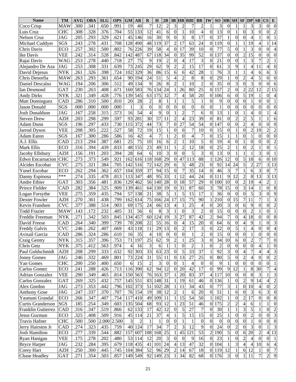| <b>Name</b>             | TM         | <b>AVG</b> | <b>OBA</b> | <b>SLG</b> | <b>OPS</b>   | <b>GM</b>            | $\bf AB$       | $\bf{R}$             | $\bf H$  | 2B                     |                                |                | <b>3B HR RBI</b> | <b>BB</b>              | IW                       | SO <sub>1</sub>  | $\bf{HB}$          | SH SF             |                              | <b>DP</b>        | SB                       | $\mathbf{CS}$            | E                                          |
|-------------------------|------------|------------|------------|------------|--------------|----------------------|----------------|----------------------|----------|------------------------|--------------------------------|----------------|------------------|------------------------|--------------------------|------------------|--------------------|-------------------|------------------------------|------------------|--------------------------|--------------------------|--------------------------------------------|
| Coco Crisp              | <b>MAW</b> | .300       | .341       | .650       | .991         | 19                   | 40             | 7                    | 12       | $\overline{c}$         | 3                              | $\overline{2}$ |                  | $\overline{c}$         |                          | 3                | $\Omega$           |                   |                              | 3                | 3                        | $\theta$                 | $\overline{0}$                             |
| Luis Cruz               | <b>CHC</b> | .308       | .328       | .376       | .704         | 55                   | 133            | 12                   | 41       | 6                      | $\mathbf{0}$                   |                | 10               | $\overline{4}$         | $\theta$                 | 13               | $\Omega$           |                   | $\theta$                     | 3                | $\theta$                 | $\overline{0}$           | $\overline{c}$                             |
| <b>Nelson Cruz</b>      | <b>JAG</b> | .205       | .293       | .329       | .621         | 45                   | 146            | 16                   | 30       | 9                      | $\Omega$                       | 3              | 8                | 17                     | $\theta$                 | 37               |                    | $\theta$          | $\Omega$                     | 4                |                          | $\theta$                 |                                            |
| Michael Cuddyer         | SGS        | .243       | .278       | .431       | .708         | 128                  | 490            | 48                   | 119      | 37                     | $\overline{2}$                 | 17             | 63               | 24                     | $\theta$                 | 119              | $\theta$           | 1                 | 1                            | 19               | $\overline{\mathcal{A}}$ |                          | 14                                         |
| Chris Davis             | <b>ECO</b> | .257       | .302       | .500       | .802         | 76                   | 226            | 39                   | 58       | 4                      | $\Omega$                       | 17             | 39               | 10                     | $\theta$                 | 77               | 5                  | $\theta$          |                              | 3                | $\theta$                 | $\theta$                 | 4                                          |
| Ike Davis               | <b>VEE</b> | .242       | .314       | .528       | .842         | 142                  | 487            | 67                   | 118      | 34                     | $\boldsymbol{0}$               | 35             | 99               | 52                     | $\theta$                 | 137              | $\theta$           | $\theta$          | $\overline{c}$               | 15               | $\theta$                 | $\overline{0}$           | $\overline{0}$                             |
| Rajai Davis             | <b>WAG</b> | .253       | .278       | .440       | .718         | 27                   | 75             | 9                    | 19       | $\overline{c}$         | $\Omega$                       | $\overline{4}$ | 17               | 3                      | $\theta$                 | 21               | $\theta$           | $\theta$          |                              | 3                |                          | $\overline{c}$           |                                            |
| Alejandro De Aza        | <b>JAG</b> | .253       | .308       | .331       | .639         | 73                   | 245            | 29                   | 62       | 9                      | $\overline{2}$                 | $\overline{c}$ | 15               | 17                     | $\theta$                 | 61               | 3                  | 9                 | $\mathbf{1}$                 | 4                | 11                       | $\overline{\mathcal{L}}$ | $\overline{0}$                             |
| David Deiesus           | <b>NYK</b> | .261       | .326       | .398       | .724         | 102                  | 329            | 36                   | 86       | 15                     | 6                              | 6              | 42               | 28                     |                          | 76               | 3                  |                   |                              | 4                | 6                        | 6                        | 3                                          |
| Chris Denorfia          | <b>MAW</b> | .263       | .293       | .361       | .654         | 90                   | 194            | 24                   | 51       | 5                      | $\overline{\mathcal{L}}$       | $\overline{2}$ | 8                | 8                      | $\theta$                 | 29               |                    | $\theta$          | $\overline{2}$               | 4                | 5                        | $\overline{0}$           | $\boldsymbol{0}$                           |
| Daniel Descalso         | <b>WAG</b> | 194        | .206       | .306       | .512         | 49                   | 134            | 9                    | 26       | 8                      | $\overline{c}$                 |                | 10               | $\overline{2}$         | $\theta$                 | 35               | $\theta$           | 3                 | $\overline{0}$               | 3                | $\theta$                 | $\theta$                 | 6                                          |
| Ian Desmond             | <b>GAT</b> | .230       | .263       | .408       | .671         | 160                  | 583            | 76                   | 134      | 24                     | 1                              | 26             | 80               | 25                     | $\theta$                 | 157              | $\overline{2}$     | $\overline{0}$    | $\overline{2}$               | 22               | 12                       | $\overline{2}$           | 15                                         |
| <b>Andy Dirks</b>       | <b>NYK</b> | .321       | .349       | .428       | .776         | 139                  | 545            | 63                   | 175      | 32                     | $\overline{7}$                 | $\overline{4}$ | 58               | 20                     | $\theta$                 | 106              | 6                  | $\theta$          | 5                            | 19               |                          | $\overline{0}$           | 4                                          |
| <b>Matt Dominguez</b>   | CAD        | .286       | .310       | .500       | .810         | 20                   | 28             | $\overline{c}$       | 8        |                        |                                |                | 5                |                        | $\theta$                 | 9                | $\theta$           | $\theta$          | $\overline{0}$               | 1                | $\theta$                 | $\overline{0}$           |                                            |
| <b>Jason Donald</b>     | SGS        | .000       | .000       | .000       | .000         | 1                    | 3              | $\overline{0}$       | $\theta$ | $\overline{0}$         | $\boldsymbol{0}$               | $\theta$       | $\overline{0}$   | $\overline{0}$         | $\theta$                 | 1                | $\Omega$           | $\theta$          | $\theta$                     | $\theta$         | $\theta$                 | $\overline{0}$           | $\boldsymbol{0}$                           |
| <b>Josh Donaldson</b>   | <b>JAG</b> | .167       | .258       | .315       | .573         | 16                   | 54             | 4                    | 9        | $\overline{0}$         |                                | $\overline{c}$ | 7                | 6                      | $\theta$                 | 13               |                    | $\theta$          | 1                            | 4                | $\theta$                 |                          | 4                                          |
| <b>Steven Drew</b>      | <b>AZH</b> | .203       | .298       | .299       | .597         | 93                   | 281            | 30                   | 57       | 11                     | $\overline{2}$                 | $\overline{4}$ | 23               | 39                     | $\theta$                 | 81               | $\theta$           | $\overline{2}$    | $\overline{c}$               | 5                |                          |                          | 6                                          |
| Adam Dunn               | SGS        | .196       | .297       | .433       | .730         | 115                  | 372            | 44                   | 73       | 7                      | $\boldsymbol{0}$               | 27             | 54               | 54                     | $\theta$                 | 147              | $\theta$           | $\theta$          | $\overline{c}$               | 4                | $\theta$                 | $\overline{0}$           | $\mathbf{0}$                               |
| Jarrod Dyson            | <b>VEE</b> | .208       | .305       | .222       | .527         | 58                   | 72             | 19                   | 15       |                        | $\theta$                       | $\theta$       | 7                | 10                     | $\theta$                 | 15               | $\Omega$           |                   | $\overline{0}$               | $\overline{2}$   | 19                       | $\overline{c}$           | $\overline{c}$                             |
| <b>Adam Eaton</b>       | SGS        | .167       | .300       | .286       | .586         | 16                   | 42             | 4                    | 7        |                        | $\overline{2}$                 | $\theta$       | 4                | 7                      | $\theta$                 | 15               |                    |                   | $\theta$                     | 1                | $\theta$                 | $\overline{0}$           | $\overline{0}$                             |
| A.J. Ellis              | <b>CAD</b> | .213       | .294       | .387       | .681         | 25                   | 75             | 10                   | 16       | 6                      | $\overline{2}$                 |                | 10               | 5                      | $\theta$                 | 19               | 4                  | $\Omega$          | $\mathbf{1}$                 | $\theta$         | $\theta$                 | $\overline{0}$           | $\overline{c}$                             |
| Mark Ellis              | <b>ECO</b> | .316       | .394       | .439       | .833         | 48                   | 155            | 23                   | 49       | 11                     | $\mathbf{1}$                   | $\overline{c}$ | 12               | $\overline{18}$        | $\theta$                 | 25               | $\overline{2}$     |                   | $\theta$                     | $\overline{2}$   |                          | $\overline{0}$           |                                            |
| Jacoby Ellsbury         | <b>AZH</b> | .156       | .191       | .203       | .394         | 28                   | 64             | 6                    | 10       | 3                      | $\overline{0}$                 | $\theta$       | 5                | 3                      | $\theta$                 | 13               | $\theta$           |                   |                              |                  | 3                        | $\overline{0}$           |                                            |
| <b>Edwn Encarnacion</b> | <b>CHC</b> | .273       | .373       | .549       | .921         | 162                  | 616            | 118                  | 168      | 29                     | $\mathbf{0}$                   | 47             | 113              | 88                     |                          | 126              | 12                 | $\theta$          | 5                            | 18               | 6                        | $\theta$                 | 10                                         |
| Alcides Escobar         | <b>CVC</b> | .275       | .321       | .384       | .705         | 142                  | 516            | 72                   | 142      | 29                     | 6                              | 5              | 48               | 23                     | $\overline{0}$           | 92               | 14                 | 24                | 5                            | $\overline{c}$   | 27                       | 3                        | 13                                         |
| <b>Yunel Escobar</b>    | ECO        | .262       | .294       | .362       | .657         | 104                  | 359            | $\overline{37}$      | 94       | 15                     | $\overline{0}$                 | $\overline{7}$ | $\overline{35}$  | 14                     | $\overline{0}$           | 46               | 3                  | $\overline{7}$    | 1                            | 6                | 3                        | $\overline{0}$           | $\overline{7}$                             |
| Danny Espinosa          | ***        | .274       | .335       | .478       | .813         | 113                  | 347            | 48                   | 95       | 33                     | 1                              | 12             | 44               | 24                     | $\overline{0}$           | 111              | 9                  | 12                | $\overline{2}$               | 8                | 13                       | 3                        | 13                                         |
| Andre Ethier            | GAT        | .303       | .356       | .481       | .836         | 129                  | 462            | 56                   | 140      | 28                     | $\Omega$                       | 18             | $\overline{57}$  | 29                     | $\overline{0}$           | 100              | 10                 | $\theta$          | $\overline{c}$               | 19               | 4                        | $\overline{c}$           |                                            |
| Prince Fielder          | CAD        | .282       | .384       | .525       | .909         | 139                  | 461            | 64                   | 130      | 19                     | $\overline{0}$                 | 31             | 87               | 60                     | 3                        | 78               | 15                 | $\theta$          | 3                            | 14               |                          | $\overline{0}$           | 8                                          |
| Logan Forsythe          | <b>VEE</b> | .275       | .359       | .435       | .794         | 57                   | 138            | 21                   | 38       | 5                      |                                | 5              | 15               | 17                     |                          | 36               | $\theta$           | $\theta$          | $\overline{0}$               | 5                | 3                        | $\overline{0}$           | 9                                          |
| Dexter Fowler           | <b>AZH</b> | .270       | .361       | .438       | .799         | 162                  | 614            | 75                   | 166      | 24                     | 17                             | 15             | $\overline{75}$  | 90                     |                          | 210              | $\theta$           | 15                | $\overline{7}$               | 11               |                          |                          | 3                                          |
| Kevin Frandsen          | CVC        | .377       | .388       | .514       | .903         | 69                   | 175            | 24                   | 66       | 13                     | $\overline{\mathcal{L}}$       |                | 25               | 4                      | $\theta$                 | 20               | 3                  | $\theta$          | 6                            | 9                | $\theta$                 | $\overline{0}$           | $\overline{c}$                             |
| <b>Todd Frazier</b>     | <b>MAW</b> | .143       | .172       | .232       | .405         | 31                   | 56             | 6                    | 8        | 3                      |                                | $\theta$       | 3                | $\overline{c}$         | $\theta$                 | 15               | $\theta$           | $\theta$          | $\overline{0}$               | $\overline{2}$   |                          | $\overline{0}$           |                                            |
| Freddie Freeman         | <b>NYK</b> | .271       | .342       | .503       | .845         | 134                  | 457            | 60                   | 124      | 19                     | 3                              | 27             | 87               | 42                     | $\overline{2}$           | 94               | 7                  | $\theta$          | 4                            | 18               | $\theta$                 | $\overline{0}$           | 8                                          |
| David Freese            | <b>CAD</b> | .264       | .340       | .399       | .739         | 78                   | 208            | 22                   | 55       | 16                     | $\overline{0}$                 | $\overline{4}$ | 15               | 20                     | $\boldsymbol{0}$         | 64               | 6                  | $\theta$          | 4                            | 9                |                          | $\overline{0}$           | 3                                          |
| <b>Freddy Galvis</b>    | CVC        | .246       | .262       | .407       | .669         | 43                   | 118            | 11                   | 29       | 13                     | $\overline{0}$                 | $\overline{2}$ | 17               | 3                      | $\Omega$                 | 22               | $\theta$           | 5                 |                              | 4                | $\theta$                 | $\overline{0}$           | $\overline{4}$                             |
| Avisail Garcia          | CAD        | .286       | .324       | .286       |              |                      | 35             |                      | 10       |                        |                                |                |                  |                        |                          | 15               |                    |                   |                              |                  |                          |                          | $\boldsymbol{0}$                           |
| Craig Gentry            | <b>NYK</b> | .315       | .357       | .396       | .610<br>.753 | 16<br>71             | 197            | 4<br>25              | 62       | $\mathbf{0}$<br>9      | $\mathbf{0}$<br>$\overline{c}$ | $\mathbf{0}$   | 25               | $\overline{3}$         | $\mathbf{0}$<br>$\theta$ | 34               | $\mathbf{U}$<br>10 | $\mathbf{0}$<br>6 | $\mathbf{U}$<br>$\mathbf{0}$ | $\overline{c}$   | $\mathbf{0}$<br>7        | $\mathbf{0}$<br>7        | $\boldsymbol{0}$                           |
| Chris Getz              | <b>NYK</b> | .375       | .412       | .563       | .974         |                      | 16             | 3                    |          |                        | $\mathbf{1}$                   | $\theta$       | $\overline{2}$   |                        | $\overline{0}$           | $\overline{c}$   | $\theta$           | $\boldsymbol{0}$  | $\overline{0}$               | $\mathbf{0}$     | 4                        |                          | $\boldsymbol{0}$                           |
| Paul Goldschmidt        | <b>AZH</b> | .208       | .299       | .333       | .632         | $\overline{4}$<br>92 | 303            | 33                   | 6<br>63  | 23                     | $\boldsymbol{0}$               |                | 33               | 37                     |                          | 92               | 3                  | $\boldsymbol{0}$  |                              | 7                | 4                        | 4                        | $\mathfrak{Z}$                             |
| <b>Jonny Gomes</b>      | <b>JAG</b> | .246       | .332       | .469       | .801         | 73                   | 224            | 31                   | 55       | 11                     | $\boldsymbol{0}$               | 5<br>13        | 27               | 25                     | $\boldsymbol{0}$         | 80               | 5                  | $\overline{0}$    | 4<br>$\overline{c}$          | 4                | $\theta$                 | $\boldsymbol{0}$         | $\sqrt{2}$                                 |
| Yan Gomes               | <b>CHC</b> | .200       |            | .400       | .650         |                      |                |                      |          |                        | $\boldsymbol{0}$               |                |                  |                        | $\overline{0}$           |                  |                    |                   | $\overline{0}$               | $\boldsymbol{0}$ | $\theta$                 | $\boldsymbol{0}$         | $\mathbf{1}$                               |
| Carlos Gomez            |            |            | .250       |            |              | 6                    | 15<br>390      | $\overline{c}$<br>62 | 3<br>94  | $\boldsymbol{0}$<br>12 | $\mathbf{0}$                   | 20             | 4<br>42          | $\boldsymbol{0}$<br>17 |                          | 9<br>99          |                    | 0<br>12           | 1                            |                  | 30                       | $\overline{7}$           |                                            |
|                         | ECO        | .241       | .288       | .426       | .713         | 116                  |                |                      |          |                        |                                | 20             | 83               | 37                     | $\theta$                 |                  | 9<br>10            |                   | $\boldsymbol{0}$             | 8                |                          |                          | $\overline{\mathcal{A}}$<br>$\mathfrak{Z}$ |
| <b>Adrian Gonzalez</b>  | <b>VEE</b> | .290       | .349       | .465       | .814         |                      | 150 563        | 76                   | 163      | 37                     |                                |                |                  |                        | 4                        | 117              |                    | $\boldsymbol{0}$  |                              | 8                | 3<br>14                  |                          |                                            |
| Carlos Gonzalez         | <b>GAT</b> | .269       | .325       | .432       | .757         | 145 551              |                | 83                   | 148      | 31                     |                                | 19             | 61               | 46                     | $\boldsymbol{0}$         | 136              |                    | $\overline{0}$    | $\overline{c}$               | 9                |                          | $\overline{4}$           | $\sqrt{2}$                                 |
| Alex Gordon             | <b>JAG</b> | .273       | .353       | .442       | .796         | 102                  | 373            | 51                   | 102      | 28                     |                                | 11             | 34               | 43                     | $\boldsymbol{0}$         | 77               | 3                  |                   | $\overline{0}$               | 10               | 4                        | $\boldsymbol{0}$         | $\overline{c}$                             |
| <b>Anthony Gose</b>     | <b>JAG</b> | .247       | .337       | .370       | .707         | 76                   | 154            | 19                   | 38       | 12                     | $\overline{c}$                 |                | 6                | 20                     | $\theta$                 | 51               |                    | 6                 | $\overline{0}$               | 3                | 6                        | 3                        | $\boldsymbol{0}$                           |
| Yasmani Grandal         | <b>ECO</b> | .266       | .347       | .407       | .754         | 117                  | 410            | 49                   | 109      | 11                     |                                | 15             | 54               | 50                     |                          | 102              |                    | $\overline{0}$    | $\overline{c}$               | 17               | $\overline{0}$           | $\overline{0}$           | $\,8\,$                                    |
| Curtis Granderson       | SGS        | .185       | .254       | .349       | .603         | 135                  | 504            | 68                   | 93       | 12                     |                                | 23             | 51               | 46                     | $\boldsymbol{0}$         | 175              | $\overline{c}$     | 2                 | 4                            | 6                |                          |                          | $\boldsymbol{0}$                           |
| Franklin Gutierrez      | CAD        | .316       | .347       | .519       | .866         | 62                   | 133            | 17                   | 42       | 12                     | $\boldsymbol{0}$               | 5              | 27               | $\overline{7}$         | $\theta$                 | 30               |                    |                   | 3                            | 5                |                          | $\boldsymbol{0}$         | $\sqrt{2}$                                 |
| Jesus Guzman            | ECO        | .325       | .408       | .509       | .916         | 45                   | 114            | 21                   | 37       | 4                      |                                | 5              | 15               | 15                     | $\boldsymbol{0}$         | 25               |                    | $\overline{0}$    | $\mathbf{0}$                 | $\overline{c}$   | $\theta$                 | $\boldsymbol{0}$         | $\overline{3}$                             |
| <b>Travis Hafner</b>    | <b>CHC</b> | .500       | .500       | 2.000      | 2.500        | 3                    | $\overline{c}$ |                      |          | $\overline{0}$         | $\boldsymbol{0}$               |                | 1                | $\boldsymbol{0}$       | $\overline{0}$           | $\boldsymbol{0}$ | 0                  | $\boldsymbol{0}$  | $\mathbf{0}$                 |                  | $\theta$                 | $\overline{0}$           | $\overline{0}$                             |
| Jerry Hairston Jr       | CAD        | .274       | .323       | .435       | .759         | 40                   | 124            | 17                   | 34       | $\overline{7}$         | $\overline{2}$                 | 3              | 12               | 9                      | $\theta$                 | 24               | 0                  | $\overline{c}$    | $\overline{0}$               | 3                | $\theta$                 |                          | 3                                          |
| <b>Josh Hamilton</b>    | ECO        | .277       | .339       | .544       | .882         | 157                  | 607            | 108                  | 168      | 25                     |                                | 45             | 121              | 53                     | $\overline{c}$           | 190              | 5                  | $\mathbf{0}$      | $6 \mid$                     | 20               | $\overline{c}$           | 4                        | $\overline{13}$                            |
| Ryan Hanigan            | <b>VEE</b> | .175       | .278       | .202       | .480         | 53                   | 114            | 12                   | 20       | 3                      | $\boldsymbol{0}$               | $\theta$       | 9                | 16                     | $\theta$                 | 23               |                    | $\overline{0}$    | $\overline{c}$               | 4                | $\theta$                 | $\overline{0}$           | 1                                          |
| <b>Bryce Harper</b>     | <b>JAG</b> | .232       | .284       | .395       | .679         |                      | 118 435        | 41                   | 101      | 24                     | $\overline{\mathcal{L}}$       | 13             | 47               | 32                     | $\boldsymbol{0}$         | 104              |                    | 3                 | $\overline{\mathbf{4}}$      | 4                | 10                       | 6                        | $\overline{4}$                             |
| Corey Hart              | <b>AZH</b> | .250       | .300       | .445       | .745         |                      | 104 384        | 52                   | 96       | 29                     | $\boldsymbol{2}$               | 14             | 67               | 18                     | 0                        | 119              | 12                 |                   | $6 \mid$                     | 12               |                          | $\overline{0}$           | $\overline{7}$                             |
| <b>Chase Headley</b>    | <b>GAT</b> | .271       | .354       | .503       | .857         |                      | 149 549        | 92                   | 149      | 23                     |                                | 34             | 82               | 68                     | $\overline{0}$           | 176              | 3                  | $\overline{0}$    |                              | 11               | 7                        | $\overline{c}$           | 9                                          |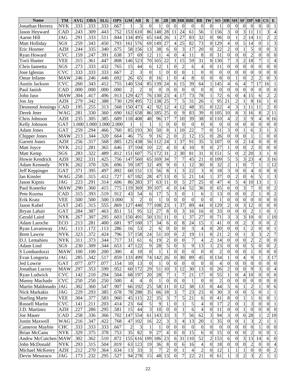| <b>Name</b>                 | <b>TM</b>  | <b>AVG</b> | OBA   | <b>SLG</b> | <b>OPS</b> | <b>GM</b>      | AB             | $\bf{R}$         | $\bf{H}$         | 2B                      | 3B               |                  | <b>HRRBI</b>     | <b>BB</b>                | IW               | <b>SO</b>        |                | $HB$ SH SF DP    |                  |                  | SB                               | $\mathbf{CS}$    | ${\bf E}$                  |
|-----------------------------|------------|------------|-------|------------|------------|----------------|----------------|------------------|------------------|-------------------------|------------------|------------------|------------------|--------------------------|------------------|------------------|----------------|------------------|------------------|------------------|----------------------------------|------------------|----------------------------|
| Jonathan Herrera            | <b>NYK</b> | .333       | .333  | .333       | .667       |                | 3              | $\theta$         |                  | $\theta$                | $\Omega$         | $\theta$         | $\theta$         | $\theta$                 | $\theta$         |                  | $\theta$       | $\theta$         | $\theta$         | 0                | $\Omega$                         | $\boldsymbol{0}$ | $\mathbf{1}$               |
| Jason Heyward               | CAD        | .243       | .309  | .443       | .752       | 153            | 610            | 86               | 148              | 28                      | 11               | 24               | 61               | 56                       |                  | 156              | $\overline{3}$ | $\theta$         | 3                | 11               | 11                               | $\overline{3}$   | 4                          |
| Aaron Hill                  | JAG        | .291       | .333  | .511       | .844       | 134            | 495            | 65               | 144              | 26                      |                  | 27               | 83               | 32                       | $\theta$         | 96               | $\theta$       |                  | $\overline{2}$   | 14               | 11                               | $\overline{2}$   | $\overline{2}$             |
| Matt Holliday               | SGS        | .259       | .343  | .450       | .793       | 161            | 576            | 69               | 149              | 27                      | 4                | 25               | 82               | 73                       | $\theta$         | 129              |                | $\theta$         | 5                | 14               | $\Omega$                         |                  | 3                          |
| Eric Hosmer                 | <b>AZH</b> | .244       | .335  | .340       | .675       | 58             | 156            | 13               | 38               | 6                       | $\theta$         | 3                | 17               | 20                       | $\theta$         | 22               | $\overline{2}$ | $\theta$         |                  | 5                | $\theta$                         | $\overline{0}$   | $\overline{3}$             |
| Ryan Howard                 | <b>CVC</b> | .159       | .247  | .391       | .638       | 37             | 69             | 12               | 11               | 4                       | $\theta$         | $\overline{4}$   | 11               | 8                        | $\theta$         | 31               | $\theta$       | $\theta$         | $\mathbf{0}$     | $\overline{2}$   | $\Omega$                         | $\overline{0}$   | $\overline{0}$             |
| Torii Hunter                | <b>VEE</b> | .315       | .361  | .447       | .808       | 146            | 523            | 70               | 165              | 22                      | 1                | 15               | 59               | 31                       | $\overline{0}$   | 130              |                | 3                | $\overline{2}$   | 18               |                                  |                  | 4                          |
| Chris Iannetta              | SGS        | .273       | .333  | .432       | .765       | 15             | 44             | 6                | 12               |                         | $\theta$         | $\overline{2}$   | 6                | 4                        | $\theta$         | 11               | $\Omega$       | $\theta$         | $\overline{0}$   | $\theta$         | $\theta$                         | $\theta$         | $\mathbf{0}$               |
| Jose Iglesias               | <b>CVC</b> | .333       | .333  | .333       | .667       | $\overline{2}$ | 3              | $\overline{0}$   |                  | $\Omega$                | $\mathbf{0}$     | $\overline{0}$   | 1                | $\theta$                 | $\theta$         | $\mathbf{0}$     | $\theta$       | $\theta$         | $\overline{0}$   | $\theta$         | $\theta$                         | $\overline{0}$   | $\overline{0}$             |
| Omar Infante                | <b>MAW</b> | .246       | .246  | .446       | .692       | 26             | 65             | 8                | 16               |                         | $\theta$         | 4                | 8                | $\theta$                 | $\overline{0}$   | 8                | 0              |                  | $\mathbf{0}$     | $\overline{2}$   | $\overline{2}$                   | $\overline{0}$   | 3                          |
| Austin Jackson              | <b>CVC</b> | .260       | .343  | .412       | .755       | 140            | 534            | 85               | 139              | 24                      | 6                | 15               | 39               | 64                       |                  | 145              |                | 6                | 4                | $\overline{7}$   | 17                               | 6<br>1           |                            |
| Paul Janish                 | CAD        | .000       | .000  | .000       | .000       | $\overline{2}$ | $\overline{c}$ | $\theta$         | 0                | $\theta$                | $\theta$         | $\theta$         | $\theta$         | $\Omega$                 | $\theta$         | $\theta$         | $\Omega$       | $\theta$         | $\boldsymbol{0}$ | $\boldsymbol{0}$ | $\theta$                         | $\theta$         | $\boldsymbol{0}$           |
| John Jaso                   | <b>MAW</b> | .304       | .417  | .496       | .913       | 129            | 427            | 76               | 130              | 23                      | $\overline{4}$   | 17               | 73               | 78                       |                  | 72               | 6              | $\theta$         | $\overline{4}$   | 15               | 6                                | $\overline{2}$   | $\overline{c}$             |
| Jon Jay                     | <b>AZH</b> | .279       | .342  | .388       | .730       | 129            | 495            | 72               | 138              | 25                      | $\overline{7}$   | 5                | 31               | 26                       |                  | 95               | 21             | $\overline{c}$   |                  | 8                | 16                               |                  | $\overline{0}$             |
| Desmond Jennings            | CAD        | .195       | .255  | .313       | .568       | 150            | 473            | 42               | 92               | 12                      | $\overline{4}$   | 12               | 48               | 35                       | $\theta$         | 122              |                | $\overline{3}$   |                  | 11               | 11                               | $\overline{2}$   | $\theta$                   |
| Derek Jeter                 | <b>WAG</b> | .281       | .330  | .360       | .690       | 162            | 658            | 86               | 185              | 25                      | $\theta$         | 9                | 83               | 39                       | $\theta$         | 105              | 10             | 8                | 3                | 16               | 8                                | $\overline{2}$   | 11                         |
| Chris Johnson               | <b>AZH</b> | .235       | .305  | .385       | .689       | 118            | 408            | 48               | 96               | 17                      | $\overline{7}$   | 10               | $\overline{39}$  | 38                       | $\theta$         | 110              |                | $\overline{c}$   | 3                | 9                | Δ                                | $\overline{0}$   | 16                         |
| Kelly Johnson               | <b>GAT</b> | 1.000      | 1.000 | 1.000      | 2.000      |                |                |                  |                  | $\theta$                | $\theta$         | $\theta$         | $\mathbf{0}$     | $\boldsymbol{0}$         | $\theta$         | $\theta$         | $\theta$       | $\overline{0}$   | $\overline{0}$   | $\theta$         | $\theta$                         | $\overline{0}$   | $\overline{0}$             |
| <b>Adam Jones</b>           | <b>GAT</b> | .259       | .294  | .466       | .760       | 85             | 193            | 30               | 50               | 8                       | 1                | 10               | 22               | $\overline{7}$           | $\theta$         | 51               | 3              | $\theta$         |                  | 6                | 3                                |                  | 3                          |
| Chipper Jones               | <b>MAW</b> | .213       | .344  | .320       | .664       | 46             | 75             | 9                | 16               | $\overline{2}$          | $\theta$         | $\overline{2}$   | 12               | 15                       | $\overline{0}$   | 26               | $\theta$       | $\theta$         | $\mathbf{0}$     |                  |                                  | $\theta$         | $\boldsymbol{0}$           |
| <b>Garrett Jones</b>        | <b>AZH</b> | .256       | .317  | .568       | .885       | 125            | 438            | 56               | 112              | 24                      |                  | 37               | 91               | 35                       | 5                | 107              | $\theta$       | $\theta$         | $\overline{c}$   | 14               | $\theta$                         | $\overline{0}$   | $\overline{0}$             |
| Matt Joyce                  | <b>NYK</b> | .212       | .281  | .365       | .646       | 37             | 104            | 10               | $\overline{22}$  | $\overline{4}$          | $\overline{0}$   | $\overline{4}$   | 10               | 9                        | $\theta$         | 27               |                | $\overline{0}$   | $\overline{0}$   | $\overline{2}$   | $\theta$                         | $\overline{0}$   | $\theta$                   |
| Matt Kemp                   | SGS        | .283       | .322  | .489       | .812       | 151            | 607            | $\overline{75}$  | $\overline{172}$ | 31                      | $\overline{2}$   | 30               | $\overline{81}$  | 31                       | $\theta$         | $\overline{151}$ | 5              | $\overline{0}$   | $\overline{2}$   | 20               | 3                                |                  | $\theta$                   |
| Howie Kendrick              | <b>AZH</b> | .302       | .331  | .425       | .756       | 147            | 560            | 65               | 169              | 34                      | $\overline{7}$   | $\overline{7}$   | $\overline{45}$  | $\overline{21}$          | $\theta$         | 109              | 5              | 5                | 3                | 23               | $\overline{4}$                   | 3                | 16                         |
| <b>Adam Kennedy</b>         | <b>NYK</b> | .262       | .370  | .326       | .696       | 59             | 187            | $\overline{32}$  | 49               | 9                       | $\boldsymbol{0}$ |                  | 12               | 30                       | $\theta$         | 32               | $\overline{2}$ | $\mathbf{1}$     | $\overline{0}$   | $\overline{7}$   |                                  |                  | 12                         |
| Jeff Keppinger              | GAT        | .371       | .395  | .497       | .892       | 60             | 151            | $\overline{13}$  | 56               | 8                       | 1                | 3                | $\overline{22}$  | 3                        | $\theta$         | 18               | 3              | $\overline{0}$   | $\overline{0}$   | 4                | $\theta$                         | $\overline{0}$   | $\boldsymbol{0}$           |
|                             | WAG        | .258       | .315  | .412       | .727       | 67             | 182            | 28               | $\overline{47}$  | 13                      | $\mathbf{0}$     | 5                | $\overline{21}$  | 14                       |                  | $\overline{37}$  | $\theta$       | $\overline{c}$   | $\overline{0}$   | 6                | 5                                |                  | 3                          |
| Ian Kinsler<br>Jason Kipnis | JAG        | .223       | .291  | .314       | .606       | 86             | 283            | $\overline{37}$  | 63               | 11                      | $\theta$         | 5                | $\overline{27}$  | $\overline{25}$          | $\theta$         | 47               | 4              | $\overline{5}$   | 4                | 10               | $\overline{13}$                  |                  | 1                          |
| Paul Konerko                | <b>MAW</b> | .290       | .360  | .415       | .775       | 119            | 369            | $\overline{39}$  | 107              | $\overline{4}$          | $\boldsymbol{0}$ | 14               | $\overline{52}$  | 36                       | $\theta$         | $\overline{65}$  | 6              | $\overline{0}$   | 3                | 7                | $\theta$                         | $\overline{0}$   | $\overline{c}$             |
| Pete Kozma                  | CAD        | .315       | .393  | .519       | .912       | 43             | 54             | 6                | 17               | 5                       | 3                | $\theta$         | $\mathbf{1}$     | 6                        |                  | 13               | $\theta$       | $\overline{0}$   | $\overline{0}$   | $\overline{2}$   |                                  | $\overline{0}$   | $\overline{2}$             |
| Erik Kratz                  | <b>VEE</b> | .500       | .500  | .500       | 1.000      | 3              | $\overline{2}$ | $\theta$         |                  | $\theta$                | $\theta$         | $\theta$         | $\overline{0}$   | $\Omega$                 | $\theta$         | 1                | $\theta$       | $\overline{0}$   | $\overline{0}$   | $\boldsymbol{0}$ | $\theta$                         | $\overline{0}$   | $\overline{0}$             |
| Jason Kubel                 | <b>GAT</b> | .245       | .315  | .555       | .869       | 127            | 440            | 77               | 108              | 23                      | 1                | 37               | 89               | 44                       | $\theta$         | 129              | $\overline{2}$ | $\overline{0}$   | 3                | 12               | $\Omega$                         | $\overline{0}$   | $\theta$                   |
| Bryan Lahair                | GAT        | .284       | .387  | .463       | .851       | 51             | 95             | 12               | 27               | 8                       | $\boldsymbol{0}$ | 3                | 16               | 16                       | $\theta$         | 33               | $\theta$       | $\overline{0}$   | $\overline{0}$   | $\overline{2}$   |                                  | $\overline{0}$   |                            |
| Gerald Laird                | <b>NYK</b> | .267       | .307  | .295       | .603       | 150            | 491            | 50               | 131              | 11                      | $\mathbf{0}$     | 1                | $\overline{37}$  | $\overline{27}$          | $\theta$         | $\overline{71}$  | 3              | 3                | 3                | 10               | $\theta$                         |                  | 10                         |
| Adam Laroche                | <b>ECO</b> | .213       | .281  | .400       | .681       | 97             | 160            | 17               | $\overline{34}$  | 6                       | $\mathbf{0}$     | 8                | $\overline{24}$  | 15                       |                  | 41               | $\theta$       | $\overline{0}$   | $\overline{2}$   | 3                | $\Omega$                         | $\theta$         | $\overline{c}$             |
| Ryan Lavarnway              | <b>JAG</b> | .113       | .172  | .113       | .286       | 16             | 53             | $\overline{c}$   | 6                | $\overline{0}$          | $\overline{0}$   | $\overline{0}$   | 3                | 4                        | $\Omega$         | 20               | $\theta$       | $\overline{0}$   |                  | $\overline{2}$   | $\Omega$                         | $\overline{0}$   |                            |
| <b>Brett Lawrie</b>         | <b>NYK</b> | .323       | .372  | .424       | .796       | 57             | 158            | 24               | 51               | 10                      | $\theta$         | $\overline{2}$   | 19               | 11                       | $\mathbf{0}$     | 21               | 2              | $\mathbf{0}$     |                  | 3                |                                  | 2                |                            |
| D.J. Lemahieu               | <b>NYK</b> | .311       | .373  | .344       | .717       | 31             | 61             | 6                | 19               | $\overline{c}$          | $\boldsymbol{0}$ | $\boldsymbol{0}$ | $\boldsymbol{7}$ | $\overline{\mathcal{L}}$ | $\overline{2}$   | 14               | $\overline{0}$ | $\overline{0}$   | $\boldsymbol{0}$ | $\overline{c}$   | $\mathfrak{I}$<br>$\overline{2}$ | $\overline{0}$   | $\prime$<br>$\overline{0}$ |
| Adam Lind                   | SGS        | .230       | .309  | .344       | .653       | 47             | 122            | 9                | 28               | $\overline{\mathbf{5}}$ | $\boldsymbol{0}$ | $\mathfrak{Z}$   | $\mathbf{9}$     | $\overline{13}$          |                  | 23               | $\mathbf{0}$   | $\boldsymbol{0}$ | $\mathbf{0}$     | $\overline{5}$   | $\overline{0}$                   | $\overline{0}$   | $\overline{2}$             |
| S Lombardozzi               | <b>MAW</b> | .100       | .100  | .200       | .300       | $\overline{4}$ | 10             | $\boldsymbol{0}$ |                  |                         | $\mathbf{0}$     | $\mathbf{0}$     | $\boldsymbol{0}$ | $\boldsymbol{0}$         | $\overline{0}$   | $\overline{2}$   | $\mathbf{0}$   | $\boldsymbol{0}$ | $\boldsymbol{0}$ | 1                | 0                                | $\overline{0}$   | $\overline{0}$             |
| Evan Longoria               | JAG        | .285       | .342  | .517       | .859       | 133            | 499            | 74               | 142              | 26                      | $\boldsymbol{0}$ | 30               | 89               | 45                       | $\mathbf{0}$     | 134              |                | $\boldsymbol{0}$ | 4                | 9                |                                  | 3                | 17                         |
| Jed Lowrie                  | <b>GAT</b> | .077       | .077  | .077       | .154       | 10             | 13             | $\boldsymbol{0}$ |                  | $\boldsymbol{0}$        | $\boldsymbol{0}$ | $\mathbf{0}$     | $\boldsymbol{0}$ | $\boldsymbol{0}$         | $\overline{0}$   | $\overline{4}$   | $\theta$       | $\boldsymbol{0}$ | $\boldsymbol{0}$ | $\boldsymbol{0}$ | $\overline{0}$                   | $\overline{0}$   | $\boldsymbol{0}$           |
| Jonathan Lucroy             | <b>MAW</b> | .297       | .353  | .599       | .952       | 60             | 172            | 29               | 51               | 10                      | $\mathfrak{Z}$   | 12               | 30               | 13                       | $\theta$         | 26               | $\overline{2}$ | $\boldsymbol{0}$ | $\boldsymbol{0}$ | 9                | 3                                | $\overline{0}$   | $\overline{4}$             |
| Ryan Ludwick                | <b>CVC</b> | .142       | .210  | .294       | .504       | 68             | 197            | $20\,$           | 28               | 7                       | 1                | 7                | 21               | 17                       | $\theta$         | $\overline{55}$  |                | $\boldsymbol{0}$ | 4                | 10               | $\overline{0}$                   | $\overline{0}$   | $\boldsymbol{0}$           |
| Manny Machado               | <b>CVC</b> | .250       | .250  | .250       | .500       | $\overline{4}$ | 4              | $\boldsymbol{0}$ |                  | $\boldsymbol{0}$        | $\boldsymbol{0}$ | $\mathbf{0}$     | $\mathbf{1}$     | $\boldsymbol{0}$         | $\overline{0}$   | $\overline{2}$   | $\mathbf{0}$   | $\boldsymbol{0}$ | $\boldsymbol{0}$ | $\boldsymbol{0}$ | 0                                | $\overline{0}$   | $\boldsymbol{0}$           |
| Martin Maldonado            | <b>JAG</b> | .302       | .360  | .547       | .907       |                | 66 192         | 25               | $\overline{58}$  | 11                      | $\boldsymbol{0}$ | 12               | 38               | 13                       | $\boldsymbol{0}$ | 44               | 5              | 6                |                  | $\overline{c}$   |                                  | $\overline{0}$   | 6                          |
| Nick Markakis               | JAG        | .229       | .293  | .385       | .678       | 78             | 288            | 35               | 66               | 18                      | $\mathfrak{Z}$   | 7                | 23               | $\overline{23}$          | $\theta$         | 30               | 3              | $\boldsymbol{0}$ | $\boldsymbol{0}$ | 5                | 0                                | 1                | $\mathbf{1}$               |
| <b>Starling Marte</b>       | VEE        | .304       | .377  | .583       | .960       | 45             | 115            | 22               | $\overline{35}$  | $\mathfrak{Z}$          | $\boldsymbol{7}$ | 5                | 21               | 6                        | $\theta$         | 41               | 8              | $\boldsymbol{0}$ | 1                |                  | 6                                | $\overline{0}$   | $\mathbf{1}$               |
| <b>Russell Martin</b>       | <b>CVC</b> | .141       | .211  | .203       | .414       | 23             | 64             | 5                | 9                |                         | $\boldsymbol{0}$ |                  | $\mathfrak s$    | $\overline{4}$           | $\overline{0}$   | 17               | $\overline{c}$ | $\boldsymbol{0}$ | 1                | 3                | 0                                | $\overline{0}$   | $\mathbf{1}$               |
| J.D. Martinez               | AZH        | .227       | .286  | .295       | .581       | 15             | 44             | 3                | 10               | $\boldsymbol{0}$        | $\boldsymbol{0}$ |                  | 6                | $\overline{4}$           | $\overline{0}$   | 11               | $\mathbf{0}$   | $\boldsymbol{0}$ |                  | $\boldsymbol{0}$ | $\overline{0}$                   | $\overline{0}$   | $\boldsymbol{0}$           |
| Joe Mauer                   | CAD        | .258       | .336  | .366       | .702       | 147            | 554            | 61               | 143              | 33                      | $\mathfrak{Z}$   | $\overline{7}$   | 56               | 62                       | 3                | 94               | 3              | $\boldsymbol{0}$ | 6                | 28               |                                  | $\mathfrak{2}$   | 10                         |
| <b>Justin Maxwell</b>       | <b>WAG</b> | .216       | .347  | .422       | .768       | 47             | 102            | 16               | 22               | $\mathfrak{Z}$          | $\mathfrak{Z}$   | $\overline{4}$   | 13               | 20                       | 1                | 35               | $\mathbf{0}$   | $\boldsymbol{0}$ |                  | 3                | $\overline{c}$                   | $\mathbf{1}$     |                            |
| Cameron Maybin              | <b>CHC</b> | .333       | .333  | .333       | .667       | $\overline{2}$ | 3              | 1                |                  | $\mathbf{0}$            | $\boldsymbol{0}$ | $\mathbf{0}$     | $\boldsymbol{0}$ | $\boldsymbol{0}$         | $\boldsymbol{0}$ | $\boldsymbol{0}$ | $\theta$       | $\boldsymbol{0}$ | $\boldsymbol{0}$ | $\boldsymbol{0}$ |                                  | $\overline{0}$   | $\boldsymbol{0}$           |
| Brian McCann                | <b>NYK</b> | .329       | .375  | .378       | .753       | 35             | 82             | 9                | 27               | $\overline{4}$          | $\boldsymbol{0}$ | $\boldsymbol{0}$ | 15               | 6                        | $\overline{0}$   | 15               | $\theta$       | $\boldsymbol{0}$ | $\boldsymbol{0}$ | 2                | 0                                | $\boldsymbol{0}$ | $\mathbf{1}$               |
| Andrw McCutchen MAW         |            | .302       | .362  | .510       | .872       | 155            | 616            | 109              | 186              | 23                      | 6                | 31               | 110              | 52                       | $\overline{c}$   | 153              | 6              | $\overline{0}$   | 3                | 13               | 14                               | $6 \mid$         | $\boldsymbol{0}$           |
| John McDonald               | <b>NYK</b> | .293       | .315  | .504       | .819       | 63             | 123            | 19               | 36               | $\,8\,$                 | $\boldsymbol{0}$ | 6                | 16               | 4                        | $\overline{0}$   | 18               | $\theta$       | $\boldsymbol{0}$ | $\boldsymbol{0}$ | $\overline{c}$   | 0                                | $\overline{0}$   | $\overline{4}$             |
| Michael McKenry             | AZH        | .212       | .270  | .364       | .634       | 13             | 33             | 3                | 7                | $\overline{c}$          | $\boldsymbol{0}$ |                  | $\overline{4}$   | $\sqrt{2}$               | $\theta$         | 12               |                |                  |                  | $\boldsymbol{0}$ | 0                                | $\overline{0}$   | $\overline{c}$             |
| Devin Mesoraco              | $\rm JAG$  | .173       | .232  | .295       | .527       |                | 94 278         | $\overline{15}$  | 48               | 13                      | $\overline{0}$   | $\overline{7}$   | $\overline{22}$  | 21                       | $\overline{0}$   | 61               |                | 3                | $\overline{2}$   | 3                | $\overline{2}$                   | $\mathbf{1}$     | $\overline{1}$             |
|                             |            |            |       |            |            |                |                |                  |                  |                         |                  |                  |                  |                          |                  |                  |                |                  |                  |                  |                                  |                  |                            |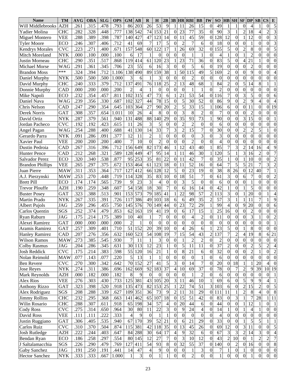| <b>Name</b>                  | <b>TM</b>  | <b>AVG</b>   | OBA          | <b>SLG</b>   | <b>OPS</b>   | <b>GM</b>      | $\mathbf{A}\mathbf{B}$ | $\bf{R}$         | $\bf{H}$                          | 2B                             |                              | $3B$ HR                      | <b>RBI</b>                       | <b>BB</b>                        | IW                               | SO                     |                  | HB SH SF DP          |                             |                     | SB                   | <b>CS</b>                        | ${\bf E}$                        |
|------------------------------|------------|--------------|--------------|--------------|--------------|----------------|------------------------|------------------|-----------------------------------|--------------------------------|------------------------------|------------------------------|----------------------------------|----------------------------------|----------------------------------|------------------------|------------------|----------------------|-----------------------------|---------------------|----------------------|----------------------------------|----------------------------------|
| Will Middlebrooks            | <b>AZH</b> | .261         | .315         | .478         | .793         | 86             | 203                    | 26               | 53                                | 9                              |                              | 11                           | 26                               | 15                               | $\overline{0}$                   | 49                     |                  |                      | 0                           | 4                   |                      | $\theta$                         | 5                                |
| Yadier Molina                | <b>CHC</b> | .282         | .328         | .448         | .777         | 138            | 542                    | 74               | 153                               | 21                             | $\overline{0}$               | 23                           | 77                               | 35                               | $\theta$                         | 90                     | 3                |                      | $\overline{2}$              | 18                  |                      | $\overline{2}$                   | 3                                |
| Miguel Montero               | <b>VEE</b> | .288         | .389         | .398         | .787         | 140            | 427                    | 47               | 123                               | 14                             | $\Omega$                     | 11                           | 45                               | 59                               | $\overline{0}$                   | 128                    | 12               | $\theta$             |                             | 12                  | $\Omega$             | $\overline{0}$                   | $\overline{\mathbf{3}}$          |
| Tyler Moore                  | ECO        | .246         | .307         | .406         | .712         | 41             | 69                     | $\overline{7}$   | 17                                | 5                              | $\Omega$                     | $\overline{2}$               | $\overline{7}$                   | 6                                | $\theta$                         | 18                     | $\theta$         | $\theta$             | $\overline{0}$              |                     | $\Omega$             | $\theta$                         | 3                                |
| <b>Kendrys Morales</b>       | <b>CVC</b> | .223         | .271         | .400         | .671         | 157            | 548                    | 60               | 122                               | 17                             |                              | 26                           | 69                               | 32                               | $\theta$                         | 155                    | 5                | $\theta$             | $\overline{2}$              | 8                   | $\theta$             | $\theta$                         | 5                                |
| Mitch Moreland               | <b>NYK</b> | .000         | .100         | .000         | .100         | 6              | 17                     |                  | $\Omega$                          | $\Omega$                       | 0                            | $\theta$                     |                                  |                                  | $\theta$                         | $\overline{4}$         |                  | $\Omega$             |                             | $\overline{2}$      | $\Omega$             | $\overline{0}$                   | $\overline{0}$                   |
| Justin Morneau               | <b>CHC</b> | .290         | .351         | .517         | .868         | 119            | 414                    | 61               | 120                               | 23                             |                              | 23                           | 71                               | 36                               | $\overline{0}$                   | 83                     |                  | $\theta$             |                             | 21                  |                      | 0                                | $\theta$                         |
| Michael Morse                | <b>WAG</b> | .291         | .361         | .345         | .706         | 23             | 55                     | 6                | 16                                | 3                              | 0                            | $\theta$                     | 5                                | 6                                | 0                                | 19                     | $\theta$         | $\theta$             | $\boldsymbol{0}$            | $\overline{2}$      | 0                    | 0                                | $\theta$                         |
| <b>Brandon Moss</b>          | ***        | .324         | .394         | .712         | 1.106        | 138            | 490                    | 89               | 159                               | 38                             |                              | 50                           | 115                              | 49                               | 5                                | 169                    | $\overline{2}$   | $\theta$             | $\overline{0}$              | 9                   | $\theta$             | $\theta$                         | 4                                |
| Daniel Murphy                | <b>NYK</b> | .500         | .500         | .500         | 1.000        | 3              | 6                      |                  | 3                                 | $\Omega$                       | $\Omega$                     | $\theta$                     | $\overline{2}$                   | $\theta$                         | $\theta$                         | $\theta$               | $\theta$         | $\theta$             | $\overline{0}$              | $\theta$            | $\theta$             | $\overline{0}$                   | $\theta$                         |
| David Murphy                 | <b>CHC</b> | .240         | .333         | .379         | .712         | 137            | 491                    | 76               | 118                               | 25                             | $\overline{2}$               | 13                           | 48                               | 68                               |                                  | 84                     | $\overline{c}$   | $\theta$             | 5                           | 14                  | 8                    |                                  |                                  |
| Donnie Murphy                | CAD        | .000         | .200         | .000         | .200         | $\overline{2}$ | 4                      |                  | $\theta$                          | $\Omega$                       | $\Omega$                     | $\theta$                     |                                  |                                  | 0                                | $\overline{2}$         | 0                | $\Omega$             | $\overline{0}$              | $\overline{0}$      | $\theta$             | $\theta$                         | $\theta$                         |
| Mike Napoli                  | ECO        | .232         | .354         | .457         | .811         | 102            | 315                    | 47               | 73                                | 6                              |                              | 21                           | 53                               | 54                               | $\overline{0}$                   | 116                    |                  | $\Omega$             | 3                           | 5                   | $\Omega$             | 0                                | 6                                |
| Daniel Nava                  | <b>WAG</b> | .239         | .356         | .330         | .687         | 102            | 327                    | 44               | 78                                | 15                             | $\boldsymbol{0}$             | 5                            | 30                               | 52                               | $\theta$                         | 86                     | 9                | $\theta$             | $\overline{2}$              | 9                   |                      | 0                                | 4                                |
| Chris Nelson                 | <b>CAD</b> | .247         | .290         | .354         | .645         | 103            | 364                    | 27               | 90                                | 20                             | $\overline{2}$               | 5                            | 33                               | 15                               |                                  | 106                    | 6                | $\theta$             | $\overline{0}$              | 11                  | $\Omega$             | $\theta$                         | 19                               |
| Derek Norris                 | <b>GAT</b> | .308         | .357         | .654         | 1.011        | 10             | 26                     | 4                | 8                                 | $\Omega$                       | $\Omega$                     | 3                            | 8                                | $\overline{2}$                   | 0                                | 7                      | $\theta$         | $\theta$             | $\boldsymbol{0}$            | $\overline{2}$      | 0                    | $\theta$                         | $\Omega$                         |
| David Ortiz                  | <b>NYK</b> | .287         | .379         | .561         | .940         | 131            | 488                    | 88               | 140                               | 29                             | $\boldsymbol{0}$             | 35                           | 93                               | 73                               |                                  | 90                     | $\theta$         | $\theta$             | 3                           | 15                  | $\theta$             | $\overline{0}$                   |                                  |
|                              | <b>CVC</b> | .192         | .192         | .423         | .615         | 11             | 26                     | 3                | 5                                 | $\mathbf{0}$                   | $\theta$                     | $\overline{2}$               | $\overline{2}$                   | $\overline{0}$                   | $\theta$                         |                        | 0                | $\theta$             | $\overline{0}$              | $\theta$            | $\theta$             | 0                                | $\theta$                         |
| Jordan Pacheco               | <b>WAG</b> | .254         | .288         | .400         | .688         | 41             | 130                    | 14               | 33                                | 7                              | 3                            | $\overline{2}$               | 15                               | $\overline{7}$                   | $\theta$                         | 6<br>30                | $\theta$         | $\theta$             | $\overline{2}$              | $\overline{c}$      |                      |                                  | $\theta$                         |
| Angel Pagan                  | <b>NYK</b> | .091         | .286         | .091         | .377         | 12             | 11                     | $\overline{2}$   |                                   | $\theta$                       | $\theta$                     | 0                            | $\theta$                         | 3                                | 0                                | 3                      | 0                | $\theta$             | $\overline{0}$              | 0                   | $\theta$             | 0                                | $\theta$                         |
| Gerardo Parra<br>Xavier Paul | <b>VEE</b> | .200         | .200         | .200         | .400         | $\overline{7}$ | 10                     | $\theta$         | 2                                 | $\theta$                       | $\theta$                     | $\theta$                     | $\overline{2}$                   | $\theta$                         | 0                                | $\overline{4}$         | 0                | $\theta$             | $\overline{0}$              | 0                   | $\theta$             | $\overline{0}$                   | $\overline{0}$                   |
| Dustin Pedroia               | <b>CAD</b> | .267         | .316         | .396         | .712         | 156            | 649                    | 82               | 173                               | 46                             |                              | 12                           | 43                               | 40                               |                                  | 85                     |                  | 3                    | $\overline{2}$              | 14                  | 16                   | $\overline{4}$                   | 9                                |
|                              | <b>CAD</b> | .212         | .268         | .321         | .589         | 128            | 449                    | 47               | 95                                | 14                             |                              | 11                           | 46                               | 30                               |                                  | 120                    | 5                |                      | 3                           | 16                  | $\overline{2}$       | $\overline{0}$                   | $\overline{7}$                   |
| <b>Hunter Pence</b>          | ECO        | .320         | .340         | .538         | .877         | 95             | 253                    | $\overline{35}$  | 81                                | 22                             | $\mathbf{0}$                 | 11                           | 42                               | $\tau$                           | $\theta$                         | 35                     |                  | $\theta$             |                             | 10                  | $\Omega$             | $\overline{0}$                   | $\overline{c}$                   |
| Salvador Perez               | VEE        | .265         | .297         | .375         | .672         | 153            | 464                    | 61               | 123                               | 18                             | $\boldsymbol{0}$             | 11                           | $\overline{52}$                  | 16                               | $\Omega$                         | 64                     |                  | 5                    | 5                           | 21                  |                      | 3                                | $\overline{2}$                   |
| <b>Brandon Phillips</b>      |            |              | .353         |              | .717         |                |                        | 66               |                                   | 12                             | 5                            |                              | $\overline{23}$                  | 19                               |                                  | $\overline{38}$        |                  | 26                   | $\overline{0}$              | 12                  | 40                   | 7                                |                                  |
| Juan Pierre                  | <b>MAW</b> | .311         |              | .364         |              | 127            | 412                    | $\overline{35}$  | 128                               |                                |                              | $\overline{0}$               | $\overline{51}$                  |                                  | $\theta$                         |                        | 8<br>3           |                      |                             | $\overline{7}$      |                      | $\overline{0}$                   |                                  |
| A.J. Pierzynski              | MAW        | .253         | .270         | .448         | .719         | 114            | 328                    |                  | 83                                | 10                             | $\boldsymbol{0}$             | 18                           |                                  | $\overline{7}$                   | $\theta$                         | 61                     |                  | $\theta$             | 6                           |                     | $\theta$             |                                  | $\overline{c}$<br>$\overline{0}$ |
| <b>Brett Pill</b>            | <b>ECO</b> | .174         | .174         | .565         | .739         | 9<br>54        | 23                     | 3                | $\overline{4}$<br>$\overline{30}$ | $\mathbf{0}$<br>$\overline{7}$ | $\theta$                     | 3                            | 5                                | $\theta$                         | $\theta$                         | 6                      | $\theta$         | $\theta$             | $\theta$                    | 1                   | $\theta$             | $\overline{0}$                   |                                  |
| <b>Trevor Plouffe</b>        | AZH        | .190         | .259         | .348         | .607         |                | 158<br>573             | 18               |                                   |                                | $\Omega$                     | 6                            | 16                               | 14<br>$\overline{57}$            | $\theta$                         | 42                     |                  | $\theta$             |                             | 5                   | $\theta$             | $\overline{0}$                   | $\theta$                         |
| <b>Buster Posey</b>          | GAT        | .323         | .388<br>.335 | .513         | .901<br>.726 | 153            |                        | 79               | 185<br>103                        | 41                             |                              | 22                           | 98<br>49                         | $\overline{35}$                  | $\overline{2}$<br>$\overline{2}$ | 113<br>$\overline{57}$ | 3<br>3           | $\overline{0}$       |                             | 20                  | $\theta$             |                                  | 4                                |
| Martin Prado                 | <b>NYK</b> | .267         |              | .391         |              | 117            | 386                    | 49<br>70         |                                   | 18<br>44                       | 6                            | 6<br>23                      | 72                               | $\overline{29}$                  |                                  | 99                     |                  | 1<br>$\theta$        | 9                           | 11<br>20            |                      | $\theta$                         | 9                                |
| <b>Albert Pujols</b>         | <b>JAG</b> | .259         | .296<br>.374 | .455         | .750         | 145            | 576                    | 19               | 149                               | 19                             | $\boldsymbol{0}$<br>$\Omega$ |                              | 17                               | 15                               |                                  | 25                     | 4<br>16          |                      | $\overline{0}$              |                     | $\theta$<br>$\Omega$ | $\overline{0}$                   | 6                                |
| Carlos Quentin               | SGS        | .252<br>.175 | .214         | .479<br>.175 | .853<br>.389 | 62<br>10       | 163                    |                  | 41<br>7                           |                                |                              | 6                            |                                  |                                  |                                  | 11                     | $\theta$         | $\theta$<br>$\theta$ | $\overline{0}$              | $\overline{2}$<br>3 |                      | $\overline{0}$                   | $\boldsymbol{0}$                 |
| Ryan Raburn                  | JAG        | .000         | .000         | .000         | .000         | $\overline{c}$ | 40                     | $\Omega$         |                                   | $\overline{0}$<br>$\theta$     | $\boldsymbol{0}$             | $\boldsymbol{0}$<br>$\Omega$ | $\overline{4}$<br>$\overline{0}$ | $\overline{c}$<br>$\overline{0}$ | $\overline{0}$<br>$\Omega$       |                        | $\theta$         | $\theta$             | $\theta$                    | $\overline{0}$      | $\Omega$             | $\overline{0}$                   | $\overline{c}$                   |
| Alexei Ramirez               | <b>GAT</b> |              | .309         |              | .710         | 51             | 152                    | 20               | $\Omega$<br>39                    |                                | $\boldsymbol{0}$<br>$\theta$ |                              | 26                               | 6                                |                                  | $\mathbf{0}$<br>23     | 5                | $\theta$             |                             | 8                   |                      | $\theta$                         |                                  |
| Aramis Ramirez               | <b>GAT</b> | .257         |              | .401         |              |                |                        |                  |                                   | 10                             |                              | 4                            |                                  |                                  |                                  |                        |                  |                      |                             |                     | $\Omega$             |                                  | $\theta$                         |
| <b>Hanley Ramirez</b>        | <b>CAD</b> | .207         | .276         | .356         | .632         |                | 160 523                |                  | 54 108                            | 19                             |                              | 15                           | 54                               | 43                               | 2                                | 137                    |                  | 2                    | $4 \vert$                   | 19                  | 8                    |                                  | 6 21                             |
| <b>Wilson Ramos</b>          | MAW        | .273         | .385         | .545         | .930         | 7              | 11                     |                  | 3                                 | $\boldsymbol{0}$               | $\boldsymbol{0}$             |                              | $\overline{c}$                   | $\overline{c}$                   | $\overline{0}$                   | $\overline{c}$         | $\boldsymbol{0}$ | $\overline{0}$       | $\mathbf{0}$                | $\boldsymbol{0}$    | $\mathbf{0}$         | $\overline{0}$                   | $\boldsymbol{0}$                 |
| <b>Colby Rasmus</b>          | JAG        | .204         | .286         | .345         | .631         | 30             | 113                    | 12               | 23                                |                                | $\boldsymbol{0}$             | 5                            | 11                               | 11                               | $\theta$                         | $\overline{37}$        | $\overline{2}$   | $\boldsymbol{0}$     | $\boldsymbol{0}$            | $\overline{c}$      | 5                    | $\overline{c}$                   | $\overline{4}$                   |
| Josh Reddick                 | <b>CVC</b> | .175         | .214         | .383         | .598         | 55             | 120                    | 16               | 21                                |                                | $\boldsymbol{0}$             | 8                            | 21                               | 6                                | $\mathbf{0}$                     | 32                     | $\overline{0}$   | $\boldsymbol{0}$     | $\boldsymbol{0}$            | $\overline{c}$      |                      | $\overline{0}$                   | $\sqrt{2}$                       |
| Nolan Reimold                | <b>MAW</b> | .077         | .143         | .077         | .220         | $\overline{5}$ | 13                     |                  |                                   | $\boldsymbol{0}$               | $\boldsymbol{0}$             | $\theta$                     | $\boldsymbol{0}$                 | 1                                | $\boldsymbol{0}$                 | 6                      | 0                | $\boldsymbol{0}$     | $\boldsymbol{0}$            | $\overline{0}$      | $\theta$             | $\overline{0}$                   | $\overline{0}$                   |
| <b>Ben Revere</b>            | <b>CVC</b> | .270         | .300         | .342         | .642         | 70             | 152                    | 27               | 41                                | $\mathfrak s$                  | 3                            | $\boldsymbol{0}$             | 14                               | $\overline{7}$                   | $\boldsymbol{0}$                 | 20                     | $\theta$         | 18                   | $\,1$                       |                     | 20                   | $\overline{\mathbf{4}}$          | $\boldsymbol{0}$                 |
| <b>Jose Reyes</b>            | NYK        | .274         | .311         | .386         | .696         | 162            | 669                    | 92               | 183                               | $\overline{37}$                | $\overline{4}$               | 10                           | 69                               | $\overline{37}$                  | $\boldsymbol{0}$                 | 78                     | $\theta$         | 7                    | $\overline{c}$              | 9                   | 39                   |                                  | 10 19                            |
| Mark Reynolds                | AZH        | .000         | .182         | .000         | .182         | $\,8$          | 9                      | $\boldsymbol{0}$ | $\overline{0}$                    | $\boldsymbol{0}$               | $\boldsymbol{0}$             | $\boldsymbol{0}$             | $\mathbf{1}$                     | $\boldsymbol{2}$                 | $\boldsymbol{0}$                 | 6                      | $\theta$         | $\boldsymbol{0}$     | $\boldsymbol{0}$            | $\boldsymbol{0}$    | $\theta$             | $\boldsymbol{0}$                 | 1                                |
| <b>Alex Rios</b>             | VEE        | .276         | .303         | .430         | .733         |                | 125 381                | 43               | 105                               | 20                             | $\mathfrak{Z}$               | 11                           | 46                               | $\overline{10}$                  |                                  | 69                     | 6                | $\boldsymbol{0}$     | $\overline{5}$              | 9                   | 9                    | $\overline{\mathcal{L}}$         | $\mathbf{1}$                     |
| <b>Anthony Rizzo</b>         | GAT        | .323         | .398         | .520         | .918         |                | 135 473                | 82               | 153                               | 25                             |                              | 22                           | 74                               | 51                               | 3                                | 103                    | 6                | $\boldsymbol{0}$     | $\overline{c}$              | 15                  | $\overline{c}$       | $\overline{0}$                   | $\overline{5}$                   |
| Alex Rodriguez               | SGS        | .208         | .288         | .339         | .627         |                | 109 351                | 36               | 73                                | 9                              | $\overline{c}$               | 11                           | 31                               | 29                               | $\boldsymbol{0}$                 | 111                    | 11               |                      | $\overline{2}$              | $\,8$               |                      | $\overline{0}$                   | $\overline{8}$                   |
| <b>Jimmy Rollins</b>         | <b>CHC</b> | .232         | .295         | .368         | .663         | 141            | 462                    | 65               | 107                               | 18                             | $\overline{0}$               | 15                           | 51                               | 42                               | $\boldsymbol{0}$                 | 83                     | $\mathbf{0}$     | 3                    | $\mathbf{1}$                | 7                   | 28                   | 1                                | 11                               |
| Wilin Rosario                | <b>CHC</b> | .288         | .307         | .611         | .918         | 65             | 198                    | 34               | 57                                | $\overline{4}$                 | $\boldsymbol{0}$             | 20                           | 44                               | $\boldsymbol{6}$                 | $\boldsymbol{0}$                 | 44                     | $\mathbf{0}$     | $\boldsymbol{0}$     |                             | 12                  |                      | $\boldsymbol{0}$                 | 1                                |
| Cody Ross                    | <b>CVC</b> | .275         | .314         | .650         | .964         | 30             | 80                     | 11               | 22                                | $\mathfrak 3$                  | $\boldsymbol{0}$             | 9                            | 24                               | $\overline{\mathcal{L}}$         | $\boldsymbol{0}$                 | 14                     |                  | $\boldsymbol{0}$     |                             | 4                   |                      | $\overline{0}$<br>$\overline{0}$ | $\boldsymbol{0}$                 |
| David Ross                   | VEE        | .111         | .111         | .222         | .333         | 4              | 9                      | $\boldsymbol{0}$ |                                   |                                | $\boldsymbol{0}$             | $\theta$                     | $\boldsymbol{0}$                 | $\boldsymbol{0}$                 | $\theta$                         | $\overline{4}$         | 0                | $\boldsymbol{0}$     | $\boldsymbol{0}$            | $\boldsymbol{0}$    | $\theta$             |                                  | $\boldsymbol{0}$                 |
| Justin Ruggiano              | GAT        | .306         | .405         | .535         | .940         | 67             | 170                    | 39               | 52                                | 21                             | $\boldsymbol{0}$             | 6                            | 21                               | 29                               | $\theta$                         | 33                     | $\theta$         | $\boldsymbol{0}$     | $\mathbf{1}$                | 5                   | 5                    | 1                                | $\mathbf{1}$                     |
| Carlos Ruiz                  | <b>CVC</b> | .310         | .370         | .504         | .874         |                | 115 381                | 42               | 118                               | 35                             | $\boldsymbol{0}$             | 13                           | 45                               | 26                               | $\boldsymbol{0}$                 | 69                     | 12               | $\boldsymbol{0}$     | $\ensuremath{\mathfrak{Z}}$ | 11                  | $\overline{0}$       | $\overline{0}$                   | $\overline{5}$                   |
| <b>Josh Rutledge</b>         | AZH        | .222         | .244         | .403         | .647         | 84             | 288                    | 30               | 64                                | 17                             | $\overline{\mathcal{L}}$     | 9                            | 32                               | 6                                | $\boldsymbol{0}$                 | 67                     | 3                | 3                    | $\sqrt{2}$                  | 14                  | 3                    | $\overline{0}$                   | $\overline{4}$                   |
| Bendan Ryan                  | ECO        | .186         | .258         | .297         | .554         | 80             | 145                    | 12               | 27                                | $\tau$                         | $\boldsymbol{0}$             | 3                            | 10                               | 12                               | $\overline{0}$                   | 43                     | $\overline{2}$   | 10                   | $\overline{0}$              |                     | $\overline{c}$       | $\overline{c}$                   | $\overline{7}$                   |
| J Saltalamacchia             | SGS        | .226         | .290         | .479         | .769         | 127            | 411                    | 54               | 93                                | $\bf 8$                        | $\mathbf{0}$                 | 32                           | 55                               | 37                               | $\boldsymbol{0}$                 | 140                    | $\mathbf{0}$     | $\overline{c}$       | $\overline{0}$              | 16                  | $\overline{0}$       | $\overline{0}$                   | $\overline{8}$                   |
| Gaby Sanchez                 | <b>JAG</b> | .191         | .250         | .191         | .441         | 14             | 47                     | $\overline{4}$   | 9                                 | $\boldsymbol{0}$               | $\boldsymbol{0}$             | $\boldsymbol{0}$             | $\mathbf{1}$                     | $\mathfrak{Z}$                   | 0                                | 7                      |                  | $\boldsymbol{0}$     |                             | $\boldsymbol{0}$    | 0                    | $\boldsymbol{0}$                 | $\boldsymbol{0}$                 |
| <b>Hector Sanchez</b>        | NYK        | .333         | .333         | .667         | 1.000        | 1              | $\overline{3}$         | $\overline{0}$   |                                   |                                | $\boldsymbol{0}$             | $\boldsymbol{0}$             | $\overline{2}$                   | $\overline{0}$                   | $\overline{0}$                   | $\mathbf{1}$           | $\boldsymbol{0}$ | $\boldsymbol{0}$     | $\overline{0}$              | 1                   | $\mathbf{0}$         | $\overline{0}$                   | $\overline{0}$                   |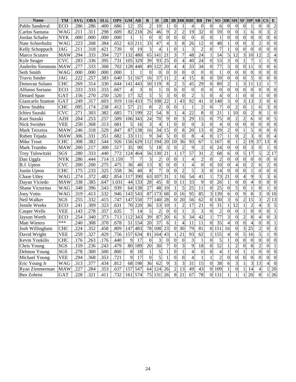| <b>Name</b>         | <b>TM</b>  | <b>AVG</b> | OBA               | <b>SLG</b> | <b>OPS</b>       | <b>GM</b>       | $\mathbf{A}\mathbf{B}$ | $\bf{R}$         | $\bf{H}$        | 2B               |                  |                  | $3B$ $HR$ $RBI$ | <b>BB</b>        | IW               | SO               |                | $HB$ SH SF DP    |                  |                  | SB               | <b>CS</b>        | E                |
|---------------------|------------|------------|-------------------|------------|------------------|-----------------|------------------------|------------------|-----------------|------------------|------------------|------------------|-----------------|------------------|------------------|------------------|----------------|------------------|------------------|------------------|------------------|------------------|------------------|
| Pablo Sandoval      | ECO        | .286       | .286              | .400       | .686             | 12              | 35                     | $\overline{c}$   | 10              |                  | $\theta$         |                  | 4               | $\theta$         | $\theta$         | 6                | $\theta$       | $\theta$         | 0                |                  | $\Omega$         | $\theta$         | $\overline{2}$   |
| Carlos Santana      | <b>WAG</b> | .211       | .311              | .298       | .609             | 82              | 218                    | 26               | 46              | 9                | $\overline{2}$   | $\overline{c}$   | 19              | 32               | $\overline{0}$   | 59               | $\theta$       | $\theta$         |                  | 6                | $\theta$         | 3                | $\overline{c}$   |
| Jordan Schafer      | NYK        | .000       | .000              | .000       | .000             |                 |                        | $\theta$         | $\Omega$        | $\theta$         | $\boldsymbol{0}$ | $\theta$         | $\Omega$        | $\overline{0}$   | $\theta$         | 1                | 0              | $\theta$         | $\theta$         | $\theta$         | $\theta$         | $\overline{0}$   | $\overline{0}$   |
| Nate Schierholtz    | <b>WAG</b> | .223       | .268              | .384       | .652             | 63              | 211                    | 33               | 47              | 4                | 3                | 8                | 26              | 12               | 0                | 48               |                | 0                | $\overline{0}$   | 3                | $\overline{c}$   | 0                | $\theta$         |
| Kelly Schoppach     | <b>JAG</b> | .211       | .318              | .421       | .739             | 9               | 19                     | 3                |                 |                  | $\overline{0}$   |                  | 3               | $\overline{2}$   | 0                | $\overline{7}$   |                | $\theta$         | $\boldsymbol{0}$ | $\theta$         | $\Omega$         | $\theta$         | 0                |
| Marco Scutaro       | <b>MAW</b> | .294       | .333              | .394       | .727             | 132             | 480                    | 65               | 141             | 21               | 3                | 7                | 48              | 24               |                  | 54               | 5              | 12               | 3                | 10               | 12               | $\overline{2}$   | 4                |
| Kyle Seager         | <b>CVC</b> | .283       | .336              | .395       | .731             | 105             | 329                    | 39               | 93              | 25               | $\boldsymbol{0}$ | 4                | 40              | 24               | $\Omega$         | 53               | 3              | $\theta$         |                  | 7                |                  |                  | 9                |
| Andreltn Simmons    | <b>MAW</b> | .277       | .333              | .368       | .702             | 128             | 440                    | 49               | 122             | 20               | $\overline{4}$   | 4                | 33              | 34               | $\theta$         | 77               | 3              | $\theta$         | $\overline{0}$   | 11               | 0                | $\theta$         | 6                |
| Seth Smith          | WAG        | .000       | .000              | .000       | .000             |                 |                        | $\theta$         | $\theta$        | $\Omega$         | $\theta$         | $\Omega$         | $\overline{0}$  | $\theta$         | $\Omega$         | 1                | $\theta$       | $\theta$         | $\theta$         | $\overline{0}$   | $\theta$         | 0                | $\theta$         |
| Travis Snider       | <b>JAG</b> | .222       | .257              | .383       | .640             | 51              | 167                    | 16               | 37              | 11               | $\overline{2}$   | 4                | 15              | 8                | 0                | 59               | $\theta$       | $\theta$         | $\overline{0}$   | 5                | $\Omega$         | 0                | $\theta$         |
| Donovan Solano      | <b>CHC</b> | .269       | .314              | .330       | .644             | 141             | 443                    | 50               | 119             | $\,8\,$          | $\overline{2}$   | 5                | 45              | 29               | 0                | 89               | $\overline{c}$ |                  | 3                | 11               | 12               |                  | $\overline{7}$   |
| Alfonso Soriano     | ECO        | .333       | .333              | .333       | .667             | 4               | 3                      | $\theta$         |                 | $\theta$         | $\theta$         | $\theta$         | $\Omega$        | $\theta$         | $\theta$         | $\theta$         | $\theta$       | $\theta$         | $\overline{0}$   | $\theta$         | $\Omega$         | $\theta$         | $\overline{0}$   |
| Denard Span         | <b>GAT</b> | .156       | .270              | .250       | .520             | 17              | 32                     | 5                | 5               | $\overline{3}$   | $\theta$         | $\theta$         | $\overline{2}$  | 5                | 0                | $\overline{4}$   | 0              |                  | $\boldsymbol{0}$ | $\theta$         |                  | 0                | $\theta$         |
| Giancarlo Stanton   | <b>GAT</b> | .249       | .317              | .603       | .919             | 116             | 433                    | 75               | 108             | 22               |                  | 43               | 92              | 41               | 0                | 148              | 3              | $\theta$         | 3                | 13               | 3                | 0                | 6                |
| Drew Stubbs         | <b>CHC</b> | .095       | .174              | .238       | .412             | 57              | 21                     | 8                | 2               | $\overline{0}$   | $\Omega$         |                  | 1               | $\overline{c}$   | $\theta$         | 7                | 0              | $\overline{2}$   | $\overline{0}$   |                  | 6                | 3                | 0                |
| Ichiro Suzuki       | <b>CVC</b> | .271       | .303              | .382       | .685             | 71              | 199                    | 22               | 54              | 8                |                  | 4                | 22              | 8                | 0                | 21               |                | 10               | $\boldsymbol{0}$ | $\overline{2}$   | 8                |                  | $\theta$         |
| Kurt Suzuki         | <b>AZH</b> | .204       | .253              | .257       | .509             | 106             | 343                    | 24               | 70              | 9                | $\theta$         | 3                | 29              | 15               | 0                | 75               | 8              | $\overline{2}$   | $\overline{2}$   | 6                | $\theta$         | $\theta$         | 5                |
| Nick Swisher        | <b>VEE</b> | .250       | .368              | .313       | .681             | 5               | 16                     | 3                |                 |                  | $\theta$         | $\theta$         | $\theta$        | 3                | $\Omega$         | $\overline{4}$   | 0              | $\theta$         | $\overline{0}$   | $\theta$         | $\theta$         | $\theta$         | $\mathbf{0}$     |
| Mark Teixeira       | <b>MAW</b> | .246       | .318              | .529       | .847             | 87              | 138                    | 16               | 34              | 15               | $\overline{0}$   | 8                | 20              | 13               | 0                | 29               | $\overline{c}$ | $\Omega$         |                  | 5                | 0                | $\Omega$         | 0                |
| Ruben Tejada        | MAW        | .306       | .331              | .351       | .682             | 33              | 111                    | 9                | 34              | 5                | $\theta$         | $\Omega$         | 8               | 4                | 0                | 17               |                | $\Omega$         | $\overline{c}$   | 3                | 0                | $\theta$         | 4                |
| Mike Trout          | <b>CHC</b> | .308       | .382              | .544       | .926             | 156             | 629                    | 112              | 194             | 20               | 10               | 36               | 93              | 67               |                  | 167              | 8              |                  | $\overline{c}$   | 19               | 37               | 13               | 8                |
| Mark Trumbo         | <b>MAW</b> | .200       | .217              | .300       | .517             | 35              | 90                     | 5                | 18              | 3                | $\Omega$         | $\overline{c}$   | 9               | $\overline{c}$   | $\theta$         | 24               | $\theta$       | $\overline{0}$   | $\overline{0}$   | 3                | $\theta$         |                  | $\theta$         |
| Troy Tulowitzki     | SGS        | .280       | .333              | .440       | .772             | 124             | 464                    | 56               | 130             | 21               |                  | 17               | 57              | 31               | $\overline{c}$   | 68               | 6              | $\overline{0}$   | 5                | 17               | 5                | $\overline{c}$   | 17               |
| Dan Uggla           | <b>NYK</b> | .286       | .444              | .714       | 1.159            | $\overline{7}$  |                        | 3                | 2               | 0                | $\theta$         |                  | $\overline{4}$  | $\overline{c}$   | $\theta$         | $\overline{2}$   | $\theta$       | $\theta$         | $\overline{0}$   | $\boldsymbol{0}$ | $\theta$         | $\overline{0}$   | $\theta$         |
| B.J. Upton          | <b>CVC</b> | .200       | .200              | .275       | .475             | 36              | 40                     | 13               | 8               | $\boldsymbol{0}$ | $\theta$         |                  | 4               | $\overline{0}$   | 0                | 10               | $\theta$       | 4                | $\boldsymbol{0}$ | $\overline{2}$   | 6                | $\overline{c}$   | $\theta$         |
| Justin Upton        | <b>CHC</b> | .175       | .233              | .325       | .558             | $\overline{36}$ | 40                     | 8                |                 | $\Omega$         | $\theta$         | $\overline{c}$   | 5               | 3                | $\Omega$         | 14               | $\theta$       | $\overline{0}$   | $\theta$         |                  | $\theta$         | $\overline{0}$   | $\theta$         |
| Chase Utley         | WAG        | .274       | .372              | .482       | .854             | 117             | 390                    | 63               | 107             | 31               |                  | 16               | 54              | 41               |                  | 73               | 21             | $\theta$         | 4                | 9                | 3                | 3                | 6                |
| Dayan Viciedo       | <b>MAW</b> | .338       | .385              | .647       | 1.031            | 44              | 133                    | 28               | 45              | $\,8\,$          | $\boldsymbol{0}$ | 11               | $\overline{33}$ | 9                | $\Omega$         | 26               |                | $\theta$         | $\theta$         | 4                | $\theta$         | $\overline{0}$   | $\theta$         |
| Shane Victorino     | WAG        | .348       | .396              | .543       | .939             | 64              | 138                    | $\overline{27}$  | 48              | 10               |                  | 5                | 25              | 11               | $\Omega$         | 25               | $\theta$       | 5                | $\theta$         |                  | 8                |                  | $\Omega$         |
| <b>Joey Votto</b>   | WAG        | .319       | .413              | .532       | .946             | 143             | 543                    | 87               | 173             | 68               | $\mathbf{0}$     | 16               | 95              | $\overline{85}$  | 3                | 139              | 6              | $\overline{0}$   | 9                | 8                | 3                | $\theta$         | 10               |
| Neil Walker         | SGS        | .255       | .332              | .415       | .747             | 147             | 550                    | 77               | 140             | 28               | $\Omega$         | 20               | $\overline{56}$ | $\overline{62}$  | $\theta$         | 130              | 3              | 6                | $\overline{2}$   | 15               | 3                | $\overline{2}$   | 13               |
| Jemile Weeks        | <b>ECO</b> | .241       | .309              | .323       | .631             | 70              | 220                    | 36               | $\overline{53}$ | 10               |                  | $\overline{c}$   | 17              | 21               | $\theta$         | 31               |                | 12               |                  | $\overline{2}$   |                  | 3                | 5                |
| <b>Casper Wells</b> | <b>VEE</b> | .143       | .278              | .357       | .635             | $\overline{7}$  | 14                     | 5                | $\overline{2}$  | $\Omega$         | $\theta$         |                  | 3               | 3                | $\Omega$         | $\overline{2}$   | $\Omega$       | $\theta$         |                  | $\theta$         | $\theta$         | $\overline{0}$   | 1                |
| Jayson Werth        | <b>ECO</b> | .254       | $\overline{.}340$ | .373       | .713             | 112             | 343                    | 39               | 87              | 20               | 6                | 3                | 34              | 42               |                  | 77               | 3              | $\overline{0}$   | $\overline{c}$   | 8                | 4                | $\boldsymbol{0}$ | 3                |
| <b>Matt Wieters</b> | ***        | .240       | .308              | .370       | .678             | 51              | 154                    | $\overline{20}$  | $\overline{37}$ | 6                |                  | $\overline{4}$   | 11              | 11               | $\Omega$         | 35               |                | $\theta$         | $\overline{0}$   | 4                | $\Omega$         | $\overline{0}$   |                  |
| Josh Willingham     | <b>CHC</b> | .224       | .352              | .458       | .809             | 147             | 483                    | 78               | 108             | 23               | $\theta$         | 30               | 79              | 81               | $\Omega$         | $\overline{151}$ | 16             | $\theta$         | 3                | 25               | $\overline{2}$   | $\theta$         | 3                |
| David Wright        | <b>VEE</b> | .259       | .327              | .429       | .756   157   634 |                 |                        |                  | 81   164   43   |                  | $\perp$          | 21               | 93              | 62               | 1                | 155              | 4              | $\theta$         | $\mathcal{L}$    | 16               | $\mathcal{L}$    | $\mathbf{I}$     | 9                |
| Kevin Youkilis      | <b>CHC</b> | .176       | .263              | .176       | .440             | 9               | 17                     | $\overline{0}$   | $\mathfrak{Z}$  | $\boldsymbol{0}$ | $\boldsymbol{0}$ | $\boldsymbol{0}$ | $\mathfrak{Z}$  | 1                | $\boldsymbol{0}$ | 5                | $\mathbf{1}$   | $\boldsymbol{0}$ | $\overline{0}$   | $\boldsymbol{0}$ | $\boldsymbol{0}$ | $\overline{0}$   | $\overline{0}$   |
| Chris Young         | SGS        | .159       | .236              | .243       | .479             | 80              | 189                    | 20               | 30              | $\boldsymbol{7}$ | $\boldsymbol{0}$ | $\mathfrak{Z}$   | $\overline{9}$  | 18               | $\boldsymbol{0}$ | $\overline{52}$  |                | $\overline{c}$   | $\boldsymbol{0}$ | $\,8\,$          | $\overline{c}$   | $\overline{0}$   | $\mathbf{1}$     |
| Delmon Young        | SGS        | .278       | .300              | .500       | .800             | 8               | 18                     | 1                | 5               | 1                | $\boldsymbol{0}$ | 1                | $\overline{4}$  | $\boldsymbol{0}$ | $\boldsymbol{0}$ | $\overline{4}$   |                | $\boldsymbol{0}$ | $\mathbf{1}$     | $\mathbf{1}$     | $\boldsymbol{0}$ | $\boldsymbol{0}$ | $\boldsymbol{0}$ |
| Michael Young       | <b>VEE</b> | .294       | .368              | .353       | .721             | $\overline{9}$  | 17                     | $\boldsymbol{0}$ | $\sqrt{5}$      | 1                | $\boldsymbol{0}$ | $\boldsymbol{0}$ | $\overline{4}$  | 1                | $\mathbf{1}$     | $\sqrt{2}$       | $\mathbf{0}$   | $\boldsymbol{0}$ | $\boldsymbol{0}$ | $\boldsymbol{0}$ | $\boldsymbol{0}$ | $\boldsymbol{0}$ | $\boldsymbol{0}$ |
| Eric Young Jr       | <b>WAG</b> | .313       | .377              | .434       | .812             | 68              | 198                    | 36               | 62              | 9                | $\overline{3}$   | 3                | 31              | 15               | $\boldsymbol{0}$ | $\overline{38}$  | 6              | $\mathfrak{Z}$   | $\mathbf{1}$     | $\mathfrak{Z}$   | 13               | $\vert 4 \vert$  | $\boldsymbol{0}$ |
| Ryan Zimmerman      | <b>MAW</b> | .227       | .284              | .353       | .637             |                 | 157 547                |                  | 64 124 26       |                  | $\mathbf{2}$     | 13               | 49              | 43               | $\overline{0}$   | 109              |                | $\boldsymbol{0}$ |                  | 14               | 4                |                  | 20               |
| Ben Zobrist         | GAT        | .228       | .321              | .411       | .732             |                 | 161 574                |                  | 75 131          | 26               | $8\phantom{.}$   | 21               | 67              | 78               |                  | 0 131            |                | $\mathbf{1}$     |                  | $20\,$           | $\,8\,$          | $1\vert$         | 26               |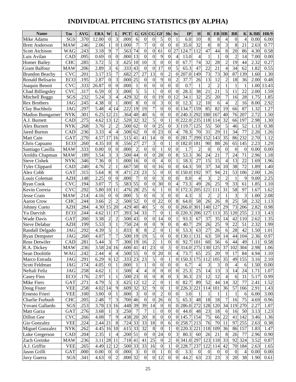# **INDIVIDUAL PITCHING STATISTICS (BY ALPHA)**

| <b>Name</b>                    | Tm                | <b>AVG</b>   | <b>ERA</b>         | W                | L                | <b>PCT</b>           | $\mathbf G$     | <b>GS</b>              | $\overline{\text{CG}}$        | <b>GF</b>        | Sh                  | Sv             | IP                  | H                | $\mathbf R$      | <b>ER HR</b>     |                  | <b>BB</b>      | $\mathbf K$    | K/BB              | <b>HR/9</b>  |
|--------------------------------|-------------------|--------------|--------------------|------------------|------------------|----------------------|-----------------|------------------------|-------------------------------|------------------|---------------------|----------------|---------------------|------------------|------------------|------------------|------------------|----------------|----------------|-------------------|--------------|
| Mike Adams                     | SGS               | .370         | 12.00              | $\boldsymbol{0}$ | 3                | .000                 | 6               | $\overline{0}$         | $\overline{0}$                | 5                | $\theta$            | 1              | 6.0                 | 10               | 8                | 8                | 4                | $\Omega$       | $\overline{4}$ | 0.00              | 6.00         |
| <b>Brett Anderson</b>          | <b>MAW</b>        | .246         | 2.06               | 1                | $\mathbf{0}$     | 1.000                | 7               | 7                      | $\overline{0}$                | $\mathbf{0}$     | $\theta$            | $\Omega$       | 35.0                | 32               | 8                | $\overline{8}$   | 3                | 8              | 21             | 2.63              | 0.77         |
| <b>Scott Atchison</b>          | WAG               | .243         | 3.18               | 9                | $\tau$           | .563                 | 74              | $\overline{0}$         | $\overline{0}$                | 61               | $\overline{0}$      | 27             | 124.7               | 112              | 47               | 44               | 8                | 20             | 86             | 4.30              | 0.58         |
| Luis Avilan                    | <b>CAD</b>        | .095         | 0.69               | $\boldsymbol{0}$ | $\boldsymbol{0}$ | .000                 | 13              | $\boldsymbol{0}$       | $\overline{0}$                | 9                | $\theta$            | 4              | 13.0                | $\overline{4}$   | 1                | 1                | $\theta$         | $\overline{2}$ | 14             | 7.00              | 0.00         |
| <b>Homer Bailey</b>            | <b>CHC</b>        | .285         | 3.72               | 5                | 3                | .625                 | 10              | 10                     | 3                             | $\mathbf{0}$     | $\theta$            | 0              | 67.7                | 74               | 32               | 28               | $\overline{c}$   | 19             | 44             | 2.32              | 0.27         |
| <b>Grant Balfour</b>           | <b>MAW</b>        | .206         | 2.89               | 3                | 6                | .333                 | 43              | $\theta$               | $\mathbf{0}$                  | 17               | $\theta$            | 5              | $65.\overline{3}$   | 47               | 22               | 21               | $\overline{4}$   | 34             | 62             | 1.82              | 0.55         |
| <b>Brandon Beachy</b>          | <b>CVC</b>        | .201         | 3.17               | 15               | $\tau$           | .682                 | 27              | 27                     | 13                            | $\mathbf{0}$     | $\overline{c}$      | $\theta$       | 207.0               | 149              | 73               | 73               | 30               | 87             | 139            | 1.60              | 1.30         |
| Ronald Belisario               | <b>ECO</b>        | .195         | 2.87               | $\boldsymbol{0}$ | 3                | .000                 | 25              | $\overline{0}$         | $\theta$                      | 9                | $\theta$            | $\overline{c}$ | 37.7                | 26               | 13               | 12               | $\overline{c}$   | 18             | 36             | 2.00              | 0.48         |
| Joaquin Benoit                 | <b>CVC</b>        | .333         | 26.87              | $\boldsymbol{0}$ | $\overline{0}$   | .000                 | 1               | $\overline{0}$         | $\boldsymbol{0}$              | $\mathbf{0}$     | 0                   | $\theta$       | 0.7                 | $\mathbf{1}$     | $\overline{c}$   | $\overline{c}$   | 1                | 1              | 1              | 1.00              | 13.43        |
| Chad Billingsley               | <b>CVC</b>        | .317         | 6.59               | $\overline{0}$   | 3                | .000                 | 5               | 5                      |                               | $\theta$         | $\theta$            | 0              | 28.3                | 38               | 21               | 21               | 5                | 11             | 22             | 2.00              | 1.59         |
| Mitchell Boggs                 | SGS               | .232         | 5.24               | 3                | $\overline{4}$   | .429                 | $\overline{32}$ | $\mathbf{0}$           | $\boldsymbol{0}$              | 19               | $\theta$            | 12             | 34.1                | 32               | 25               | 20               | 7                | 16             | 28             | 1.75              | 1.85         |
| <b>Rex Brothers</b>            | <b>JAG</b>        | .245         | 4.38               | $\overline{0}$   | 1                | .000                 | 8               | $\boldsymbol{0}$       | $\boldsymbol{0}$              | 3                | $\theta$            | 0              | 12.3                | 12               | 10               | 6                | $\overline{4}$   | $\overline{c}$ | 16             | 8.00              | 2.92         |
| Clay Buchholz                  | <b>JAG</b>        | .297         | 5.48               | 4                | 14               | .222                 | 19              | $\overline{19}$        | $\overline{7}$                | $\boldsymbol{0}$ | $\theta$            | $\theta$       | 134.7               | 159              | 85               | $\overline{82}$  | 19               | 66             | 87             | 1.32              | 1.27         |
| <b>Madisn Bumgarner</b>        | <b>NYK</b>        | .301         | 6.25               | 12               | 21               | .364                 | 40              | 40                     | 6                             | 0                | $\theta$            | 0              | 240.3               | 292              | 180              | 167              | 40               | 76             | 207            | 2.72              | 1.50         |
| A.J. Burnett                   | CAD               | .275         | 4.62               | 13               | 12               | .520                 | 32              | $\overline{32}$        | $\overline{5}$                | $\theta$         | 1                   | 0              | 222.0               | 235              | 118              | 114              | 32               | 66             | 197            | 2.98              | 1.30         |
| Alex Burnett                   | <b>NYK</b>        | .268         | 3.76               | $\overline{c}$   | $\overline{c}$   | .500                 | 62              | $\theta$               | $\overline{0}$                | 25               | 0                   | 3              | 119.7               | 125              | 55               | 50               | 5                | 46             | 52             | 1.13              | 0.38         |
| <b>Jared Burton</b>            | CAD               | .236         | 3.33               | 4                | 4                | .500                 | 62              | $\overline{0}$         | $\theta$                      | $\overline{23}$  | $\theta$            | 4              | 78.3                | 70               | 31               | 29               | 11               | 34             | 77             | 2.26              | 1.26         |
| Matt Cain                      | GAT               | .270         | 4.57               | 17               | 16               | .515                 | 41              | 41                     | 14                            | $\mathbf{0}$     | $\theta$            | 0              | 281.7               | 299              | 152              | 143              | 35               | 86             | 232            | 2.70              | 1.12         |
| Chris Capuano                  | ECO               | .260         | 4.35               | 10               | 8                | .556                 | 27              | $\overline{27}$        | 3                             | $\theta$         | 1                   | 0              | 182.0               | 181              | 90               | 88               | 26               | 65             | 145            | 2.23              | 1.29         |
| Santiago Casilla               | <b>MAW</b>        | .333         | 0.00               | $\overline{0}$   | $\Omega$         | .000                 | $\overline{c}$  | $\mathbf{0}$           | $\mathbf{0}$                  | 1                | $\theta$            | $\theta$       | 1.7                 | $\overline{2}$   | $\theta$         | $\boldsymbol{0}$ | $\theta$         | $\overline{0}$ | $\theta$       | 0.00              | 0.00         |
| Aroldis Chapman                | <b>MAW</b>        | .189         | 3.54               | 3                | 3                | .500                 | 44              | $\theta$               | $\boldsymbol{0}$              | 28               | $\theta$            | 8              | 53.3                | 36               | 24               | 21               | 7                | 24             | 71             | 2.96              | 1.18         |
| <b>Steve Cishek</b>            | <b>NYK</b>        | .346         | 7.36               | $\overline{0}$   | 1                | .000                 | 16              | $\overline{0}$         | $\overline{0}$                | $\overline{4}$   | $\theta$            | 1              | 18.3                | 27               | 15               | 15               | $\overline{4}$   | 13             | 22             | 1.69              | 1.96         |
| <b>Tyler Clippard</b>          | CAD               | .240         | 4.76               | $\overline{c}$   | 1                | .667                 | 50              | $\mathbf{0}$           | $\boldsymbol{0}$              | 16               | $\theta$            | 0              | 64.3                | 59               | 37               | 34               | 10               | 38             | 72             | 1.89              | 1.40         |
| Alex Cobb                      | GAT               | .315         | 5.64               | 8                | 9                | .471                 | 23              | $\overline{23}$        | 5                             | $\mathbf{0}$     | $\theta$            | 0              | 50.0                | 192              | 97               | 94               | $\overline{21}$  | 53             | 106            | 2.00              | 1.26         |
| Louis Coleman                  | <b>AZH</b>        | .148         | 2.25               | $\overline{0}$   | $\overline{0}$   | .000                 | $\overline{7}$  | $\mathbf{0}$           | $\overline{0}$                | 3                | $\theta$            | 0              | 8.0                 | $\overline{4}$   | 3                | $\overline{c}$   | $\overline{2}$   | 1              | 9              | 9.00              | 2.25         |
| <b>Ryan Cook</b>               | <b>CVC</b>        | .194         | 3.07               | 7                | 5                | .583                 | $\overline{55}$ | $\overline{0}$         | $\boldsymbol{0}$              | $\overline{30}$  | $\theta$            | 4              | 73.3                | 49               | 26               | $\overline{25}$  | 9                | 33             | 61             | 1.85              | 1.10         |
| Kevin Correia                  | <b>CVC</b>        | .292         | 5.80               | 10               | 11               | .476                 | 28              | $\overline{25}$        | 6                             | 1                | $\theta$            | $\theta$       | 172.3               | 205              | 121              | 111              | 31               | 58             | 97             | 1.67              | 1.62         |
| Jesse Crain                    | <b>MAW</b>        | .214         | 4.16               | $\theta$         | $\theta$         | .000                 | 5               | $\mathbf{0}$           | $\overline{0}$                | 3                | 0                   | 0              | 4.3                 | 3                | $\overline{c}$   | $\overline{c}$   | 1                | 3              | 3              | 1.00              | 2.08         |
| <b>Aaron Crow</b>              | <b>CHC</b>        | .244         | 3.66               | $\overline{2}$   | $\overline{2}$   | .500                 | $\overline{52}$ | $\overline{0}$         | $\boldsymbol{0}$              | 22               | $\theta$            | 8              | 64.0                | $\overline{58}$  | 26               | 26               | 8                | 25             | 58             | 2.32              | 1.13         |
| Johnny Cueto                   | <b>AZH</b>        | .284         | 4.30               | 15               | 20               | .429                 | 40              | 40                     | 5                             | $\overline{0}$   | $\theta$            | $\theta$       | 266.0               | 301              | 140              | 127              | 29               | 73             | 206            | 2.82              | 0.98         |
| Yu Darvish                     | ECO               | .244         | 4.62               | 11               | 17               | .393                 | 34              | $\overline{33}$        | $\overline{7}$                | $\boldsymbol{0}$ | 1                   | 0              | 220.3               | 206              | 127              | 113              | 35               | 120            | 255            | 2.13              | 1.43         |
| <b>Wade Davis</b>              | GAT               | .200         | 3.38               | $\overline{c}$   | $\overline{c}$   | .500                 | 43              | $\theta$               | $\boldsymbol{0}$              | 14               | $\theta$            |                | 93.3                | 67               | 37               | 35               | 14               | 42             | 110            | 2.62              | 1.35         |
| <b>Steve Delabar</b>           | <b>AZH</b>        | .199         | 5.53               | 3                | 1                | .750                 | 24              | $\overline{0}$         | $\overline{0}$                | 9                | $\theta$            | $\theta$       | 40.7                | 29               | 26               | 25               | 9                | 22             | 51             | $2.\overline{32}$ | 1.99         |
| Randall Delgado                | JAG               | .292         | 4.39               | 5                | 1                | .833                 | 8               | 8                      | $\overline{2}$                | $\boldsymbol{0}$ | 1                   | $\theta$       | 53.3                | 63               | 27               | 26               | 6                | 28             | 42             | 1.50              | 1.01         |
| <b>Ryan Dempster</b>           | <b>JAG</b>        | .260         | 4.07               | $\overline{7}$   | 7<br>7           | .500                 | 19              | $\overline{19}$        | 5<br>$\overline{2}$           | $\overline{0}$   | $\overline{0}$      | $\theta$       | 30.1                | 131              | 63               | 59<br>56         | 14               | 44             | 104            | 2.36              | 0.97         |
| <b>Ross Detwiler</b>           | CAD               | .281         | 5.44               | 3                |                  | .300                 | 19              | 16                     |                               |                  | $\theta$            | $\theta$       | 92.7                | 101              | 60               |                  | 6                | 44             | 49             | 1.11              | 0.58         |
| R.A. Dickey                    | MAW               | .236         | 3.58 24 16<br>2.44 |                  |                  | $.600$ 41<br>.500 55 |                 | 41                     | 23                            | $\theta$<br>20   | 3<br>$\overline{0}$ | 4              | 0 314.0 275 130 125 |                  |                  |                  | 37               | 102            | 304            | 2.98              | 1.06         |
| Sean Doolittle                 | <b>WAG</b>        | .242         | 6.29               | $\vert$          | 4<br>6 12        |                      |                 | $\boldsymbol{0}$<br>23 | $\mathbf{0}$<br>$\mathfrak s$ | $\boldsymbol{0}$ | 1                   |                | 73.7<br>150.3 175   | 65               | 25               | 20<br>105        | 9<br>35          | 17<br>49       | 84<br>155      | 4.94              | 1.10         |
| Marco Estrada<br>Scott Feldman | JAG<br><b>JAG</b> | .291<br>.174 | 4.05               | $\overline{0}$   | 1                | .333 23<br>.000      | -1              | 1                      | $\boldsymbol{0}$              | $\boldsymbol{0}$ | $\theta$            | 0<br>$\theta$  | 6.7                 | 4                | 112<br>3         |                  | $\mathbf{0}$     | 4              | 6              | 3.16<br>1.50      | 2.10<br>0.00 |
| Neftali Feliz                  | JAG               | .258         | 4.62               | 1                | 1                | .500                 | 4               | 4                      | $\boldsymbol{0}$              | $\boldsymbol{0}$ | $\mathbf{0}$        | $\Omega$       | 25.3                | 25               | 14               | 3<br>13          | 3                | 14             | 24             | 1.71              | 1.07         |
| Casey Fien                     | ECO               | .176         | 2.97               | 1                | 1                | .500 23              |                 | $\theta$               | $\boldsymbol{0}$              | 8                | 0                   | 3              | 36.3                | 23               | 12               | 12               | 4                | 6              | 31             | 5.17              | 0.99         |
| Mike Fiers                     | GAT               | .271         | 4.79               | 5                | 3                | .625                 | 12              | 12                     | $\boldsymbol{2}$              | $\boldsymbol{0}$ | 1                   | $\Omega$       | 82.7                | 89               | 52               | 44               | 14               | 32             | 77             | 2.41              | 1.52         |
| Doug Fister                    | <b>VEE</b>        | .258         | 4.02               | 14               | 9                | .609                 | 32              | 32                     | 9                             | $\boldsymbol{0}$ |                     | 0              | 226.3               | 221              | 114              | 101              | 36               | 57             | 166            | 2.91              | 1.43         |
| Ernesto Frieri                 | <b>VEE</b>        | .100         | 3.00               | $\mathbf{0}$     | 1                | .000                 | $\mathfrak{Z}$  | $\boldsymbol{0}$       | $\mathbf{0}$                  | $\overline{c}$   | $\overline{0}$      | 0              | 3.0                 | $\mathbf{1}$     | 1                | 1                | 1                | 1              | 6              | 6.00              | 3.00         |
| Charlie Furbush                | <b>CHC</b>        | .205         | 2.48               | 7                | $\overline{3}$   | .700 46              |                 | $\theta$               | $\overline{0}$                | 26               | $\Omega$            | 5              | 65.3                | 48               | 18               | 18               | 7                | 16             | 75             | 4.69              | 0.96         |
| Yovani Gallardo                | SGS               | .253         | 3.78 13            |                  | 16               | .448 39              |                 | 39                     | 14                            | $\boldsymbol{0}$ | 0                   | $\mathbf{0}$   | 286.0 272           |                  | 128              | 120              | 34               | 119            | 270            | 2.27              | 1.07         |
| Matt Garza                     | GAT               | .276         | 3.68               | 1                | 3                | .250                 | 7               | 7                      | 1                             | $\overline{0}$   | $\Omega$            | 0              | 44.0                | 48               | 23               | 18               | 6                | 16             | 50             | 3.13              | 1.23         |
| Dillon Gee                     | <b>CVC</b>        | .266         | 4.08               | 7                | 9                | .438 20              |                 | 20                     | $8\,$                         | $\boldsymbol{0}$ | 0                   |                | 0 145.7 154         |                  | 75               | 66               | 22               | 41             | 142            | 3.46              | 1.36         |
| Gio Gonzalez                   | <b>VEE</b>        | .224         | 2.44               | 21               | $8\phantom{.}$   | .724                 | 33              | 33                     | 18                            | $\boldsymbol{0}$ | 6                   | 0              | 258.7 213           |                  | 76               | 70               | 11               | 97             | 255            | 2.63              | 0.38         |
| <b>Miguel Gonzalez</b>         | <b>NYK</b>        | .262         | 4.45 16 10         |                  |                  | $.615$ 33            |                 | 32                     | $\,8\,$                       | $\theta$         |                     | 0              | 220.3 221           |                  | 118              | 109              | 36               | 86             | 157            | 1.83              | 1.47         |
| Luke Gregerson                 | CAD               | .204         | 2.35               | 1                | 4                | .200 51              |                 | $\boldsymbol{0}$       | $\overline{0}$                | 24               | $\Omega$            | 3              | 80.3                | 60               | 26               | 21               | 8                | 26             | 77             | 2.96              | 0.90         |
| Zach Greinke                   | <b>MAW</b>        | .236         | 3.11               |                  | 28 11            | .718 41              |                 | 41                     | $25\,$                        | $\boldsymbol{0}$ | $\overline{c}$      | 0              | 341.0 297           |                  | 123              | 118              | 33               | 92             | 324            | 3.52              | 0.87         |
| A.J. Griffin                   | <b>VEE</b>        | .265         | 4.49 12 12         |                  |                  | .500 33              |                 | 33                     | 16                            | $\boldsymbol{0}$ | 1                   | 0              | 228.7               | 237              | 122              | 114              | 42               | 70             | 184            | 2.63              | 1.65         |
| Jason Grilli                   | GAT               | .000         | 0.00               | $\overline{0}$   | $\overline{0}$   | .000                 | $\mathfrak{Z}$  | $\boldsymbol{0}$       | $\boldsymbol{0}$              | 1                | $\boldsymbol{0}$    | $\theta$       | 3.3                 | $\boldsymbol{0}$ | $\boldsymbol{0}$ | $\boldsymbol{0}$ | $\boldsymbol{0}$ | 0              | 4              | 0.00              | 0.00         |
| Javy Guerra                    | SGS               | .341         | 4.63               | $\overline{0}$   | $\overline{2}$   | .000 32              |                 | $\theta$               | $\overline{0}$                | 12               | $\theta$            | $\Omega$       | 44.2                | 63               | 23               | 23               | 3                | 20             | 38             | 1.90              | 0.61         |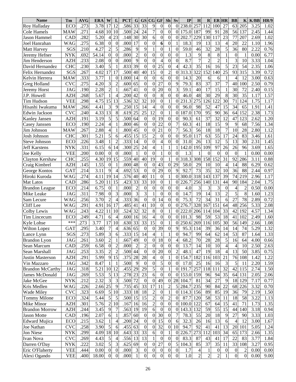| <b>Name</b>             | Tm         | <b>AVG</b> | <b>ERA</b> | W                | L                        | <b>PCT</b>           | G                           | GS               | CG               | <b>GF</b>        | <b>Sh</b>        | Sv               | IP        | H              | $\bf{R}$        | <b>ER HR</b>   |                  | <b>BB</b>        | K                       | K/BB              | HR/9 |
|-------------------------|------------|------------|------------|------------------|--------------------------|----------------------|-----------------------------|------------------|------------------|------------------|------------------|------------------|-----------|----------------|-----------------|----------------|------------------|------------------|-------------------------|-------------------|------|
| Roy Halladay            | <b>ECO</b> | .273       | 3.78       | 17               | 12                       | .586                 | 33                          | 33               | 9                | $\boldsymbol{0}$ | $\Omega$         | $\Omega$         | 238.0     | 257            | 112             | 100            | 27               | 63               | 205                     | 3.25              | 1.02 |
| Cole Hamels             | <b>MAW</b> | 271        | 4.68       | 10               | 10                       | .500                 | 24                          | 24               | $\overline{7}$   | $\overline{0}$   | $\theta$         | $\theta$         | 175.0     | 187            | 99              | 91             | 28               | 56               | 137                     | 2.45              | 1.44 |
| Jason Hammel            | CAD        | .282       | 5.20       | 4                | 23                       | .148                 | 30                          | 30               | 6                | $\boldsymbol{0}$ | $\overline{0}$   | $\theta$         | 202.7     | 229            | 130             | 117            | 23               | 77               | 207                     | 2.69              | 1.02 |
| Joel Hanrahan           | <b>WAG</b> | .275       | 6.38       | $\boldsymbol{0}$ | $\boldsymbol{0}$         | .000                 | 17                          | $\overline{0}$   | $\overline{0}$   | 6                | 0                |                  | 18.3      | 19             | 13              | 13             | $\overline{4}$   | 20               | 22                      | 1.10              | 1.96 |
| Matt Harvey             | SGS        | .210       | 4.27       | $\overline{c}$   | 5                        | .286                 | 9                           | 9                |                  | $\overline{0}$   |                  | $\theta$         | 59.0      | 46             | 32              | 28             | 5                | 36               | 80                      | 2.22              | 0.76 |
| Jeremy Hefner           | <b>NYK</b> | .692       | 54.14      | $\overline{0}$   | $\mathbf{0}$             | .000                 | $\overline{2}$              | $\overline{0}$   | $\overline{0}$   | $\overline{0}$   | 0                | $\theta$         | 1.3       | 9              | 8               | 8              |                  | $\boldsymbol{0}$ | $\mathbf{1}$            | 0.00              | 6.77 |
| Jim Henderson           | <b>AZH</b> | .233       | 2.08       | $\overline{0}$   | $\boldsymbol{0}$         | .000                 | 9                           | $\overline{0}$   | $\overline{0}$   | $\overline{4}$   | 0                | $\theta$         | 8.7       | $\overline{7}$ | $\overline{2}$  | $\overline{c}$ |                  | 3                | 10                      | 3.33              | 1.04 |
| David Hernandez         | <b>CHC</b> | .230       | 3.40       | 5                |                          | .833                 | 39                          | $\overline{0}$   | $\overline{0}$   | 25               | $\theta$         | 4                | 42.3      | 35             | 16              | 16             | 5                | 23               | 54                      | 2.35              | 1.06 |
| Felix Hernandez         | SGS        | .267       | 4.02       | 17               | 17                       | .500                 | 40                          | 40               | 15               | $\mathbf{0}$     | $\overline{c}$   | $\theta$         | 313.3     | 322            | 152             | 140            | 25               | 93               | 315                     | 3.39              | 0.72 |
| Kelvin Herrera          | <b>MAW</b> | .333       | 3.77       | 1                | $\boldsymbol{0}$         | 1.000                | 14                          | $\overline{0}$   | $\overline{0}$   | 6                | $\mathbf{0}$     | $\theta$         | 14.3      | 20             | 6               | 6              | 1                | 4                | 12                      | 3.00              | 0.63 |
| Greg Holland            | <b>CVC</b> | .275       | 4.20       | 3                | $\overline{2}$           | .600                 | 65                          | $\overline{0}$   | $\overline{0}$   | 27               | $\theta$         | 9                | 79.3      | 83             | 37              | 37             | $\overline{7}$   | 40               | 100                     | 2.50              | 0.79 |
| Jeremy Horst            | <b>JAG</b> | .190       | 2.28       | $\overline{c}$   | 1                        | .667                 | 41                          | $\overline{0}$   | $\theta$         | 20               | $\theta$         | 3                | 59.1      | 40             | 17              | 15             |                  | 30               | 72                      | 2.40              | 0.15 |
| J.P. Howell             | <b>AZH</b> | .268       | 5.67       | 1                | 4                        | .200                 | 42                          | $\overline{0}$   | $\overline{0}$   | 8                | $\overline{0}$   | $\theta$         | 46.0      | 48             | 30              | 29             | 8                | 30               | 35                      | 1.17              | 1.57 |
| Tim Hudson              | <b>VEE</b> | .298       | 4.75       | 15               | 13                       | .536                 | 32                          | 32               | 10               | $\overline{0}$   |                  | $\theta$         | 231.3     | 275            | 126             | 122            | 30               | 71               | 124                     | 1.75              | 1.17 |
| Hisashi Iwakuma         | <b>MAW</b> | .266       | 4.41       | 3                | 9                        | .250                 | 15                          | 14               | $\overline{4}$   | $\overline{0}$   | $\overline{0}$   | 0                | 96.0      | 98             | 52              | 47             | 15               | 34               | 65                      | 1.91              | 1.41 |
| Edwin Jackson           | <b>CVC</b> | .240       | 4.33       | 13               | $8\,$                    | .619                 | 25                          | 25               | 12               | $\overline{0}$   |                  | 0                | 187.0     | 170            | 95              | 90             | 36               | 64               | 152                     | 2.38              | 1.73 |
| Kanley Jansen           | <b>AZH</b> | .191       | 3.19       | 5                | 5                        | .500                 | 64                          | $\overline{0}$   | $\overline{0}$   | 19               | $\overline{0}$   | $\overline{0}$   | 90.3      | 61             | 37              | 32             | 12               | 47               | 123                     | 2.62              | 1.20 |
| Casey Janssen           | ECO        | .190       | 2.24       | 4                | 1                        | .800                 | 46                          | $\overline{0}$   | $\theta$         | 22               | $\theta$         | 7                | 60.3      | 41             | 18              | 15             | 9                | 9                | 68                      | 7.56              | 1.34 |
| Jim Johnson             | <b>MAW</b> | .267       | 2.88       | 4                | 1                        | .800                 | 45                          | $\overline{0}$   | $\overline{0}$   | 21               | $\theta$         | 7                | 56.3      | 56             | 18              | 18             | $\overline{7}$   | 10               | 28                      | 2.80              | 1.12 |
| Josh Johnson            | <b>CHC</b> | .301       | 5.21       | 5                | 6                        | .455                 | 15                          | 15               | $\overline{2}$   | $\boldsymbol{0}$ | $\overline{0}$   | 0                | 95.0      | 117            | 63              | 55             | 17               | 24               | 83                      | 3.46              | 1.61 |
| Steve Johnson           | <b>ECO</b> | .226       | 3.48       | $\mathbf{1}$     | $\overline{2}$           | .333                 | 14                          | $\boldsymbol{0}$ | $\overline{0}$   | $\overline{4}$   | 0                | $\theta$         | 31.0      | 26             | 13              | 12             | 5                | 13               | 30                      | 2.31              | 1.45 |
| <b>Jeff Karstens</b>    | <b>NYK</b> | .331       | 6.15       | 6                | 14                       | .300                 | 25                          | 24               | $\overline{4}$   | $\mathbf{1}$     |                  |                  | 142.0     | 195            | 109             | 97             | 26               | 26               | 96                      | 3.69              | 1.65 |
| Joe Kelly               | <b>VEE</b> | .200       | 0.00       | $\overline{0}$   | $\boldsymbol{0}$         | .000                 |                             | $\mathbf{0}$     | $\overline{0}$   | $\mathbf{1}$     | $\overline{0}$   | $\theta$         | 1.3       |                | $\theta$        | $\overline{0}$ | $\boldsymbol{0}$ | $\boldsymbol{0}$ | $\mathbf{1}$            | 0.00              | 0.00 |
| Clayton Kershaw         | <b>CHC</b> | .255       | 4.30       | 19               | 15                       | .559                 | 40                          | 40               | $\overline{19}$  | $\overline{0}$   |                  | $\Omega$         | 318.3     | 308            | 158             | 152            | 31               | 92               | 286                     | 3.11              | 0.88 |
| Craig Kimbrel           | <b>AZH</b> | .145       | 1.55       | $\boldsymbol{0}$ | 1                        | .000                 | 48                          | $\boldsymbol{0}$ | $\Omega$         | $\overline{43}$  | $\theta$         | 29               | 58.0      | 29             | 10              | 10             | $\overline{4}$   | 14               | 88                      | 6.29              | 0.62 |
| George Kontos           | <b>GAT</b> | .214       | 3.11       | 9                | $\overline{4}$           | .692                 | $\overline{53}$             | $\overline{0}$   | $\theta$         | $\overline{29}$  | $\mathbf{0}$     | 9                | 92.7      | 73             | $\overline{35}$ | 32             | 10               | 36               | 88                      | 2.44              | 0.97 |
| Hiroki Kuroda           | WAG        | .274       | 4.11       | 19               | 14                       | .576                 | 40                          | 40               | 11               | $\mathbf{0}$     |                  | 0                | 300.0     | 318            | 143             | 137            | 39               | 74               | 219                     | 2.96              | 1.17 |
| Mat Latos               | CAD        | .286       | 5.20       | 11               | 15                       | .423                 | $\overline{33}$             | $\overline{33}$  | 10               | $\overline{0}$   |                  | $\theta$         | 226.7     | 256            | 140             | 131            | 44               | 90               | 184                     | 2.04              | 1.75 |
| <b>Brandon League</b>   | ECO        | .214       | 6.75       | $\boldsymbol{0}$ | 1                        | .000                 | $\overline{c}$              | $\mathbf{0}$     | $\overline{0}$   | $\overline{0}$   | $\theta$         | $\theta$         | 4.0       | 3              | 3               | 3              | $\overline{0}$   | 4                | $\overline{c}$          | 0.50              | 0.00 |
| Mike Leake              | <b>JAG</b> | .311       | 7.98       | $\overline{0}$   | 3                        | .000                 | $\overline{3}$              | 3                |                  | $\overline{0}$   | $\boldsymbol{0}$ | $\theta$         | 14.7      | 19             | 14              | 13             | $\overline{c}$   | 5                | 8                       | 1.60              | 1.23 |
| Sam Lecure              | <b>WAG</b> | .256       | 3.70       | $\overline{2}$   | $\overline{4}$           | .333                 | 36                          | $\overline{0}$   | $\overline{0}$   | 14               | $\boldsymbol{0}$ | $\theta$         | 75.3      | 72             | 34              | 31             | 6                | 27               | 78                      | 2.89              | 0.72 |
| Cliff Lee               | <b>WAG</b> | .291       | 4.91       | 16               | 17                       | .485                 | 41                          | 41               | 10               | $\mathbf{0}$     | $\theta$         | $\theta$         | 276.7     | 328            | 167             | 151            | 64               | 48               | 256                     | 5.33              | 2.08 |
| Colby Lewis             | <b>WAG</b> | .243       | 4.22       | 11               | 10                       | .524                 | 32                          | $\overline{32}$  | 8                | $\overline{0}$   |                  | 0                | 222.0     | 206            | 114             | 104            | 33               | 42               | 192                     | 4.57              | 1.34 |
| Tim Lincecum            | ECO        | .249       | 4.71       | 6                | $\overline{\mathcal{L}}$ | .600                 | 16                          | 16               | $\overline{4}$   | $\overline{0}$   | $\overline{0}$   | 0                | 101.3     | 98             | 59              | 53             | 18               | 41               | 102                     | 2.49              | 1.60 |
| Kyle Lohse              | ***        | .273       | 3.77       | 17               | 10                       | .630                 | 33                          | $\overline{33}$  | $\overline{15}$  | $\overline{0}$   |                  | 0                | 250.6     | 269            | 116             | 105            | 30               | 56               | 149                     | 2.66              | 1.08 |
| Wilton Lopez            | <b>GAT</b> | .295       | 3.40       | 7                | 4                        | .636                 | 65                          | $\overline{0}$   | $\theta$         | 39               | 0                | 9                | 95.3      | 114            | 39              | 36             | 14               | 14               | 74                      | $\overline{5.29}$ | 1.32 |
| Lance Lynn              | SGS        | .273       | 5.89       | 31               | 6                        | .333 15              |                             | 14               | 4                | $\perp$          |                  | 0                | 94.7      | 99             | 64              | 62             | 14               | 53               | 87                      | 1.64              | 1.33 |
| <b>Brandon Lyon</b>     | JAG        | .261       | 3.60       | $\overline{c}$   | 1                        | .667                 | 49                          | $\boldsymbol{0}$ | $\boldsymbol{0}$ | 18               | $\overline{0}$   | 4                | 68.2      | 70             | 28              | 28             | $\sqrt{5}$       | 16               | 64                      | 4.00              | 0.66 |
| Sean Marcum             | CAD        | .259       | 6.58       | $\overline{0}$   | $\mathbf{2}$             | .000                 | $\overline{c}$              | $\overline{c}$   | $\mathbf{0}$     | $\boldsymbol{0}$ | 0                | $\mathbf{0}$     | 13.7      | 14             | 10              | 10             | $\overline{4}$   | 4                | 10                      | 2.50              | 2.63 |
| Sean Marshall           | JAG        | .253       | 3.35       | $\overline{2}$   | $\mathfrak{2}$           | .500                 | 44                          | $\overline{0}$   | $\boldsymbol{0}$ | 20               | $\overline{0}$   | 2                | 48.1      | 47             | 19              | 18             | $\overline{4}$   | 13               | 50                      | 3.85              | 0.75 |
| Justin Masterson        | <b>AZH</b> | .291       | 5.99       | 9                | 15                       | .375                 | 28                          | 28               | $\overline{4}$   | $\boldsymbol{0}$ |                  | 0                | 154.7     | 182            | 116             | 103            | 21               | 76               | 108                     | 1.42              | 1.22 |
| Vin Mazzaro             | JAG        | .342       | 8.47       |                  |                          | .500                 | 9                           | $\overline{0}$   | $\boldsymbol{0}$ | 5                | 0                | $\theta$         | 17.0      | 25             | 16              | 16             | 3                | 5                | 11                      | 2.20              | 1.59 |
| <b>Brandon McCarthy</b> | JAG        | .318       | 5.21       | 10               | 12                       | .455 29              |                             | 29               | 5                | $\boldsymbol{0}$ |                  | 0                | 191.7     | 257            | 118             | 111            | 32               | 42               | 115                     | 2.74              | 1.50 |
| James McDonald          | JAG        | .269       | 5.53       | 5                | 13                       | .278                 | 23                          | 23               | 6                | $\boldsymbol{0}$ | 0                | $\Omega$         | 153.0 159 |                | 96              | 94             | 35               | 64               | 131                     | 2.05              | 2.06 |
| Jake McGee              | <b>NYK</b> | .212       | 2.32       | 3                | 3                        | .500                 | 72                          | $\boldsymbol{0}$ | $\Omega$         | 49               | 0                | 28               | 104.7     | 81             | 34              | 27             | 9                | 18               | 129                     | 7.17              | 0.77 |
| Kris Medlen             | WAG        | .226       | 2.66       | 25               | 9                        | .735                 | 45                          | 33               | 17               | 11               | 2                | 5                | 284.7     | 235            | 90              | 84             | 22               | 68               | 226                     | 3.32              | 0.70 |
| Wade Miley              | <b>CVC</b> | .323       | 6.69       | 5                | 10                       | $.333\overline{)18}$ |                             | 18               | $\overline{c}$   | $\overline{0}$   |                  | 0                | 114.3     | 156            | 89              | 85             | 19               | 36               | 79                      | 2.19              | 1.50 |
| <b>Tommy Milone</b>     | <b>ECO</b> | .324       | 5.44       | 5                | 5                        | .500 15              |                             | 15               | $\overline{2}$   | $\boldsymbol{0}$ | 2                | 0                | 87.7      | 120            | 58              | 53             | 11               | 18               | 58                      | 3.22              | 1.13 |
| Mike Minor              | <b>AZH</b> | .301       | 5.76       | $\overline{2}$   | 10                       | .167                 | 16                          | 16               | $\overline{2}$   | $\boldsymbol{0}$ | $\overline{0}$   | $\theta$         | 100.0     | 122            | 67              | 64             | 15               | 41               | 71                      | 1.73              | 1.35 |
| <b>Brandon Morrow</b>   | <b>AZH</b> | .244       | 3.45       | 9                | 7                        | .563                 | 19                          | 19               | 6                | $\boldsymbol{0}$ | 0                | $\theta$         | 143.3     | 132            | 59              | 55             | 15               | 44               | 140                     | 3.18              | 0.94 |
| <b>Jason Motte</b>      | CAD        | .196       | 2.07       | 6                |                          | .857                 | 60                          | $\boldsymbol{0}$ | $\Omega$         | 30               | $\overline{0}$   | 7                | 78.3      | 55             | 20              | 18             | 9                | 27               | 90                      | 3.33              | 1.03 |
| <b>Edward Mujica</b>    | <b>ECO</b> | .215       | 3.62       | 1                | 4                        | .200                 | 24                          | $\boldsymbol{0}$ | $\overline{0}$   | 15               | $\overline{0}$   | 6                | 32.3      | 26             | 16              | 13             | 6                | $\overline{4}$   | 12                      | 3.00              | 1.67 |
| Joe Nathan              | <b>CVC</b> | .258       | 3.90       | 5                | 6                        | .455                 | 63                          | $\mathbf{0}$     | $\theta$         | 32               | $\overline{0}$   | 10               | 94.7      | 92             | 41              | 41             | 13               | 20               | 101                     | 5.05              | 1.24 |
| Jon Niese               | <b>NYK</b> | .299       | 4.09       | 18               | 10                       | .643                 | 33                          | 33               | 6                | $\boldsymbol{0}$ |                  | 0                | 226.7     | 273            | 112             | 103            | 34               | 65               | 173                     | 2.66              | 1.35 |
| Ivan Nova               | <b>CVC</b> | .269       | 4.43       | 5                | 4                        | .556 13              |                             | 13               |                  | $\boldsymbol{0}$ | 0                | 0                | 83.3      | 87             | 43              | 41             | 17               | 22               | 83                      | 3.77              | 1.84 |
| Darren O'Day            | <b>NYK</b> | .222       | 3.02       | 5                | $\mathfrak{Z}$           | .625                 | 69                          | $\theta$         | $\theta$         | 27               | $\overline{0}$   | 5                | 104.3     | 85             | 37              | 35             | 11               | 33               | 108                     | 3.27              | 0.95 |
| Eric O'Flaherty         | <b>VEE</b> | .444       | 0.00       | $\overline{0}$   | $\vert 0 \vert$          | .000                 | $\ensuremath{\mathfrak{Z}}$ | $\boldsymbol{0}$ | $\boldsymbol{0}$ | $\boldsymbol{0}$ | 0                | $\boldsymbol{0}$ | 1.7       | $\overline{4}$ | 1               | 0              | $\boldsymbol{0}$ | $\boldsymbol{0}$ | $\overline{\mathbf{c}}$ | 0.00              | 0.00 |
| Alexi Ogando            | <b>VEE</b> | .400       | 18.00      | $\overline{0}$   | $\overline{0}$           | .000                 | $\mathbf{1}$                | $\mathbf{0}$     | $\overline{0}$   | $\overline{0}$   | 0                | $\boldsymbol{0}$ | 1.0       | $\overline{2}$ | $\overline{2}$  | $\overline{2}$ | 1                | $\mathbf{0}$     | $\overline{0}$          | 0.00              | 9.00 |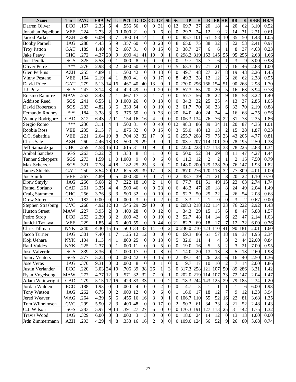| <b>Name</b>              | Tm         | <b>AVG</b> | <b>ERA</b> | W                | L                | <b>PCT</b>  | G              | <b>GS</b>        | CG                      | GF               | Sh               | Sv               | IP              | H               | $\mathbf R$    | <b>ERHR</b>      |                 | <b>BB</b>       | $\mathbf K$    | K/BB  | <b>HR/9</b> |
|--------------------------|------------|------------|------------|------------------|------------------|-------------|----------------|------------------|-------------------------|------------------|------------------|------------------|-----------------|-----------------|----------------|------------------|-----------------|-----------------|----------------|-------|-------------|
| Darren Oliver            | <b>ECO</b> | .157       | 2.33       | 5                | $\overline{4}$   | .556        | 56             | $\theta$         | $\boldsymbol{0}$        | $\overline{31}$  | $\boldsymbol{0}$ | 12               | 69.7            | $\overline{37}$ | 20             | 18               | $\overline{4}$  | $\overline{20}$ | 62             | 3.10  | 0.52        |
| Jonathan Papelbon        | <b>VEE</b> | .224       | 2.73       | $\overline{c}$   | $\boldsymbol{0}$ | 1.000       | 21             | $\boldsymbol{0}$ | $\boldsymbol{0}$        | 6                | $\mathbf{0}$     | $\boldsymbol{0}$ | 29.7            | 24              | 12             | 9                | $\overline{c}$  | 14              | 31             | 2.21  | 0.61        |
| Jarrod Parker            | <b>AZH</b> | .298       | 6.09       | 3                | 7                | .300        | 14             | 14               |                         | $\theta$         | $\theta$         | $\boldsymbol{0}$ | 85.7            | 101             | 61             | 58               | 10              | 35              | 50             | 1.43  | 1.05        |
| <b>Bobby Parnell</b>     | <b>JAG</b> | .288       | 4.43       | 5                | 9                | .357        | 60             | $\boldsymbol{0}$ | $\theta$                | 28               | $\overline{0}$   | 8                | 65.0            | 75              | 38             | 32               | 7               | 22              | 53             | 2.41  | 0.97        |
| <b>Troy Patton</b>       | GAT        | .189       | 1.40       | $\overline{4}$   | $\overline{c}$   | .667        | 31             | $\boldsymbol{0}$ | $\theta$                | 15               | $\overline{0}$   | 3                | 38.7            | 27              | 6              | 6                | 1               | 8               | 37             | 4.63  | 0.23        |
| <b>Jake Peavy</b>        | <b>CHC</b> | .272       | 4.37       | 20               | 9                | .690        | 41             | 41               | 10                      | $\theta$         | 1                | $\boldsymbol{0}$ | 298.3           | 319             | 153            | 145              | 55              | 95              | 255            | 2.68  | 1.66        |
| Joel Peralta             | SGS        | .325       | 5.58       | $\theta$         | $\mathbf{1}$     | .000        | 8              | $\mathbf{0}$     | $\boldsymbol{0}$        | $\theta$         | $\overline{0}$   | $\boldsymbol{0}$ | 9.7             | 13              | 7              | 6                | 1               | 3               | 9              | 3.00  | 0.93        |
| Oliver Perez             | ***        | .276       | 2.98       | 3                | $\overline{2}$   | .600        | 50             | $\overline{0}$   | $\boldsymbol{0}$        | 21               | $\theta$         | 5                | 63.3            | 67              | 21             | 21               | 7               | 16              | 46             | 2.88  | 1.00        |
| <b>Glen Perkins</b>      | <b>AZH</b> | .255       | 4.89       | 1                | $\mathbf{1}$     | .500        | 42             | $\boldsymbol{0}$ | $\boldsymbol{0}$        | 13               | $\overline{0}$   | $\boldsymbol{0}$ | 49.7            | 48              | 27             | 27               | 8               | 19              | 43             | 2.26  | 1.45        |
| <b>Vinny Pestano</b>     | <b>VEE</b> | .164       | 2.19       | $\overline{4}$   | 1                | .800        | 41             | $\boldsymbol{0}$ | $\boldsymbol{0}$        | 17               | $\boldsymbol{0}$ | 8                | 49.3            | 28              | 12             | 12               | 3               | 26              | 62             | 2.38  | 0.55        |
| David Price              | <b>GAT</b> | .279       | 5.13       | 14               | 16               | .467        | 40             | 40               | 13                      | $\boldsymbol{0}$ | 1                | $\overline{0}$   | 270.0           | 296             | 166            | 154              | 51              | 90              | 268            | 2.98  | 1.70        |
| J.J. Putz                | SGS        | .247       | 3.14       | 3                | $\overline{4}$   | .429        | 49             | $\mathbf{0}$     | $\overline{0}$          | 20               | $\overline{0}$   | 8                | 57.3            | 55              | 20             | 20               | 5               | 16              | 63             | 3.94  | 0.78        |
| Erasmo Ramirez           | <b>MAW</b> | .252       | 3.43       | $\overline{2}$   | 1                | .667        | 17             | 3                |                         | 7                | $\theta$         | $\boldsymbol{0}$ | 57.7            | 56              | 28             | 22               | 9               | 18              | 58             | 3.22  | 1.40        |
| <b>Addison Reed</b>      | SGS        | .241       | 6.55       | 1                | $\boldsymbol{0}$ | 1.000       | 26             | $\boldsymbol{0}$ | $\boldsymbol{0}$        | 13               | $\overline{0}$   | $\boldsymbol{0}$ | 34.3            | 32              | 25             | 25               | $\overline{4}$  | 13              | 37             | 2.85  | 1.05        |
| David Robertson          | SGS        | .283       | 4.82       | 3                | 6                | 333         | 54             | $\boldsymbol{0}$ | $\overline{0}$          | 19               | $\theta$         | $\overline{c}$   | 61.7            | 70              | 36             | 33               | 6               | 32              | 70             | 2.19  | 0.88        |
| Fernando Rodney          | ***        | .184       | 3.38       | 3                | 5                | .375        | 50             | $\boldsymbol{0}$ | $\boldsymbol{0}$        | 33               | $\overline{0}$   | 20               | 64.0            | 40              | 24             | 24               | $\overline{4}$  | 16              | 68             | 4.25  | 0.56        |
| <b>Wandy Rodriguez</b>   | CAD        | .312       | 6.43       | $\overline{c}$   | 11               | .154        | 16             | 16               | $\overline{4}$          | $\boldsymbol{0}$ | $\mathbf{0}$     | $\theta$         | 106.3           | 134             | 76             | 76               | 22              | 31              | 73             | 2.35  | 1.86        |
| Sergio Romo              | ***        | .236       | 3.11       | $\overline{4}$   | 4                | .500        | 81             | $\boldsymbol{0}$ | $\boldsymbol{0}$        | 40               | $\overline{0}$   | 12               | 98.3            | 86              | 39             | 34               | 11              | 20              | 87             | 4.35  | 1.01        |
| <b>Robbie Ross</b>       | <b>VEE</b> | .235       | 2.13       | 7                | 1                | .875        | 32             | $\mathbf{0}$     | $\boldsymbol{0}$        | 15               | $\overline{0}$   | 3                | 55.0            | 48              | 13             | 13               | $\overline{c}$  | 15              | 28             | 1.87  | 0.33        |
| C.C. Sabathia            | <b>VEE</b> | .221       | 2.64       | 19               | 8                | .704        | 32             | 32               | 17                      | $\theta$         | $\overline{c}$   | $\Omega$         | 255.7           | 208             | 79             | 75               | 23              | 43              | 205            | 4.77  | 0.81        |
| Chris Sale               | <b>AZH</b> | .260       | 4.46       | 13               | 13               | .500        | 29             | 29               | 9                       | $\boldsymbol{0}$ | 1                | $\theta$         | 203.7           | 207             | 114            | 101              | 30              | 78              | 195            | 2.50  | 1.33        |
| Jeff Samardzija          | <b>CHC</b> | .259       | 4.58       | 16               | 10               | .615        | 31             | $\overline{31}$  | $\overline{9}$          | $\mathbf{0}$     | 1                | $\overline{0}$   | 222.0           | 223             | 127            | 113              | 33              | 78              | 225            | 2.88  | 1.34        |
| Anibal Sanchez           | SGS        | .263       | 5.22       | $\overline{c}$   | 4                | .333        | 8              | 8                |                         | $\overline{0}$   | $\overline{0}$   | $\overline{0}$   | 50.0            | 52              | 34             | 29               | 8               | 11              | 47             | 4.27  | 1.44        |
| <b>Tanner Scheppers</b>  | SGS        | 273        | 1.59       |                  | $\boldsymbol{0}$ | 1.000       | 9              | $\mathbf{0}$     | 0                       | 6                | $\overline{0}$   | $\boldsymbol{0}$ | 11.3            | 12              | $\mathfrak{D}$ | $\overline{2}$   | 1               | $\overline{2}$  | 15             | 7.50  | 0.79        |
| Max Scherzer             | SGS        | .321       | 7.78       | 4                | 18               | .182        | 25             | 25               | 3                       | $\mathbf{0}$     | $\overline{c}$   | $\overline{0}$   | 148.0           | 200             | 129            | 128              | 30              | 76              | 147            | 1.93  | 1.82        |
| <b>James Shields</b>     | GAT        | .250       | 3.54       | 20               | 12               | .625        | 39             | $\overline{39}$  | $\overline{17}$         | $\mathbf{0}$     | 3                | $\overline{0}$   | 287.0           | 276             | 120            | $11\overline{3}$ | $\overline{32}$ | 77              | 309            | 4.01  | 1.00        |
| Joe Smith                | <b>VEE</b> | .267       | 4.89       | $\Omega$         | 5                | .000        | 30             | $\boldsymbol{0}$ | $\mathbf{0}$            | $\overline{7}$   | $\overline{0}$   | $\overline{2}$   | 38.7            | 39              | 21             | 21               | 3               | 20              | 22             | 1.10  | 0.70        |
| Drew Smyly               | <b>JAG</b> | .266       | 5.68       | $\overline{c}$   | $\tau$           | 222         | 18             | 10               | $\overline{c}$          | 1                | $\overline{0}$   | $\boldsymbol{0}$ | 77.7            | 81              | 51             | 49               | 15              | 23              | 63             | 2.74  | 1.74        |
| Rafael Soriano           | CAD        | .261       | 3.35       | 4                | 4                | .500        | 46             | $\boldsymbol{0}$ | $\boldsymbol{0}$        | 23               | $\overline{0}$   | 6                | 48.3            | 47              | 20             | 18               | 8               | 24              | 49             | 2.04  | 1.49        |
| Craig Stammen            | <b>CHC</b> | .256       | 3.76       | 3                | 3                | .500        | 32             | $\boldsymbol{0}$ | $\boldsymbol{0}$        | 10               | $\overline{0}$   | $\boldsymbol{0}$ | 52.7            | 50              | 25             | 22               | $\overline{4}$  | 26              | 54             | 2.08  | 0.68        |
| Drew Storen              | <b>CVC</b> | .182       | 0.00       | $\overline{0}$   | $\boldsymbol{0}$ | .000        | 3              | $\mathbf{0}$     | $\overline{0}$          | $\overline{2}$   | $\overline{0}$   | $\overline{0}$   | 3.3             | $\overline{2}$  |                | $\boldsymbol{0}$ | $\mathbf{0}$    | 3               | $\overline{2}$ | 0.67  | 0.00        |
| <b>Stephen Strasburg</b> | <b>CVC</b> | .268       | 4.92       | 12               | 10               | .545        | 29             | 29               | 10                      | $\boldsymbol{0}$ | 1                | $\overline{0}$   | 208.3           | 218             | 122            | 114              | 33              | 76              | 222            | 2.92  | 1.43        |
| <b>Huston Street</b>     | <b>MAW</b> | .227       | 3.93       | $\overline{c}$   | 3                | .400        | 28             | $\mathbf{0}$     | $\boldsymbol{0}$        | 12               | $\overline{0}$   | 1                | 34.3            | 29              | 15             | 15               | 6               | 8               | 47             | 5.88  | 1.57        |
| Pedro Strop              | ECO        | .253       | 2.39       | 3                | $\overline{2}$   | .600        | 42             | $\boldsymbol{0}$ | $\boldsymbol{0}$        | 19               | $\overline{0}$   | $\overline{2}$   | 52.7            | 48              | 14             | 14               | 6               | 22              | 47             | 2.14  | 1.03        |
| Junichi Tazawa           | <b>VEE</b> | .229       | 1.85       | 4                | 6                | .400        | 55             | $\boldsymbol{0}$ | 0                       | 44               | $\overline{0}$   | 21               | 82.7            | 69              | 18             | 17               | 7               | 12              | 72             | 6.00  | 0.76        |
| Chris Tillman            | <b>NYK</b> | 240        | 4.30       | 15               | 15               | .500        | 33             | $\overline{33}$  | 14                      | $\theta$         | $\overline{2}$   | $\theta$         | 230.0 210       |                 | 123            | 110              | 41              | 90              | 181            | 2.01  | 1.60        |
| Jacob Turner             | JAG        | .301       | 7.40       |                  | 7                | $.125$   12 |                | 12               | $\boldsymbol{0}$        | $\theta$         | U                | $\overline{0}$   | 69.3            | 86              | 61             | 57               | 18              | 19              | 37             | 1.95  | 2.34        |
| Koji Uehara              | <b>NYK</b> | .104       | 1.13       | 4                | 1                | .800 25     |                | $\overline{0}$   | $\overline{0}$          | 13               | $\theta$         | 5                | 32.0            | 11              | 4              | 4                | 3               | 2               | 44             | 22.00 | 0.84        |
| <b>Raul Valdes</b>       | <b>NYK</b> | .225       | 2.37       | $\overline{0}$   | 1                | .000 11     |                | $\overline{0}$   | $\boldsymbol{0}$        | 5                | 0                | $\vert 0 \vert$  | 19.0            | 16              | 5              | 5                | $\overline{c}$  | 3               | 21             | 7.00  | 0.95        |
| Jose Valverde            | SGS        | .339       | 8.36       | $\mathbf{0}$     | 1                | .000 17     |                | $\overline{0}$   | $\overline{0}$          | 8                | $\theta$         | 1                | 14.0            | 20              | 13             | 13               | $\overline{3}$  | 5               | 13             | 2.60  | 1.93        |
| <b>Jonny Venters</b>     | SGS        | .277       | 5.22       | $\overline{0}$   | $\boldsymbol{0}$ | .00042      |                | $\overline{0}$   | $\boldsymbol{0}$        | 15               | 0                | 2                | 39.7            | 44              | 26             | 23               | 6               | 16              | 40             | 2.50  | 1.36        |
| <b>Jose Veras</b>        | JAG        | .370       | 9.31       | $\overline{0}$   | $\overline{0}$   | .000        | 8              | $\mathbf{0}$     | $\boldsymbol{0}$        | 1                | $\theta$         | $\overline{0}$   | 9.7             | 17              | 10             | 10               | $\overline{c}$  | 7               | 14             | 2.00  | 1.86        |
| Justin Verlander         | ECO        | .220       | 3.03 24    |                  | 10               | .706 39     |                | 38               | 26                      | 1                | 3                |                  | 0 317.3 258 121 |                 |                | 107              | 50              | 89              | 286            | 3.21  | 1.42        |
| <b>Ryan Vogelsong</b>    | <b>MAW</b> | .277       | 4.77       | 12               | 9                | .571        | 32             | 32               | 7                       | $\boldsymbol{0}$ |                  |                  | 0 202.0 219 114 |                 |                | 107              | 33              | 72              | 147            | 2.04  | 1.47        |
| Adam Wainwright          | CAD        | .279       | 5.15 12 16 |                  |                  | .429        | 33             | 33               | 9                       | $\boldsymbol{0}$ | 2                |                  | 0 218.3 244 143 |                 |                | 125              | 29              | 79              | 185            | 2.34  | 1.20        |
| Jordan Walden            | ECO        | .188       | 1.93       | $\boldsymbol{0}$ | $\boldsymbol{0}$ | .000        | 4              | $\boldsymbol{0}$ | $\boldsymbol{0}$        | $\overline{c}$   | 0                | $\vert 0 \vert$  | 4.7             | 3               |                | 1                | 1               | 1               | 6              | 6.00  | 1.93        |
| Tony Watson              | JAG        | .262       | 6.75       | $\mathbf{0}$     | $\overline{c}$   | .000 12     |                | $\theta$         | $\boldsymbol{0}$        | 6                | $\theta$         | $\mathbf{1}$     | 16.0            | 17              | 18             | 12               | 7               | 9               | 12             | 1.33  | 3.94        |
| Jered Weaver             | WAG        | .264       | 4.39       | $\mathfrak{S}$   | 6                | .455        | 16             | 16               | $\overline{\mathbf{3}}$ | $\boldsymbol{0}$ |                  | $\mathbf{0}$     | 106.7 110       |                 | 55             | 52               | 16              | 22              | 81             | 3.68  | 1.35        |
| Tom Wilhelmsen           | <b>CVC</b> | .299       | 5.90       | $\mathbf{2}$     | 3                | .400 48     |                | $\overline{0}$   | $\boldsymbol{0}$        | 17               | $\theta$         | 2                | 50.3            | 61              | 34             | 33               | 8               | 21              | 52             | 2.48  | 1.43        |
| C.J. Wilson              | SGS        | .283       | 5.97       | 9                | 14               | .391        | 27             | 27               | 6                       | $\boldsymbol{0}$ | 0                |                  | 0 170.3 191     |                 | 127            | 113              | 25              | 81              | 142            | 1.75  | 1.32        |
| Travis Wood              | JAG        | .329       | 6.00       | $\overline{0}$   | $\mathfrak{Z}$   | .000        | $\mathfrak{Z}$ | $\mathfrak{Z}$   | $\boldsymbol{0}$        | $\boldsymbol{0}$ | $\boldsymbol{0}$ | $\overline{0}$   | 18.0            | 24              | 14             | 12               | $\mathbf{0}$    | 13              | 13             | 1.00  | 0.00        |
| Jrdn Zimmermann          | <b>AZH</b> | .293       | 4.29       | 4                | $\,8\,$          | .333 16     |                | 16               | $\overline{c}$          | $\boldsymbol{0}$ | $\boldsymbol{0}$ |                  | 0 109.0 124     |                 | 56             | 52               | 9               | 26              | 80             | 3.08  | 0.74        |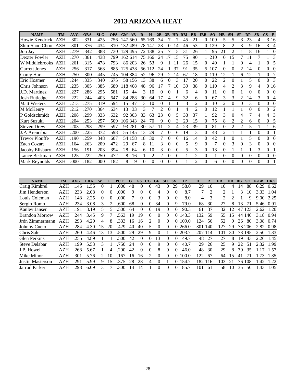# **2013 ARIZONA HEAT**

| <b>NAME</b>           | <b>TM</b>  | <b>AVG</b> | <b>OBA</b> | <b>SLG</b> | <b>OPS</b> | GM AB   |         | $\mathbf R$  | H        | 2B             | 3B             | HR RBI   |    | <b>BB</b>      | <b>IBB</b>       | <b>SO</b> | <b>HB</b>      | <b>SH</b>        | <b>SF</b>      | <b>DP</b>        | <b>SB</b>        | $\overline{\text{CS}}$<br>E        |
|-----------------------|------------|------------|------------|------------|------------|---------|---------|--------------|----------|----------------|----------------|----------|----|----------------|------------------|-----------|----------------|------------------|----------------|------------------|------------------|------------------------------------|
| Howie Kendrick        | <b>AZH</b> | .302       | .331       | .425       | .756       | 147 560 |         |              | 65 169   | 34             |                |          | 45 | 21             | 0                | 109       | 5              | 5                | 3              | 23               | 4                | 3 1 6                              |
| Shin-Shoo Choo        | <b>AZH</b> | .301       | .376       | .434       | .810       | 132 489 |         |              | 78 147   | 23             | $\theta$       | 14       | 46 | 53             | $\overline{0}$   | 129       | 8              | 2                | 3              | 9                | 16               | 3<br>$\overline{4}$                |
| Jon Jay               | <b>AZH</b> | .279       | .342       | .388       | .730       | 129 495 |         |              | 72 138   | 25             |                | 5        | 31 | 26             |                  | 95        | 21             | 2                |                | 8                | 16               | $\mathbf{0}$                       |
| Dexter Fowler         | <b>AZH</b> | .270       | .361       | .438       | .799       |         | 162 614 |              | 75 166   | 24             | 17             | 15       | 75 | 90             |                  | 210       | $\Omega$       | 15               | 7              | 11               | 7                | 3                                  |
| W Middlebrooks        | <b>AZH</b> | .261       | .315       | .478       | .793       |         | 86 203  | 26           | 53       | 9              |                | 11       | 26 | 15             | $\Omega$         | 49        | 1              |                  | $\theta$       | 4                |                  | 5<br>$\overline{0}$                |
| <b>Garrett Jones</b>  | <b>AZH</b> | .256       | .317       | .568       | .885       |         | 125 438 |              | 56 112   | 24             |                | 37       | 91 | 35             | 5                | 107       | $\overline{0}$ | $\boldsymbol{0}$ | $\overline{2}$ | 14               | $\theta$         | $\overline{0}$<br>$\mathbf{0}$     |
| <b>Corey Hart</b>     | <b>AZH</b> | .250       | .300       | .445       | .745       |         | 104 384 | 52           | 96       | 29             | 2              | 14       | 67 | 18             | $\overline{0}$   | 119       | 12             |                  | 6              | 12               |                  | 7<br>$\overline{0}$                |
| Eric Hosmer           | AZH        | .244       | .335       | .340       | .675       |         | 58 156  | 13           | 38       | 6              | 0              | 3        | 17 | 20             | $\overline{0}$   | 22        | $\overline{c}$ | $\boldsymbol{0}$ |                | 5                | $\overline{0}$   | 3<br>$\overline{0}$                |
| Chris Johnson         | <b>AZH</b> | .235       | .305       | .385       | .689       | 118 408 |         | 48           | 96       | 17             | 7              | 10       | 39 | 38             | $\Omega$         | 110       | 4              | $\overline{c}$   | 3              | 9                | 4                | 0 16                               |
| J.D. Martinez         | <b>AZH</b> | .227       | .286       | .295       | .581       | 15      | 44      | 3            | 10       | $\theta$       | $\overline{0}$ |          | 6  | 4              | $\boldsymbol{0}$ | 11        | $\overline{0}$ | $\boldsymbol{0}$ |                | $\overline{0}$   | $\overline{0}$   | $\overline{0}$<br>$\boldsymbol{0}$ |
| <b>Josh Rutledge</b>  | <b>AZH</b> | .222       | .244       | .403       | .647       |         | 84 288  | 30           | 64       | 17             | 4              | 9        | 32 | 6              | $\boldsymbol{0}$ | 67        | 3              | 3                | 2              | 14               | 3                | $\overline{0}$<br>$\overline{4}$   |
| <b>Matt Wieters</b>   | AZH        | .213       | .275       | .319       | .594       | 15      | 47      | 3            | 10       | $\mathbf{0}$   |                |          | 3  | $\overline{2}$ | $\boldsymbol{0}$ | 10        | 2              | 0                | $\theta$       | 3                | $\mathbf{0}$     | $\overline{0}$<br>$\mathbf{0}$     |
| M McKenry             | AZH        | .212       | .270       | .364       | .634       | 13      | 33      | 3            | 7        | $\overline{2}$ | $\overline{0}$ |          | 4  | $\overline{2}$ | 0                | 12        | 1              |                  | 1              | $\overline{0}$   | 0                | $\mathfrak 2$<br>$\overline{0}$    |
| P Goldschmidt         | AZH        | .208       | .299       | .333       | .632       |         | 92 303  | 33           | 63       | 23             | $\theta$       | 5        | 33 | 37             | 1                | 92        | 3              | $\boldsymbol{0}$ | 4              | 7                | 4                | 3<br>4                             |
| Kurt Suzuki           | AZH        | .204       | .253       | .257       | .509       | 106 343 |         | 24           | 70       | 9              | 0              | 3        | 29 | 15             | 0                | 75        | 8              | 2                | $\overline{2}$ | 6                | 0                | $\mathfrak s$<br>$\mathbf{0}$      |
| <b>Steven Drew</b>    | AZH        | .203       | .298       | .299       | .597       |         | 93 281  | 30           | 57       | 11             | 2              | 4        | 23 | 39             | 0                | 81        | $\overline{0}$ | 2                | $\overline{2}$ | 5                |                  | 6<br>1                             |
| J.P. Arencibia        | AZH        | .200       | .225       | .372       | .598       |         | 55 145  | 13           | 29       | 7              | $\overline{0}$ | 6        | 19 | 3              | 0                | 48        | $\overline{c}$ |                  |                |                  | $\theta$         | $\boldsymbol{0}$<br>1              |
| <b>Trevor Plouffe</b> | AZH        | .190       | .259       | .348       | .607       |         | 54 158  | 18           | 30       | 7              | $\theta$       | 6        | 16 | 14             | 0                | 42        | 1              | $\overline{0}$   |                | 5                | $\theta$         | $\overline{0}$<br>$\boldsymbol{0}$ |
| <b>Zach Cozart</b>    | <b>AZH</b> | .164       | .263       | .209       | .472       | 29      | 67      | 8            | 11       | 3              | $\theta$       | 0        | 5  | 9              | $\overline{0}$   | 7         | $\theta$       | 3                | $\Omega$       | 3                | $\Omega$         | $\overline{0}$<br>$\theta$         |
| Jacoby Ellsbury       | <b>AZH</b> | .156       | .191       | .203       | .394       | 28      | 64      | 6            | 10       | 3              | $\theta$       | $\theta$ | 5  | 3              | 0                | 13        | $\overline{0}$ |                  |                |                  | 3                | $\overline{0}$<br>1                |
| Lance Berkman         | AZH        | .125       | .222       | .250       | .472       | 8       | 16      |              | 2        | 2              | 0              | 0        |    | 2              | 0                |           | $\theta$       | 0                | $\Omega$       | $\Omega$         | $\theta$         | $\overline{0}$<br>$\boldsymbol{0}$ |
| Mark Reynolds         | AZH        | .000       | .182       | .000       | .182       | 8       | 9       | $\mathbf{0}$ | $\theta$ | $\theta$       | $\overline{0}$ | $\theta$ |    | $\overline{2}$ | $\overline{0}$   | 6         | $\theta$       | $\theta$         | $\mathbf{0}$   | $\boldsymbol{0}$ | $\boldsymbol{0}$ | $\overline{0}$<br>$\mathbf{1}$     |
|                       |            |            |            |            |            |         |         |              |          |                |                |          |    |                |                  |           |                |                  |                |                  |                  |                                    |

| <b>NAME</b>           | TM         | AVG  | <b>ERA</b> |                |    | <b>PCT</b> | G  | <b>GS</b> | CG       | GF       | <b>SH</b> | $S$ V    | IP    | H       | R   | ER  | HR | <b>BB</b> | <b>SO</b> | K/BB | HR/9 |
|-----------------------|------------|------|------------|----------------|----|------------|----|-----------|----------|----------|-----------|----------|-------|---------|-----|-----|----|-----------|-----------|------|------|
| Craig Kimbrel         | AZH        | .145 | 1.55       | $\theta$       |    | .000       | 48 | $\Omega$  | 0        | 43       | 0         | 29       | 58.0  | 29      | 10  | 10  | 4  | 14        | 88        | 6.29 | 0.62 |
| Jim Henderson         | AZH        | 233  | 2.08       | 0              |    | .000       | 9  | $\Omega$  |          |          |           |          | 8.7   | 7       | ာ   | 2   |    | 3         | 10        | 3.33 | 1.04 |
| Louis Coleman         | <b>AZH</b> | .148 | 2.25       | $\Omega$       |    | .000       |    | $\theta$  |          | 3        |           |          | 8.0   | 4       | 3   |     |    |           | Q         | 9.00 | 2.25 |
| Sergio Romo           | AZH        | .234 | 3.08       | 3              |    | .600       | 68 | $\theta$  | $_{0}$   | 34       | $\theta$  | 9        | 79.0  | 68      | 30  | 27  | 8  | 13        |           | 5.46 | 0.91 |
| <b>Kanley Jansen</b>  | <b>AZH</b> | .191 | 3.19       | 5              |    | 500        | 64 | $\Omega$  | $\Omega$ | 19       | $\Omega$  |          | 90.3  | 61      | 37  | 32  | 12 | 47        | 123       | 2.62 | 1.20 |
| <b>Brandon Morrow</b> | AZH        | .244 | 3.45       | 9              |    | .563       | 19 | 19        | 6        |          | $\Omega$  | $\theta$ | 143.3 | 132     | 59  | 55  | 15 | 44        | 140       | 3.18 | 0.94 |
| Urdn Zimmermann       | AZH        | .293 | 4.29       | 4              |    | 333        | 16 | 16        |          | 0        | $\Omega$  | $\Omega$ | 109.0 | 124     | 56  | 52  | Ч  | 26        | 80        | 3.08 | 0.74 |
| Johnny Cueto          | <b>AZH</b> | .284 | 4.30       | 15             | 20 | .429       | 40 | 40        | 5.       | O        | 0         | $\Omega$ | 266.0 | 301 140 |     | 127 | 29 |           | 73 206    | 2.82 | 0.98 |
| Chris Sale            | <b>AZH</b> | .260 | 4.46       | 13             | 13 | 500        | 29 | 29        | 9        | $\theta$ |           | $\theta$ | 203.7 | 207 114 |     | 101 | 30 |           | 78 195    | 2.50 | 1.33 |
| <b>Glen Perkins</b>   | AZH        | .255 | 4.89       |                |    | 500        | 42 | $\Omega$  | 0        | 13       | 0         |          | 49.7  | 48      | 27  | 27  | 8  | 19        | 43        | 2.26 | 1.45 |
| <b>Steve Delabar</b>  | <b>AZH</b> | .199 | 5.53       | 3              |    | 750        | 24 | $\Omega$  | 0        | 9        | $^{(1)}$  | $\theta$ | 40.7  | 29      | 26  | 25  | Q. | 22        | 51        | 2.32 | 1.99 |
| J.P. Howell           | AZH        | 268  | 5.67       |                |    | 200        | 42 | 0         | 0        | 8        | 0         | 0        | 46.0  | 48      | 30  | 29  | 8  | 30        | 35        | 1.17 | 1.57 |
| <b>Mike Minor</b>     | <b>AZH</b> | .301 | 5.76       | $\overline{2}$ | 10 | .167       | 16 | 16        |          | $\theta$ | $\theta$  | $\theta$ | 100.0 | 122     | -67 | 64  | 15 | 41        |           | 1.73 | 1.35 |
| Justin Masterson      | AZH        | .291 | 5.99       | 9              | 15 | 375        | 28 | 28        | 4        | 0        |           | 0        | 154.7 | 182 116 |     | 103 | 21 |           | 76 108    | 1.42 | 1.22 |
| Jarrod Parker         | AZH        | 298  | 6.09       | 3              |    | 300        | 14 | 14        |          |          |           |          | 85.7  | 101     | 61  | 58  | 10 | 35        | 50        | 1.43 | 1.05 |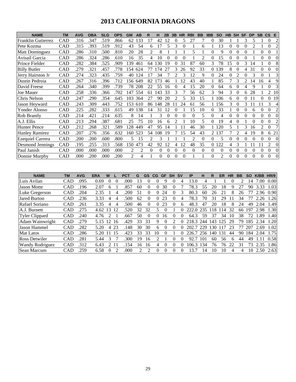# **2013 CALIFORNIA DRAGONS**

| <b>NAME</b>             | <b>TM</b>  | <b>AVG</b> | <b>OBA</b> | <b>SLG</b> | <b>OPS</b> | <b>GM</b>      | AB             | R        | н   | 2B       | 3B             | HR            | <b>RBI</b>     | <b>BB</b> | <b>IBB</b> | <b>SO</b>      | HB | <b>SH</b> | <b>SF</b>      | <b>DP</b>     | <b>SB</b> | <b>CS</b>                | E              |
|-------------------------|------------|------------|------------|------------|------------|----------------|----------------|----------|-----|----------|----------------|---------------|----------------|-----------|------------|----------------|----|-----------|----------------|---------------|-----------|--------------------------|----------------|
| Franklin Gutierrez      | CAD        | .316       | .347       | .519       | .866       | 62             | 133            | 17       | 42  | 12       |                |               | 27             |           |            | 30             |    |           |                | 5             |           | $\Omega$                 | $\overline{c}$ |
| Pete Kozma              | CAD        | .315       | .393       | .519       | .912       | 43             | 54             | 6        | 17  | 5        | 3              |               |                | 6         |            | 13             | 0  | 0         | $\Omega$       |               |           | 0                        | 2              |
| <b>Matt Dominguez</b>   | CAD        | .286       | .310       | .500       | .810       | 20             | 28             | 2        | 8   |          |                |               | 5              |           | 0          | 9              | 0  |           |                |               |           | 0                        |                |
| Avisail Garcia          | CAD        | .286       | .324       | .286       | .610       | 16             | 35             | 4        | 10  |          | 0              |               |                | 2         |            | 15             | 0  |           | 0              |               | 0         | 0                        | 0              |
| Prince Fielder          | CAD        | .282       | .384       | .525       | .909       | 139            | 461            | 64       | 130 | 19       | 0              | 31            | 87             | 60        | 3          | 78             | 15 |           | 3              | 14            |           | 0                        | 8              |
| <b>Billy Butler</b>     | CAD        | .279       | .321       | .457       | .778       | 154            | 624            |          | 74  | 27       | 3              | 26            | 92             | 33        | 0          | 139            | 8  |           | 4              | 31            |           |                          | 0              |
| Jerry Hairston Jr       | <b>CAD</b> | .274       | .323       | .435       | .759       | 40             | 124            | 17       | 34  |          | 2              |               | 12             | 9         | 0          | 24             | 0  | 2         |                | $\mathcal{R}$ | 0         |                          | 3              |
| Dustin Pedroia          | CAD        | .267       | 316        | .396       | .712       | 156            | 649            | 82       | 173 | 46       |                | $\mathcal{D}$ | 43             | 40        |            | 85             |    | 3         | $\mathfrak{D}$ | 14            | 16        | 4                        | 9              |
| David Freese            | CAD        | .264       | .340       | .399       | .739       | 78             | 208            | 22       | 55  | 16       | 0              | Δ             | 15             | 20        | 0          | 64             | 6  | 0         | 4              | 9             |           | 0                        | 3              |
| <b>Joe Mauer</b>        | CAD        | .258       | .336       | .366       | .702       | l 47           | 554            | 61       | 143 | 33       | 3              |               | 56             | 62        | 3          | 94             | 3  | 0         | 6              | 28            |           | $\overline{2}$           | 10             |
| Chris Nelson            | CAD        | .247       | .290       | .354       | .645       | 103            | 364            | 27       | 90  | 20       | $\overline{c}$ |               | 33             | 15        |            | 106            | 6  |           | 0              |               |           | 0                        | -19            |
| Jason Heyward           | CAD        | .243       | .309       | .443       | .752       | 153            | 610            | 86       | 148 | 28       |                | 24            | 61             | 56        |            | 156            | 3  | 0         | 3              |               |           | 3                        | 4              |
| Yonder Alonso           | <b>CAD</b> | .225       | .282       | .333       | .615       | 49             | 138            | 14       | 31  | 12       |                |               | 15             | 10        | $^{(1)}$   | 33             |    |           | $\Omega$       | 6             | 0         | 0                        | 2              |
| <b>Rob Brantly</b>      | <b>CAD</b> | .214       | .421       | .214       | .635       | 8              | 14             |          | 3   |          | 0              |               | $\theta$       | 5         | 0          | 4              | 0  |           | $\Omega$       | $\Omega$      | 0         | $\Omega$                 | $\theta$       |
| A.J. Ellis              | <b>CAD</b> | .213       | .294       | .387       | .681       | 25             | 75             | 10       | 16  | 6        | 2              |               | 10             | 5         | 0          | 19             | 4  | 0         |                | $\Omega$      | 0         | 0                        | $\overline{c}$ |
| <b>Hunter Pence</b>     | CAD        | .212       | .268       | .321       | .589       | 128            | 449            | 47       | 95  | 14       |                |               | 46             | 30        |            | 1 1 2 0        | 5  |           | 3              | 16            | 2         | 0                        | $\tau$         |
| <b>Hanley Ramirez</b>   | CAD        | .207       | .276       | .356       | .632       | 160            | 523            | 54       | 108 | 19       |                | 15            | 54             | 43        | 2          | 137            |    |           | 4              | 19            | 8         | 6                        | 21             |
| <b>Ezequiel Carrera</b> | CAD        | .200       | .200       | .600       | .800       | 5.             | 15             | 2        | 3   |          |                |               | $\mathfrak{D}$ | 0         | 0          | 5              | 0  | 0         | 0              | $\Omega$      | 0         | 0                        | $\Omega$       |
| <b>Desmond Jennings</b> | CAD        | .195       | .255       | .313       | .568       | 150            | 473            | 42       | 92  | 12       | 4              | 12            | 48             | 35        |            | 0 1 2 2        | 4  | 3         |                |               |           | $\overline{\mathcal{L}}$ | $\Omega$       |
| Paul Janish             | CAD        | .000       | .000       | .000       | .000       | $\overline{c}$ | $\overline{c}$ | $\Omega$ | 0   | $\Omega$ | 0              | $\Omega$      | $\Omega$       | $\theta$  | $\Omega$   | $\Omega$       | 0  |           | $\Omega$       | $\Omega$      | 0         | $\Omega$                 | $\Omega$       |
| Donnie Murphy           | CAD        | .000       | .200       | .000       | .200       | $\mathfrak{D}$ | 4              |          | 0   | $\Omega$ | 0              | $\Omega$      |                |           | 0          | $\mathfrak{D}$ | 0  | 0         | $\Omega$       | $\Omega$      | 0         | 0                        | $\theta$       |

| <b>NAME</b>            | ТM         | <b>AVG</b> | <b>ERA</b> | w               |    | <b>PCT</b> | G  | <b>GS</b>    | CG.      | <b>GF</b> | <b>SH</b> | <b>SV</b> | IP               | н    | R   | ER  | HR           | ВB | SO  | K/BB | HR/9 |
|------------------------|------------|------------|------------|-----------------|----|------------|----|--------------|----------|-----------|-----------|-----------|------------------|------|-----|-----|--------------|----|-----|------|------|
| Luis Avilan            | <b>CAD</b> | .095       | 0.69       |                 |    | .000       | 3  | $^{(1)}$     | $^{(1)}$ | 9         |           | 4         | $\overline{3.0}$ |      |     |     |              |    | 4   | 00.  | 0.00 |
| <b>Jason Motte</b>     | <b>CAD</b> | .196       | 2.07       | <sub>0</sub>    |    | .857       | 60 |              | 0        | 30        |           |           | 78.3             | 55   | 20  | 18  |              |    | 90  | 3.33 | 1.03 |
| Luke Gregerson         | CAD        | .204       | 2.35       |                 | 4  | 200        | 51 |              | 0        | 24        |           | 3         | 80.3             | 60   | 26  |     |              | 26 |     | 2.96 | 0.90 |
| <b>Jared Burton</b>    | CAD        | .236       | 3.33       | 4               |    | 500        | 62 | $\mathbf{0}$ | 0        | 23        |           | 4         | 78.3             | 70   | 31  | 29  |              | 34 |     | 2.26 | 1.26 |
| Rafael Soriano         | <b>CAD</b> | .261       | 3.35       | 4               |    | 500        | 46 | $\Omega$     | 0        | 23        |           | 6         | 48.3             | 47   | 20  | 18  | 8            | 24 | 49  | 2.04 | 1.49 |
| A.J. Burnett           | <b>CAD</b> | .275       | 4.62       | $\overline{.3}$ | 12 | 520        | 32 | 32           |          |           |           |           |                  | 235  |     | 14  | 32           | 66 | 197 | 2.98 | 1.30 |
| <b>Tyler Clippard</b>  | <b>CAD</b> | .240       | 4.76       |                 |    | .667       | 50 | $\theta$     | 0        | 16        |           | $_{0}$    | 64.3             | 59   | 37  | 34  | 10           | 38 | 72  | .89  | 1.40 |
| Adam Wainwright        | <b>CAD</b> | .279       | 5.15       | 12              | 16 | .429       | 33 | 33           | 9        |           |           | 0         | 218.3            | 244  | 143 | 125 | 29           | 79 | 185 | 2.34 | 1.20 |
| Jason Hammel           | <b>CAD</b> | .282       | 5.20       | 4               | 23 | 148        | 30 | 30           | 6        |           |           |           | 202.7            | 229  | 30  | 17  | 23           |    | 207 | 2.69 | 1.02 |
| <b>Mat Latos</b>       | CAD        | .286       | 5.20       |                 | 15 | 423        | 33 | 33           | 10       |           |           |           | 226.7            | 256  | 140 | 131 | 44           | 90 | 184 | 2.04 | 1.75 |
| <b>Ross Detwiler</b>   | <b>CAD</b> | .281       | 5.44       |                 |    | .300       | 9  | 16           |          |           |           |           | 92.7             | 101  | 60  | 56  | <sub>6</sub> | 44 | 49  | -11  | 0.58 |
| <b>Wandy Rodriguez</b> | <b>CAD</b> | .312       | 6.43       |                 |    | 154        | 6  | 16           |          |           |           |           | 106.3            | l 34 | 76  | 76  | 22           | 31 | 73  | 2.35 | 1.86 |
| Sean Marcum            | <b>CAD</b> | 259        | 6.58       |                 |    | .000       | 2  |              | 0        |           | 0         |           | 3.7              | 14   | 10  | 10  |              | 4  | 10  | 2.50 | 2.63 |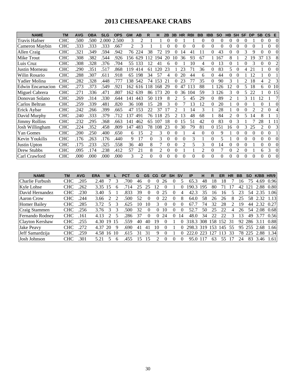# **2013 CHESAPEAKE CRABS**

| <b>NAME</b>              | <b>TM</b>  | <b>AVG</b> | <b>OBA</b> | <b>SLG</b> | <b>OPS</b> | <b>GM</b> | AB             | R        | н    | 2B             | 3B       | <b>HR</b>      | <b>RBI</b> | <b>BB</b> | <b>IBB</b> | <b>SO</b> | <b>HB</b> | <b>SH</b> | SF             | <b>DP</b> | <b>SB</b> | $\mathsf{CS}$  | E        |
|--------------------------|------------|------------|------------|------------|------------|-----------|----------------|----------|------|----------------|----------|----------------|------------|-----------|------------|-----------|-----------|-----------|----------------|-----------|-----------|----------------|----------|
| <b>Travis Hafner</b>     | <b>CHC</b> | .500       | .500       | 2.000      | 2.500      | 3         | 2              |          |      | $\theta$       | 0        |                |            | 0         | $\Omega$   | $\theta$  | 0         | 0         | $\theta$       |           | 0         | $\Omega$       | $\Omega$ |
| Cameron Maybin           | <b>CHC</b> | 333        | .333       | .333       | .667       | 2         | 3              |          |      | 0              | 0        | 0              | 0          | 0         | $\Omega$   | $\Omega$  | 0         |           | 0              | 0         |           | 0              | $\Omega$ |
| Allen Craig              | <b>CHC</b> | .321       | .349       | .594       | .942       | 76        | 224            | 38       | 72   | 19             |          | 14             | 41         |           |            | 43        | 0         |           |                | 9         |           |                |          |
| Mike Trout               | <b>CHC</b> | .308       | .382       | .544       | .926       | l 56      | 629            |          | l 94 | 20             |          | 36             | 93         | 67        |            | 167       | 8         |           | $\mathfrak{D}$ | 19        | 37        | 13             |          |
| Luis Cruz                | <b>CHC</b> | 308        | .328       | .376       | .704       | 55        | 133            | 12       | 41   | 6              |          |                | 10         | 4         |            | 13        |           |           |                |           | 0         | 0              | 2        |
| Justin Morneau           | <b>CHC</b> | .290       | .351       | .517       | .868       | 119       | 414            | 61       | 20   | 23             |          | 23             | 71         | 36        |            | 83        | 5.        |           | 4              | 21        |           | 0              |          |
| Wilin Rosario            | <b>CHC</b> | .288       | .307       | .611       | .918       | 65        | 198            | 34       | 57   |                |          | 20             | 44         | 6         |            | 44        | 0         |           |                | 12        |           |                |          |
| Yadier Molina            | <b>CHC</b> | 282        | .328       | .448       | .777       | 138       | 542            | 74       | 53   | $\mathcal{L}$  |          | 23             |            | 35        |            | 90        | 3         |           | $\mathfrak{D}$ | 18        |           | $\overline{c}$ | 3        |
| <b>Edwin Encarnacion</b> | <b>CHC</b> | .273       | .373       | .549       | .921       | 162       | 616            | 18       | 168  | 29             | 0        | 47             | 113        | 88        |            | 126       | 12        |           | 5              | 18        | 6         | 0              | 10       |
| Miguel Cabrera           | <b>CHC</b> | .271       | .336       | .471       | .807       | 162       | 639            | 86       | 173  | 20             |          | 36             | 104        | 59        | 3          | 126       | 3         |           | 5              | 22        |           | 0              | 15       |
| Donovan Solano           | <b>CHC</b> | 269        | .314       | .330       | .644       | 41        | 443            | 50       | 19   | 8              |          | 5              | 45         | 29        | 0          | 89        | 2         |           | 3              |           | 12        |                |          |
| Carlos Beltran           | <b>CHC</b> | .259       | .339       | .481       | .820       | 36        | 108            | 15       | 28   | 3              |          |                | 13         | 12        |            | 20        |           | 0         | $\Omega$       |           | 0         |                | $\Omega$ |
| Erick Aybar              | <b>CHC</b> | .242       | .266       | .399       | .665       | 47        | 153            | 22       | 37   |                |          |                | 14         | 3         |            | 28        |           |           |                |           |           | 0              |          |
| David Murphy             | <b>CHC</b> | .240       | .333       | .379       | .712       | 37        | 491            | 76       | 18   | 25             |          | 13             | 48         | 68        |            | 84        |           |           | 5              | 14        | 8         |                |          |
| <b>Jimmy Rollins</b>     | <b>CHC</b> | .232       | 295        | .368       | .663       | 41        | 462            | 65       | 107  | 18             | 0        | 15             | 51         | 42        |            | 83        | 0         |           |                |           | 28        |                |          |
| Josh Willingham          | <b>CHC</b> | .224       | .352       | .458       | .809       | 147       | 483            | 78       | 108  | 23             | 0        | 30             | 79         | 81        | $\Omega$   | 151       | 16        |           | 3              | 25        |           | 0              |          |
| Yan Gomes                | <b>CHC</b> | .200       | .250       | .400       | .650       | 6         | 15             | 2        | 3    | $\overline{0}$ | 0        |                | 4          | 0         | $\Omega$   | 9         |           |           | 0              | $\theta$  | $\Omega$  | 0              |          |
| Kevin Youkilis           | <b>CHC</b> | .176       | .263       | .176       | .440       | 9         | 17             | $\Omega$ | 3    | $\Omega$       | 0        | $\Omega$       | 3          |           | $\Omega$   | 5         |           |           | 0              | 0         | 0         | 0              |          |
| Justin Upton             | <b>CHC</b> | .175       | .233       | .325       | .558       | 36        | 40             | 8        |      | $\theta$       | $\Omega$ | $\overline{c}$ | 5          | 3         | $\Omega$   | 14        | 0         | 0         | 0              |           | 0         | 0              | $\Omega$ |
| Drew Stubbs              | <b>CHC</b> | .095       | .174       | .238       | .412       | 57        | 21             | 8        |      | 0              | 0        |                |            | 2         | $\Omega$   |           | 0         |           | 0              |           | 6         | 3              |          |
| Carl Crawford            | <b>CHC</b> | .000       | .000       | .000       | .000       | 3         | $\mathfrak{D}$ | $\Omega$ | 0    | $\Omega$       |          | 0              | 0          | 0         |            | 0         |           |           | $\Omega$       | 0         |           | 0              | $\Omega$ |

| <b>NAME</b>         | ΤM         | <b>AVG</b> | <b>ERA</b> | W  |     | <b>PCT</b> | G  | <b>GS</b> | CG.      | <b>GF</b> | <b>SH</b> | <b>SV</b> | IP    | н   | R    | ER  | ΗR | ВB |     | K/BB | HR/9  |
|---------------------|------------|------------|------------|----|-----|------------|----|-----------|----------|-----------|-----------|-----------|-------|-----|------|-----|----|----|-----|------|-------|
| Charlie Furbush     | <b>CHC</b> | .205       | 2.48       |    |     | 700        | 46 |           | $\theta$ | 26        |           |           | 65.3  | 48  | 18   | 18  |    | 16 |     | 4.69 | 0.96  |
| Kyle Lohse          | <b>CHC</b> | .262       | 3.35       |    |     | 714        | 25 |           |          |           |           |           | 190.3 | 195 | 80   |     |    | 42 |     | 2.88 | 0.80  |
| David Hernandez     | <b>CHC</b> | .230       | 3.40       |    |     | .833       | 39 |           |          | 25        |           |           | 42.3  | 35  | Iб   | Iб  |    | 23 | 54  | 2.35 | 1.06  |
| Aaron Crow          | <b>CHC</b> | .244       | 3.66       |    |     | 500        | 52 |           | 0        | 22        |           | 8         | 64.0  | 58  | 26   | 26  |    | 25 | 58  | 2.32 | 1.13  |
| <b>Homer Bailey</b> | <b>CHC</b> | .285       | 3.72       |    |     | .625       | 10 | 10        |          |           |           |           | 67    | 74  | 32   | 28  |    | 19 | 44  | 2.32 | 0.27  |
| Craig Stammen       | <b>CHC</b> | .256       | 3.76       |    |     | 500        | 32 |           | $^{(1)}$ | 10        |           |           | 52.7  | 50  | 25   | 22  |    | 26 | 54  | 2.08 | 0.68  |
| Fernando Rodney     | <b>CHC</b> | .161       | 4.13       |    |     | 286        | 37 |           | 0        | 24        |           | 4         | 48.0  | 34  | 22   | 22  |    | 13 | 49  |      | 0.56  |
| Clayton Kershaw     | <b>CHC</b> | .255       | 4.30       | 19 | 15  | 559        | 40 | 40        | 19       |           |           |           | 318.3 | 308 | 158. | 152 | 31 | 92 | 286 | 3.11 | 0.88  |
| Jake Peavy          | CHC        | .272       | 4.37       | 20 | 9   | .690       | 41 | 41        | 10       |           |           |           | 298.3 | 319 | 153  | 145 | 55 | 95 | 255 | 2.68 | 1.66  |
| Jeff Samardzija     | CHC        | .259       | 4.58       | 16 | -10 | .615       | 31 | 31        | 9        |           |           |           |       |     |      | 13  | 33 | 78 | 225 | 2.88 | 1.341 |
| Josh Johnson        | <b>CHC</b> | .301       | 5.21       |    | h   | .455       | ∍  | 15        |          |           |           |           | 95    |     | 63   | 55  |    | 24 | 83  | 3.46 | 1.61  |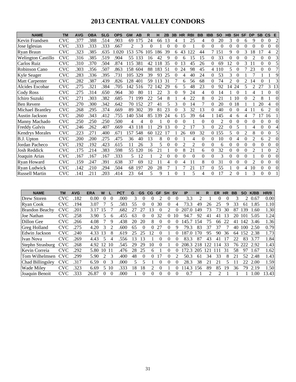# **2013 CENTRAL VALLEY CONDORS**

| <b>NAME</b>               | <b>TM</b>         | <b>AVG</b> | <b>OBA</b> | <b>SLG</b> | <b>OPS</b> | <b>GM</b>      | AB  | R        |                          | 2B       | 3B | <b>HR</b>      | <b>RBI</b>     | <b>BB</b> | <b>IBB</b> | <b>SO</b> | <b>HB</b>                | <b>SH</b> | <b>SF</b>      | <b>DP</b>      | <b>SB</b> | $\mathsf{CS}$            | E              |
|---------------------------|-------------------|------------|------------|------------|------------|----------------|-----|----------|--------------------------|----------|----|----------------|----------------|-----------|------------|-----------|--------------------------|-----------|----------------|----------------|-----------|--------------------------|----------------|
| Kevin Frandsen            | <b>CVC</b>        | .377       | .388       | .514       | .903       | 69             | 175 | 24       | 66                       | 13       | 4  |                | 25             | 4         | $\Omega$   | 20        | 3                        | 0         | 6              | 9              | 0         | 0                        | 2              |
| Jose Iglesias             | $_{\mathrm{CVC}}$ | .333       | .333       | .333       | .667       | $\overline{c}$ | 3   | $\Omega$ |                          | $\Omega$ | 0  |                |                | 0         | $\Omega$   | $\Omega$  | 0                        | 0         | 0              | 0              |           |                          | $\Omega$       |
| Ryan Braun                | <b>CVC</b>        | .323       | .385       | .635       | 1.020      | 53             | 576 | 105      | 186                      | 39       | 6  | 43             | 122            | 44        |            | 151       | 9                        | 0         | 3              | 18             |           | 4                        | 2              |
| <b>Welington Castillo</b> | CVC               | .316       | .385       | .519       | .904       | 55             | 133 | 16       | 42                       | 9        | 0  | 6              | 15             | 15        | 0          | 33        | 0                        | 0         | 0              | 2              | 0         | 0                        | 3              |
| Carlos Ruiz               | <b>CVC</b>        | .310       | .370       | .504       | .874       | 115            | 381 | 42       | 18                       | 35       | 0  | 13             | 45             | 26        | $\Omega$   | 69        | 12                       | 0         | 3              | 11             | 0         | 0                        | 5              |
| Robinson Cano             | CVC               | .303       | .356       | .507       | .863       | 158            | 604 | 88       | 183                      | -51      | 0  | 24             | 98             | 45        |            | 4 110     | 5                        |           |                | 23             | 0         | 0                        | $\overline{7}$ |
| Kyle Seager               | CVC               | .283       | .336       | .395       | .731       | 105            | 329 | 39       | 93                       | 25       | 0  | 4              | 40             | 24        | $\Omega$   | 53        | 3                        | 0         |                |                |           |                          | 9              |
| Matt Carpenter            | <b>CVC</b>        | .282       | .387       | .439       | .826       | 128            | 401 | 59       | 13                       | 31       |    | 6              | 56             | 68        | $\Omega$   | 74        | $\overline{\mathcal{L}}$ |           | 2              | 14             |           |                          | 3              |
| Alcides Escobar           | CVC               | .275       | .321       | .384       | .705       | 142            | 516 | 72       | 42                       | 29       | 6  | 5              | 48             | 23        | 0          | 92        | 14                       | 24        | 5              | 2              | 27        | 3                        | 13             |
| <b>Cody Ross</b>          | <b>CVC</b>        | .275       | .314       | .650       | .964       | 30             | 80  | 11       | 22                       | 3        | 0  | 9              | 24             | 4         | $\Omega$   | 14        |                          | 0         |                | 4              |           | 0                        | $\Omega$       |
| Ichiro Suzuki             | CVC               | .271       | .303       | .382       | .685       | 71             | 199 | 22       | 54                       | 8        |    |                | 22             | 8         | $\Omega$   | 21        |                          | 10        | 0              | $\mathfrak{D}$ | 8         |                          | $\Omega$       |
| <b>Ben Revere</b>         | CVC               | .270       | .300       | .342       | .642       | 70             | 152 | 27       | 41                       | 5        | 3  | 0              | 14             | 7         | $\Omega$   | 20        | $\Omega$                 | 18        |                |                | 20        |                          | $\Omega$       |
| Michael Brantley          | CVC               | .268       | .295       | .374       | .669       | 89             | 302 | 39       | 81                       | 23       | 0  | 3              | 32             | 13        | 0          | 40        | 0                        | 0         | 4              |                | 6         | $\overline{\mathcal{L}}$ | $\Omega$       |
| Austin Jackson            | <b>CVC</b>        | .260       | .343       | .412       | .755       | 140            | 534 | 85       | 139                      | 24       | 6  | 15             | 39             | 64        |            | 145       | 4                        | 6         | 4              |                |           | 16                       |                |
| Manny Machado             | <b>CVC</b>        | .250       | .250       | .250       | .500       | 4              | 4   | $\Omega$ |                          | 0        | 0  | $\Omega$       |                | 0         | $\Omega$   | 2         | 0                        | 0         | 0              | $\Omega$       | 0         | 0                        | $\Omega$       |
| <b>Freddy Galvis</b>      | <b>CVC</b>        | .246       | .262       | .407       | .669       | 43             | 118 | 11       | 29                       | 13       |    | $\mathcal{D}$  | 17             | 3         |            | 22        | 0                        | 5         |                | 4              | 0         | 0                        | 4              |
| <b>Kendrys Morales</b>    | <b>CVC</b>        | .223       | 271        | .400       | .671       | 157            | 548 | 60       | 22                       | 7        |    | 26             | 69             | 32        |            | 155       | 5                        | 0         | $\mathfrak{D}$ | 8              | 0         |                          | 5              |
| B.J. Upton                | <b>CVC</b>        | .200       | .200       | .275       | .475       | 36             | 40  | 13       | 8                        | 0        | 0  |                | 4              | 0         | $\Omega$   | 10        | 0                        | 4         | $\Omega$       | $\overline{c}$ | 6         | $\overline{c}$           | $\Omega$       |
| Jordan Pacheco            | <b>CVC</b>        | 192        | .192       | .423       | .615       | 11             | 26  | 3        | 5                        | 0        | 0  | $\mathfrak{D}$ | $\overline{2}$ | 0         | $\Omega$   | 6         | 0                        | 0         | 0              | $\Omega$       | 0         |                          | $\Omega$       |
| <b>Josh Reddick</b>       | <b>CVC</b>        | .175       | .214       | .383       | .598       | 55             | 120 | 16       | 21                       |          | 0  | 8              | 21             | 6         | $\Omega$   | 32        | 0                        | 0         | $\Omega$       | $\overline{2}$ |           | 0                        | $\overline{2}$ |
| Joaquin Arias             | <b>CVC</b>        | .167       | .167       | .167       | .333       | 5              | 12  |          | $\overline{\mathcal{L}}$ | 0        | 0  | $\theta$       | $\theta$       | 0         | $\Omega$   | 3         | 0                        | 0         | $\Omega$       |                | 0         |                          | $\Omega$       |
| Ryan Howard               | <b>CVC</b>        | .159       | .247       | .391       | .638       | 37             | 69  | 12       | 11                       | 4        | 0  | 4              | 11             | 8         | $\Omega$   | 31        | 0                        | 0         | $\Omega$       | $\mathfrak{D}$ | 0         | 0                        | $\Omega$       |
| Ryan Ludwick              | CVC               | .142       | .210       | .294       | .504       | 68             | 197 | 20       | 28                       |          |    |                | 21             | 17        | $\Omega$   | 55        |                          | 0         | 4              | 10             | 0         | 0                        | $\Omega$       |
| <b>Russell Martin</b>     | <b>CVC</b>        | 141        | 211        | 203        | .414       | 23             | 64  | 5        | 9                        |          | 0  |                | 5              | 4         |            | 17        | $\mathfrak{D}$           | 0         |                | $\mathbf{3}$   | 0         | 0                        |                |

| <b>NAME</b>       | TM         | <b>AVG</b> | <b>ERA</b> | w                           |                             | PCT  | G                       | GS       | <b>CG</b> | GF       | <b>SH</b> | <b>SV</b> | <b>IP</b>           | н   | R   | ER  | <b>HR</b> | BВ | <b>SO</b> | K/BB | <b>HR/9</b> |
|-------------------|------------|------------|------------|-----------------------------|-----------------------------|------|-------------------------|----------|-----------|----------|-----------|-----------|---------------------|-----|-----|-----|-----------|----|-----------|------|-------------|
| Drew Storen       | <b>CVC</b> | .182       | 0.00       | $^{(1)}$                    | $\theta$                    | .000 | 3                       | 0        |           |          |           | 0         | 3.3                 |     |     |     |           | 3  |           | 0.67 | 0.00        |
| Ryan Cook         | CVC        | 194        | 3.07       |                             |                             | .583 | 55                      | 0        |           | 30       | 0         |           | 73.3                | 49  | 26  | 25  |           | 33 | 61        | .85  | 1.10        |
| Brandon Beachy    | <b>CVC</b> | .201       | 3.17       | 15                          |                             | .682 |                         | 27       | 13        | $\theta$ |           |           | 207<br>.0           | 149 | 73  | 73  | 30        | 87 | . 39      | 1.60 | 1.30        |
| Joe Nathan        | <b>CVC</b> | .258       | 3.90       | 5                           | 6                           | .455 | 63                      | 0        |           | 32       | 0         | 10        | 94.                 | 92  | 41  | 41  | 3         | 20 | 101       | 5.05 | 1.24        |
| Dillon Gee        | CVC        | .266       | 4.08       |                             | 9                           | .438 | 20                      | 20       | 8         | $\Omega$ | $\theta$  | 0         | 45.                 | 54  | 75  | 66  | 22        | 41 | 142       | 3.46 | 1.36        |
| Greg Holland      | CVC        | .275       | 4.20       | 3                           | $\mathcal{D}_{\mathcal{A}}$ | .600 | 65                      | 0        |           | 27       | $\Omega$  | 9         | 79.3                | 83  | 37  | 37  |           | 40 | 100       | 2.50 | 0.79        |
| Edwin Jackson     | <b>CVC</b> | .240       | 4.33       | 13                          | 8                           | .619 | 25                      | 25       | 12        | $\theta$ |           |           | -87<br>$^{\circ}$ 0 | 70  | 95  | 90  | 36        | 64 | 152       | 2.38 | 1.73        |
| Ivan Nova         | CVC        | .269       | 4.43       | 5.                          | 4                           | .556 | 13                      | 3        |           | 0        | 0         |           | 83.3                | 87  | 43  | 41  |           | 22 | 83        | 3.77 | 1.84        |
| Stephn Strasburg  | <b>CVC</b> | .268       | 4.92       | 12                          | 10                          | .545 | 29                      | 29       | 10        | $^{(1)}$ |           | 0         | 208.3 218           |     | 122 | -14 | 33        | 76 | 222       | 2.92 | 1.43        |
| Kevin Correia     | <b>CVC</b> | .292       | 5.80       | 10                          | -11                         | .476 | 28                      | 25       | 6.        |          | 0         |           | 72.3                | 205 | 12. |     | 31        | 58 | 97        | 1.67 | 1.62        |
| Tom Wilhelmsen    | <b>CVC</b> | .299       | 5.90       | $\mathcal{D}_{\mathcal{L}}$ | 3                           | .400 | 48                      | $\Omega$ |           |          | 0         |           | 50.3                | 61  | 34  | 33  | 8         | 21 | 52        | 2.48 | 1.43        |
| Chad Billingsley  | <b>CVC</b> | .317       | 6.59       | $\Omega$                    | 3                           | .000 | $\overline{\mathbf{5}}$ |          |           | 0        | 0         |           | 28.3                | 38  | 21  | 21  |           | 11 | 22        | 2.00 | 1.59        |
| <b>Wade Miley</b> | <b>CVC</b> | .323       | 6.69       | 5.                          | -10                         | .333 | 18                      | 18       |           | 0        |           | 0         | 14.3                | 56  | 89  | 85  | 19        | 36 | 79        | 2.19 | 1.50        |
| Joaquin Benoit    | <b>CVC</b> | .333       | 26.87      | $\Omega$                    | $\Omega$                    | .000 |                         | 0        | 0         | 0        | 0         | $^{(1)}$  | 0.7                 |     | ာ   |     |           |    |           | .00  | 13.43       |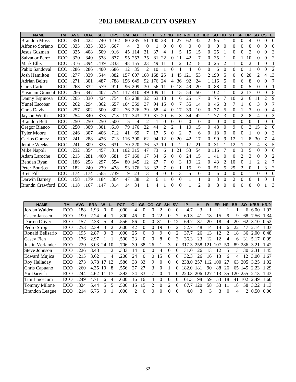# **2013 EMERALD CITY OSPREY**

| <b>NAME</b>           | <b>TM</b> | <b>AVG</b> | <b>OBA</b> | <b>SLG</b> | <b>OPS</b> | <b>GM</b> | AB  | R              | н   | 2B             | 3B             | <b>HR</b>      | <b>RBI</b> | <b>BB</b>      | <b>IBB</b> | <b>SO</b>      | HB             | <b>SH</b>      | <b>SF</b>      | <b>DP</b>                | <b>SB</b>      | $\mathbf{c}\mathbf{s}$ | Е              |
|-----------------------|-----------|------------|------------|------------|------------|-----------|-----|----------------|-----|----------------|----------------|----------------|------------|----------------|------------|----------------|----------------|----------------|----------------|--------------------------|----------------|------------------------|----------------|
| <b>Brandon Moss</b>   | ECO       | .351       | .422       | .740       | 1.162      | 80        | 285 | 51             | 100 | 28             |                | 27             | 62         | 32             | 2          | 95             |                | $\theta$       | 0              | 4                        | $\theta$       | $\Omega$               | 0              |
| Alfonso Soriano       | ECO       | .333       | .333       | .333       | .667       | 4         | 3   | $\overline{0}$ |     | $\overline{0}$ | $\overline{0}$ | $\theta$       | $\theta$   | $\overline{0}$ | $\theta$   | $\overline{0}$ | $\theta$       | $\theta$       | $\theta$       | $\overline{0}$           | $\theta$       | $\theta$               | $\Omega$       |
| Jesus Guzman          | ECO       | .325       | .408       | .509       | .916       | 45        | 114 | 21             | 37  | 4              |                | 5              | 15         | 15             | $\Omega$   | 25             |                | $\theta$       | $\Omega$       | $\overline{2}$           | $\theta$       | $\Omega$               | 3              |
| <b>Salvador Perez</b> | ECO       | .320       | .340       | .538       | .877       | 95        | 253 | 35             | 81  | 22             | $\theta$       | 11             | 42         | 7              | $\Omega$   | 35             |                | $\theta$       |                | 10                       | $\theta$       | $\theta$               | 2              |
| Mark Ellis            | ECO       | .316       | .394       | .439       | .833       | 48        | 155 | 23             | 49  | 11             |                | 2              | 12         | 18             | 0          | 25             | $\overline{c}$ |                | 0              | $\overline{2}$           |                | $\theta$               |                |
| Pablo Sandoval        | ECO       | .286       | .286       | .400       | .686       | 12        | 35  | $\overline{c}$ | 10  |                | $\theta$       |                | 4          | $\theta$       | $\theta$   | 6              | $\Omega$       | $\theta$       | 0              |                          | $\theta$       | $\theta$               | $\overline{c}$ |
| Josh Hamilton         | ECO       | .277       | .339       | 544        | .882       | 157       | 607 | 108            | 68  | 25             |                | 45             | 121        | 53             |            | 2 190          | 5              | $\theta$       | 6              | 20                       | $\overline{c}$ | 4                      | 13             |
| Adrian Beltre         | ECO       | .271       | .301       | .487       | .788       | 156       | 649 | 92             | 76  | 24             | 4              | 36             | 92         | 24             |            | 1 1 1 6        | 5              | $\Omega$       | 6              | 8                        | 0              | $\Omega$               | 7              |
| Chris Carter          | ECO       | .268       | .332       | .579       | .911       | 96        | 209 | 30             | 56  | 11             | $\theta$       | 18             | 49         | 20             | 0          | 88             | 0              | $\theta$       | 0              | 5                        | 0              | $\Omega$               |                |
| Yasmani Grandal       | ECO       | .266       | .347       | .407       | .754       | 117       | 410 | 49             | 109 | 11             |                | 15             | 54         | 50             |            | 102            |                | $\theta$       | 2              | 17                       | $\theta$       | $\Omega$               | 8              |
| Danny Espinosa        | ECO       | .265       | .330       | .424       | .754       | 65        | 238 | 32             | 63  | 18             |                | 6              | 25         | 17             | $\Omega$   | 75             |                | 10             | $\overline{2}$ | 6                        | 11             | $\overline{2}$         | 9              |
| <b>Yunel Escobar</b>  | ECO       | .262       | .294       | .362       | .657       | 104       | 359 | 37             | 94  | 15             | $\theta$       |                | 35         | 14             | $\Omega$   | 46             | 3              | 7              |                | 6                        | 3              | $\Omega$               | 7              |
| Chris Davis           | ECO       | .257       | .302       | .500       | .802       | 76        | 226 | 39             | 58  | 4              | 0              | 17             | 39         | 10             | 0          | 77             | 5              | $\theta$       |                | 3                        | 0              | $\Omega$               | 4              |
| Jayson Werth          | ECO       | .254       | .340       | .373       | .713       | 112       | 343 | 39             | 87  | 20             | 6              | 3              | 34         | 42             |            | 77             | 3              | $\theta$       | $\overline{c}$ | 8                        | 4              | $\theta$               | 3              |
| <b>Brandon Belt</b>   | ECO       | .250       | .250       | .250       | .500       | 5         | 4   | $\mathfrak{D}$ |     | $\theta$       | $\theta$       | $\Omega$       | $\theta$   | $\Omega$       | $\theta$   | $\Omega$       | $\Omega$       | $\theta$       | $\Omega$       | $\theta$                 |                | $\Omega$               | $\theta$       |
| <b>Gregor Blanco</b>  | ECO       | .250       | .309       | .301       | .610       | 79        | 176 | 22             | 44  | 2              | $\overline{c}$ |                | 10         | 15             | 0          | 48             | $\Omega$       | 9              | 0              | 2                        | 15             | $\overline{2}$         | $\theta$       |
| <b>Tyler Moore</b>    | ECO       | .246       | .307       | .406       | .712       | 41        | 69  | 7              | 17  | 5              | $\theta$       | 2              |            | 6              | 0          | 18             | $\Omega$       | $\theta$       | 0              |                          | 0              | $\Omega$               | 3              |
| Carlos Gomez          | ECO       | .241       | .288       | .426       | .713       | 116       | 390 | 62             | 94  | 12             | $\Omega$       | 20             | 42         | 17             | 0          | 99             | 9              | 12             |                | 8                        | 30             | 7                      | 4              |
| Jemile Weeks          | ECO       | .241       | .309       | .323       | .631       | 70        | 220 | 36             | 53  | 10             |                | $\mathfrak{D}$ | 17         | 21             | $\Omega$   | 31             |                | 12             |                | $\overline{\mathcal{L}}$ | 4              | 3                      | 5              |
| Mike Napoli           | ECO       | .232       | .354       | .457       | .811       | 102       | 315 | 47             | 73  | 6              |                | 21             | 53         | 54             |            | 0 1 1 6        |                | $\Omega$       | 3              | 5                        | $\Omega$       | $\Omega$               | 6              |
| Adam Laroche          | ECO       | .213       | .281       | .400       | .681       | 97        | 160 | 17             | 34  | 6              | 0              | 8              | 24         | 15             |            | 41             | 0              | $\theta$       | 2              | 3                        | $\Omega$       | $\Omega$               | 2              |
| Bendan Ryan           | ECO       | .186       | .258       | .297       | .554       | 80        | 145 | 12             | 27  |                | $\overline{0}$ | 3              | 10         | 12             | 0          | 43             | 2              | 10             | $\Omega$       |                          | 2              | 2                      | 7              |
| Peter Bourjos         | ECO       | .182       | .240       | .239       | .478       | 93        | 176 | 18             | 32  | 7              | $\overline{0}$ |                | 15         | 9              | $\theta$   | 51             | 5              | 25             | $\overline{2}$ | $\theta$                 |                | $\overline{3}$         | 2              |
| <b>Brett Pill</b>     | ECO       | .174       | .174       | .565       | .739       | 9         | 23  | 3              | 4   | $\theta$       | 0              | 3              | 5          | $\theta$       | $\Omega$   | 6              | $\Omega$       | $\theta$       | 0              |                          | $\theta$       | $\mathbf{0}$           | 0              |
| Darwin Barney         | ECO       | .158       | .179       | .184       | .364       | 47        | 38  | 2              | 6   |                | $\theta$       | $\Omega$       |            |                | 0          | 3              | $\Omega$       | $\overline{2}$ | 0              | $\Omega$                 |                | $\theta$               |                |
| Brandn Crawford       | ECO       | .118       | .167       | .147       | .314       | 14        | 34  |                | 4   |                | $\Omega$       | $\Omega$       |            | $\mathfrak{D}$ | $\Omega$   | 8              | 0              | $\Omega$       | 0              | $\Omega$                 | 0              |                        | 3              |

| <b>NAME</b>           | TМ  | <b>AVG</b> | ERA  | W  |    | <b>PCT</b> | G  | GS       | CG | GF | <b>SH</b>     | <b>SV</b>     | IP    | н   | R   | ER  | <b>HR</b>                   | <b>BB</b> | <b>SO</b> | K/BB HR/9 |      |
|-----------------------|-----|------------|------|----|----|------------|----|----------|----|----|---------------|---------------|-------|-----|-----|-----|-----------------------------|-----------|-----------|-----------|------|
| Jordan Walden         | ECO | 188        | .93  |    | 0  | .000       | 4  | $_{0}$   |    |    |               | $\Omega$      | 4.7   | 3   |     |     |                             |           | 6.        | 6.00      | 1.93 |
| Casey Janssen         | ECO | 190        | 2.24 |    |    | .800       | 46 | $\theta$ |    | 22 |               |               | 60.3  | 41  | 18  | 15  |                             | 9         | 68        | 7.56      | 1.34 |
| Darren Oliver         | ECO | 157        | 2.33 | 5  | 4  | .556       | 56 | 0        |    | 31 | $\Omega$      | 12            | 69.7  | 37  | 20  | 18  | 4                           | 20        | 62        | 3.10      | 0.52 |
| Pedro Strop           | ECO | 253        | 2.39 | 3  | ာ  | .600       | 42 | 0        |    | 19 |               |               | 52.7  | 48  | 14  | 14  | 6                           |           | 47        | 2.14      | 1.03 |
| Ronald Belisario      | ECO | 195        | 2.87 |    |    | .000       | 25 | $\Omega$ |    | 9  | 0             | $\mathcal{L}$ | 37.7  | 26  | 13  | 12  | $\mathcal{D}_{\mathcal{A}}$ | 18        | 36        | 2.00      | 0.48 |
| Casey Fien            | ECO | 176        | 2.97 |    |    | .500       | 23 | 0        |    | 8  | 0             | 3             | 36.3  | 23  | 12  | 12  | 4                           | 6         | 31        | 5.17      | 0.99 |
| Justin Verlander      | ECO | 220        | 3.03 | 24 | 10 | .706       | 39 | 38       | 26 |    | 3             | 0             | 317.3 | 258 | 121 | 107 | 50                          | 89        | 286       | 3.21      | 1.42 |
| <b>Steve Johnson</b>  | ECO | .226       | 3.48 |    | 2  | .333       | 14 | 0        |    | 4  | $\Omega$      | $^{(1)}$      | 31.0  | 26  | 13  | 12  | 5                           | 13        | 30        | 2.31      | 1.45 |
| <b>Edward Mujica</b>  | ECO | 215        | 3.62 |    | Δ  | .200       | 24 | 0        |    | 15 | 0             | 6             | 32.3  | 26  | 16  | 13  | 6                           | 4         | 12        | 3.00      | 1.67 |
| Roy Halladay          | ECO | 273        | 3.78 |    | 12 | .586       | 33 | 33       | 9  | 0  | $\theta$      | $\Omega$      | 238.0 | 257 | 12  | 10O | 27                          | 63        | 205       | 3.25      | 1.02 |
| Chris Capuano         | ECO | .260       | 4.35 | 10 | 8  | .556       | 27 | 27       | 3  | 0  |               | $\Omega$      | 182.0 | 181 | 90  | 88  | 26                          | 65        |           | 145 2.23  | 1.29 |
| Yu Darvish            | ECO | 244        | 4.62 |    |    | .393       | 34 | 33       |    | 0  |               |               | 220.3 | 206 | 27  | 13  | 35                          | 20        | 255       | 2.13      | 1.43 |
| Tim Lincecum          | ECO | .249       | 4.71 | 6  | 4  | .600       | 16 | 16       | 4  | 0  | $\Omega$      | $\Omega$      | 101.3 | 98  | 59  | 53  | 18                          | 41        | 102       | 2.49      | 1.60 |
| <b>Tommy Milone</b>   | ECO | .324       | 5.44 | 5  | 5  | .500       | 15 | 15       |    | 0  | $\mathcal{D}$ | 0             | 87.7  | 120 | 58  | 53  |                             | 18        | 58        | 3.22      | 1.13 |
| <b>Brandon League</b> | ECO | 214        | 6.75 |    |    | .000       | 2  | $\Omega$ |    | 0  | 0             | $\Omega$      | 4.0   | 3   | 3   | 3   | $\Omega$                    | 4         |           | 2 0.50    | 0.00 |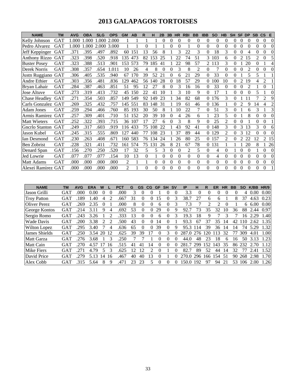# **2013 GALAPAGOS TORTOISES**

| <b>NAME</b>           | <b>TM</b>  | <b>AVG</b> | <b>OBA</b> | <b>SLG</b> | <b>OPS</b> | <b>GM</b>      | AB  | R        |     | 2B       | 3B       | <b>HR</b>     | <b>RBI</b>     | <b>BB</b> | <b>IBB</b> | <b>SO</b>      | <b>HB</b>      | <b>SH</b> | <b>SF</b> | <b>DP</b> | <b>SB</b> | <b>CS</b>      | E              |
|-----------------------|------------|------------|------------|------------|------------|----------------|-----|----------|-----|----------|----------|---------------|----------------|-----------|------------|----------------|----------------|-----------|-----------|-----------|-----------|----------------|----------------|
| Kelly Johnson         | GAT        | 1.000      | .000       | .000       | 2.000      |                |     |          |     | $\theta$ | $\theta$ | $\Omega$      | $\Omega$       | $\theta$  | $\theta$   | $\theta$       | $\Omega$       | 0         | $\theta$  | $\Omega$  | $\theta$  | 0              | $\theta$       |
| Pedro Alvarez         | <b>GAT</b> | 1.000      | .000       | 2.000      | 3.000      |                |     | 0        |     |          | $\Omega$ | $\Omega$      |                | $\Omega$  | 0          | $\Omega$       | 0              | $\Omega$  | 0         | 0         | 0         | 0              | $\Omega$       |
| Jeff Keppinger        | <b>GAT</b> | .371       | .395       | .497       | .892       | 60             | 151 | 13       | 56  | 8        |          | 3             | 22             | 3         | $\theta$   | 18             | 3              | 0         | 0         | 4         | $\Omega$  | 0              | $\Omega$       |
| Anthony Rizzo         | <b>GAT</b> | .323       | .398       | .520       | .918       | 135            | 473 | 82       | 153 | 25       |          | 22            | 74             | 51        | 3          | 103            | 6              | $\Omega$  | 2         | 15        | 2         | 0              |                |
| <b>Buster Posey</b>   | <b>GAT</b> | .323       | .388       | .513       | .901       | 153            | 573 | 79       | 185 | 41       |          | 22            | 98             | 57        | 2          | 113            | 3              | 0         |           | 20        | $\Omega$  |                | 4              |
| Derek Norris          | <b>GAT</b> | .308       | .357       | .654       | .011       | 10             | 26  | 4        | 8   | 0        | 0        | 3             | 8              | 2         | $\theta$   |                | 0              | $\Omega$  | $\theta$  | 2         | 0         | 0              |                |
| Justn Ruggiano        | <b>GAT</b> | .306       | .405       | .535       | .940       | 67             | 170 | 39       | 52  | 21       | 0        | 6             | 21             | 29        | 0          | 33             | 0              | $\Omega$  |           | 5         | 5.        |                |                |
| Andre Ethier          | <b>GAT</b> | .303       | .356       | .481       | .836       | 129            | 462 | 56       | 140 | 28       | 0        | 18            | 57             | 29        | 0          | 100            | 10             | $\Omega$  | 2         | 19        | 4         | 2              |                |
| Bryan Lahair          | <b>GAT</b> | .284       | .387       | .463       | .851       | 51             | 95  | 12       | 27  | 8        | 0        | 3             | 16             | 16        | 0          | 33             | 0              | 0         | 0         | 2         |           | 0              |                |
| Jose Altuve           | GAT        | .273       | .319       | .413       | .732       | 45             | 150 | 22       | 41  | 10       |          | $\mathcal{R}$ | 10             | 9         | 0          | 17             |                | 0         | 0         | $\Omega$  | 5         |                | $\theta$       |
| <b>Chase Headley</b>  | <b>GAT</b> | .271       | .354       | .503       | .857       | 149            | 549 | 92       | 149 | 23       |          | 34            | 82             | 68        | 0          | 176            | 3              | $\Omega$  |           |           |           | 2              | 9              |
| Carls Gonzalez        | <b>GAT</b> | .269       | .325       | .432       | .757       | 145            | 551 | 83       | 148 | 31       |          | 19            | 61             | 46        | $\Omega$   | 136            |                | $\Omega$  | 2         | 9         | 14        | 4              | $\overline{c}$ |
| <b>Adam Jones</b>     | <b>GAT</b> | .259       | .294       | .466       | .760       | 85             | 193 | 30       | 50  | 8        |          | 10            | 22             | 7         | $\Omega$   | 51             | 3              | $\Omega$  |           | 6         | 3         |                | 3              |
| Armis Ramirez         | <b>GAT</b> | .257       | .309       | .401       | .710       | 51             | 152 | 20       | 39  | 10       | 0        | 4             | 26             | 6         |            | 23             | 5              | $\Omega$  |           | 8         | 0         | 0              | 0              |
| <b>Matt Wieters</b>   | GAT        | .252       | .322       | .393       | .715       | 36             | 107 | 17       | 27  | 6        | 0        | 3             | 8              | 9         | 0          | 25             | $\overline{c}$ | 0         | 0         |           | 0         | 0              |                |
| <b>Gnerlo Stanton</b> | <b>GAT</b> | .249       | .317       | .603       | .919       | 116            | 433 | 75       | 108 | 22       |          | 43            | 92             | 41        | 0          | 148            | 3              | $\Omega$  | 3         | 13        | 3         | 0              | 6              |
| Jason Kubel           | <b>GAT</b> | .245       | .315       | .555       | .869       | 127            | 440 | 77       | 108 | 23       |          | 37            | 89             | 44        | $\Omega$   | 129            | 2              | 0         | 3         | 12        | $\Omega$  | 0              | $\Omega$       |
| Ian Desmond           | <b>GAT</b> | .230       | .263       | .408       | .671       | 160            | 583 | 76       | 134 | 24       |          | 26            | 80             | 25        | $\Omega$   | 157            | 2              | $\theta$  | 2         | 22        | 12        | $\overline{2}$ | 15             |
| Ben Zobrist           | <b>GAT</b> | .228       | .321       | .411       | .732       | 161            | 574 | 75       | 131 | 26       |          | 21            | 67             | 78        | $\Omega$   | 131            |                |           |           | 20        | 8         |                | 26             |
| Denard Span           | <b>GAT</b> | .156       | .270       | .250       | .520       | 17             | 32  | 5        | 5   | 3        | 0        | $\Omega$      | $\overline{2}$ | 5         | $\theta$   | 4              | 0              |           | 0         | $\Omega$  |           | 0              | $\Omega$       |
| Jed Lowrie            | <b>GAT</b> | .077       | .077       | .077       | .154       | 10             | 13  | 0        |     | 0        | 0        | $\Omega$      | $\theta$       | $\Omega$  | $\theta$   | 4              | 0              | $\Omega$  | 0         | $\Omega$  | 0         | 0              | 0              |
| Matt Adams            | <b>GAT</b> | .000       | .000       | .000       | .000       | 2              |     |          | 0   | 0        | 0        | $\Omega$      | $\overline{0}$ | $\Omega$  | 0          | $\overline{0}$ | 0              | 0         | 0         | 0         | 0         | 0              | 0              |
| Alexei Ramirez GAT    |            | .000       | .000       | .000       | .000       | $\mathfrak{D}$ |     | $\Omega$ | 0   | 0        | $\Omega$ | $\Omega$      | $\Omega$       | $\Omega$  | $\Omega$   | $\Omega$       | 0              | $\theta$  | 0         | $\Omega$  | 0         | 0              |                |

| <b>NAME</b>        | TМ         | AVG  | ERA           | W  |    | PCT              | G  | GS       | <b>CG</b> | GF | <b>SH</b> | <b>SV</b> | IP                          | н   |     | ER           | HR | ВB       | SO  | <b>K/BB</b> | <b>HR/9</b> |
|--------------------|------------|------|---------------|----|----|------------------|----|----------|-----------|----|-----------|-----------|-----------------------------|-----|-----|--------------|----|----------|-----|-------------|-------------|
| Jason Grilli       | <b>GAT</b> | .000 | 0.00          |    | 0  | .000             | 3  |          |           |    |           |           | 3.3                         | O   | 0   |              |    | $\theta$ | 4   | 0.00        | 0.00        |
| <b>Troy Patton</b> | GAT        | .189 | 1.40          |    | 2  | .667             | 31 | 0        |           | 15 |           |           | 38.7                        | 27  | 6   | <sub>6</sub> |    | 8        | 37  | 4.63        | 0.23        |
| Oliver Perez       | GAT        | .269 | 2.35          |    |    | .000             | 8  | 0        | $\theta$  | 6  |           |           | 7.3                         |     | 2   | ∍            |    |          | 6   | 6.00        | 0.00        |
| George Kontos      | GAT        | .214 |               | Q  | 4  | .692             | 53 | $\theta$ | $\theta$  | 29 | $\Omega$  | 9         | 92.7                        | 73  | 35  | 32           | 10 | 36       | 88  | 2.44        | 0.97        |
| Sergio Romo        | <b>GAT</b> | .243 | 3.26          |    | 2  | 333              | 3  | $\theta$ | $\theta$  | h. |           |           | 19.3                        | 18  | 9   |              |    |          | 16  | 2.<br>.29   | 1.40        |
| <b>Wade Davis</b>  | GAT        | 200  | 3.38          |    | 2  | 500              | 43 | $\theta$ |           | 14 |           |           | 93.3                        | 67  | 37  | 35           | 14 | 42       | 10  | 2.62        | 1.35        |
| Wilton Lopez       | <b>GAT</b> | .295 | 3.40          |    | 4  | .636             | 65 | $\theta$ | 0         | 39 | 0         | 9         | 95.3                        | 14  | 39  | 36           | 14 | 14       | 74  | 5.29        | 1.32        |
| James Shields      | <b>GAT</b> | .250 | 3.54          | 20 | 12 | .625             | 39 | 39       |           |    | 3         |           | 287<br>$^{\prime}$ $\Omega$ | 276 | 20  | 113          | 32 |          | 309 | 4.01        | 1.00        |
| Matt Garza         | <b>GAT</b> | .276 | 3.68          |    | 3  | 250              |    |          |           |    |           |           | 44.0                        | 48  | 23  | 18           | h  | 16       | 50  | 3.13        | 1.23        |
| Matt Cain          | <b>GAT</b> | 270  | 4.57          |    | 16 | 515              | 41 | 41       | 14        |    |           |           | 281                         | 299 | 52  | 43           | 35 | 86       | 232 | 2.70        | 1.12        |
| <b>Mike Fiers</b>  | <b>GAT</b> | 271  | 4.79          |    | 3  | .625             | 12 | 12       |           |    |           |           | 82.7                        | 89  | 52  | 44           | 14 | 32       |     | 2.41        | 1.52        |
| David Price        | GAT        | .279 | $\mathcal{R}$ | 14 | 16 | .467             | 40 | 40       | 13        |    |           |           | $\Omega$                    | 296 | -66 | 154          | 51 | 90       | 268 | 2.98        | 1.70        |
| Alex Cobb          | <b>GAT</b> | 315  | 5.64          | 8  | 9  | .47 <sub>1</sub> | 23 | 23       | 5         | 0  |           |           | 150.0                       | 192 | 97  | 94           | 21 | 53       | 106 | 2.00        | 1.26        |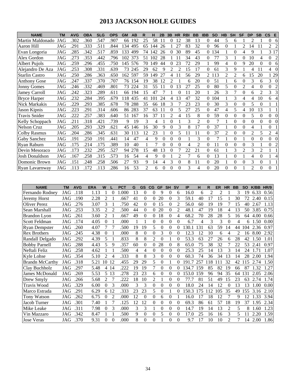# **2013 JACKSON HOLE GUIDES**

| <b>NAME</b>           | <b>TM</b> | <b>AVG</b> | <b>OBA</b> | <b>SLG</b> | <b>OPS</b> | <b>GM</b> | AB     | R                           |     | 2B          | 3B             | <b>HR</b>      | <b>RBI</b> | <b>BB</b>      | <b>IBB</b> | <b>SO</b> | <b>HB</b>      | <b>SH</b> | <b>SF</b>      | <b>DP</b>      | <b>SB</b>      | $\mathsf{cs}$<br>E         |
|-----------------------|-----------|------------|------------|------------|------------|-----------|--------|-----------------------------|-----|-------------|----------------|----------------|------------|----------------|------------|-----------|----------------|-----------|----------------|----------------|----------------|----------------------------|
| Martin Maldonado      | JAG       | .302       | .360       | .547       | .907       | 66        | 192    | 25                          | 58  | $1^{\circ}$ | 0              | 12             | 38         | 13             | $\theta$   | 44        | 5              | 6         |                | $\mathfrak{D}$ |                | $\overline{0}$<br>6        |
| Aaron Hill            | JAG       | .291       | .333       | .511       | .844       | 134       | 495    | 65                          | 144 | 26          |                | 27             | 83         | 32             | $\Omega$   | 96        | 0              |           | 2              | $\overline{A}$ | 11             | 2<br>$\overline{2}$        |
| Evan Longoria         | JAG       | .285       | .342       | .517       | .859       | 133       | 499    | 74                          | 142 | 26          | 0              | 30             | 89         | 45             | $\Omega$   | 134       |                | $\theta$  | 4              | 9              |                | 3 17                       |
| Alex Gordon           | JAG       | .273       | .353       | .442       | .796       | 102       | 373    | 51                          | 102 | 28          |                |                | 34         | 43             | 0          | 77        | 3              |           |                | 10             | 4              | $\Omega$<br>$\overline{c}$ |
| <b>Albert Pujols</b>  | JAG       | .259       | .296       | .455       | .750       | 145       | 576    | 70                          | 149 | 44          | 0              | 23             | 72         | 29             |            | 99        | 4              | $\theta$  | 9              | 20             | $\Omega$       | $\Omega$<br>6              |
| Alejandro De Aza      | JAG       | .253       | .308       | .331       | .639       | 73        | 245    | 29                          | 62  | 9           | 2              | $\mathfrak{D}$ | 15         | 17             | $\Omega$   | 61        | 3              | 9         |                | 4              | 11             | $\overline{4}$<br>$\Omega$ |
| <b>Starlin Castro</b> | JAG       | .250       | .286       | .363       | .650       | 162       | 597    | 59                          | 149 | 27          | 4              |                | 56         | 29             | 2          | 113       | 2              | 2         | 6              | 15             | 20             | 1 29                       |
| <b>Anthony Gose</b>   | JAG       | .247       | .337       | .370       | .707       |           | 76 154 | 19                          | 38  | 12          | 2              |                | 6          | 20             | $\Omega$   | 51        |                | 6         | 0              | 3              | 6              | $\overline{3}$<br>$\Omega$ |
| <b>Jonny Gomes</b>    | JAG       | .246       | .332       | .469       | .801       | 73        | 224    | 31                          | 55  |             | 0              | 13             | 27         | 25             | $\Omega$   | 80        | 5              | $\theta$  | $\overline{c}$ | 4              | $\Omega$       | $\Omega$<br>2              |
| <b>Jamey Carroll</b>  | JAG       | .242       | .323       | .289       | .611       | 66        | 194    | 15                          | 47  |             |                | $\Omega$       | 11         | 20             |            | 26        | 3              |           | $\Omega$       | 6              | 2              | 3<br>3                     |
| <b>Bryce Harper</b>   | JAG       | .232       | .284       | .395       | .679       | 118       | 435    | 41                          | 101 | 24          | 4              | 13             | 47         | 32             | 0          | 104       |                | 3         | 4              | 4              | 10             | 6<br>4                     |
| Nick Markakis         | JAG       | .229       | .293       | .385       | .678       | 78        | 288    | 35                          | 66  | 18          | 3              |                | 23         | 23             | $\Omega$   | 30        | 3              | $\theta$  | 0              | 5              | $\Omega$       |                            |
| Jason Kipnis          | JAG       | .223       | .291       | .314       | .606       | 86        | 283    | 37                          | 63  | 11          | 0              | 5              | 27         | 25             | $\Omega$   | 47        | 4              | 5         | 4              | 10             | 13             |                            |
| <b>Travis Snider</b>  | JAG       | .222       | .257       | .383       | .640       | 51        | 167    | 16                          | 37  |             | $\mathfrak{D}$ | 4              | 15         | 8              | $\Omega$   | 59        | $\Omega$       | $\Omega$  | $\Omega$       | 5              | $\Omega$       | $\Omega$<br>$\Omega$       |
| Kelly Schoppach       | JAG       | .211       | .318       | .421       | .739       | 9         | 19     | 3                           | 4   |             | 0              |                | 3          | $\overline{2}$ | $\theta$   |           |                | $\Omega$  | $\Omega$       | $\theta$       | $\Omega$       | $\Omega$<br>$\Omega$       |
| <b>Nelson Cruz</b>    | JAG       | .205       | .293       | .329       | .621       | 45        | 146    | 16                          | 30  | 9           | 0              | 3              | 8          | 17             | $\theta$   | 37        |                | $\theta$  | $\Omega$       | 4              |                | $\mathbf{0}$               |
| Colby Rasmus          | JAG       | .204       | .286       | .345       | .631       | 30        | 113    | 12                          | 23  |             | 0              | 5              |            | 11             | $\Omega$   | 37        | $\overline{c}$ | $\theta$  |                | $\overline{2}$ |                | $\overline{2}$<br>4        |
| Gaby Sanchez          | JAG       | .191       | .250       | .191       | .441       | 14        | 47     | 4                           | 9   | 0           | 0              | $\Omega$       |            | 3              | $\theta$   |           |                | $\theta$  |                | $\theta$       | $\Omega$       | $\overline{0}$<br>$\Omega$ |
| Ryan Raburn           | JAG       | .175       | .214       | .175       | .389       | 10        | 40     |                             |     | 0           | 0              | $\Omega$       | 4          | $\overline{c}$ | $\theta$   | 11        | 0              | $\theta$  |                | 3              |                | $\Omega$<br>2              |
| Devin Mesoraco        | JAG       | .173       | .232       | .295       | .527       | 94        | 278    | 15                          | 48  | 13          | 0              |                | 22         | 21             | $\theta$   | 61        |                | 3         | 2              | 3              | $\overline{2}$ |                            |
| <b>Josh Donaldson</b> | JAG       | .167       | .258       | .315       | .573       | 16        | 54     | 4                           | 9   | 0           |                | $\overline{c}$ | 7          | 6              | $\theta$   | 13        |                | $\theta$  |                | 4              | $\Omega$       | 4                          |
| Domonic Brown         | JAG       | .151       | .248       | .258       | .506       | 27        | 93     | 9                           | 14  | 4           | 3              | $\Omega$       | 8          | 11             | $\Omega$   | 20        |                | $\Omega$  | $\Omega$       | 3              | $\Omega$       |                            |
| Ryan Lavarnway        | JAG       | .113       | .172       | .113       | .286       | 16        | 53     | $\mathcal{D}_{\mathcal{L}}$ | 6   | 0           | 0              | $\Omega$       | 3          | 4              | $\Omega$   | 20        | 0              | $\Omega$  |                | $\mathfrak{D}$ | $\Omega$       | $\Omega$                   |

| <b>NAME</b>            | <b>TM</b> | <b>AVG</b> | <b>ERA</b> | W              |                | <b>PCT</b> | G  | <b>GS</b>      | CG | <b>GF</b>      | <b>SH</b> | <b>SV</b> | IP    | н   | R               | <b>ER</b> | <b>HR</b>      | <b>BB</b> | <b>SO</b> | K/BB HR/9 |      |
|------------------------|-----------|------------|------------|----------------|----------------|------------|----|----------------|----|----------------|-----------|-----------|-------|-----|-----------------|-----------|----------------|-----------|-----------|-----------|------|
| Fernando Rodney        | JAG       | .118       | 1.13       |                | $\theta$       | 1.000      | 13 | $\overline{0}$ | 0  | 9              | 0         | 6         | 16.0  | 6   | 2               | 2         |                | 3         | 19        | 6.33      | 0.56 |
| Jeremy Horst           | JAG       | .190       | 2.28       | $\overline{c}$ |                | .667       | 41 | $\theta$       | 0  | 20             | $\Omega$  | 3         | 59.1  | 40  | 17              | 15        |                | 30        | 72        | 2.40      | 0.15 |
| Oliver Perez           | JAG       | .276       | 3.07       | 3              |                | .750       | 42 | $\theta$       | 0  | 15             | $\Omega$  | 2         | 56.0  | 60  | 19              | 19        |                | 15        | 40        | 2.67      | 1.13 |
| Sean Marshall          | JAG       | .253       | 3.35       | 2              | 2              | .500       | 44 | $\theta$       | 0  | 20             | 0         | 2         | 48.1  | 47  | 19              | 18        | 4              | 13        | 50        | 3.85      | 0.75 |
| <b>Brandon</b> Lyon    | JAG       | .261       | 3.60       | 2              |                | .667       | 49 | $\theta$       | 0  | 18             | $\Omega$  | 4         | 68.2  | 70  | 28              | 28        | 5              | 16        | 64        | 4.00      | 0.66 |
| <b>Scott Feldman</b>   | JAG       | .174       | 4.05       | 0              |                | .000       |    |                | 0  | $\overline{0}$ | 0         | $\Omega$  | 6.7   | 4   | 3               | 3         | $\Omega$       | 4         | 6         | 1.50      | 0.00 |
| <b>Ryan Dempster</b>   | JAG       | .260       | 4.07       |                |                | .500       | 19 | 19             | 5  | $\theta$       | $\Omega$  | $\Omega$  | 130.1 | 131 | 63              | 59        | 14             | 44        | 104       | 2.36      | 0.97 |
| <b>Rex Brothers</b>    | JAG       | .245       | 4.38       | $\Omega$       |                | .000       | 8  | $\theta$       | 0  | 3              | $\Omega$  | $\Omega$  | 12.3  | 12  | 10              | 6         | 4              | 2         | 16        | 8.00      | 2.92 |
| Randall Delgado        | JAG       | .292       | 4.39       | 5              |                | .833       | 8  | 8              | 2  | $\theta$       |           | $\theta$  | 53.3  | 63  | 27              | 26        | 6              | 28        | 42        | 1.50      | 1.01 |
| <b>Bobby Parnell</b>   | JAG       | .288       | 4.43       | 5              | 9              | .357       | 60 | $\theta$       | 0  | 28             | $\Omega$  | 8         | 65.0  | 75  | 38              | 32        | 7              | 22        | 53        | 2.41      | 0.97 |
| Neftali Feliz          | JAG       | .258       | 4.62       |                |                | .500       | 4  | 4              | 0  | $\theta$       | 0         | $\Omega$  | 25.3  | 25  | 14              | 13        | 3              | 14        | 24        | 1.71      | 1.07 |
| <b>Kyle Lohse</b>      | JAG       | .354       | 5.10       | 2              | 4              | .333       | 8  | 8              | 3  | $\overline{0}$ | $\Omega$  | $\Omega$  | 60.3  | 74  | 36              | 34        | 13             | 14        | 28        | 2.00      | 1.94 |
| <b>Brandn McCarthy</b> | JAG       | .318       | 5.21       | 10             | 12             | .455       | 29 | 29             | 5  | $\theta$       |           | 0         | 191.7 | 257 | $\overline{18}$ |           | 32             | 42        | 15        | 2.74      | 1.50 |
| Clay Buchholz          | JAG       | .297       | 5.48       | $\overline{4}$ | 14             | .222       | 19 | 19             | 7  | $\Omega$       | 0         | 0         | 134.7 | 159 | 85              | 82        | 19             | 66        | 87        | 1.32      | 1.27 |
| James McDonald         | JAG       | .269       | 5.53       | 5              | 13             | .278       | 23 | 23             | 6  | $\theta$       | 0         | 0         | 153.0 | 159 | 96              | 94        | 35             | 64        | 131       | 2.05      | 2.06 |
| Drew Smyly             | JAG       | .266       | 5.68       | 2              |                | .222       | 18 | 10             | 2  |                | $\theta$  | $\Omega$  | 77.7  | 81  | 51              | 49        | 15             | 23        | 63        | 2.74      | 1.74 |
| Travis Wood            | JAG       | .329       | 6.00       | 0              | 3              | .000       | 3  | 3              | 0  | $\theta$       | $\theta$  | $\Omega$  | 18.0  | 24  | 14              | 12        | $\Omega$       | 13        | 13        | .00       | 0.00 |
| Marco Estrada          | JAG       | .291       | 6.29       |                | 6 12           | .333       | 23 | 23             | 5  | $\theta$       |           | $\Omega$  | 50.3  | 175 | 12              | 105       | 35             | 49        | <b>55</b> | 3.16      | 2.10 |
| Tony Watson            | JAG       | .262       | 6.75       | 0              | $\overline{2}$ | .000       | 12 | $\theta$       | 0  | 6              | $\theta$  |           | 16.0  | 17  | 18              | 12        | 7              | 9         | 12        | .33       | 3.94 |
| Jacob Turner           | JAG       | .301       | 7.40       |                |                | 125        | 12 | 12             | 0  | $\theta$       | 0         | $\Omega$  | 69.3  | 86  | 61              | 57        | 18             | 19        | 37        | 1.95      | 2.34 |
| Mike Leake             | JAG       | .311       | 7.98       | $\theta$       | 3              | .000       | 3  | 3              |    | $\overline{0}$ | 0         | $\theta$  | 14.7  | 19  | 14              | 13        | 2              | 5         | 8         | 1.60      | 1.23 |
| Vin Mazzaro            | JAG       | .342       | 8.47       |                |                | .500       | 9  | $\theta$       | 0  | 5              | 0         | $\theta$  | 17.0  | 25  | 16              | 16        | 3              | 5         |           | 2.20      | 1.59 |
| <b>Jose Veras</b>      | JAG       | .370       | 9.31       | 0              | $\Omega$       | .000       | 8  | 0              | 0  |                | 0         | $\Omega$  | 9.7   | 17  | 10              | 10        | $\mathfrak{D}$ | 7         | 14        | 2.00      | 1.86 |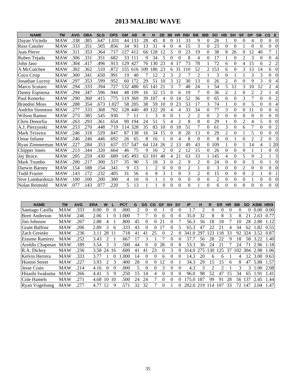# **2013 MALIBU WAVE**

| <b>NAME</b>            | <b>TM</b>  | <b>AVG</b> | <b>OBA</b> | <b>SLG</b> | <b>OPS</b> | <b>GM</b> | AB  | R   | н   | 2B             | 3B | <b>HR</b>      | <b>RBI</b>     | <b>BB</b>      | <b>IBB</b>       | <b>SO</b>      | HB             | <b>SH</b>      | <b>SF</b>      | <b>DP</b>      | <b>SB</b>      | $\mathsf{CS}$  | Е              |
|------------------------|------------|------------|------------|------------|------------|-----------|-----|-----|-----|----------------|----|----------------|----------------|----------------|------------------|----------------|----------------|----------------|----------------|----------------|----------------|----------------|----------------|
| Davan Viciedo          | MAW        | .338       | .385       | .647       | 1.031      | 44        | 133 | 28  | 45  | 8              | 0  |                | 33             | 9              | $\boldsymbol{0}$ | 26             |                | 0              | $\Omega$       | 4              | 0              | 0              | $\Omega$       |
| <b>Russ Canzler</b>    | <b>MAW</b> | .333       | .351       | .505       | .856       | 34        | 93  | 13  | 31  | 4              | 0  | 4              | 15             | 3              | $\theta$         | 23             | $\theta$       | $\theta$       |                | $\theta$       | $\theta$       | $\overline{0}$ | $\theta$       |
| Juan Pierre            | <b>MAW</b> | .311       | .353       | .364       | .717       | 127       | 412 | 66  | 128 | 12             | 5  | $\Omega$       | 23             | 19             | $\Omega$         | 38             | 8              | 26             | 0              | 12             | 40             | 7              |                |
| Ruben Tejada           | MAW        | .306       | .331       | .351       | .682       | 33        | 111 | 9   | 34  | 5              | 0  | $\Omega$       | 8              | 4              | $\Omega$         | 17             |                | $\theta$       | $\overline{2}$ | 3              | $\Omega$       | $\overline{0}$ | 4              |
| John Jaso              | <b>MAW</b> | .304       | .417       | .496       | .913       | 129       | 427 | 76  | 130 | 23             | 4  | 17             | 73             | 78             |                  | 72             | 6              | $\theta$       | 4              | 15             | 6              | $\overline{2}$ | $\overline{c}$ |
| A McCutchen            | <b>MAW</b> | .302       | .362       | .510       | .872       | 155       | 616 | 109 | 186 | 23             | 6  | 31             | 110            | 52             | $\overline{2}$   | 153            | 6              | $\theta$       | 3              | 13             | 14             | 6              | $\theta$       |
| Coco Crisp             | <b>MAW</b> | .300       | .341       | .650       | .991       | 19        | 40  | 7   | 12  | $\overline{2}$ | 3  | $\overline{c}$ | 7              | $\overline{2}$ | 1                | 3              | $\Omega$       | 1              |                | 3              | 3              | $\overline{0}$ | $\Omega$       |
| Jonathan Lucrov        | <b>MAW</b> | .297       | .353       | .599       | .952       | 60        | 172 | 29  | 51  | 10             | 3  | 12             | 30             | 13             | $\theta$         | 26             | $\overline{2}$ | $\theta$       | $\Omega$       | 9              | 3              | $\overline{0}$ | 4              |
| Marco Scutaro          | MAW        | .294       | .333       | .394       | .727       | 132       | 480 | 65  | 141 | 21             | 3  |                | 48             | 24             |                  | 54             | 5              | 12             | 3              | 10             | 12             | 2              | 4              |
| Danny Espinosa         | <b>MAW</b> | .294       | .347       | .596       | .944       | 48        | 109 | 16  | 32  | 15             | 0  | 6              | 19             |                | $\theta$         | 36             | $\overline{2}$ | $\overline{2}$ | $\theta$       | $\overline{2}$ | $\overline{2}$ |                | 4              |
| Paul Konerko           | <b>MAW</b> | .290       | .360       | .415       | .775       | 119       | 369 | 39  | 107 | 4              | 0  | 14             | 52             | 36             | $\Omega$         | 65             | 6              | $\Omega$       | 3              | $\overline{7}$ | $\theta$       | $\overline{0}$ | $\overline{2}$ |
| <b>Brandon Moss</b>    | <b>MAW</b> | .288       | .354       | .673       | 1.027      | 58        | 205 | 38  | 59  | 10             | 0  | 23             | 53             | 17             | 3                | 74             |                | $\Omega$       | $\Omega$       | 5              | $\Omega$       | $\overline{0}$ | 4              |
| <b>Andrltn Simmons</b> | <b>MAW</b> | .277       | .333       | .368       | .702       | 128       | 440 | 49  | 122 | 20             | 4  | 4              | 33             | 34             | $\Omega$         | 77             | 3              | $\Omega$       | $\Omega$       | 11             | $\theta$       | $\overline{0}$ | 6              |
| Wilson Ramos           | MAW        | .273       | .385       | .545       | .930       | 7         | 11  |     | 3   | 0              | 0  |                | 2              | 2              | $\Omega$         | $\overline{2}$ | $\Omega$       | $\Omega$       | $\Omega$       | $\theta$       | $\theta$       | $\overline{0}$ | $\Omega$       |
| Chris Denorfia         | <b>MAW</b> | .263       | .293       | .361       | .654       | 90        | 194 | 24  | 51  | 5              | 4  | $\mathfrak{D}$ | 8              | 8              | $\theta$         | 29             |                | $\theta$       | $\overline{2}$ | 4              | 5              | $\overline{0}$ | $\Omega$       |
| A.J. Pierzynski        | <b>MAW</b> | .253       | .270       | .448       | .719       | 114       | 328 | 35  | 83  | 10             | 0  | 18             | 51             | 7              | $\theta$         | 61             | 3              | $\Omega$       | 6              | 7              | $\theta$       | $\overline{0}$ | $\overline{c}$ |
| Mark Teixeira          | MAW        | .246       | .318       | .529       | .847       | 87        | 138 | 16  | 34  | 15             | 0  | 8              | 20             | 13             | $\Omega$         | 29             | 2              | $\theta$       |                | 5              | $\Omega$       | $\overline{0}$ | $\Omega$       |
| <b>Omar Infante</b>    | MAW        | .246       | .246       | .446       | .692       | 26        | 65  | 8   | 16  |                | 0  | 4              | 8              | $\Omega$       | $\theta$         | 8              | $\mathbf{0}$   |                | $\Omega$       | $\overline{2}$ | 2              | $\Omega$       | 3              |
| Ryan Zimmerman         | <b>MAW</b> | .227       | .284       | .353       | .637       | 157       | 547 | 64  | 124 | 26             | 2  | 13             | 49             | 43             | $\Omega$         | 109            |                | $\theta$       |                | 14             | 4              | 1 20           |                |
| Chipper Jones          | <b>MAW</b> | .213       | .344       | .320       | .664       | 46        | 75  | 9   | 16  | $\overline{2}$ | 0  | $\mathfrak{D}$ | 12             | 15             | $\Omega$         | 26             | $\theta$       | $\Omega$       | $\Omega$       | 1              |                | $\Omega$       | $\theta$       |
| <b>Jay Bruce</b>       | MAW        | .205       | .259       | .430       | .689       | 145       | 493 | 63  | 101 | 40             | 4  | 21             | 63             | 33             |                  | 145            | 4              | $\Omega$       | 5              | 9              | $\overline{2}$ |                | 3              |
| Mark Trumbo            | <b>MAW</b> | .200       | .217       | .300       | .517       | 35        | 90  | 5   | 18  | 3              | 0  | $\overline{2}$ | 9              | 2              | $\theta$         | 24             | $\Omega$       | $\theta$       | $\Omega$       | 3              | $\overline{0}$ |                | $\Omega$       |
| Darwin Barney          | MAW        | .154       | .188       | .154       | .341       | 9         | 13  |     | 2   | 0              | 0  | $\theta$       | $\overline{2}$ |                | $\theta$         | 3              | $\theta$       | $\theta$       | $\overline{2}$ | $\theta$       | $\theta$       | $\overline{0}$ | $\theta$       |
| <b>Todd Frazier</b>    | <b>MAW</b> | .143       | .172       | .232       | .405       | 31        | 56  | 6   | 8   | 3              |    | $\Omega$       | 3              | 2              | $\theta$         | 15             | $\Omega$       | $\theta$       | $\Omega$       | $\mathfrak{D}$ |                | $\Omega$       |                |
| Stve Lombardozzi MAW   |            | .100       | .100       | .200       | .300       | 4         | 10  | 0   |     |                | 0  | $\Omega$       | 0              | $\mathbf{0}$   | $\Omega$         | $\overline{2}$ | $\mathbf{0}$   | $\theta$       | $\Omega$       |                | 0              | $\overline{0}$ | $\Omega$       |
| Nolan Reimold          | MAW        | .077       | .143       | .077       | .220       | 5         | 13  |     |     | 0              | 0  | $\Omega$       | 0              |                | $\theta$         | 6              | 0              | $\Omega$       | $\Omega$       | $\Omega$       | $\theta$       | $\Omega$       | $\Omega$       |

| <b>NAME</b>           | <b>TM</b>  | AVG  | ERA  | W                           |          | <b>PCT</b> | G  | <b>GS</b> | CG       | <b>GF</b> | <b>SH</b> | <b>SV</b> | ΙP    | н   | R                           | ER             | <b>HR</b> | <b>BB</b> | <b>SO</b> | K/BB | <b>HR/9</b> |
|-----------------------|------------|------|------|-----------------------------|----------|------------|----|-----------|----------|-----------|-----------|-----------|-------|-----|-----------------------------|----------------|-----------|-----------|-----------|------|-------------|
| Santiago Casilla      | <b>MAW</b> | .333 | 0.00 |                             |          | .000       |    |           |          |           |           |           | 1.7   |     | 0                           |                |           |           | 0         | 0.00 | 0.00        |
| <b>Brett Anderson</b> | <b>MAW</b> | .246 | 2.06 |                             |          | .000       |    |           | 0        |           | $\theta$  | $\theta$  | 35.0  | 32  | 8                           | 8              | 3         | 8         |           | 2.63 | 0.77        |
| Jim Johnson           | <b>MAW</b> | 267  | 2.88 | 4                           |          | .800       | 45 | 0         | 0        | 21        |           |           | 56.3  | 56  | 18                          | 18             |           | 10        | 28        | 2.80 | 1.12        |
| <b>Grant Balfour</b>  | <b>MAW</b> | 206  | 2.89 | 3                           | 6        | 333        | 43 | $_{0}$    | 0        |           | 0         |           | 65.3  | 47  | 22                          | 2 <sub>1</sub> | 4         | 34        | 62        | .82  | 0.55        |
| Zach Greinke          | <b>MAW</b> | .236 | 3.11 | 28                          | 11       | .718       | 41 | 41        | 25       | $^{(1)}$  |           |           | 341.0 | 297 | 123                         | 18             | 33        | 92        | 324       | 3.52 | 0.87        |
| Erasmo Ramirez        | <b>MAW</b> | .252 | 3.43 | $\mathfrak{D}$              |          | .667       |    | 3         |          |           | $\Omega$  |           | 57.7  | 56  | 28                          | 22             | 9         | 18        | 58        | 3.22 | 1.40        |
| Aroldis Chapman       | <b>MAW</b> | .189 | 3.54 | 3                           | 3        | 500        | 44 | 0         | 0        | 28        | $\theta$  | 8         | 53.3  | 36  | 24                          | 21             |           | 24        |           | 2.96 | 1.18        |
| R.A. Dickey           | <b>MAW</b> | .236 | 3.58 | 24                          | 16       | .600       | 41 | 41        | 23       | 0         | 3         |           | 314.0 |     | 30                          | 125            | 37        | 102       | 304       | 2.98 | L.06        |
| Kelvin Herrera        | <b>MAW</b> | .333 | 3.77 |                             |          | .000       | 14 | $_{0}$    | $\Omega$ | 6         | $\theta$  | $\theta$  | 14.3  | 20  | 6                           | <sub>6</sub>   |           | 4         | 12        | 3.00 | 0.63        |
| <b>Huston Street</b>  | <b>MAW</b> | .227 | 3.93 | $\mathcal{D}_{\mathcal{L}}$ | 3        | .400       | 28 | 0         | 0        | 12        | $\Omega$  |           | 34.3  | 29  | 15                          | 15             | 6         | 8         | 47        | 5.88 | 1.57        |
| <b>Jesse Crain</b>    | <b>MAW</b> | .214 | 4.16 | $\theta$                    | $\Omega$ | .000       | 5  | 0         | $\theta$ | 3         | $\theta$  | $\Omega$  | 4.3   | 3   | $\mathcal{D}_{\mathcal{L}}$ | 2              |           | 3         | 3         | 1.00 | 2.08        |
| Hisashi Iwakuma       | <b>MAW</b> | 266  | 4.41 | 3                           | 9        | .250       | 15 | 14        | 4        | $\theta$  | $\Omega$  |           | 96.0  | 98  | 52                          | 47             | 15        | 34        | 65        | 1.91 | 1.41        |
| Cole Hamels           | <b>MAW</b> | .271 | 4.68 | 10                          | 10       | 500        | 24 | 24        |          | 0         | $\theta$  | $^{(1)}$  | 75.0  | 187 | 99                          | 91             | 28        | 56        | 137       | 2.45 | .44         |
| <b>Ryan Vogelsong</b> | <b>MAW</b> | 277  | 4.77 | 12                          | 9        | 57         | 32 | 32        |          |           |           |           | 202.0 | 219 | 14                          |                | 33        | 72        | 147       | 2.04 | .47         |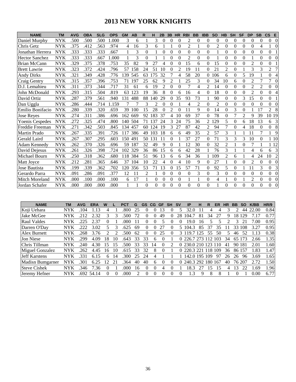# **2013 NEW YORK KNIGHTS**

| <b>NAME</b>            | <b>TM</b>  | <b>AVG</b> | <b>OBA</b> | <b>SLG</b> | <b>OPS</b> | <b>GM</b> | AB  | R              | н              | 2B       | 3B       | <b>HR</b>      | <b>RBI</b> | <b>BB</b> | <b>IBB</b>     | <b>SO</b>      | <b>HB</b>      | <b>SH</b>      | <b>SF</b>      | <b>DP</b>      | <b>SB</b>      | $\mathsf{cs}$<br>E         |
|------------------------|------------|------------|------------|------------|------------|-----------|-----|----------------|----------------|----------|----------|----------------|------------|-----------|----------------|----------------|----------------|----------------|----------------|----------------|----------------|----------------------------|
| Daniel Murphy          | <b>NYK</b> | .500       | .500       | .500       | 1.000      | 3         | 6   |                | 3              | 0        | 0        | $\Omega$       | 2          | $\Omega$  | $\theta$       | $\Omega$       | $\Omega$       | 0              | $\Omega$       | $\Omega$       | 0              | 0<br>$\Omega$              |
| Chris Getz             | <b>NYK</b> | .375       | .412       | .563       | .974       | 4         | 16  | 3              | 6              |          |          | $\theta$       | 2          |           | $\theta$       | $\overline{2}$ | $\Omega$       | $\theta$       | $\theta$       | $\theta$       | 4              | $\Omega$                   |
| Jonathan Herrera       | <b>NYK</b> | .333       | .333       | .333       | .667       |           | 3   | 0              |                | 0        | 0        | $\Omega$       | $\Omega$   | $\Omega$  | $\theta$       |                | $\Omega$       | $\Omega$       | $\Omega$       | $\theta$       | $\Omega$       | $\Omega$                   |
| <b>Hector Sanchez</b>  | <b>NYK</b> | .333       | .333       | .667       | .000       |           | 3   | $\Omega$       |                |          | 0        | 0              | 2          | $\Omega$  | $\theta$       | 1              | $\Omega$       | $\Omega$       | $\Omega$       |                | $\theta$       | 0<br>$\Omega$              |
| <b>Brian McCann</b>    | <b>NYK</b> | .329       | .375       | .378       | .753       | 35        | 82  | 9              | 27             | 4        | 0        | 0              | 15         | 6         | $\theta$       | 15             | $\Omega$       | $\theta$       | $\theta$       | $\overline{2}$ | $\theta$       | $\overline{0}$             |
| <b>Brett Lawrie</b>    | <b>NYK</b> | .323       | .372       | .424       | .796       | 57        | 158 | 24             | 51             | 10       | 0        | $\overline{c}$ | 19         | 11        | $\Omega$       | 21             | $\overline{2}$ | $\theta$       |                | 3              | 3              | $\overline{2}$             |
| <b>Andy Dirks</b>      | <b>NYK</b> | 321        | .349       | .428       | .776       | 139       | 545 | 63             | 175            | 32       | 7        | 4              | 58         | 20        | $\Omega$       | 106            | 6              | $\theta$       | 5              | 19             |                | $\overline{0}$<br>4        |
| <b>Craig Gentry</b>    | <b>NYK</b> | .315       | .357       | .396       | .753       | 71        | 197 | 25             | 62             | 9        | 2        |                | 25         | 3         | $\Omega$       | 34             | 10             | 6              | $\Omega$       | $\overline{2}$ | 7              | 7<br>$\Omega$              |
| D.J. Lemahieu          | <b>NYK</b> | .311       | .373       | .344       | .717       | 31        | 61  | 6              | 19             | 2        | 0        | 0              |            | 4         | 2              | 14             | $\Omega$       | $\Omega$       | $\Omega$       | $\overline{2}$ | $\overline{2}$ | $\overline{0}$             |
| John McDonald          | <b>NYK</b> | .293       | .315       | .504       | .819       | 63        | 123 | 19             | 36             | 8        | 0        | 6              | 16         | 4         | $\theta$       | 18             | $\Omega$       | $\theta$       | $\Omega$       | $\overline{2}$ | $\theta$       | $\overline{0}$             |
| David Ortiz            | <b>NYK</b> | .287       | .379       | .561       | .940       | 131       | 488 | 88             | 140            | 29       | 0        | 35             | 93         | 73        |                | 90             | $\Omega$       | $\overline{0}$ | 3              | 15             | $\theta$       | $\overline{0}$             |
| Dan Uggla              | <b>NYK</b> | .286       | .444       | .714       | 1.159      | 7         | 7   | 3              | $\overline{c}$ | $\Omega$ | 0        |                | 4          | 2         | $\theta$       | $\overline{2}$ | $\Omega$       | $\overline{0}$ | $\Omega$       | $\theta$       | $\Omega$       | $\overline{0}$<br>$\Omega$ |
| Emilio Bonifacio       | <b>NYK</b> | .280       | .339       | .320       | .659       | 39        | 100 | 15             | 28             | 0        | 2        | 0              | 11         | 9         | $\Omega$       | 14             | $\Omega$       | 3              | $\Omega$       |                | 17             | 2<br>8                     |
| <b>Jose Reyes</b>      | <b>NYK</b> | .274       | .311       | .386       | .696       | 162       | 669 | 92             | 183            | 37       | 4        | 10             | 69         | 37        | $\theta$       | 78             | $\Omega$       | 7              | $\overline{2}$ | 9              | 39             | 10 19                      |
| <b>Yoenis Cespedes</b> | <b>NYK</b> | .272       | .325       | .474       | .800       | 140       | 504 | 71             | 137            | 24       | 3        | 24             | 75         | 36        | $\overline{2}$ | 129            | 5              | $\mathbf{0}$   | 6              | 18             | 13             | 3<br>6                     |
| Freddie Freeman        | <b>NYK</b> | .271       | 342        | .503       | .845       | 134       | 457 | 60             | 124            | 19       | 3        | 27             | 87         | 42        | $\mathfrak{D}$ | 94             | $\overline{7}$ | $\theta$       | 4              | 18             | $\Omega$       | 8<br>0                     |
| Martin Prado           | <b>NYK</b> | .267       | .335       | .391       | .726       | 117       | 386 | 49             | 103            | 18       | 6        | 6              | 49         | 35        | $\overline{2}$ | 57             | 3              |                |                | 11             | 7              | 9                          |
| Gerald Laird           | <b>NYK</b> | .267       | .307       | .295       | .603       | 150       | 491 | 50             | 131            | 11       | 0        |                | 37         | 27        | $\overline{0}$ | 71             | 3              | 3              | 3              | 10             | 0              | 1 10                       |
| <b>Adam Kennedv</b>    | <b>NYK</b> | .262       | .370       | .326       | .696       | 59        | 187 | 32             | 49             | 9        | 0        |                | 12         | 30        | $\theta$       | 32             | $\overline{2}$ |                | $\theta$       | $\overline{7}$ |                | 1 12                       |
| David Deiesus          | <b>NYK</b> | .261       | .326       | .398       | .724       | 102       | 329 | 36             | 86             | 15       | 6        | 6              | 42         | 28        | $\mathbf{1}$   | 76             | 3              |                |                | 4              | 6              | 3<br>6                     |
| Michael Bourn          | <b>NYK</b> | .250       | .318       | .362       | .680       | 118       | 384 | 51             | 96             | 13       | 6        | 6              | 34         | 36        |                | 109            | 2              | 6              |                | 4              | 24             | 10<br>$\overline{c}$       |
| Matt Jovce             | <b>NYK</b> | .212       | .281       | .365       | .646       | 37        | 104 | 10             | 22             | 4        | 0        | 4              | 10         | 9         | $\theta$       | 27             |                | $\theta$       | $\Omega$       | $\overline{2}$ | $\theta$       | $\Omega$<br>$\Omega$       |
| Jose Bautista          | <b>NYK</b> | .199       | .339       | .362       | .702       | 120       | 356 | 53             | 71             | 13       | 0        | 15             | 57         | 71        | $\theta$       | 92             | 5              | $\theta$       |                | 11             | 3              | 3<br>$\Omega$              |
| Gerardo Parra          | <b>NYK</b> | .091       | .286       | .091       | .377       | 12        | 11  | $\mathfrak{D}$ |                | 0        | 0        | $\Omega$       | 0          | 3         | $\theta$       | 3              | $\Omega$       | $\Omega$       | $\Omega$       | $\Omega$       | $\Omega$       | $\overline{0}$<br>$\Omega$ |
| Mitch Moreland         | <b>NYK</b> | .000       | .100       | .000       | .100       | 6         | 17  |                | $\Omega$       | 0        | $\Omega$ | $\Omega$       |            |           | $\theta$       | 4              |                | $\theta$       |                | $\overline{2}$ | $\Omega$       | $\overline{0}$<br>$\Omega$ |
| Jordan Schafer         | NYK        | .000       | .000       | .000       | .000       |           |     | 0              | 0              | 0        | 0        | $\Omega$       | 0          | $\Omega$  | $\theta$       |                | 0              | $\Omega$       | $\Omega$       | $\Omega$       | $\Omega$       | 0<br>$\Omega$              |

| <b>NAME</b>             | TM         | <b>AVG</b> | <b>ERA</b> | W        |    | <b>PCT</b> |               | GS         | CG       | GF       | <b>SH</b> | <b>SV</b> | <b>IP</b>           | н   | R           | ER  | HR | ВB  | so     | K/BB  | <b>HR/9</b> |
|-------------------------|------------|------------|------------|----------|----|------------|---------------|------------|----------|----------|-----------|-----------|---------------------|-----|-------------|-----|----|-----|--------|-------|-------------|
| Koji Uehara             | <b>NYK</b> | 104        | 1.13       | 4        |    | .800       | 25            |            |          |          |           |           | 32.0                |     |             |     |    |     | 44     | 22.00 | 0.84        |
| Jake McGee              | <b>NYK</b> |            | 2.32       | 3        |    | 500        | 72            | $^{(1)}$   | $\theta$ | 49       |           | 28        | 104.7               | 81  | 34          | 27  | 9  | 18  | 29     |       | 0.77        |
| <b>Raul Valdes</b>      | NYK        | 225        | 2.37       | $^{(1)}$ |    | .000       |               | 0          |          |          |           |           | 19.0                | 16  |             |     |    | 3   |        | 7.00  | 0.95        |
| Darren O'Day            | NYK        | 222        | 3.02       |          | 3  | .625       | 69            | $^{\circ}$ |          | 27       | $\theta$  |           | 5 104.3             | 85  | 37          | 35  |    | 33  | 108    | 3.27  | 0.95        |
| Alex Burnett            | <b>NYK</b> | 268        | 3.76       |          |    | 500        | 62            | 0          |          | 25       | $\theta$  |           | 3 119.7             | 125 | 55          | 50  |    | 46  | 52     |       | 0.38        |
| Jon Niese               | <b>NYK</b> | 299        | 4.09       | 18       | 10 | .643       | 33            | 33         | 6        |          |           |           | 0 226.7 273 112     |     |             | 103 | 34 | 65  | 173    | 2.66  | 1.35        |
| Chris Tillman           | <b>NYK</b> | 240        | 4.30       | 15       | 15 | 500        | 33            | 33         | 14       | $\theta$ |           |           | 0 230.0 210 123 110 |     |             |     | 41 | 90  | 181    | 2.01  | 1.60        |
| Miguel Gonzalez         | <b>NYK</b> | 262        | 4.45       | 16       | 10 | .615       | 33            | 32         | 8        | $_{0}$   |           |           | 0 220.3 221 118 109 |     |             |     | 36 | 86. | 157    | 1.83  | 1.47        |
| <b>Jeff Karstens</b>    | <b>NYK</b> | 331        | 6.15       | h.       | 14 | 300        | 25            | 24         | 4        |          |           |           | 142.0 195           |     | $\cdot$ 109 | 97  | 26 | 26  | 96     | 3.69  | 1.65        |
| <b>Madisn Bumgarner</b> | <b>NYK</b> | 301        | 6.25       | 12       |    | 364        | 40            | 40         | 6        | $^{(1)}$ | $\Omega$  |           | 0 240.3 292         |     | 180 167     |     | 40 |     | 76 207 | 2.72  | 1.50        |
| <b>Steve Cishek</b>     | <b>NYK</b> | 346        | ' 36       | 0        |    | 000        | 16            | 0          | 0        | 4        | 0         |           | 18.3                |     | 15          | 15  | 4  | 13  |        | - 69  | 1.96        |
| Jeremy Hefner           | <b>NYK</b> |            | .692 54.14 | 0        | 0  | .000       | $\mathcal{D}$ | 0          | 0        | $\Omega$ | 0         | $\Omega$  | 13                  | 9   | 8           | 8   |    |     |        | 0.00  | 6.77        |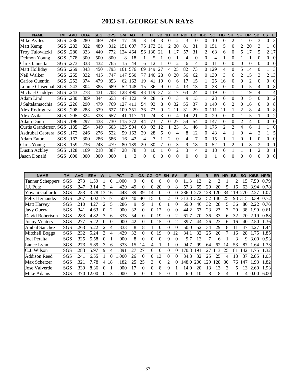# **2013 ST. GEORGE SUN RAYS**

| <b>NAME</b>            | ΤM         | <b>AVG</b> | <b>OBA</b> | <b>SLG</b> | <b>OPS</b> | <b>GM</b> | AB  | R        | н   | 2Β       | 3B             | <b>HR</b> | <b>RBI</b> | <b>BB</b> | <b>IBB</b>     | <b>SO</b> | HВ             | <b>SH</b>      | <b>SF</b>      | <b>DP</b>      | <b>SB</b>                   | $\mathsf{CS}$ | E              |
|------------------------|------------|------------|------------|------------|------------|-----------|-----|----------|-----|----------|----------------|-----------|------------|-----------|----------------|-----------|----------------|----------------|----------------|----------------|-----------------------------|---------------|----------------|
| Mike Aviles            | SGS        | 286        | .280       | .469       | .749       | 17        | 49  | 8        | 14  | 3        | 0              |           | 3          | $\theta$  | $\Omega$       | 10        | 0              | 2              |                | 0              | 3                           | $\theta$      | 3              |
| Matt Kemp              | SGS        | 283        | .322       | .489       | .812       | 151       | 607 | 75       | 172 | 31       | 2              | 30        | 81         | 31        | $\Omega$       | 151       | 5              | $\theta$       | 2              | 20             | 3                           | 1             | $\theta$       |
| <b>Troy Tulowitzki</b> | SGS        | 280        | .333       | .440       | .772       | 124       | 464 | 56       | 130 | 21       |                |           | 57         | 31        | 2              | 68        | 6              | 0              | 5              | 17             | 5                           |               | 2 17           |
| Delmon Young           | <b>SGS</b> | 278        | .300       | .500       | .800       | 8         | 18  |          | 5   |          | 0              |           | 4          | $\theta$  | $\theta$       | 4         |                | 0              |                |                | $\Omega$                    | $\Omega$      | $\Omega$       |
| Chris Iannetta         | SGS        | .273       | .333       | .432       | .765       | 15        | 44  | 6        | 12  |          | 0              | 2         | 6          | 4         | $\Omega$       | 11        | $\theta$       | 0              | $\Omega$       | 0              | 0                           | $\Omega$      | $\Omega$       |
| Matt Holliday          | SGS        | .259       | .343       | .450       | .793       | 161       | 576 | 69       | 149 | 27       | 4              | 25        | 82         | 73        | 0              | 129       | 4              | 0              | 5              | 14             | $\Omega$                    |               | 3              |
| Neil Walker            | SGS        | 255        | .332       | .415       | .747       | 147       | 550 | 77       | 140 | 28       | 0              | 20        | 56         | 62        | 0              | 130       | 3              | 6              | $\mathfrak{D}$ | 15             | 3                           |               | 2 1 3          |
| Carlos Quentin         | SGS        | 252        | .374       | .479       | .853       | 62        | 163 | 19       | 41  | 19       | 0              | 6         | 17         | 15        |                | 25        | 16             | 0              | $\Omega$       | $\mathfrak{D}$ | 0                           | $\theta$      | $\theta$       |
| Lonnie Chisenhall      | SGS        | .243       | .304       | .385       | .689       | 52        | 148 | 15       | 36  | 9        | 0              |           | 13         | 13        | 0              | 38        | $\theta$       | 0              | 0              | 5              | 4                           | $\theta$      | 8              |
| Michael Cuddyer        | SGS        | .243       | .278       | .431       | .708       | 128       | 490 | 48       | 19  | 37       | 2              |           | 63         | 24        | $\Omega$       | 119       | $\theta$       |                |                | 19             | 4                           |               | 1 14           |
| Adam Lind              | SGS        | .230       | .309       | .344       | .653       | 47        | 122 | 9        | 28  | 5        | 0              | 3         | 9          | 13        |                | 23        | $\Omega$       | 0              | $\Omega$       | 5              | $\Omega$                    | $\Omega$      | $\overline{c}$ |
| J Saltalamacchia       | SGS        | .226       | .290       | .479       | .769       | 127       | 411 | 54       | 93  | 8        | 0              | 32        | 55         | 37        | 0              | 140       | 0              | 2              | 0              | 16             | 0                           | $\theta$      | 8              |
| Alex Rodriguez         | SGS        | .208       | .288       | .339       | .627       | 109       | 351 | 36       | 73  | 9        | 2              |           | 31         | 29        | $\overline{0}$ | 111       |                |                | $\mathfrak{D}$ | 8              | 4                           | $\theta$      | 8              |
| Alex Avila             | SGS        | .205       | .324       | .333       | .657       | 41        | 117 | 11       | 24  | 3        |                |           | 14         | 21        | 0              | 29        | 0              | 0              |                | 5              |                             | $\Omega$      | $\overline{2}$ |
| Adam Dunn              | SGS        | 196        | .297       | .433       | .730       | 115       | 372 | 44       | 73  |          |                | 27        | 54         | 54        | $\Omega$       | 147       | $\Omega$       | 0              | 2              | 4              | 0                           | 0             | $\Omega$       |
| Curtis Granderson      | <b>SGS</b> | .185       | .254       | .349       | .603       | 135       | 504 | 68       | 93  | 12       |                | 23        | 51         | 46        | $\theta$       | 175       | $\mathfrak{D}$ | $\overline{c}$ | 4              | 6              |                             |               | $\theta$       |
| Asdrubal Cabrera       | <b>SGS</b> | .172       | .246       | .276       | .522       | 59        | 163 | 20       | 28  | 5        |                | 4         | 8          | 12        | $\Omega$       | 43        | 4              |                | $\Omega$       | 4              | $\mathcal{D}_{\mathcal{L}}$ |               | 5              |
| <b>Adam Eaton</b>      | SGS        | .167       | .300       | .286       | .586       | 16        | 42  | 4        |     |          | $\mathfrak{D}$ | 0         | 4          | 7         | $\Omega$       | 15        |                |                | $\Omega$       |                | 0                           | 0             | $\theta$       |
| Chris Young            | SGS        | 159        | .236       | .243       | .479       | 80        | 189 | 20       | 30  |          | $\theta$       | 3         | 9          | 18        | 0              | 52        |                | 2              | 0              | 8              | $\mathcal{D}_{\mathcal{L}}$ | $\theta$      |                |
| <b>Dustin Ackley</b>   | SGS        | 128        | .169       | .218       | .387       | 28        | 78  | 8        | 10  |          | 0              | 2         | 3          | 4         | $\Omega$       | 18        | $\theta$       |                |                |                | $\mathfrak{D}$              | $\theta$      |                |
| <b>Jason Donald</b>    | SGS        | .000       | .000       | .000       | .000       |           | 3   | $\Omega$ | 0   | $\theta$ | 0              | $\Omega$  | $\Omega$   | $\theta$  | $\Omega$       |           | $\Omega$       | 0              | $\Omega$       | $\theta$       | $\Omega$                    | $\theta$      | $\Omega$       |

| <b>NAME</b>             | ΤM  | <b>AVG</b> | <b>ERA</b> | W        |                | <b>PCT</b> | G  | <b>GS</b> | CG       | <b>GF</b> | <b>SH</b> | <b>SV</b> | IP        | н   | R  | ER  | <b>HR</b> | <b>BB</b> | <b>SO</b> | K/BB | HR/9 |
|-------------------------|-----|------------|------------|----------|----------------|------------|----|-----------|----------|-----------|-----------|-----------|-----------|-----|----|-----|-----------|-----------|-----------|------|------|
| <b>Tanner Scheppers</b> | SGS | .273       | 1.59       |          | $\theta$       | .000       | 9  | $\Omega$  | $\Omega$ | 6         | $\theta$  | 0         | 11.3      | 12  |    |     |           |           | 15        | 7.50 | 0.79 |
| J.J. Putz               | SGS | .247       | 3.14       | 3        |                | .429       | 49 | 0         | $_{0}$   | 20        | 0         | 8         | 57.3      | 55  | 20 | 20  | 5         | 16        | 63        | 3.94 | 0.78 |
| Yovani Gallardo         | SGS | .253       | 3.78       | 13       | 16             | .448       | 39 | 39        | 14       |           |           |           | 286.0     | 272 | 28 | 120 | 34        | 19        |           | 2.27 | 1.07 |
| Felix Hernandez         | SGS | 267        | 4.02       |          | 17             | .500       | 40 | 40        | 15       |           |           |           | 313.3     | 322 | 52 | 140 | 25        | 93        | 315       | 3.39 | 0.72 |
| <b>Matt Harvey</b>      | SGS | .210       | 4.27       | 2        | 5              | 286        | 9  | 9         |          |           |           |           | 59.0      | 46  | 32 | 28  | 5         | 36        | 80        | 2.22 | 0.76 |
| Javy Guerra             | SGS | .341       | 4.63       | 0        | $\overline{2}$ | .000       | 32 | 0         | 0        | 12        |           | 0         | .2<br>44. | 63  | 23 | 23  | 3         | 20        | 38        | .90  | 0.61 |
| David Robertson         | SGS | .283       | 4.82       | 3        | 6              | .333       | 54 | 0         | $^{(1)}$ | 19        | $\Omega$  |           | 61.7      | 70  | 36 | 33  | 6         | 32        | 70        | 2.19 | 0.88 |
| <b>Jonny Venters</b>    | SGS | .27        | 5.22       | $\theta$ | $\Omega$       | .000       | 42 | 0         | $\theta$ | 15        | 0         |           | 39.7      | 44  | 26 | 23  | 6         | 16        | 40        | 2.50 | 1.36 |
| Anibal Sanchez          | SGS | .263       | 5.22       | 2        | 4              | .333       | 8  | 8         |          | $\theta$  | 0         |           | 50.0      | 52  | 34 | 29  | 8         |           | 47        | 4.27 | 1.44 |
| Mitchell Boggs          | SGS | .232       | 5.24       | 3        | 4              | .429       | 32 | 0         | $^{(1)}$ | 19        | 0         | 12        | 34.1      | 32  | 25 | 20  |           | 16        | 28        | 1.75 | 1.85 |
| Joel Peralta            | SGS | .325       | 5.58       | 0        |                | .000       | 8  | 0         | 0        | 0         | 0         | 0         | 9.7       | 13  |    | 6   |           | 3         | Q         | 3.00 | 0.93 |
| Lance Lynn              | SGS | .273       | 5.89       | 3        | 6              | .333       | 15 | 14        | 4        |           |           | 0         | 94.7      | 99  | 64 | 62  | 14        | 53        | 87        | .64  | 1.33 |
| C.J. Wilson             | SGS | .283       | 5.97       | 9        | 14             | .391       | 27 | 27        | 6        | 0         | 0         |           | 70.3      | 191 | 27 | 13  | 25        | 81        | 42        | .75  | 1.32 |
| <b>Addison Reed</b>     | SGS | .241       | 6.55       |          |                | .000       | 26 | 0         | 0        | 13        | 0         |           | 34.3      | 32  | 25 | 25  | 4         | 13        | 37        | 2.85 | 1.05 |
| Max Scherzer            | SGS | .321       | 7.78       | 4        | 18             | .182       | 25 | 25        | 3        | 0         | $\gamma$  |           | 148.0     | 200 | 29 | 128 | 30        | 76        | 147       | 1.93 | 1.82 |
| Jose Valverde           | SGS | .339       | 8.36       | $_{0}$   |                | .000       |    | 0         | $^{(1)}$ | 8         |           |           | 14.0      | 20  | 13 | 13  | 3         | 5         | 13        | 2.60 | 1.93 |
| Mike Adams              | SGS | .370       | 12.00      | 0        |                | .000       | 6  | 0         | 0        |           |           |           | 6.0       | 10  | 8  | 8   | 4         | 0         | 4         | 0.00 | 6.00 |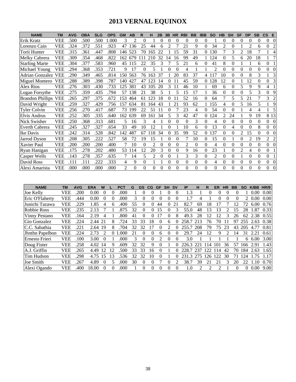# **2013 VERNAL EQUINOX**

| <b>NAME</b>             | <b>TM</b>  | <b>AVG</b> | <b>OBA</b> | <b>SLG</b> | <b>OPS</b> | <b>GM</b> | AB       | R        | н              | 2B       | 3B       | <b>HR</b> | <b>RBI</b>     | <b>BB</b> | <b>IBB</b> | <b>SO</b>      | HB       | <b>SH</b>        | <b>SF</b>                | DP                          | <b>SB</b> | $\mathsf{cs}$  | E              |
|-------------------------|------------|------------|------------|------------|------------|-----------|----------|----------|----------------|----------|----------|-----------|----------------|-----------|------------|----------------|----------|------------------|--------------------------|-----------------------------|-----------|----------------|----------------|
| Erik Kratz              | VEE        | .500       | .500       | .500       | 1.000      | 3         | 2        | $\Omega$ |                | 0        | $\theta$ | 0         | $\theta$       | $\Omega$  | $\Omega$   |                | $\Omega$ | 0                | 0                        | $\theta$                    | $\Omega$  | $\Omega$       | $\theta$       |
| Lorenzo Cain            | VEE        | .324       | .372       | .551       | .923       | 47        | 136      | 25       | 44             | 6        | 2        |           | 21             | 9         | 0          | 34             | 2        | $\Omega$         |                          | $\mathcal{D}_{\mathcal{L}}$ | 6         | $\Omega$       | 2              |
| Torii Hunter            | VEE        | .315       | .361       | .447       | .808       | 146       | 523      | 70       | 65             | 22       |          | 15        | 59             | 31        | 0          | 130            | 7        | 3                | 2                        | 18                          |           |                | 4              |
| Melky Cabrera           | <b>VEE</b> | .309       | .354       | .468       | .822       | 162       | 679      |          | 210            | 32       | 14       | 16        | 99             | 49        |            | 124            | 0        | 5                | 6                        | 20                          | 18        |                | 7              |
| <b>Starling Marte</b>   | <b>VEE</b> | .304       | .377       | .583       | .960       | 45        | 115      | 22       | 35             | 3        |          | 5         | 21             | 6         | $\Omega$   | 41             | 8        | $\theta$         |                          |                             | 6         | $\Omega$       |                |
| Michael Young           | <b>VEE</b> | .294       | .368       | .353       | .721       | 9         | 17       | $\theta$ | 5              |          | 0        | 0         | 4              |           |            | $\overline{c}$ | 0        | 0                | 0                        | $\Omega$                    | $\Omega$  | 0              | $\Omega$       |
| Adrian Gonzalez         | <b>VEE</b> | .290       | .349       | .465       | .814       | 150       | 563      | 76       | 163            | 37       |          | 20        | 83             | 37        | 4          | 117            | 10       | $\theta$         | 0                        | 8                           | 3         |                | 3              |
| <b>Miguel Montero</b>   | <b>VEE</b> | .288       | .389       | .398       | .787       | 140       | 427      | 47       | 123            | 14       | 0        | 11        | 45             | 59        | 0          | 128            | 12       | 0                |                          | 12                          | 0         | $\Omega$       | 3              |
| Alex Rios               | VEE        | .276       | .303       | .430       | .733       | 125       | 381      | 43       | 105            | 20       | 3        | 11        | 46             | 10        |            | 69             | 6        | $\Omega$         | 5                        | 9                           | 9         | 4              |                |
| Logan Forsythe          | <b>VEE</b> | .275       | .359       | .435       | .794       | 57        | 138      | 21       | 38             | 5        |          | 5         | 15             | 17        |            | 36             | 0        | $\Omega$         | 0                        | 5                           | 3         | $\Omega$       | 9              |
| <b>Brandon Phillips</b> | <b>VEE</b> | .265       | .297       | .375       | .672       | 153       | 464      | 61       | 123            | 18       | 0        |           | 52             | 16        | 0          | 64             |          | 5                | 5                        | 21                          |           | 3              | 2              |
| David Wright            | <b>VEE</b> | .259       | .327       | .429       | .756       | 157       | 634      | 81       | 164            | 43       |          | 21        | 93             | 62        |            | 155            | 4        | $\boldsymbol{0}$ | $\overline{\phantom{0}}$ | 16                          | 5         |                | 9              |
| <b>Tyler Colvin</b>     | <b>VEE</b> | .256       | .270       | .417       | .687       | 73        | 199      | 22       | 51             |          | 0        |           | 23             | 4         | 0          | 54             | 0        | $\theta$         |                          | 4                           | Δ         |                | 5              |
| Elvis Andrus            | <b>VEE</b> | .252       | .305       | .335       | .640       | 162       | 639      | 69       | 161            | 34       | 5        | 3         | 42             | 47        | 0          | 124            | 2        | 24               |                          | 9                           | 19        | 8 1 3          |                |
| Nick Swisher            | <b>VEE</b> | .250       | .368       | .313       | .681       | 5         | 16       | 3        | 4              |          | 0        | 0         | 0              | 3         | 0          | 4              | 0        | $\theta$         | 0                        | $\theta$                    | 0         | $\Omega$       | $\theta$       |
| <b>Everth Cabrera</b>   | <b>VEE</b> | .245       | .327       | .327       | .654       | 33        | 49       | 10       | 12             |          | 0        |           | 10             | 6         | $\Omega$   | 13             | 0        | 4                | $\Omega$                 | $\Omega$                    | 8         | $\Omega$       | $\Omega$       |
| Ike Davis               | VEE        | 242        | .314       | .528       | .842       | 142       | 487      | 67       | 18             | 34       | 0        | 35        | 99             | 52        | 0          | 137            | 0        | $\theta$         | $\mathfrak{D}$           | 15                          | $\Omega$  | $\Omega$       | $\Omega$       |
| Jarrod Dyson            | <b>VEE</b> | .208       | .305       | .222       | .527       | 58        | 72       | 19       | 15             |          | 0        | $\theta$  |                | 10        | $\Omega$   | 15             | 0        |                  | 0                        | $\overline{2}$              | 19        | $\overline{2}$ | $\overline{2}$ |
| Xavier Paul             | <b>VEE</b> | 200        | .200       | .200       | .400       |           | 10       | $\Omega$ | $\mathfrak{D}$ | 0        | 0        | 0         | $\mathfrak{D}$ | $\theta$  | 0          | 4              | 0        | $\theta$         | 0                        | $\theta$                    | $\Omega$  | $\Omega$       | $\Omega$       |
| Ryan Hanigan            | <b>VEE</b> | .175       | .278       | .202       | .480       | 53        | 114      | 12       | 20             | 3        | $\Omega$ | 0         | 9              | 16        | $\Omega$   | 23             |          | $\theta$         | $\mathfrak{D}$           | 4                           | $\Omega$  | $\Omega$       |                |
| <b>Casper Wells</b>     | VEE        | 143        | .278       | .357       | .635       |           | 14       | 5        | $\overline{c}$ | $\Omega$ | 0        |           | 3              | 3         | $\theta$   | 2              | $\Omega$ | $\theta$         |                          | $\theta$                    | $\Omega$  | $\Omega$       |                |
| David Ross              | VEE        | 111        | .111       | .222       | .333       | 4         | 9        | $\theta$ |                |          | 0        | $\Omega$  | $\Omega$       | $\theta$  | $\Omega$   | 4              | $\Omega$ | $\Omega$         | $\Omega$                 | $\Omega$                    | $\Omega$  | $\Omega$       | $\theta$       |
| Alexi Amarista          | VEE        | .000       | .000       | .000       | .000       | 2         | $\theta$ | $\Omega$ | $\Omega$       | $\Omega$ | $\Omega$ | 0         | $\Omega$       | $\theta$  | $\Omega$   | 0              | 0        | $\theta$         | $\Omega$                 | $\theta$                    | $\theta$  | $\Omega$       | $\theta$       |

| <b>NAME</b>        | TM         | <b>AVG</b> | <b>ERA</b> | w        |    | PCT  | G  | <b>GS</b> | CG       | GF       | <b>SH</b>                   | <b>SV</b> | IP    | н   | R   | ER       | <b>HR</b>                   | <b>BB</b> | <b>SO</b>   | <b>K/BB</b> | HR/9  |
|--------------------|------------|------------|------------|----------|----|------|----|-----------|----------|----------|-----------------------------|-----------|-------|-----|-----|----------|-----------------------------|-----------|-------------|-------------|-------|
| Joe Kelly          | VEE        | .200       | 0.00       | $\theta$ | 0  | .000 |    | 0         |          |          | $_{0}$                      | $\theta$  | 1.3   |     | 0   | 0        |                             | O         |             | 0.00        | 0.00  |
| Eric O'Flaherty    | VEE        | 444.       | 0.00       | $\theta$ | 0  | .000 | 3  | 0         |          | $\Omega$ | $\Omega$                    | 0         | 1.7   | 4   |     | $\theta$ | 0                           | 0         | $2^{\circ}$ | 0.00        | 0.00  |
| Junichi Tazawa     | <b>VEE</b> | .229       | 1.85       | 4        | h  | .400 | 55 | 0         |          | 44       | 0                           | 21        | 82.7  | 69  | 18  |          |                             | 12        | 72          | 6.00        | 0.76  |
| <b>Robbie Ross</b> | VEE        | .235       | 2.13       |          |    | .875 | 32 | 0         | $\Omega$ | 15       | $\Omega$                    | 3         | 55.0  | 48  | 13  | 13       |                             | 15        | 28          | 1.87        | 0.33  |
| Vinny Pestano      | VEE        | .164       | 2.19       | 4        |    | .800 | 41 | $\Omega$  |          | 7        | $\Omega$                    | 8         | 49.3  | 28  | 12  | 12       | 3                           | 26        | 62          | 2.38        | 0.55  |
| Gio Gonzalez       | VEE        | .224       | 2.44 21    |          |    | 724  | 33 | 33        | 18       | 0        | 6                           | $\theta$  | 258.7 | 213 | 76  | 70       |                             | 97        | 255         | 2.63        | 0.38  |
| C.C. Sabathia      | VEE        | 221        | 2.64       | 19       |    | .704 | 32 | 32        |          | 0        | $\mathcal{D}_{\mathcal{L}}$ | $\Omega$  | 255.7 | 208 | 79  | 75       | 23                          | 43        | 205         | 4.77        | 0.81  |
| Jhnthn Papelbon    | VEE        | .224       | 2.73       | 2        | 0  | .000 |    | 0         |          | 6        | $\mathbf{\Omega}$           | 0         | 29.7  | 24  | 12  | 9        | $\mathcal{D}_{\mathcal{A}}$ | 14        | 31          | 2.21        | 0.61  |
| Ernesto Frieri     | <b>VEE</b> | 100        | 3.00       | $\theta$ |    | .000 | 3  | $^{(1)}$  | $\Omega$ | 2        | $\theta$                    | $\theta$  | 3.0   |     |     |          |                             |           | 6.          | 6.00        | 3.00  |
| Doug Fister        | <b>VEE</b> | .258       | 4.02       | 14       |    | .609 | 32 | 32        | 9        | 0        |                             | 0         | 226.3 | 221 | 14  | 101      | 36                          | 57        | 66          | 2.91        | $-43$ |
| A.J. Griffin       | VEE        | 265        | 4.49       | 12       | 12 | .500 | 33 | 33        | 16       | $\Omega$ |                             | $\Omega$  | 228.7 | 237 | 122 | 114      | 42                          | 70        | 184         | 2.63        | 1.65  |
| Tim Hudson         | VEE        | .298       | 4.75       | 15       | 13 | .536 | 32 | 32        | 10       | 0        |                             | 0         | 231.3 | 275 | 126 | 122      | 30                          |           | 24          | 1.75        | 1.17  |
| Joe Smith          | VEE        | 267        | 4.89       | $\theta$ |    | .000 | 30 | $^{(1)}$  |          |          | $\Omega$                    |           | 38.7  | 39  | 21  | 21       | 3                           | 20        | 22          | 1.10        | 0.70  |
| Alexi Ogando       | VEE        | .400       | 18.00      | 0        |    | .000 |    | 0         |          | 0        | 0                           | 0         | 1.0   | 2   | っ   |          |                             | 0         | 0           | 0.00        | 9.00  |